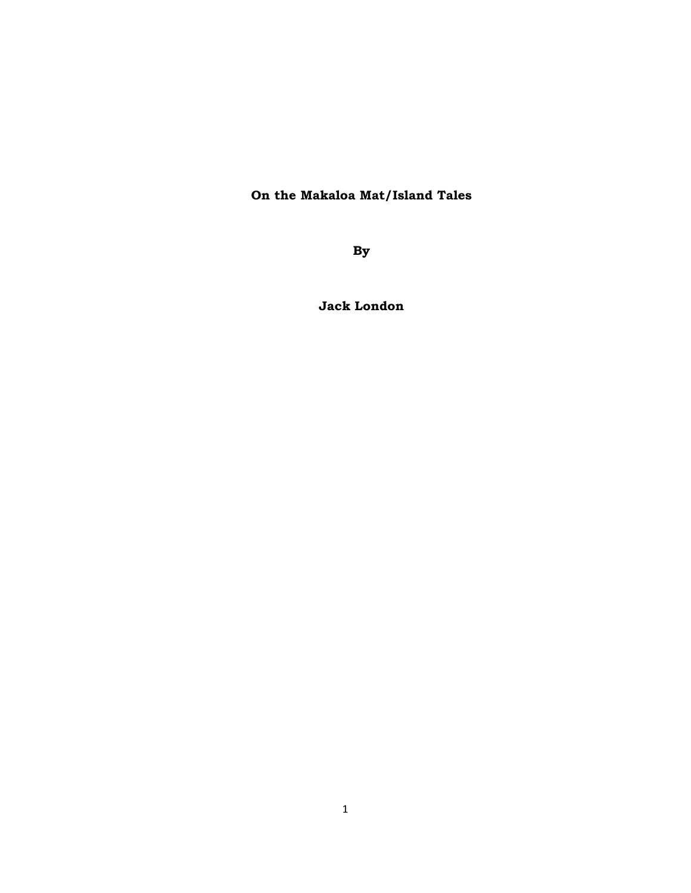## **On the Makaloa Mat/Island Tales**

**By** 

**Jack London**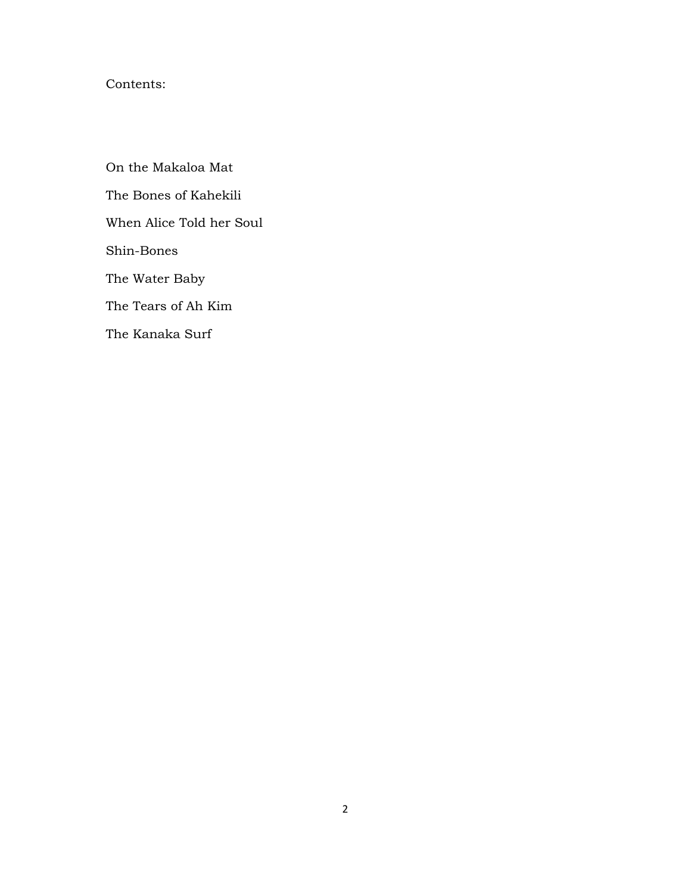## Contents:

On the Makaloa Mat The Bones of Kahekili When Alice Told her Soul Shin-Bones The Water Baby The Tears of Ah Kim The Kanaka Surf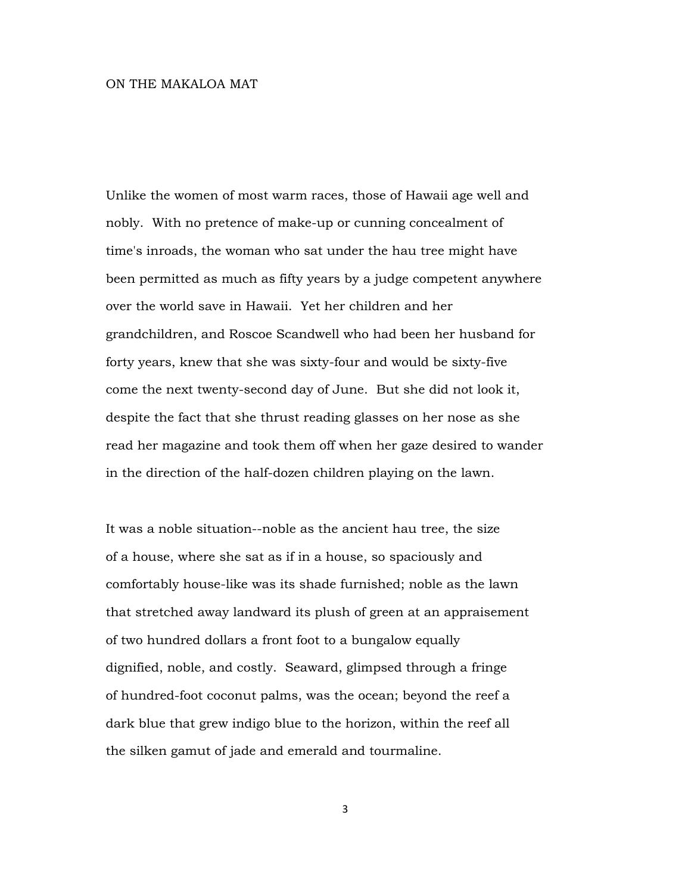## ON THE MAKALOA MAT

Unlike the women of most warm races, those of Hawaii age well and nobly. With no pretence of make-up or cunning concealment of time's inroads, the woman who sat under the hau tree might have been permitted as much as fifty years by a judge competent anywhere over the world save in Hawaii. Yet her children and her grandchildren, and Roscoe Scandwell who had been her husband for forty years, knew that she was sixty-four and would be sixty-five come the next twenty-second day of June. But she did not look it, despite the fact that she thrust reading glasses on her nose as she read her magazine and took them off when her gaze desired to wander in the direction of the half-dozen children playing on the lawn.

It was a noble situation--noble as the ancient hau tree, the size of a house, where she sat as if in a house, so spaciously and comfortably house-like was its shade furnished; noble as the lawn that stretched away landward its plush of green at an appraisement of two hundred dollars a front foot to a bungalow equally dignified, noble, and costly. Seaward, glimpsed through a fringe of hundred-foot coconut palms, was the ocean; beyond the reef a dark blue that grew indigo blue to the horizon, within the reef all the silken gamut of jade and emerald and tourmaline.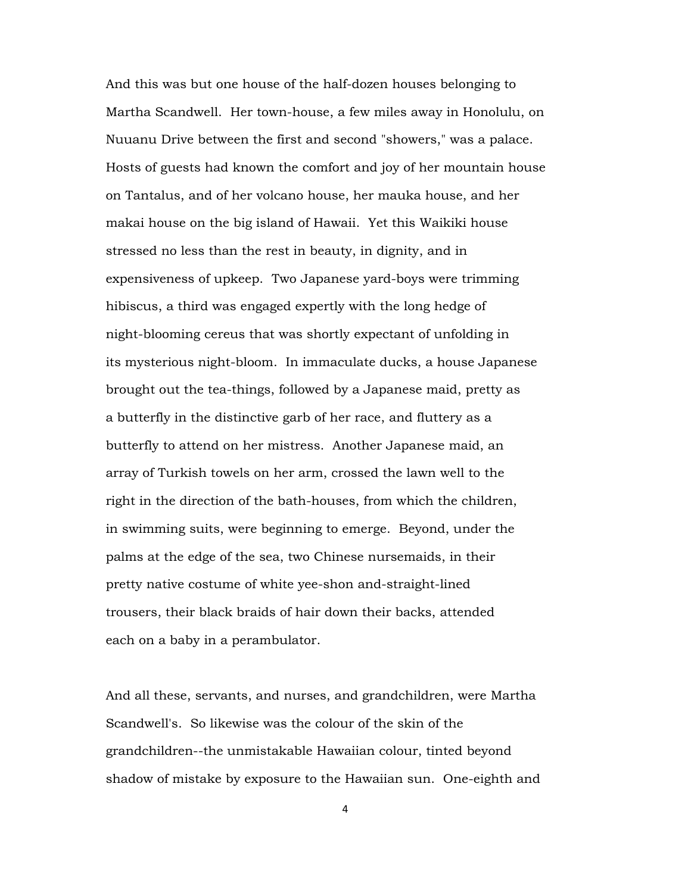And this was but one house of the half-dozen houses belonging to Martha Scandwell. Her town-house, a few miles away in Honolulu, on Nuuanu Drive between the first and second "showers," was a palace. Hosts of guests had known the comfort and joy of her mountain house on Tantalus, and of her volcano house, her mauka house, and her makai house on the big island of Hawaii. Yet this Waikiki house stressed no less than the rest in beauty, in dignity, and in expensiveness of upkeep. Two Japanese yard-boys were trimming hibiscus, a third was engaged expertly with the long hedge of night-blooming cereus that was shortly expectant of unfolding in its mysterious night-bloom. In immaculate ducks, a house Japanese brought out the tea-things, followed by a Japanese maid, pretty as a butterfly in the distinctive garb of her race, and fluttery as a butterfly to attend on her mistress. Another Japanese maid, an array of Turkish towels on her arm, crossed the lawn well to the right in the direction of the bath-houses, from which the children, in swimming suits, were beginning to emerge. Beyond, under the palms at the edge of the sea, two Chinese nursemaids, in their pretty native costume of white yee-shon and-straight-lined trousers, their black braids of hair down their backs, attended each on a baby in a perambulator.

And all these, servants, and nurses, and grandchildren, were Martha Scandwell's. So likewise was the colour of the skin of the grandchildren--the unmistakable Hawaiian colour, tinted beyond shadow of mistake by exposure to the Hawaiian sun. One-eighth and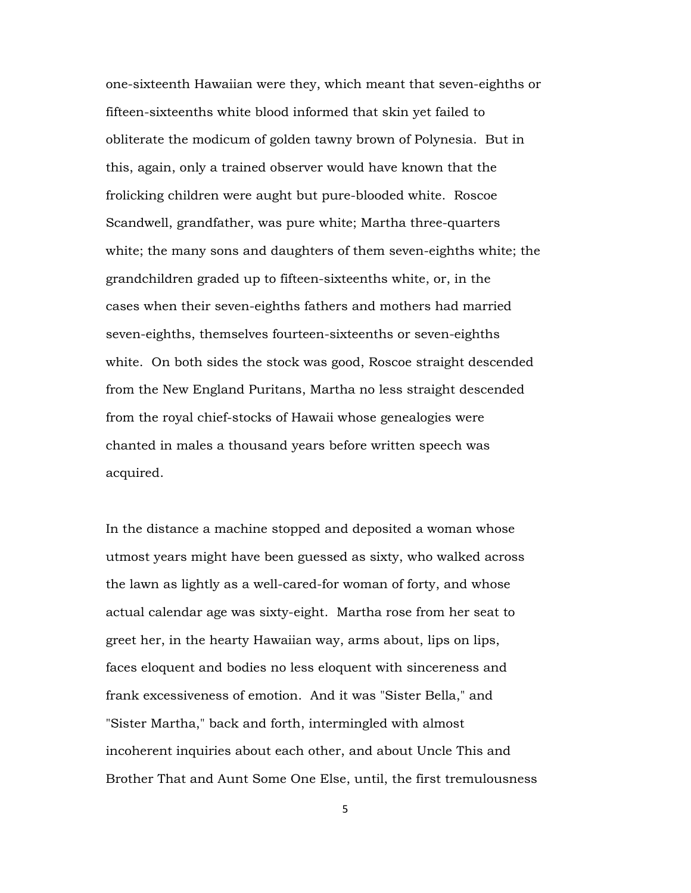one-sixteenth Hawaiian were they, which meant that seven-eighths or fifteen-sixteenths white blood informed that skin yet failed to obliterate the modicum of golden tawny brown of Polynesia. But in this, again, only a trained observer would have known that the frolicking children were aught but pure-blooded white. Roscoe Scandwell, grandfather, was pure white; Martha three-quarters white; the many sons and daughters of them seven-eighths white; the grandchildren graded up to fifteen-sixteenths white, or, in the cases when their seven-eighths fathers and mothers had married seven-eighths, themselves fourteen-sixteenths or seven-eighths white. On both sides the stock was good, Roscoe straight descended from the New England Puritans, Martha no less straight descended from the royal chief-stocks of Hawaii whose genealogies were chanted in males a thousand years before written speech was acquired.

In the distance a machine stopped and deposited a woman whose utmost years might have been guessed as sixty, who walked across the lawn as lightly as a well-cared-for woman of forty, and whose actual calendar age was sixty-eight. Martha rose from her seat to greet her, in the hearty Hawaiian way, arms about, lips on lips, faces eloquent and bodies no less eloquent with sincereness and frank excessiveness of emotion. And it was "Sister Bella," and "Sister Martha," back and forth, intermingled with almost incoherent inquiries about each other, and about Uncle This and Brother That and Aunt Some One Else, until, the first tremulousness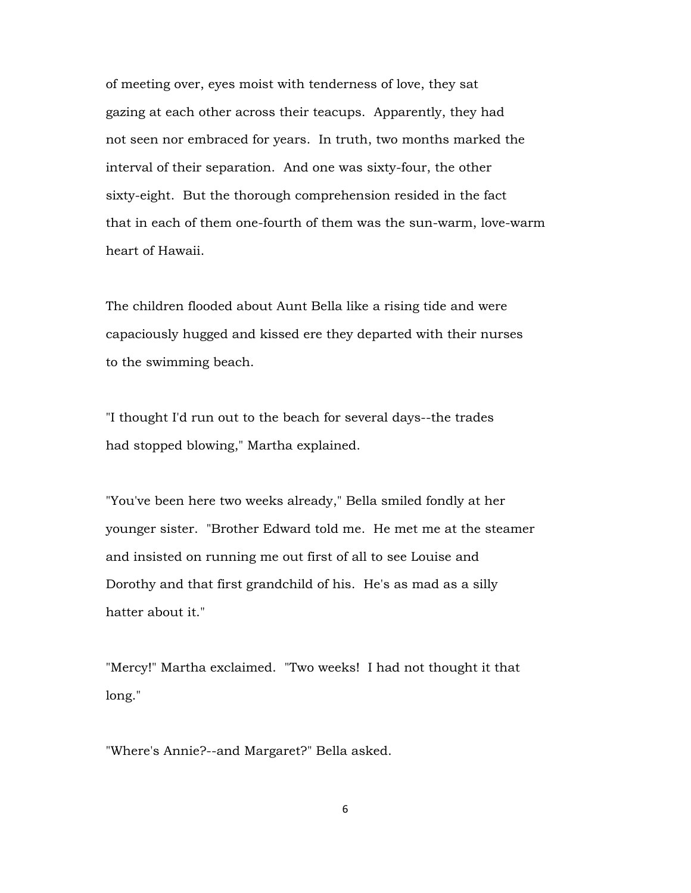of meeting over, eyes moist with tenderness of love, they sat gazing at each other across their teacups. Apparently, they had not seen nor embraced for years. In truth, two months marked the interval of their separation. And one was sixty-four, the other sixty-eight. But the thorough comprehension resided in the fact that in each of them one-fourth of them was the sun-warm, love-warm heart of Hawaii.

The children flooded about Aunt Bella like a rising tide and were capaciously hugged and kissed ere they departed with their nurses to the swimming beach.

"I thought I'd run out to the beach for several days--the trades had stopped blowing," Martha explained.

"You've been here two weeks already," Bella smiled fondly at her younger sister. "Brother Edward told me. He met me at the steamer and insisted on running me out first of all to see Louise and Dorothy and that first grandchild of his. He's as mad as a silly hatter about it."

"Mercy!" Martha exclaimed. "Two weeks! I had not thought it that long."

"Where's Annie?--and Margaret?" Bella asked.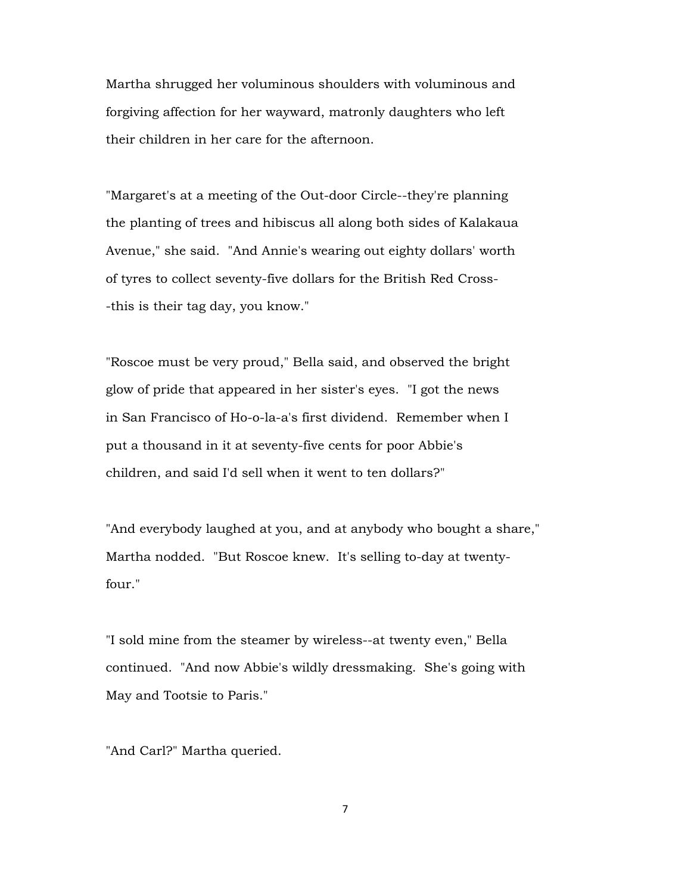Martha shrugged her voluminous shoulders with voluminous and forgiving affection for her wayward, matronly daughters who left their children in her care for the afternoon.

"Margaret's at a meeting of the Out-door Circle--they're planning the planting of trees and hibiscus all along both sides of Kalakaua Avenue," she said. "And Annie's wearing out eighty dollars' worth of tyres to collect seventy-five dollars for the British Red Cross- -this is their tag day, you know."

"Roscoe must be very proud," Bella said, and observed the bright glow of pride that appeared in her sister's eyes. "I got the news in San Francisco of Ho-o-la-a's first dividend. Remember when I put a thousand in it at seventy-five cents for poor Abbie's children, and said I'd sell when it went to ten dollars?"

"And everybody laughed at you, and at anybody who bought a share," Martha nodded. "But Roscoe knew. It's selling to-day at twentyfour."

"I sold mine from the steamer by wireless--at twenty even," Bella continued. "And now Abbie's wildly dressmaking. She's going with May and Tootsie to Paris."

"And Carl?" Martha queried.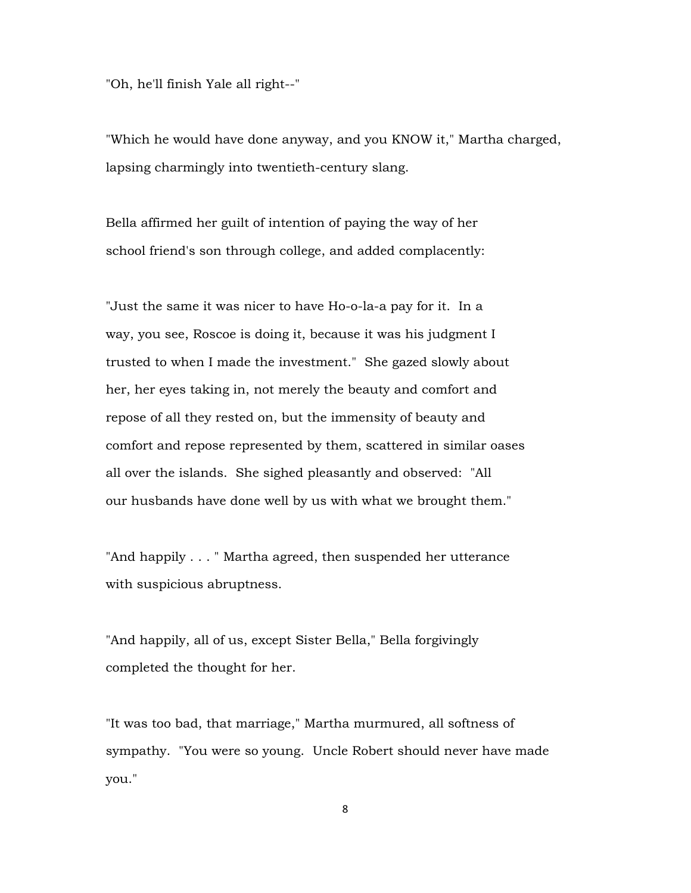"Oh, he'll finish Yale all right--"

"Which he would have done anyway, and you KNOW it," Martha charged, lapsing charmingly into twentieth-century slang.

Bella affirmed her guilt of intention of paying the way of her school friend's son through college, and added complacently:

"Just the same it was nicer to have Ho-o-la-a pay for it. In a way, you see, Roscoe is doing it, because it was his judgment I trusted to when I made the investment." She gazed slowly about her, her eyes taking in, not merely the beauty and comfort and repose of all they rested on, but the immensity of beauty and comfort and repose represented by them, scattered in similar oases all over the islands. She sighed pleasantly and observed: "All our husbands have done well by us with what we brought them."

"And happily . . . " Martha agreed, then suspended her utterance with suspicious abruptness.

"And happily, all of us, except Sister Bella," Bella forgivingly completed the thought for her.

"It was too bad, that marriage," Martha murmured, all softness of sympathy. "You were so young. Uncle Robert should never have made you."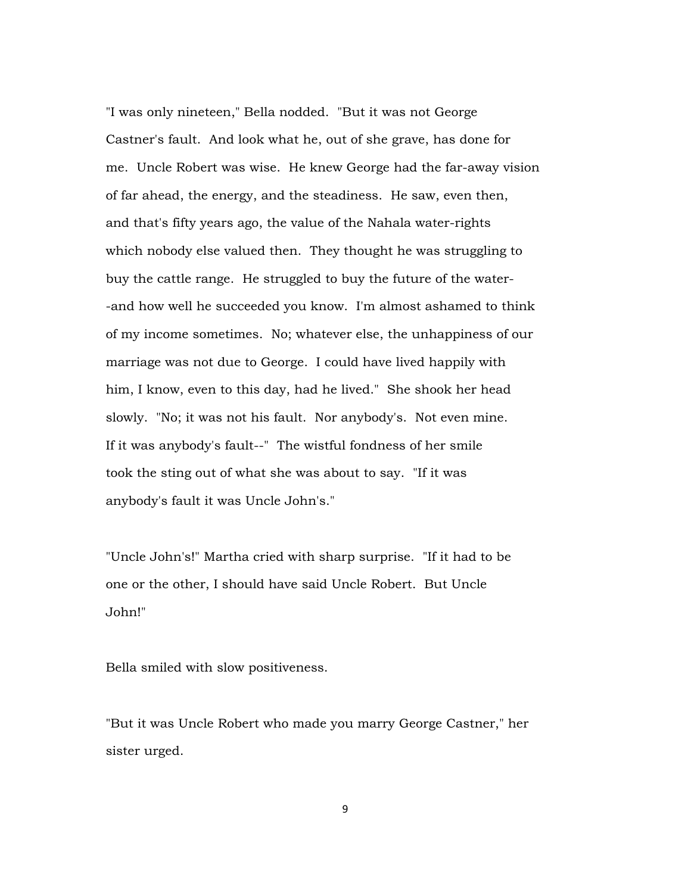"I was only nineteen," Bella nodded. "But it was not George Castner's fault. And look what he, out of she grave, has done for me. Uncle Robert was wise. He knew George had the far-away vision of far ahead, the energy, and the steadiness. He saw, even then, and that's fifty years ago, the value of the Nahala water-rights which nobody else valued then. They thought he was struggling to buy the cattle range. He struggled to buy the future of the water- -and how well he succeeded you know. I'm almost ashamed to think of my income sometimes. No; whatever else, the unhappiness of our marriage was not due to George. I could have lived happily with him, I know, even to this day, had he lived." She shook her head slowly. "No; it was not his fault. Nor anybody's. Not even mine. If it was anybody's fault--" The wistful fondness of her smile took the sting out of what she was about to say. "If it was anybody's fault it was Uncle John's."

"Uncle John's!" Martha cried with sharp surprise. "If it had to be one or the other, I should have said Uncle Robert. But Uncle John!"

Bella smiled with slow positiveness.

"But it was Uncle Robert who made you marry George Castner," her sister urged.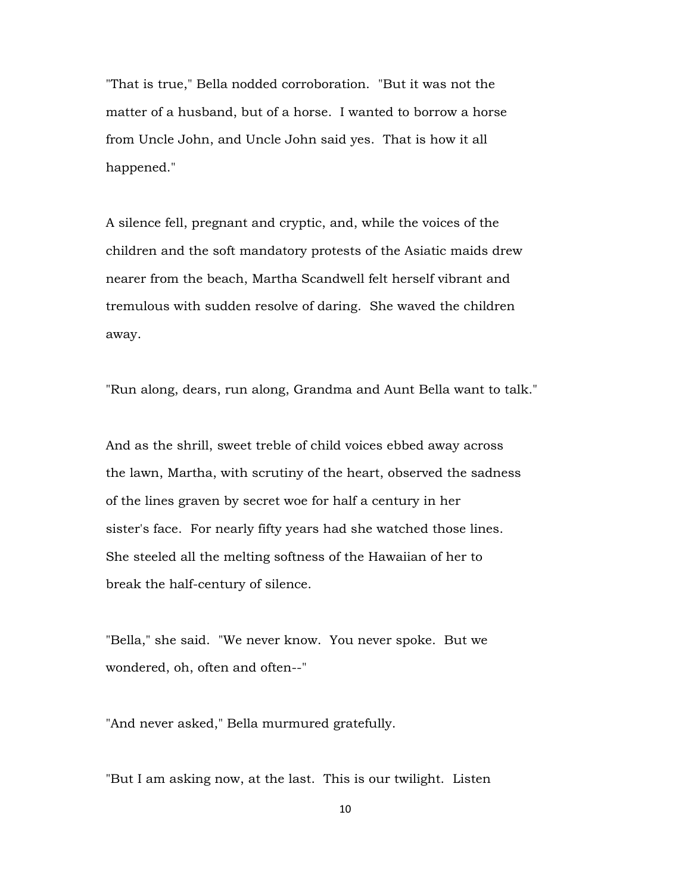"That is true," Bella nodded corroboration. "But it was not the matter of a husband, but of a horse. I wanted to borrow a horse from Uncle John, and Uncle John said yes. That is how it all happened."

A silence fell, pregnant and cryptic, and, while the voices of the children and the soft mandatory protests of the Asiatic maids drew nearer from the beach, Martha Scandwell felt herself vibrant and tremulous with sudden resolve of daring. She waved the children away.

"Run along, dears, run along, Grandma and Aunt Bella want to talk."

And as the shrill, sweet treble of child voices ebbed away across the lawn, Martha, with scrutiny of the heart, observed the sadness of the lines graven by secret woe for half a century in her sister's face. For nearly fifty years had she watched those lines. She steeled all the melting softness of the Hawaiian of her to break the half-century of silence.

"Bella," she said. "We never know. You never spoke. But we wondered, oh, often and often--"

"And never asked," Bella murmured gratefully.

"But I am asking now, at the last. This is our twilight. Listen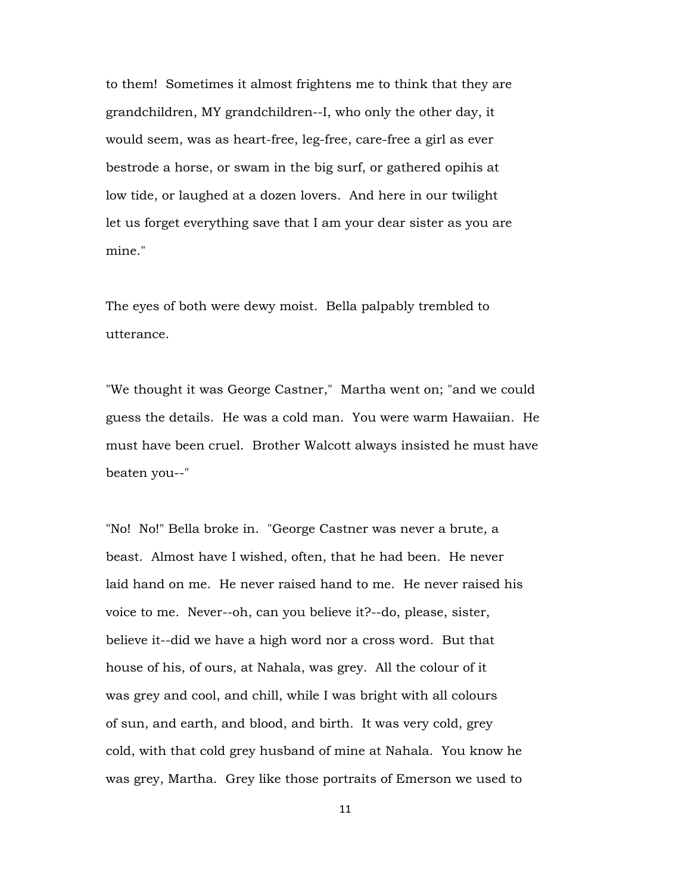to them! Sometimes it almost frightens me to think that they are grandchildren, MY grandchildren--I, who only the other day, it would seem, was as heart-free, leg-free, care-free a girl as ever bestrode a horse, or swam in the big surf, or gathered opihis at low tide, or laughed at a dozen lovers. And here in our twilight let us forget everything save that I am your dear sister as you are mine."

The eyes of both were dewy moist. Bella palpably trembled to utterance.

"We thought it was George Castner," Martha went on; "and we could guess the details. He was a cold man. You were warm Hawaiian. He must have been cruel. Brother Walcott always insisted he must have beaten you--"

"No! No!" Bella broke in. "George Castner was never a brute, a beast. Almost have I wished, often, that he had been. He never laid hand on me. He never raised hand to me. He never raised his voice to me. Never--oh, can you believe it?--do, please, sister, believe it--did we have a high word nor a cross word. But that house of his, of ours, at Nahala, was grey. All the colour of it was grey and cool, and chill, while I was bright with all colours of sun, and earth, and blood, and birth. It was very cold, grey cold, with that cold grey husband of mine at Nahala. You know he was grey, Martha. Grey like those portraits of Emerson we used to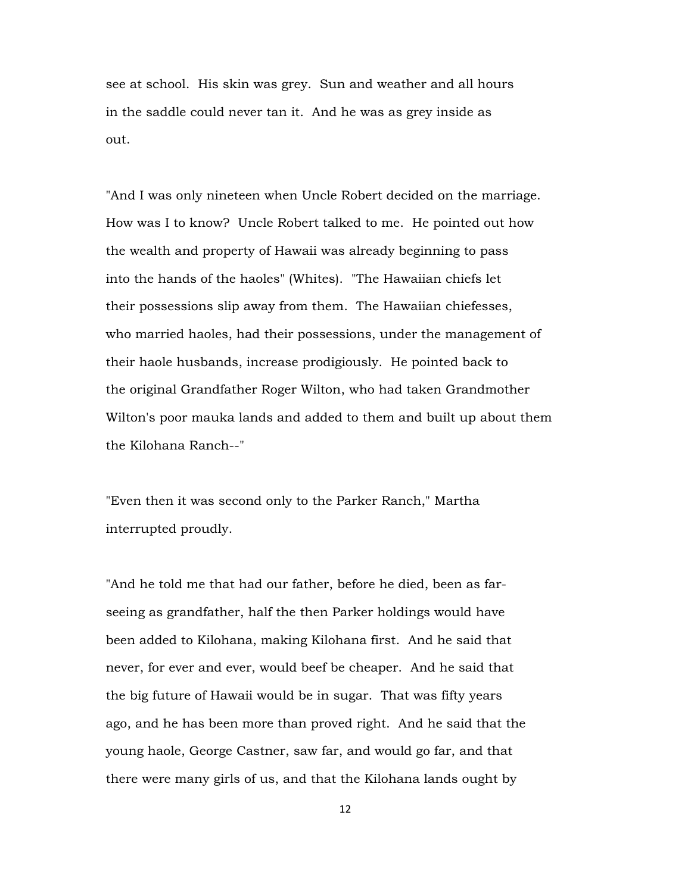see at school. His skin was grey. Sun and weather and all hours in the saddle could never tan it. And he was as grey inside as out.

"And I was only nineteen when Uncle Robert decided on the marriage. How was I to know? Uncle Robert talked to me. He pointed out how the wealth and property of Hawaii was already beginning to pass into the hands of the haoles" (Whites). "The Hawaiian chiefs let their possessions slip away from them. The Hawaiian chiefesses, who married haoles, had their possessions, under the management of their haole husbands, increase prodigiously. He pointed back to the original Grandfather Roger Wilton, who had taken Grandmother Wilton's poor mauka lands and added to them and built up about them the Kilohana Ranch--"

"Even then it was second only to the Parker Ranch," Martha interrupted proudly.

"And he told me that had our father, before he died, been as farseeing as grandfather, half the then Parker holdings would have been added to Kilohana, making Kilohana first. And he said that never, for ever and ever, would beef be cheaper. And he said that the big future of Hawaii would be in sugar. That was fifty years ago, and he has been more than proved right. And he said that the young haole, George Castner, saw far, and would go far, and that there were many girls of us, and that the Kilohana lands ought by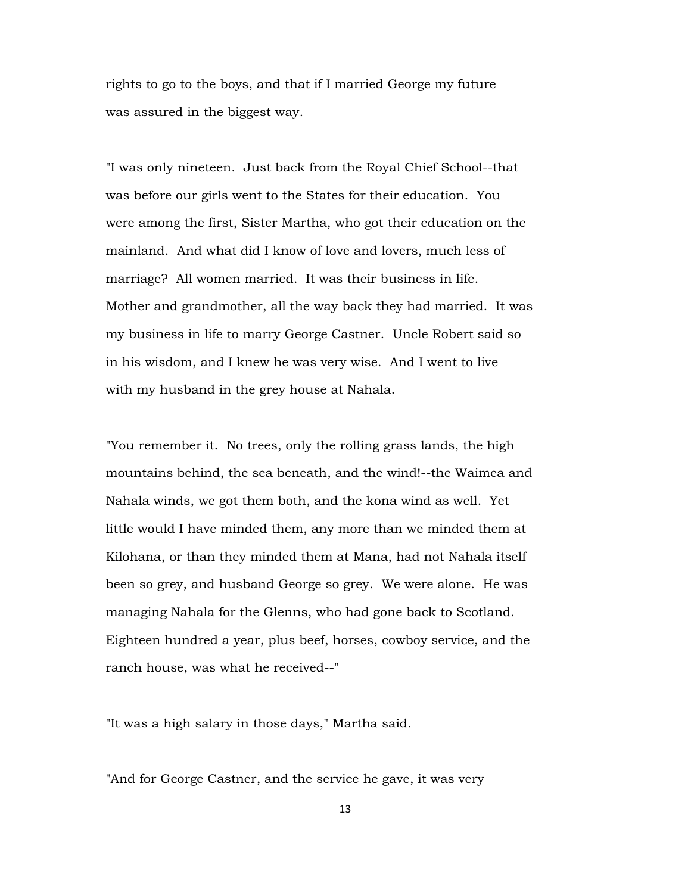rights to go to the boys, and that if I married George my future was assured in the biggest way.

"I was only nineteen. Just back from the Royal Chief School--that was before our girls went to the States for their education. You were among the first, Sister Martha, who got their education on the mainland. And what did I know of love and lovers, much less of marriage? All women married. It was their business in life. Mother and grandmother, all the way back they had married. It was my business in life to marry George Castner. Uncle Robert said so in his wisdom, and I knew he was very wise. And I went to live with my husband in the grey house at Nahala.

"You remember it. No trees, only the rolling grass lands, the high mountains behind, the sea beneath, and the wind!--the Waimea and Nahala winds, we got them both, and the kona wind as well. Yet little would I have minded them, any more than we minded them at Kilohana, or than they minded them at Mana, had not Nahala itself been so grey, and husband George so grey. We were alone. He was managing Nahala for the Glenns, who had gone back to Scotland. Eighteen hundred a year, plus beef, horses, cowboy service, and the ranch house, was what he received--"

"It was a high salary in those days," Martha said.

"And for George Castner, and the service he gave, it was very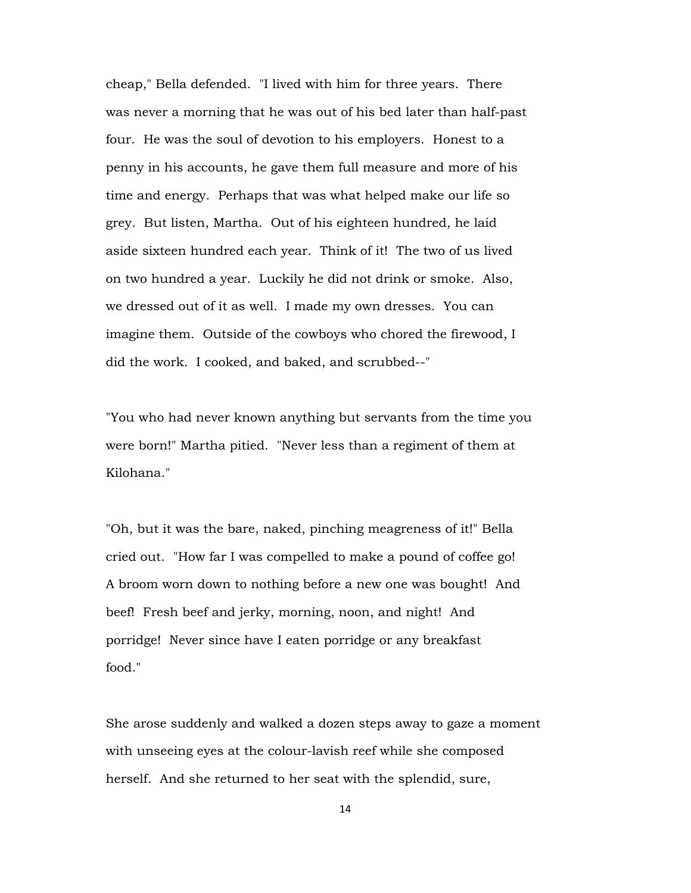cheap," Bella defended. "I lived with him for three years. There was never a morning that he was out of his bed later than half-past four. He was the soul of devotion to his employers. Honest to a penny in his accounts, he gave them full measure and more of his time and energy. Perhaps that was what helped make our life so grey. But listen, Martha. Out of his eighteen hundred, he laid aside sixteen hundred each year. Think of it! The two of us lived on two hundred a year. Luckily he did not drink or smoke. Also, we dressed out of it as well. I made my own dresses. You can imagine them. Outside of the cowboys who chored the firewood, I did the work. I cooked, and baked, and scrubbed--"

"You who had never known anything but servants from the time you were born!" Martha pitied. "Never less than a regiment of them at Kilohana."

"Oh, but it was the bare, naked, pinching meagreness of it!" Bella cried out. "How far I was compelled to make a pound of coffee go! A broom worn down to nothing before a new one was bought! And beef! Fresh beef and jerky, morning, noon, and night! And porridge! Never since have I eaten porridge or any breakfast food."

She arose suddenly and walked a dozen steps away to gaze a moment with unseeing eyes at the colour-lavish reef while she composed herself. And she returned to her seat with the splendid, sure,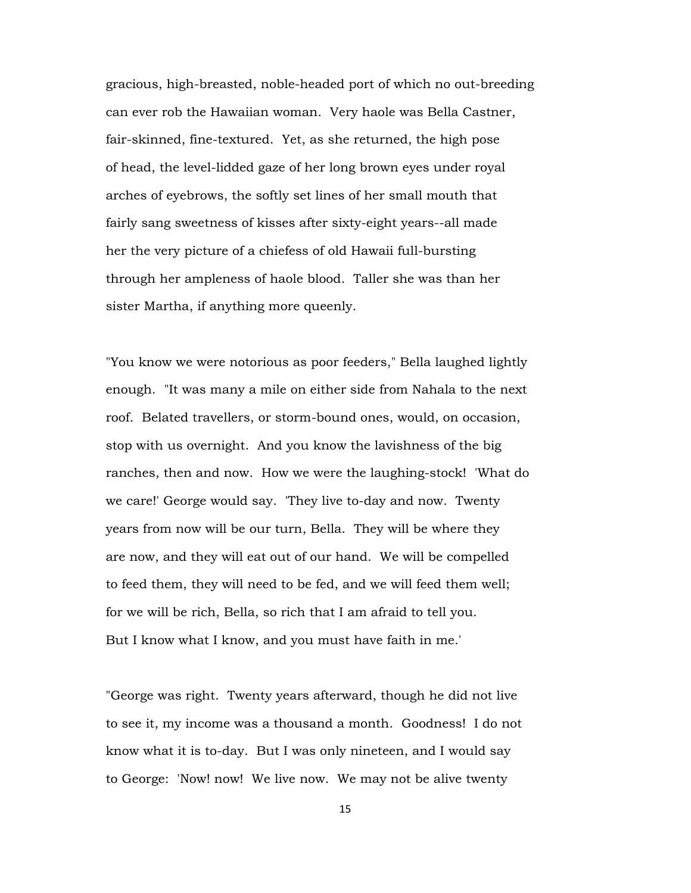gracious, high-breasted, noble-headed port of which no out-breeding can ever rob the Hawaiian woman. Very haole was Bella Castner, fair-skinned, fine-textured. Yet, as she returned, the high pose of head, the level-lidded gaze of her long brown eyes under royal arches of eyebrows, the softly set lines of her small mouth that fairly sang sweetness of kisses after sixty-eight years--all made her the very picture of a chiefess of old Hawaii full-bursting through her ampleness of haole blood. Taller she was than her sister Martha, if anything more queenly.

"You know we were notorious as poor feeders," Bella laughed lightly enough. "It was many a mile on either side from Nahala to the next roof. Belated travellers, or storm-bound ones, would, on occasion, stop with us overnight. And you know the lavishness of the big ranches, then and now. How we were the laughing-stock! 'What do we care!' George would say. 'They live to-day and now. Twenty years from now will be our turn, Bella. They will be where they are now, and they will eat out of our hand. We will be compelled to feed them, they will need to be fed, and we will feed them well; for we will be rich, Bella, so rich that I am afraid to tell you. But I know what I know, and you must have faith in me.'

"George was right. Twenty years afterward, though he did not live to see it, my income was a thousand a month. Goodness! I do not know what it is to-day. But I was only nineteen, and I would say to George: 'Now! now! We live now. We may not be alive twenty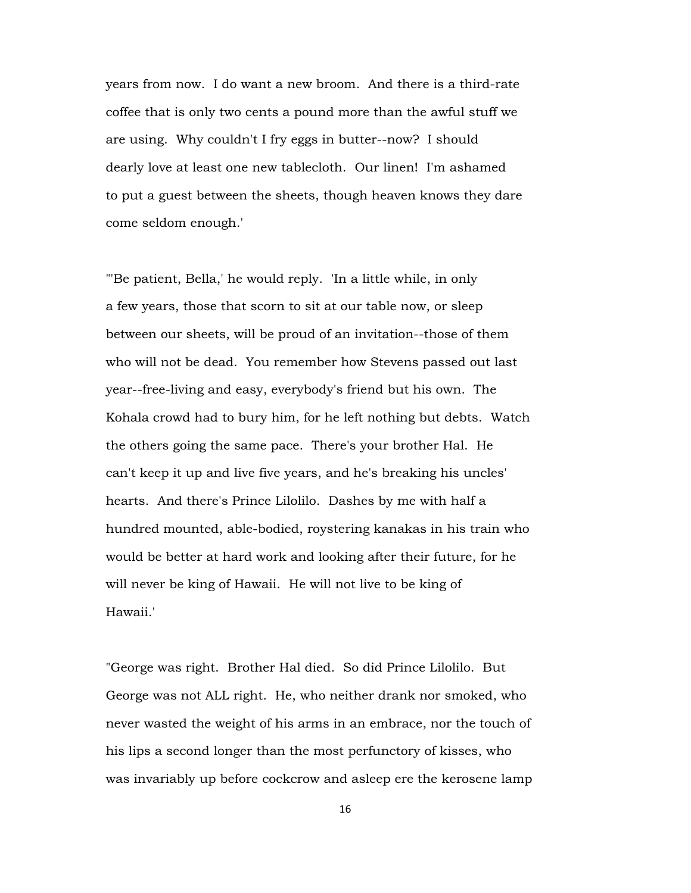years from now. I do want a new broom. And there is a third-rate coffee that is only two cents a pound more than the awful stuff we are using. Why couldn't I fry eggs in butter--now? I should dearly love at least one new tablecloth. Our linen! I'm ashamed to put a guest between the sheets, though heaven knows they dare come seldom enough.'

"'Be patient, Bella,' he would reply. 'In a little while, in only a few years, those that scorn to sit at our table now, or sleep between our sheets, will be proud of an invitation--those of them who will not be dead. You remember how Stevens passed out last year--free-living and easy, everybody's friend but his own. The Kohala crowd had to bury him, for he left nothing but debts. Watch the others going the same pace. There's your brother Hal. He can't keep it up and live five years, and he's breaking his uncles' hearts. And there's Prince Lilolilo. Dashes by me with half a hundred mounted, able-bodied, roystering kanakas in his train who would be better at hard work and looking after their future, for he will never be king of Hawaii. He will not live to be king of Hawaii.'

"George was right. Brother Hal died. So did Prince Lilolilo. But George was not ALL right. He, who neither drank nor smoked, who never wasted the weight of his arms in an embrace, nor the touch of his lips a second longer than the most perfunctory of kisses, who was invariably up before cockcrow and asleep ere the kerosene lamp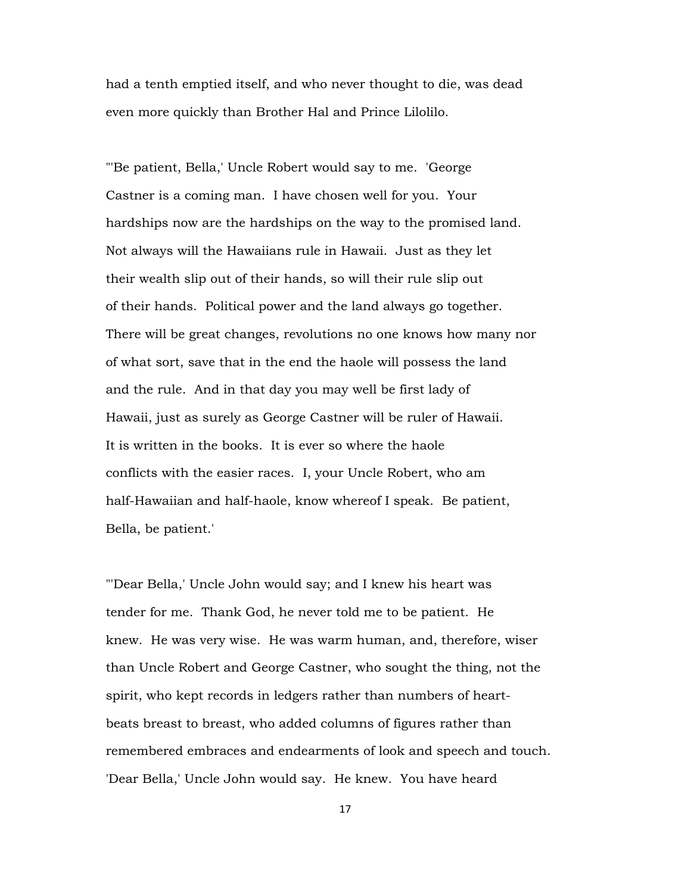had a tenth emptied itself, and who never thought to die, was dead even more quickly than Brother Hal and Prince Lilolilo.

"'Be patient, Bella,' Uncle Robert would say to me. 'George Castner is a coming man. I have chosen well for you. Your hardships now are the hardships on the way to the promised land. Not always will the Hawaiians rule in Hawaii. Just as they let their wealth slip out of their hands, so will their rule slip out of their hands. Political power and the land always go together. There will be great changes, revolutions no one knows how many nor of what sort, save that in the end the haole will possess the land and the rule. And in that day you may well be first lady of Hawaii, just as surely as George Castner will be ruler of Hawaii. It is written in the books. It is ever so where the haole conflicts with the easier races. I, your Uncle Robert, who am half-Hawaiian and half-haole, know whereof I speak. Be patient, Bella, be patient.'

"'Dear Bella,' Uncle John would say; and I knew his heart was tender for me. Thank God, he never told me to be patient. He knew. He was very wise. He was warm human, and, therefore, wiser than Uncle Robert and George Castner, who sought the thing, not the spirit, who kept records in ledgers rather than numbers of heartbeats breast to breast, who added columns of figures rather than remembered embraces and endearments of look and speech and touch. 'Dear Bella,' Uncle John would say. He knew. You have heard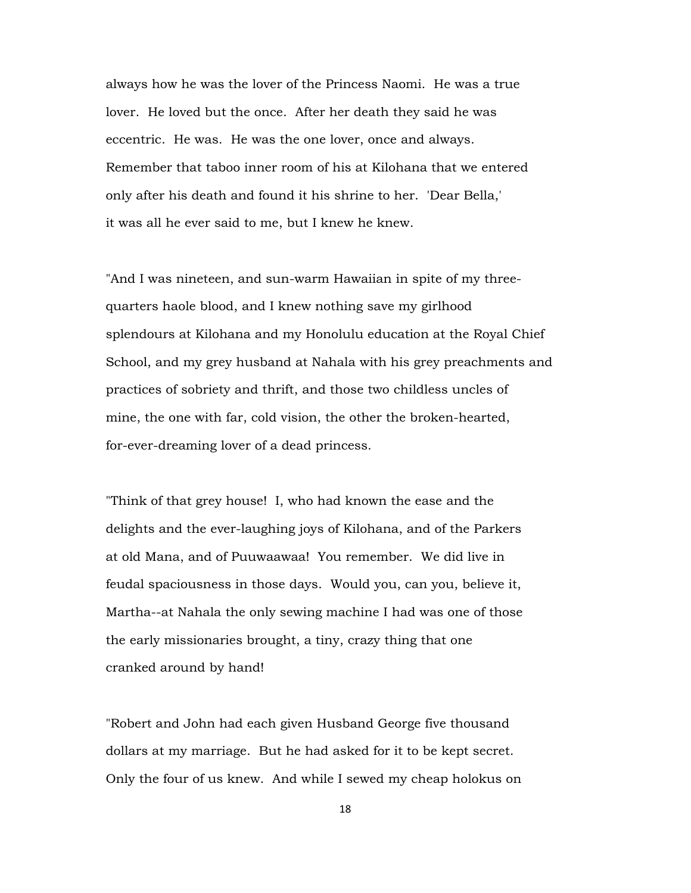always how he was the lover of the Princess Naomi. He was a true lover. He loved but the once. After her death they said he was eccentric. He was. He was the one lover, once and always. Remember that taboo inner room of his at Kilohana that we entered only after his death and found it his shrine to her. 'Dear Bella,' it was all he ever said to me, but I knew he knew.

"And I was nineteen, and sun-warm Hawaiian in spite of my threequarters haole blood, and I knew nothing save my girlhood splendours at Kilohana and my Honolulu education at the Royal Chief School, and my grey husband at Nahala with his grey preachments and practices of sobriety and thrift, and those two childless uncles of mine, the one with far, cold vision, the other the broken-hearted, for-ever-dreaming lover of a dead princess.

"Think of that grey house! I, who had known the ease and the delights and the ever-laughing joys of Kilohana, and of the Parkers at old Mana, and of Puuwaawaa! You remember. We did live in feudal spaciousness in those days. Would you, can you, believe it, Martha--at Nahala the only sewing machine I had was one of those the early missionaries brought, a tiny, crazy thing that one cranked around by hand!

"Robert and John had each given Husband George five thousand dollars at my marriage. But he had asked for it to be kept secret. Only the four of us knew. And while I sewed my cheap holokus on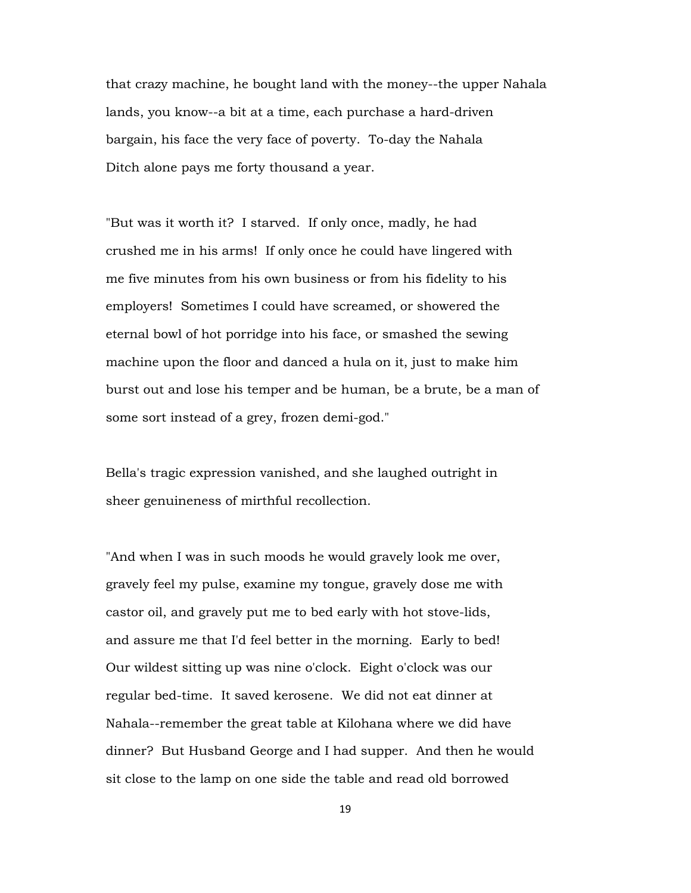that crazy machine, he bought land with the money--the upper Nahala lands, you know--a bit at a time, each purchase a hard-driven bargain, his face the very face of poverty. To-day the Nahala Ditch alone pays me forty thousand a year.

"But was it worth it? I starved. If only once, madly, he had crushed me in his arms! If only once he could have lingered with me five minutes from his own business or from his fidelity to his employers! Sometimes I could have screamed, or showered the eternal bowl of hot porridge into his face, or smashed the sewing machine upon the floor and danced a hula on it, just to make him burst out and lose his temper and be human, be a brute, be a man of some sort instead of a grey, frozen demi-god."

Bella's tragic expression vanished, and she laughed outright in sheer genuineness of mirthful recollection.

"And when I was in such moods he would gravely look me over, gravely feel my pulse, examine my tongue, gravely dose me with castor oil, and gravely put me to bed early with hot stove-lids, and assure me that I'd feel better in the morning. Early to bed! Our wildest sitting up was nine o'clock. Eight o'clock was our regular bed-time. It saved kerosene. We did not eat dinner at Nahala--remember the great table at Kilohana where we did have dinner? But Husband George and I had supper. And then he would sit close to the lamp on one side the table and read old borrowed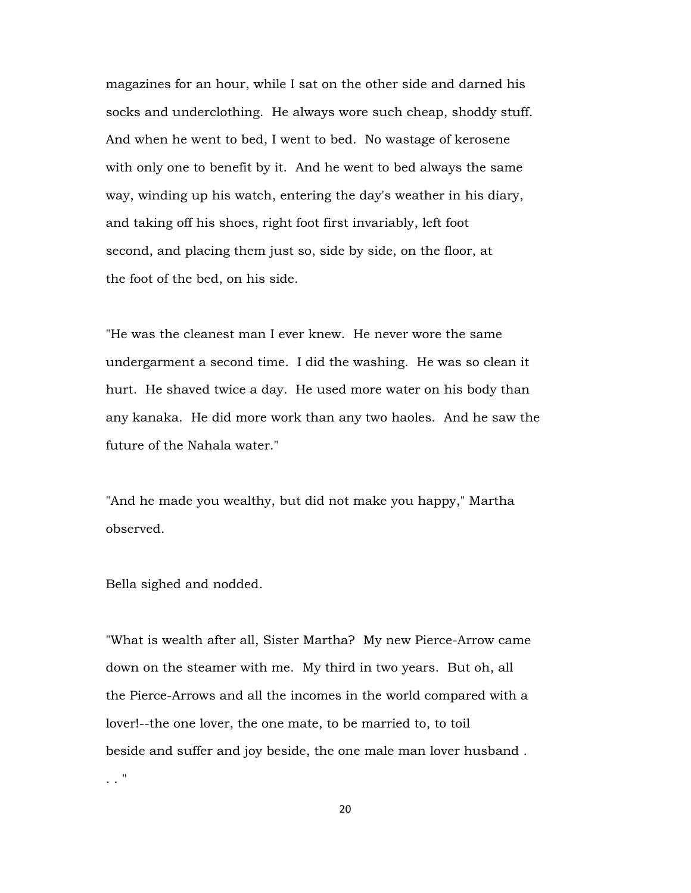magazines for an hour, while I sat on the other side and darned his socks and underclothing. He always wore such cheap, shoddy stuff. And when he went to bed, I went to bed. No wastage of kerosene with only one to benefit by it. And he went to bed always the same way, winding up his watch, entering the day's weather in his diary, and taking off his shoes, right foot first invariably, left foot second, and placing them just so, side by side, on the floor, at the foot of the bed, on his side.

"He was the cleanest man I ever knew. He never wore the same undergarment a second time. I did the washing. He was so clean it hurt. He shaved twice a day. He used more water on his body than any kanaka. He did more work than any two haoles. And he saw the future of the Nahala water."

"And he made you wealthy, but did not make you happy," Martha observed.

Bella sighed and nodded.

. . "

"What is wealth after all, Sister Martha? My new Pierce-Arrow came down on the steamer with me. My third in two years. But oh, all the Pierce-Arrows and all the incomes in the world compared with a lover!--the one lover, the one mate, to be married to, to toil beside and suffer and joy beside, the one male man lover husband .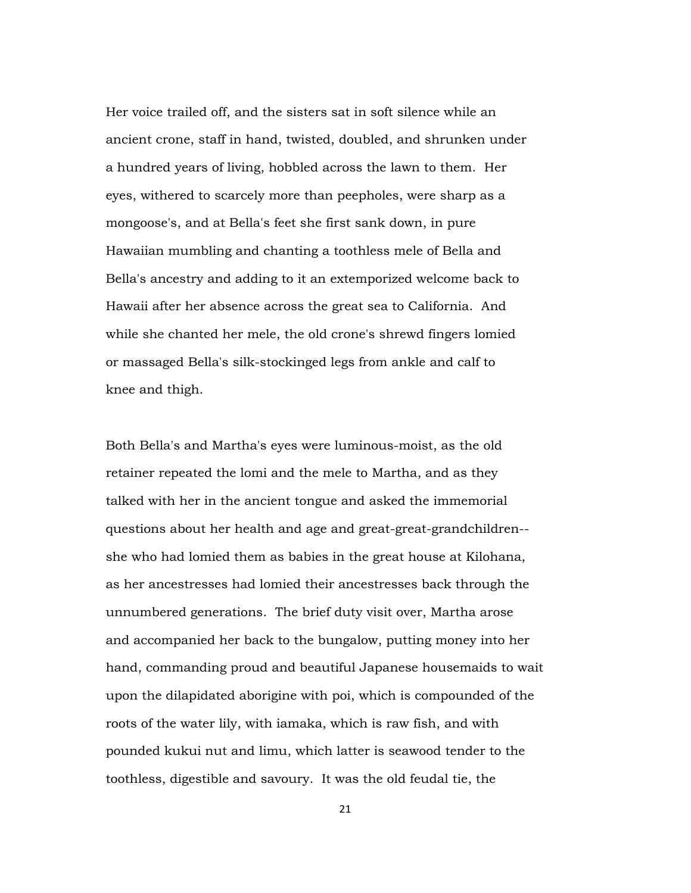Her voice trailed off, and the sisters sat in soft silence while an ancient crone, staff in hand, twisted, doubled, and shrunken under a hundred years of living, hobbled across the lawn to them. Her eyes, withered to scarcely more than peepholes, were sharp as a mongoose's, and at Bella's feet she first sank down, in pure Hawaiian mumbling and chanting a toothless mele of Bella and Bella's ancestry and adding to it an extemporized welcome back to Hawaii after her absence across the great sea to California. And while she chanted her mele, the old crone's shrewd fingers lomied or massaged Bella's silk-stockinged legs from ankle and calf to knee and thigh.

Both Bella's and Martha's eyes were luminous-moist, as the old retainer repeated the lomi and the mele to Martha, and as they talked with her in the ancient tongue and asked the immemorial questions about her health and age and great-great-grandchildren- she who had lomied them as babies in the great house at Kilohana, as her ancestresses had lomied their ancestresses back through the unnumbered generations. The brief duty visit over, Martha arose and accompanied her back to the bungalow, putting money into her hand, commanding proud and beautiful Japanese housemaids to wait upon the dilapidated aborigine with poi, which is compounded of the roots of the water lily, with iamaka, which is raw fish, and with pounded kukui nut and limu, which latter is seawood tender to the toothless, digestible and savoury. It was the old feudal tie, the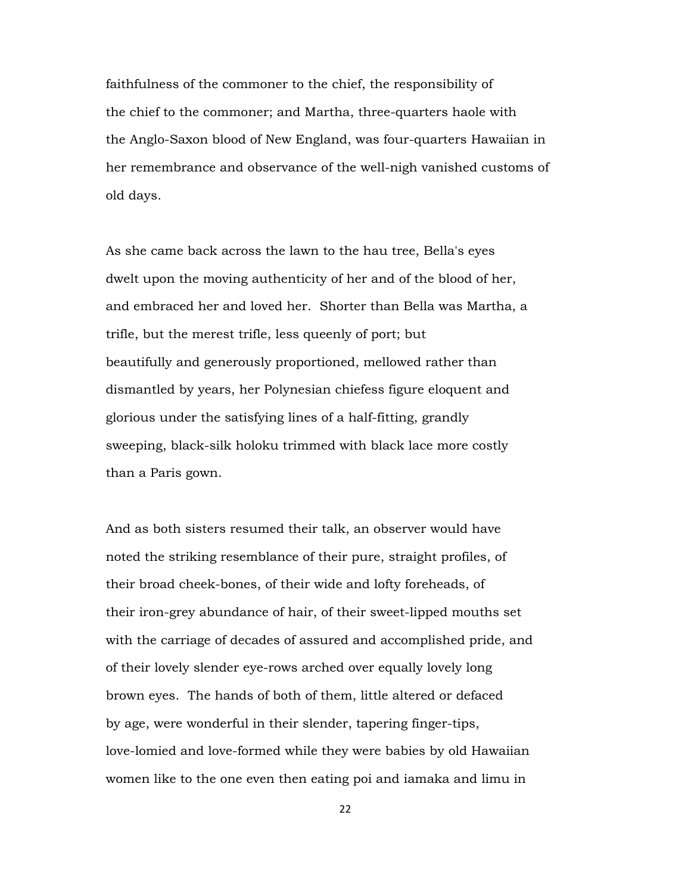faithfulness of the commoner to the chief, the responsibility of the chief to the commoner; and Martha, three-quarters haole with the Anglo-Saxon blood of New England, was four-quarters Hawaiian in her remembrance and observance of the well-nigh vanished customs of old days.

As she came back across the lawn to the hau tree, Bella's eyes dwelt upon the moving authenticity of her and of the blood of her, and embraced her and loved her. Shorter than Bella was Martha, a trifle, but the merest trifle, less queenly of port; but beautifully and generously proportioned, mellowed rather than dismantled by years, her Polynesian chiefess figure eloquent and glorious under the satisfying lines of a half-fitting, grandly sweeping, black-silk holoku trimmed with black lace more costly than a Paris gown.

And as both sisters resumed their talk, an observer would have noted the striking resemblance of their pure, straight profiles, of their broad cheek-bones, of their wide and lofty foreheads, of their iron-grey abundance of hair, of their sweet-lipped mouths set with the carriage of decades of assured and accomplished pride, and of their lovely slender eye-rows arched over equally lovely long brown eyes. The hands of both of them, little altered or defaced by age, were wonderful in their slender, tapering finger-tips, love-lomied and love-formed while they were babies by old Hawaiian women like to the one even then eating poi and iamaka and limu in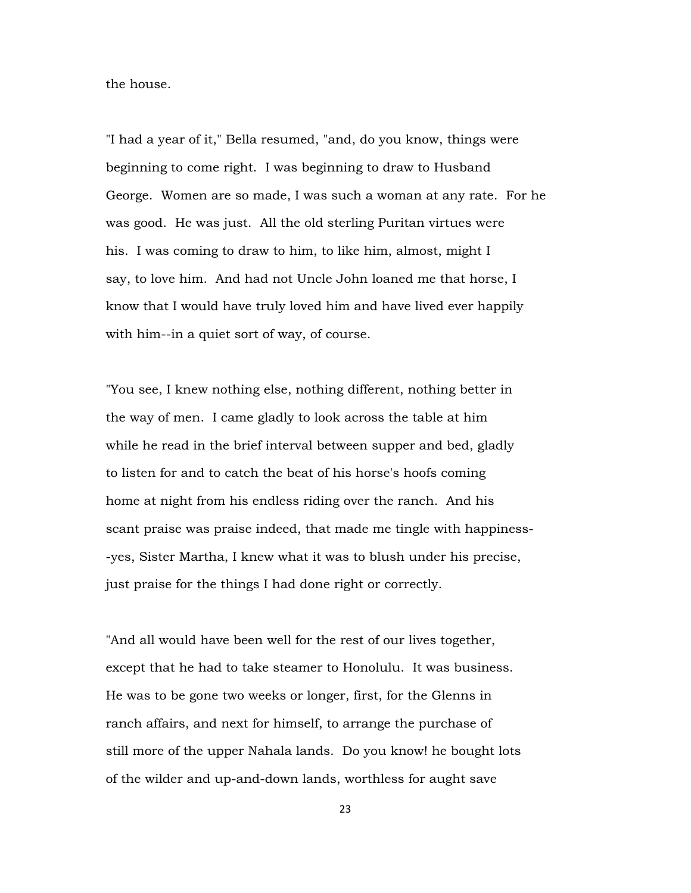the house.

"I had a year of it," Bella resumed, "and, do you know, things were beginning to come right. I was beginning to draw to Husband George. Women are so made, I was such a woman at any rate. For he was good. He was just. All the old sterling Puritan virtues were his. I was coming to draw to him, to like him, almost, might I say, to love him. And had not Uncle John loaned me that horse, I know that I would have truly loved him and have lived ever happily with him--in a quiet sort of way, of course.

"You see, I knew nothing else, nothing different, nothing better in the way of men. I came gladly to look across the table at him while he read in the brief interval between supper and bed, gladly to listen for and to catch the beat of his horse's hoofs coming home at night from his endless riding over the ranch. And his scant praise was praise indeed, that made me tingle with happiness- -yes, Sister Martha, I knew what it was to blush under his precise, just praise for the things I had done right or correctly.

"And all would have been well for the rest of our lives together, except that he had to take steamer to Honolulu. It was business. He was to be gone two weeks or longer, first, for the Glenns in ranch affairs, and next for himself, to arrange the purchase of still more of the upper Nahala lands. Do you know! he bought lots of the wilder and up-and-down lands, worthless for aught save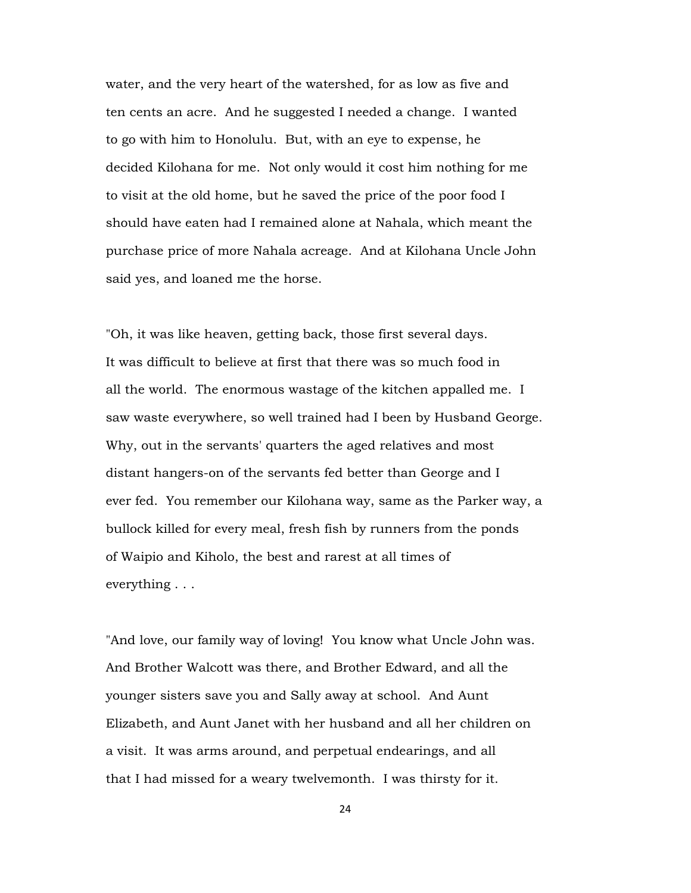water, and the very heart of the watershed, for as low as five and ten cents an acre. And he suggested I needed a change. I wanted to go with him to Honolulu. But, with an eye to expense, he decided Kilohana for me. Not only would it cost him nothing for me to visit at the old home, but he saved the price of the poor food I should have eaten had I remained alone at Nahala, which meant the purchase price of more Nahala acreage. And at Kilohana Uncle John said yes, and loaned me the horse.

"Oh, it was like heaven, getting back, those first several days. It was difficult to believe at first that there was so much food in all the world. The enormous wastage of the kitchen appalled me. I saw waste everywhere, so well trained had I been by Husband George. Why, out in the servants' quarters the aged relatives and most distant hangers-on of the servants fed better than George and I ever fed. You remember our Kilohana way, same as the Parker way, a bullock killed for every meal, fresh fish by runners from the ponds of Waipio and Kiholo, the best and rarest at all times of everything . . .

"And love, our family way of loving! You know what Uncle John was. And Brother Walcott was there, and Brother Edward, and all the younger sisters save you and Sally away at school. And Aunt Elizabeth, and Aunt Janet with her husband and all her children on a visit. It was arms around, and perpetual endearings, and all that I had missed for a weary twelvemonth. I was thirsty for it.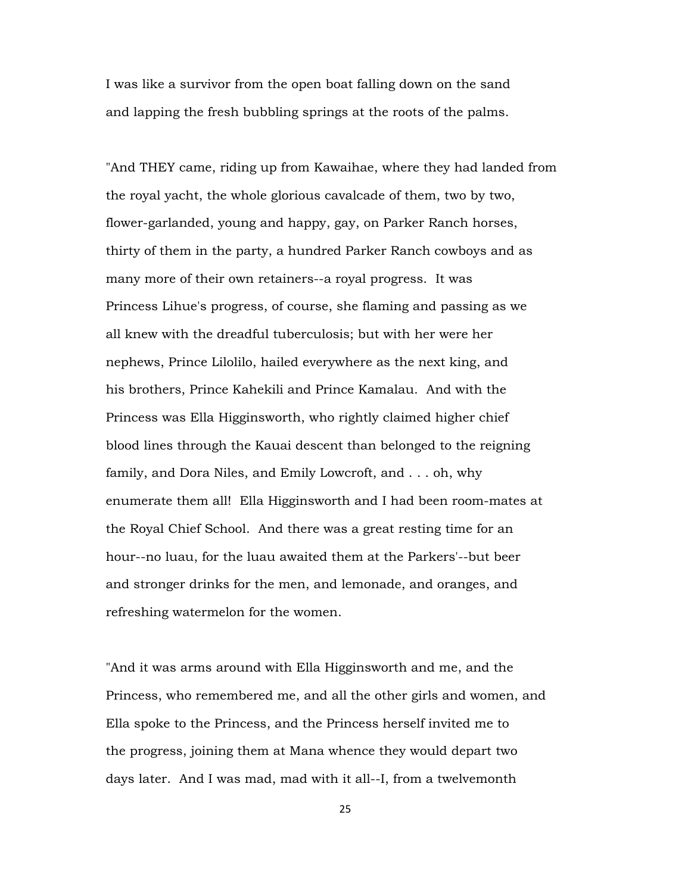I was like a survivor from the open boat falling down on the sand and lapping the fresh bubbling springs at the roots of the palms.

"And THEY came, riding up from Kawaihae, where they had landed from the royal yacht, the whole glorious cavalcade of them, two by two, flower-garlanded, young and happy, gay, on Parker Ranch horses, thirty of them in the party, a hundred Parker Ranch cowboys and as many more of their own retainers--a royal progress. It was Princess Lihue's progress, of course, she flaming and passing as we all knew with the dreadful tuberculosis; but with her were her nephews, Prince Lilolilo, hailed everywhere as the next king, and his brothers, Prince Kahekili and Prince Kamalau. And with the Princess was Ella Higginsworth, who rightly claimed higher chief blood lines through the Kauai descent than belonged to the reigning family, and Dora Niles, and Emily Lowcroft, and . . . oh, why enumerate them all! Ella Higginsworth and I had been room-mates at the Royal Chief School. And there was a great resting time for an hour--no luau, for the luau awaited them at the Parkers'--but beer and stronger drinks for the men, and lemonade, and oranges, and refreshing watermelon for the women.

"And it was arms around with Ella Higginsworth and me, and the Princess, who remembered me, and all the other girls and women, and Ella spoke to the Princess, and the Princess herself invited me to the progress, joining them at Mana whence they would depart two days later. And I was mad, mad with it all--I, from a twelvemonth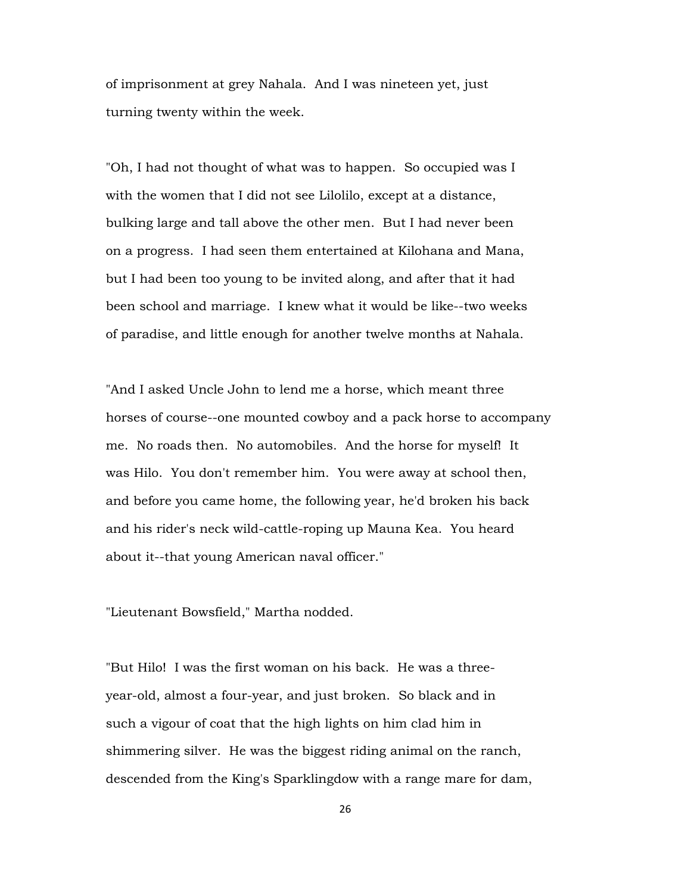of imprisonment at grey Nahala. And I was nineteen yet, just turning twenty within the week.

"Oh, I had not thought of what was to happen. So occupied was I with the women that I did not see Lilolilo, except at a distance, bulking large and tall above the other men. But I had never been on a progress. I had seen them entertained at Kilohana and Mana, but I had been too young to be invited along, and after that it had been school and marriage. I knew what it would be like--two weeks of paradise, and little enough for another twelve months at Nahala.

"And I asked Uncle John to lend me a horse, which meant three horses of course--one mounted cowboy and a pack horse to accompany me. No roads then. No automobiles. And the horse for myself! It was Hilo. You don't remember him. You were away at school then, and before you came home, the following year, he'd broken his back and his rider's neck wild-cattle-roping up Mauna Kea. You heard about it--that young American naval officer."

"Lieutenant Bowsfield," Martha nodded.

"But Hilo! I was the first woman on his back. He was a threeyear-old, almost a four-year, and just broken. So black and in such a vigour of coat that the high lights on him clad him in shimmering silver. He was the biggest riding animal on the ranch, descended from the King's Sparklingdow with a range mare for dam,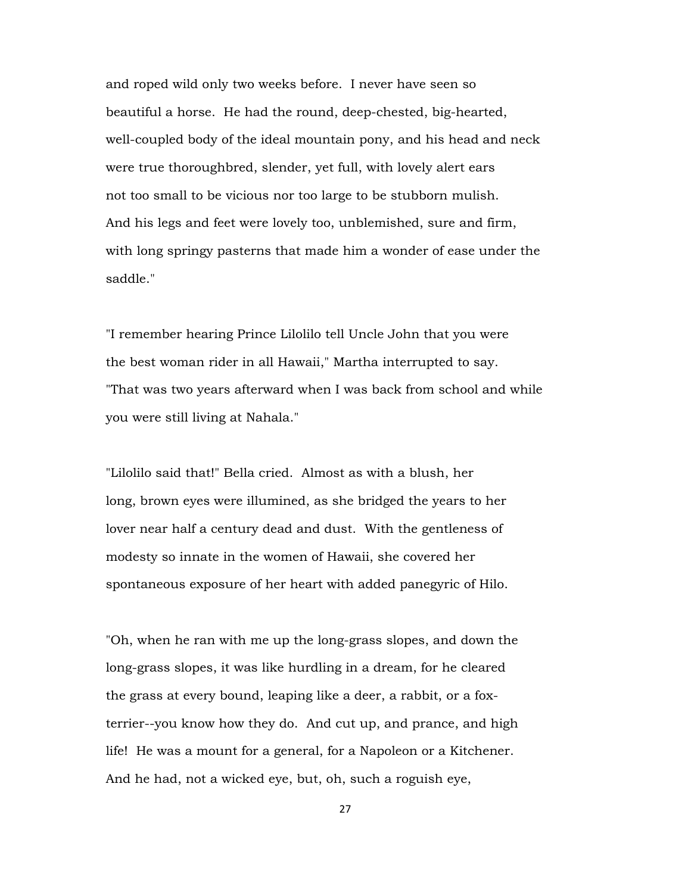and roped wild only two weeks before. I never have seen so beautiful a horse. He had the round, deep-chested, big-hearted, well-coupled body of the ideal mountain pony, and his head and neck were true thoroughbred, slender, yet full, with lovely alert ears not too small to be vicious nor too large to be stubborn mulish. And his legs and feet were lovely too, unblemished, sure and firm, with long springy pasterns that made him a wonder of ease under the saddle."

"I remember hearing Prince Lilolilo tell Uncle John that you were the best woman rider in all Hawaii," Martha interrupted to say. "That was two years afterward when I was back from school and while you were still living at Nahala."

"Lilolilo said that!" Bella cried. Almost as with a blush, her long, brown eyes were illumined, as she bridged the years to her lover near half a century dead and dust. With the gentleness of modesty so innate in the women of Hawaii, she covered her spontaneous exposure of her heart with added panegyric of Hilo.

"Oh, when he ran with me up the long-grass slopes, and down the long-grass slopes, it was like hurdling in a dream, for he cleared the grass at every bound, leaping like a deer, a rabbit, or a foxterrier--you know how they do. And cut up, and prance, and high life! He was a mount for a general, for a Napoleon or a Kitchener. And he had, not a wicked eye, but, oh, such a roguish eye,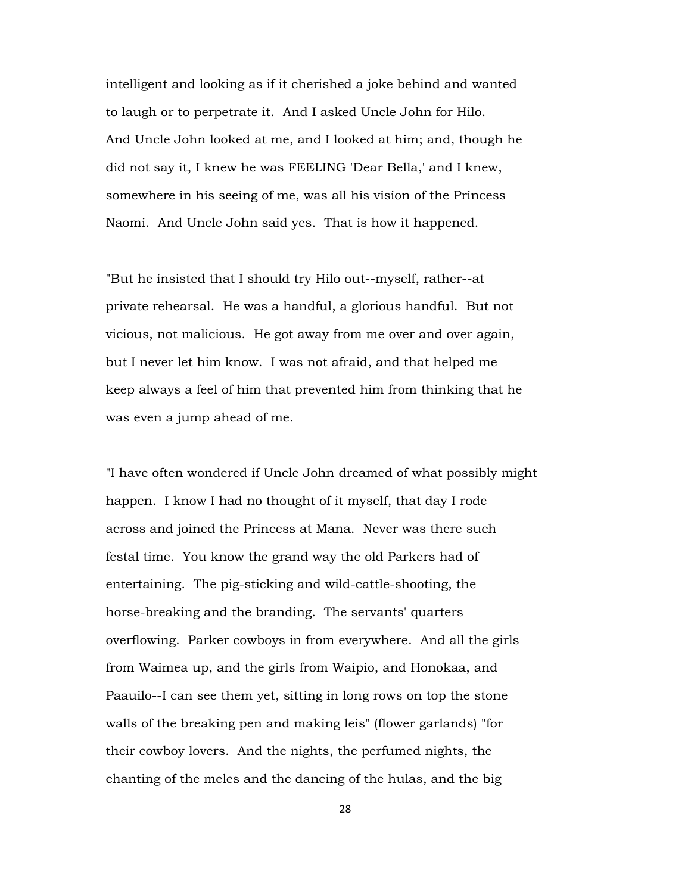intelligent and looking as if it cherished a joke behind and wanted to laugh or to perpetrate it. And I asked Uncle John for Hilo. And Uncle John looked at me, and I looked at him; and, though he did not say it, I knew he was FEELING 'Dear Bella,' and I knew, somewhere in his seeing of me, was all his vision of the Princess Naomi. And Uncle John said yes. That is how it happened.

"But he insisted that I should try Hilo out--myself, rather--at private rehearsal. He was a handful, a glorious handful. But not vicious, not malicious. He got away from me over and over again, but I never let him know. I was not afraid, and that helped me keep always a feel of him that prevented him from thinking that he was even a jump ahead of me.

"I have often wondered if Uncle John dreamed of what possibly might happen. I know I had no thought of it myself, that day I rode across and joined the Princess at Mana. Never was there such festal time. You know the grand way the old Parkers had of entertaining. The pig-sticking and wild-cattle-shooting, the horse-breaking and the branding. The servants' quarters overflowing. Parker cowboys in from everywhere. And all the girls from Waimea up, and the girls from Waipio, and Honokaa, and Paauilo--I can see them yet, sitting in long rows on top the stone walls of the breaking pen and making leis" (flower garlands) "for their cowboy lovers. And the nights, the perfumed nights, the chanting of the meles and the dancing of the hulas, and the big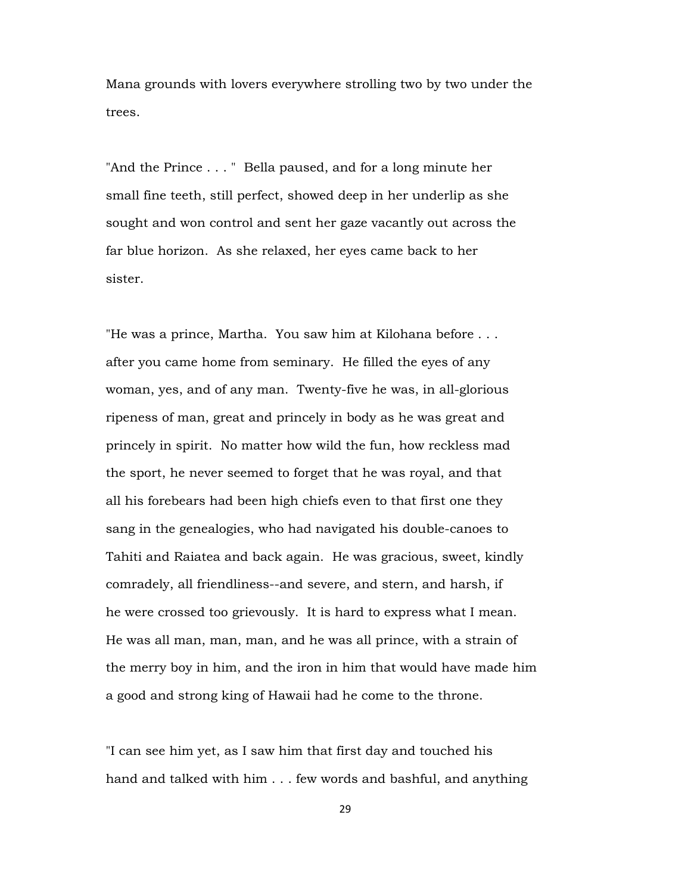Mana grounds with lovers everywhere strolling two by two under the trees.

"And the Prince . . . " Bella paused, and for a long minute her small fine teeth, still perfect, showed deep in her underlip as she sought and won control and sent her gaze vacantly out across the far blue horizon. As she relaxed, her eyes came back to her sister.

"He was a prince, Martha. You saw him at Kilohana before . . . after you came home from seminary. He filled the eyes of any woman, yes, and of any man. Twenty-five he was, in all-glorious ripeness of man, great and princely in body as he was great and princely in spirit. No matter how wild the fun, how reckless mad the sport, he never seemed to forget that he was royal, and that all his forebears had been high chiefs even to that first one they sang in the genealogies, who had navigated his double-canoes to Tahiti and Raiatea and back again. He was gracious, sweet, kindly comradely, all friendliness--and severe, and stern, and harsh, if he were crossed too grievously. It is hard to express what I mean. He was all man, man, man, and he was all prince, with a strain of the merry boy in him, and the iron in him that would have made him a good and strong king of Hawaii had he come to the throne.

"I can see him yet, as I saw him that first day and touched his hand and talked with him . . . few words and bashful, and anything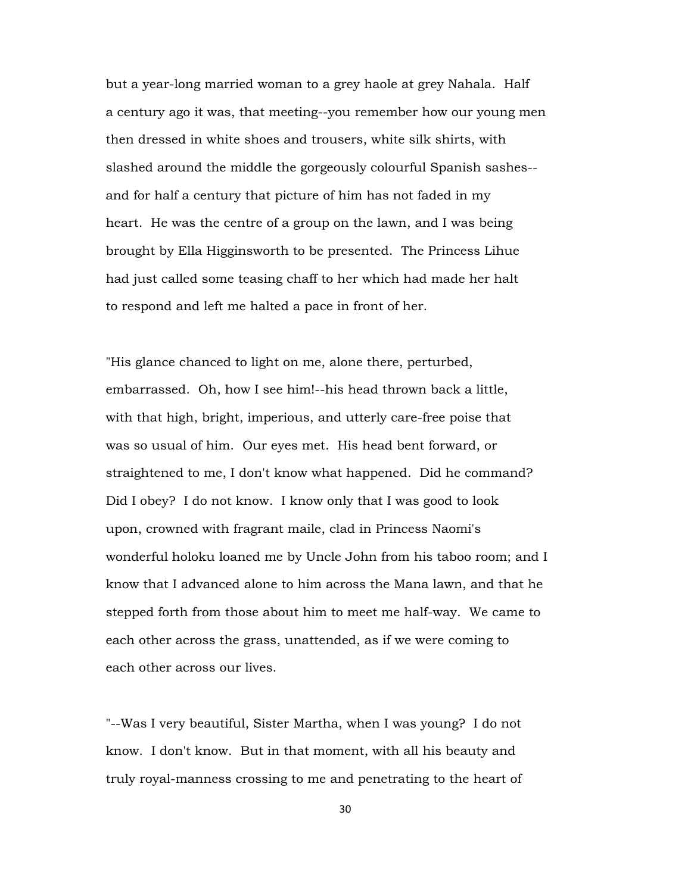but a year-long married woman to a grey haole at grey Nahala. Half a century ago it was, that meeting--you remember how our young men then dressed in white shoes and trousers, white silk shirts, with slashed around the middle the gorgeously colourful Spanish sashes- and for half a century that picture of him has not faded in my heart. He was the centre of a group on the lawn, and I was being brought by Ella Higginsworth to be presented. The Princess Lihue had just called some teasing chaff to her which had made her halt to respond and left me halted a pace in front of her.

"His glance chanced to light on me, alone there, perturbed, embarrassed. Oh, how I see him!--his head thrown back a little, with that high, bright, imperious, and utterly care-free poise that was so usual of him. Our eyes met. His head bent forward, or straightened to me, I don't know what happened. Did he command? Did I obey? I do not know. I know only that I was good to look upon, crowned with fragrant maile, clad in Princess Naomi's wonderful holoku loaned me by Uncle John from his taboo room; and I know that I advanced alone to him across the Mana lawn, and that he stepped forth from those about him to meet me half-way. We came to each other across the grass, unattended, as if we were coming to each other across our lives.

"--Was I very beautiful, Sister Martha, when I was young? I do not know. I don't know. But in that moment, with all his beauty and truly royal-manness crossing to me and penetrating to the heart of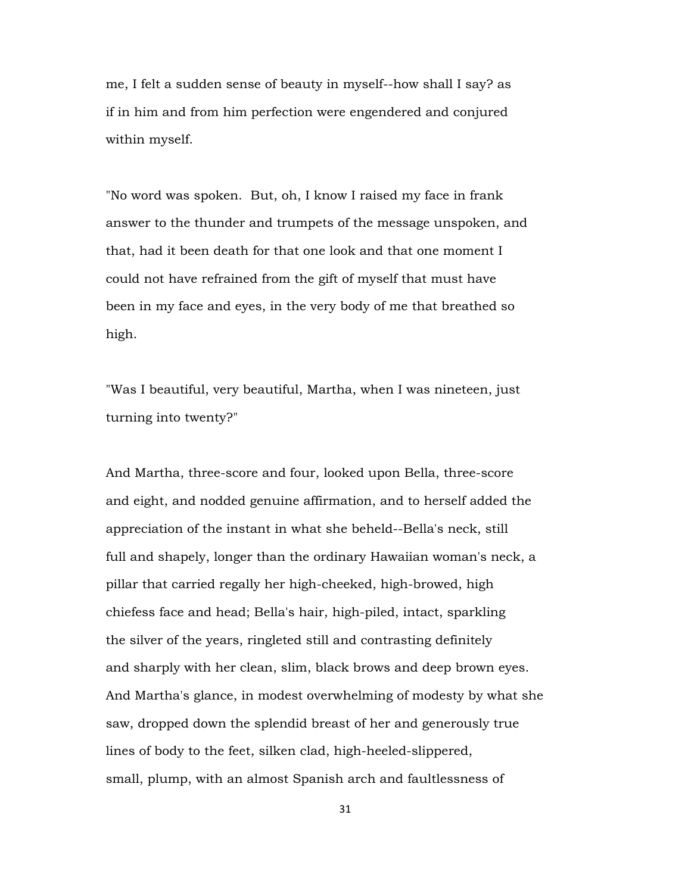me, I felt a sudden sense of beauty in myself--how shall I say? as if in him and from him perfection were engendered and conjured within myself.

"No word was spoken. But, oh, I know I raised my face in frank answer to the thunder and trumpets of the message unspoken, and that, had it been death for that one look and that one moment I could not have refrained from the gift of myself that must have been in my face and eyes, in the very body of me that breathed so high.

"Was I beautiful, very beautiful, Martha, when I was nineteen, just turning into twenty?"

And Martha, three-score and four, looked upon Bella, three-score and eight, and nodded genuine affirmation, and to herself added the appreciation of the instant in what she beheld--Bella's neck, still full and shapely, longer than the ordinary Hawaiian woman's neck, a pillar that carried regally her high-cheeked, high-browed, high chiefess face and head; Bella's hair, high-piled, intact, sparkling the silver of the years, ringleted still and contrasting definitely and sharply with her clean, slim, black brows and deep brown eyes. And Martha's glance, in modest overwhelming of modesty by what she saw, dropped down the splendid breast of her and generously true lines of body to the feet, silken clad, high-heeled-slippered, small, plump, with an almost Spanish arch and faultlessness of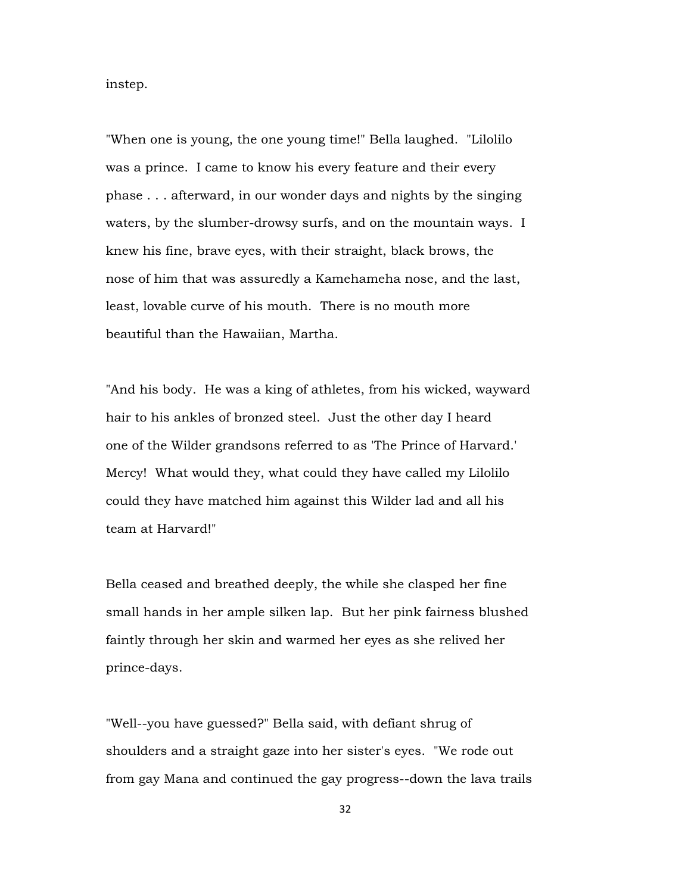instep.

"When one is young, the one young time!" Bella laughed. "Lilolilo was a prince. I came to know his every feature and their every phase . . . afterward, in our wonder days and nights by the singing waters, by the slumber-drowsy surfs, and on the mountain ways. I knew his fine, brave eyes, with their straight, black brows, the nose of him that was assuredly a Kamehameha nose, and the last, least, lovable curve of his mouth. There is no mouth more beautiful than the Hawaiian, Martha.

"And his body. He was a king of athletes, from his wicked, wayward hair to his ankles of bronzed steel. Just the other day I heard one of the Wilder grandsons referred to as 'The Prince of Harvard.' Mercy! What would they, what could they have called my Lilolilo could they have matched him against this Wilder lad and all his team at Harvard!"

Bella ceased and breathed deeply, the while she clasped her fine small hands in her ample silken lap. But her pink fairness blushed faintly through her skin and warmed her eyes as she relived her prince-days.

"Well--you have guessed?" Bella said, with defiant shrug of shoulders and a straight gaze into her sister's eyes. "We rode out from gay Mana and continued the gay progress--down the lava trails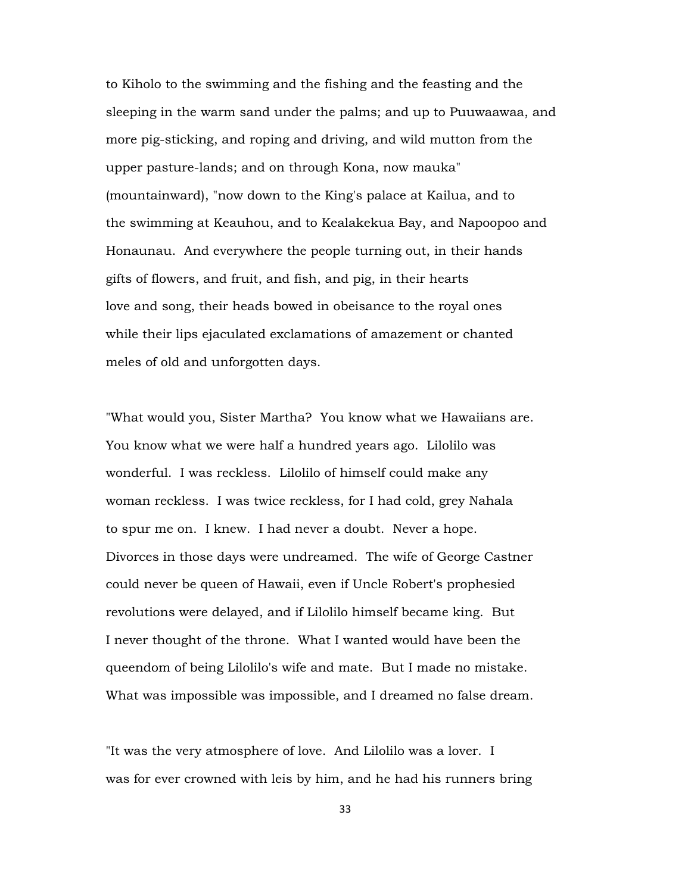to Kiholo to the swimming and the fishing and the feasting and the sleeping in the warm sand under the palms; and up to Puuwaawaa, and more pig-sticking, and roping and driving, and wild mutton from the upper pasture-lands; and on through Kona, now mauka" (mountainward), "now down to the King's palace at Kailua, and to the swimming at Keauhou, and to Kealakekua Bay, and Napoopoo and Honaunau. And everywhere the people turning out, in their hands gifts of flowers, and fruit, and fish, and pig, in their hearts love and song, their heads bowed in obeisance to the royal ones while their lips ejaculated exclamations of amazement or chanted meles of old and unforgotten days.

"What would you, Sister Martha? You know what we Hawaiians are. You know what we were half a hundred years ago. Lilolilo was wonderful. I was reckless. Lilolilo of himself could make any woman reckless. I was twice reckless, for I had cold, grey Nahala to spur me on. I knew. I had never a doubt. Never a hope. Divorces in those days were undreamed. The wife of George Castner could never be queen of Hawaii, even if Uncle Robert's prophesied revolutions were delayed, and if Lilolilo himself became king. But I never thought of the throne. What I wanted would have been the queendom of being Lilolilo's wife and mate. But I made no mistake. What was impossible was impossible, and I dreamed no false dream.

"It was the very atmosphere of love. And Lilolilo was a lover. I was for ever crowned with leis by him, and he had his runners bring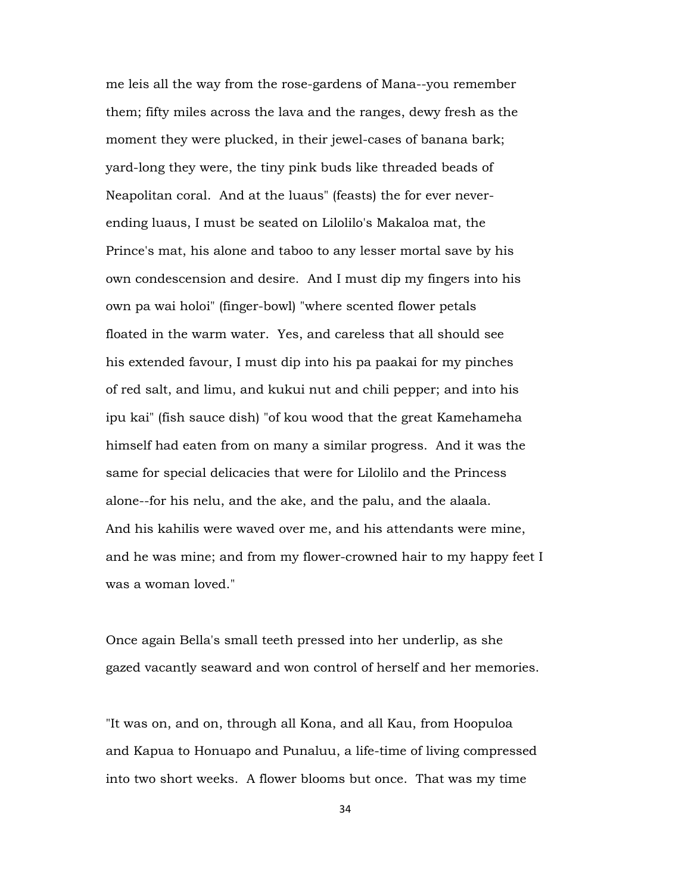me leis all the way from the rose-gardens of Mana--you remember them; fifty miles across the lava and the ranges, dewy fresh as the moment they were plucked, in their jewel-cases of banana bark; yard-long they were, the tiny pink buds like threaded beads of Neapolitan coral. And at the luaus" (feasts) the for ever neverending luaus, I must be seated on Lilolilo's Makaloa mat, the Prince's mat, his alone and taboo to any lesser mortal save by his own condescension and desire. And I must dip my fingers into his own pa wai holoi" (finger-bowl) "where scented flower petals floated in the warm water. Yes, and careless that all should see his extended favour, I must dip into his pa paakai for my pinches of red salt, and limu, and kukui nut and chili pepper; and into his ipu kai" (fish sauce dish) "of kou wood that the great Kamehameha himself had eaten from on many a similar progress. And it was the same for special delicacies that were for Lilolilo and the Princess alone--for his nelu, and the ake, and the palu, and the alaala. And his kahilis were waved over me, and his attendants were mine, and he was mine; and from my flower-crowned hair to my happy feet I was a woman loved."

Once again Bella's small teeth pressed into her underlip, as she gazed vacantly seaward and won control of herself and her memories.

"It was on, and on, through all Kona, and all Kau, from Hoopuloa and Kapua to Honuapo and Punaluu, a life-time of living compressed into two short weeks. A flower blooms but once. That was my time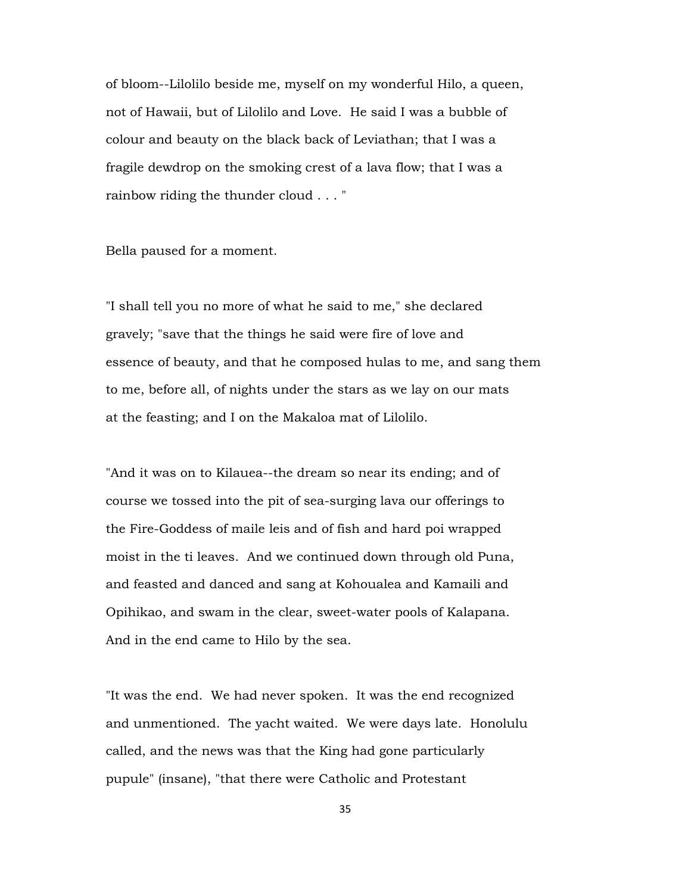of bloom--Lilolilo beside me, myself on my wonderful Hilo, a queen, not of Hawaii, but of Lilolilo and Love. He said I was a bubble of colour and beauty on the black back of Leviathan; that I was a fragile dewdrop on the smoking crest of a lava flow; that I was a rainbow riding the thunder cloud . . . "

Bella paused for a moment.

"I shall tell you no more of what he said to me," she declared gravely; "save that the things he said were fire of love and essence of beauty, and that he composed hulas to me, and sang them to me, before all, of nights under the stars as we lay on our mats at the feasting; and I on the Makaloa mat of Lilolilo.

"And it was on to Kilauea--the dream so near its ending; and of course we tossed into the pit of sea-surging lava our offerings to the Fire-Goddess of maile leis and of fish and hard poi wrapped moist in the ti leaves. And we continued down through old Puna, and feasted and danced and sang at Kohoualea and Kamaili and Opihikao, and swam in the clear, sweet-water pools of Kalapana. And in the end came to Hilo by the sea.

"It was the end. We had never spoken. It was the end recognized and unmentioned. The yacht waited. We were days late. Honolulu called, and the news was that the King had gone particularly pupule" (insane), "that there were Catholic and Protestant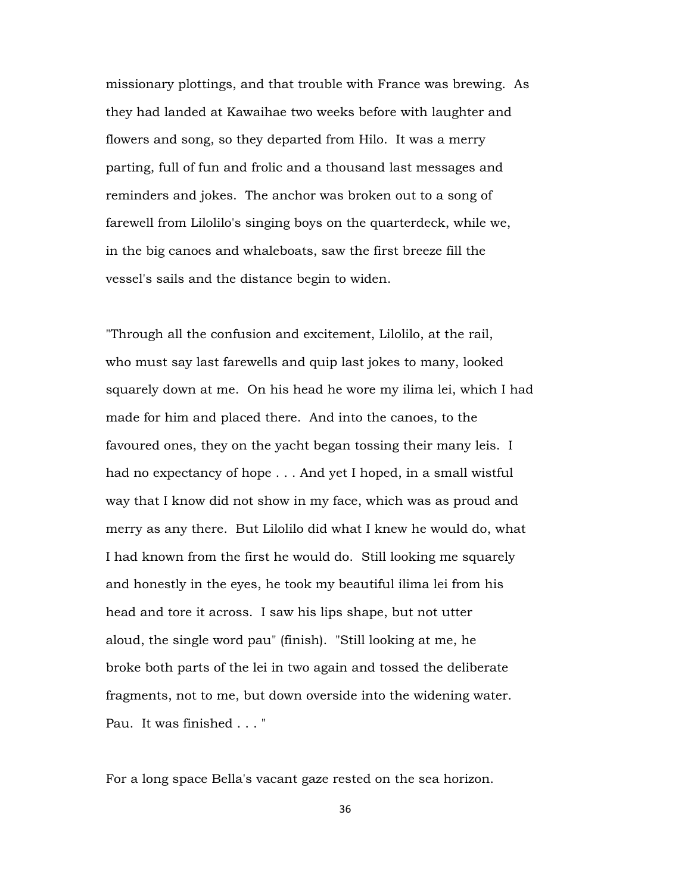missionary plottings, and that trouble with France was brewing. As they had landed at Kawaihae two weeks before with laughter and flowers and song, so they departed from Hilo. It was a merry parting, full of fun and frolic and a thousand last messages and reminders and jokes. The anchor was broken out to a song of farewell from Lilolilo's singing boys on the quarterdeck, while we, in the big canoes and whaleboats, saw the first breeze fill the vessel's sails and the distance begin to widen.

"Through all the confusion and excitement, Lilolilo, at the rail, who must say last farewells and quip last jokes to many, looked squarely down at me. On his head he wore my ilima lei, which I had made for him and placed there. And into the canoes, to the favoured ones, they on the yacht began tossing their many leis. I had no expectancy of hope . . . And yet I hoped, in a small wistful way that I know did not show in my face, which was as proud and merry as any there. But Lilolilo did what I knew he would do, what I had known from the first he would do. Still looking me squarely and honestly in the eyes, he took my beautiful ilima lei from his head and tore it across. I saw his lips shape, but not utter aloud, the single word pau" (finish). "Still looking at me, he broke both parts of the lei in two again and tossed the deliberate fragments, not to me, but down overside into the widening water. Pau. It was finished . . . "

For a long space Bella's vacant gaze rested on the sea horizon.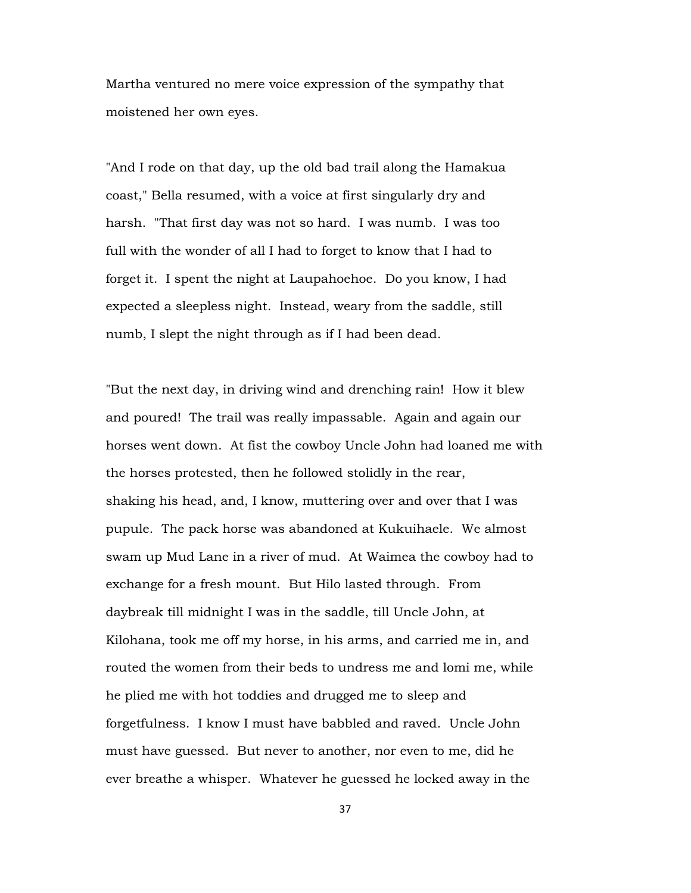Martha ventured no mere voice expression of the sympathy that moistened her own eyes.

"And I rode on that day, up the old bad trail along the Hamakua coast," Bella resumed, with a voice at first singularly dry and harsh. "That first day was not so hard. I was numb. I was too full with the wonder of all I had to forget to know that I had to forget it. I spent the night at Laupahoehoe. Do you know, I had expected a sleepless night. Instead, weary from the saddle, still numb, I slept the night through as if I had been dead.

"But the next day, in driving wind and drenching rain! How it blew and poured! The trail was really impassable. Again and again our horses went down. At fist the cowboy Uncle John had loaned me with the horses protested, then he followed stolidly in the rear, shaking his head, and, I know, muttering over and over that I was pupule. The pack horse was abandoned at Kukuihaele. We almost swam up Mud Lane in a river of mud. At Waimea the cowboy had to exchange for a fresh mount. But Hilo lasted through. From daybreak till midnight I was in the saddle, till Uncle John, at Kilohana, took me off my horse, in his arms, and carried me in, and routed the women from their beds to undress me and lomi me, while he plied me with hot toddies and drugged me to sleep and forgetfulness. I know I must have babbled and raved. Uncle John must have guessed. But never to another, nor even to me, did he ever breathe a whisper. Whatever he guessed he locked away in the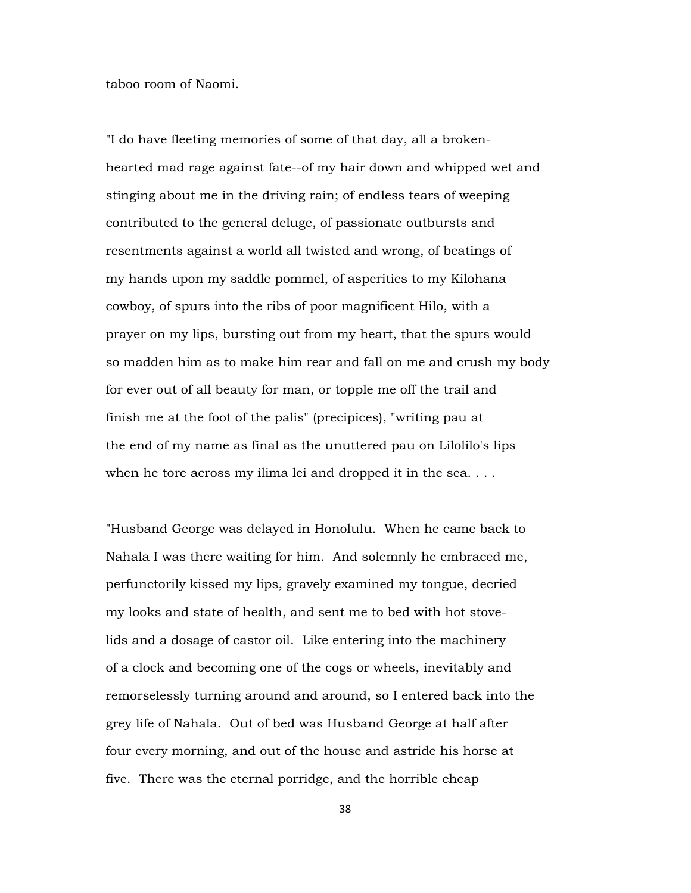taboo room of Naomi.

"I do have fleeting memories of some of that day, all a brokenhearted mad rage against fate--of my hair down and whipped wet and stinging about me in the driving rain; of endless tears of weeping contributed to the general deluge, of passionate outbursts and resentments against a world all twisted and wrong, of beatings of my hands upon my saddle pommel, of asperities to my Kilohana cowboy, of spurs into the ribs of poor magnificent Hilo, with a prayer on my lips, bursting out from my heart, that the spurs would so madden him as to make him rear and fall on me and crush my body for ever out of all beauty for man, or topple me off the trail and finish me at the foot of the palis" (precipices), "writing pau at the end of my name as final as the unuttered pau on Lilolilo's lips when he tore across my ilima lei and dropped it in the sea....

"Husband George was delayed in Honolulu. When he came back to Nahala I was there waiting for him. And solemnly he embraced me, perfunctorily kissed my lips, gravely examined my tongue, decried my looks and state of health, and sent me to bed with hot stovelids and a dosage of castor oil. Like entering into the machinery of a clock and becoming one of the cogs or wheels, inevitably and remorselessly turning around and around, so I entered back into the grey life of Nahala. Out of bed was Husband George at half after four every morning, and out of the house and astride his horse at five. There was the eternal porridge, and the horrible cheap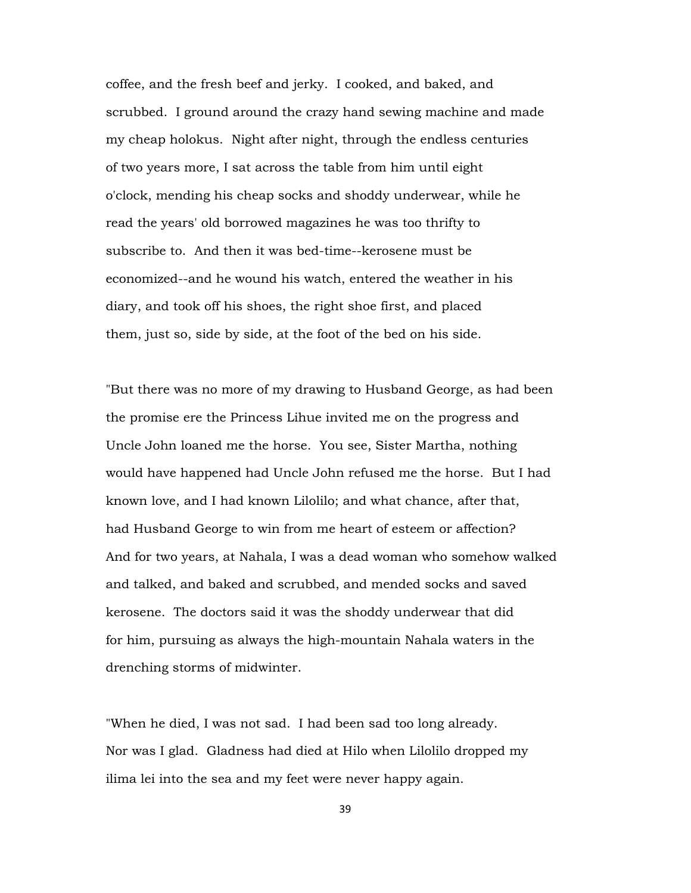coffee, and the fresh beef and jerky. I cooked, and baked, and scrubbed. I ground around the crazy hand sewing machine and made my cheap holokus. Night after night, through the endless centuries of two years more, I sat across the table from him until eight o'clock, mending his cheap socks and shoddy underwear, while he read the years' old borrowed magazines he was too thrifty to subscribe to. And then it was bed-time--kerosene must be economized--and he wound his watch, entered the weather in his diary, and took off his shoes, the right shoe first, and placed them, just so, side by side, at the foot of the bed on his side.

"But there was no more of my drawing to Husband George, as had been the promise ere the Princess Lihue invited me on the progress and Uncle John loaned me the horse. You see, Sister Martha, nothing would have happened had Uncle John refused me the horse. But I had known love, and I had known Lilolilo; and what chance, after that, had Husband George to win from me heart of esteem or affection? And for two years, at Nahala, I was a dead woman who somehow walked and talked, and baked and scrubbed, and mended socks and saved kerosene. The doctors said it was the shoddy underwear that did for him, pursuing as always the high-mountain Nahala waters in the drenching storms of midwinter.

"When he died, I was not sad. I had been sad too long already. Nor was I glad. Gladness had died at Hilo when Lilolilo dropped my ilima lei into the sea and my feet were never happy again.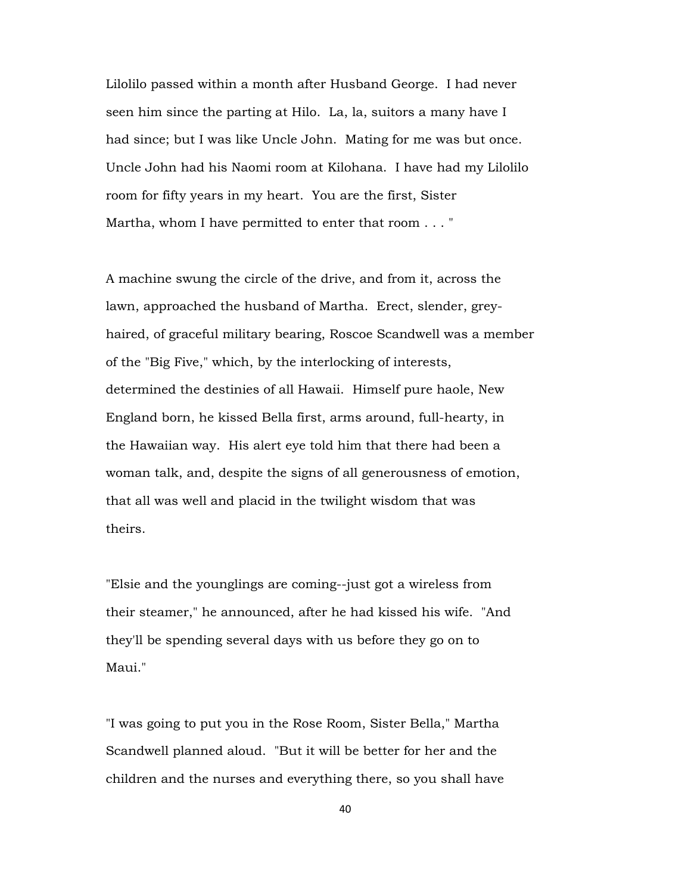Lilolilo passed within a month after Husband George. I had never seen him since the parting at Hilo. La, la, suitors a many have I had since; but I was like Uncle John. Mating for me was but once. Uncle John had his Naomi room at Kilohana. I have had my Lilolilo room for fifty years in my heart. You are the first, Sister Martha, whom I have permitted to enter that room . . . "

A machine swung the circle of the drive, and from it, across the lawn, approached the husband of Martha. Erect, slender, greyhaired, of graceful military bearing, Roscoe Scandwell was a member of the "Big Five," which, by the interlocking of interests, determined the destinies of all Hawaii. Himself pure haole, New England born, he kissed Bella first, arms around, full-hearty, in the Hawaiian way. His alert eye told him that there had been a woman talk, and, despite the signs of all generousness of emotion, that all was well and placid in the twilight wisdom that was theirs.

"Elsie and the younglings are coming--just got a wireless from their steamer," he announced, after he had kissed his wife. "And they'll be spending several days with us before they go on to Maui."

"I was going to put you in the Rose Room, Sister Bella," Martha Scandwell planned aloud. "But it will be better for her and the children and the nurses and everything there, so you shall have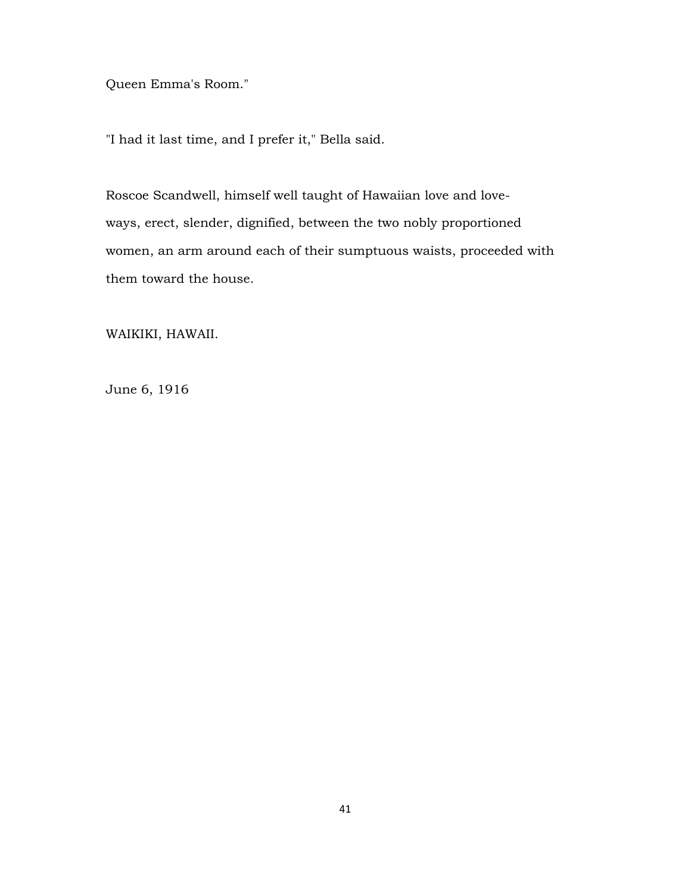Queen Emma's Room."

"I had it last time, and I prefer it," Bella said.

Roscoe Scandwell, himself well taught of Hawaiian love and loveways, erect, slender, dignified, between the two nobly proportioned women, an arm around each of their sumptuous waists, proceeded with them toward the house.

WAIKIKI, HAWAII.

June 6, 1916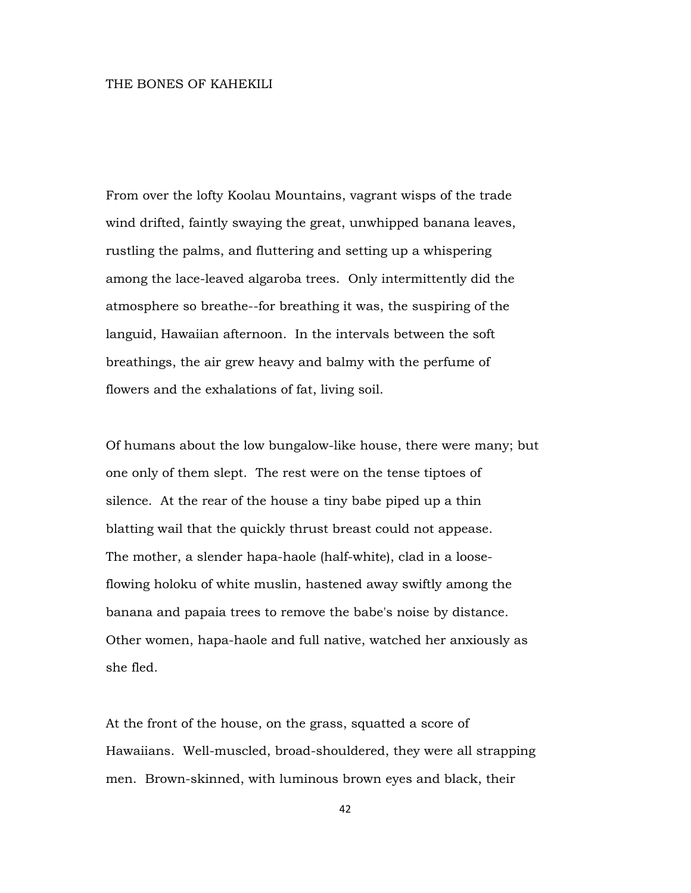## THE BONES OF KAHEKILI

From over the lofty Koolau Mountains, vagrant wisps of the trade wind drifted, faintly swaying the great, unwhipped banana leaves, rustling the palms, and fluttering and setting up a whispering among the lace-leaved algaroba trees. Only intermittently did the atmosphere so breathe--for breathing it was, the suspiring of the languid, Hawaiian afternoon. In the intervals between the soft breathings, the air grew heavy and balmy with the perfume of flowers and the exhalations of fat, living soil.

Of humans about the low bungalow-like house, there were many; but one only of them slept. The rest were on the tense tiptoes of silence. At the rear of the house a tiny babe piped up a thin blatting wail that the quickly thrust breast could not appease. The mother, a slender hapa-haole (half-white), clad in a looseflowing holoku of white muslin, hastened away swiftly among the banana and papaia trees to remove the babe's noise by distance. Other women, hapa-haole and full native, watched her anxiously as she fled.

At the front of the house, on the grass, squatted a score of Hawaiians. Well-muscled, broad-shouldered, they were all strapping men. Brown-skinned, with luminous brown eyes and black, their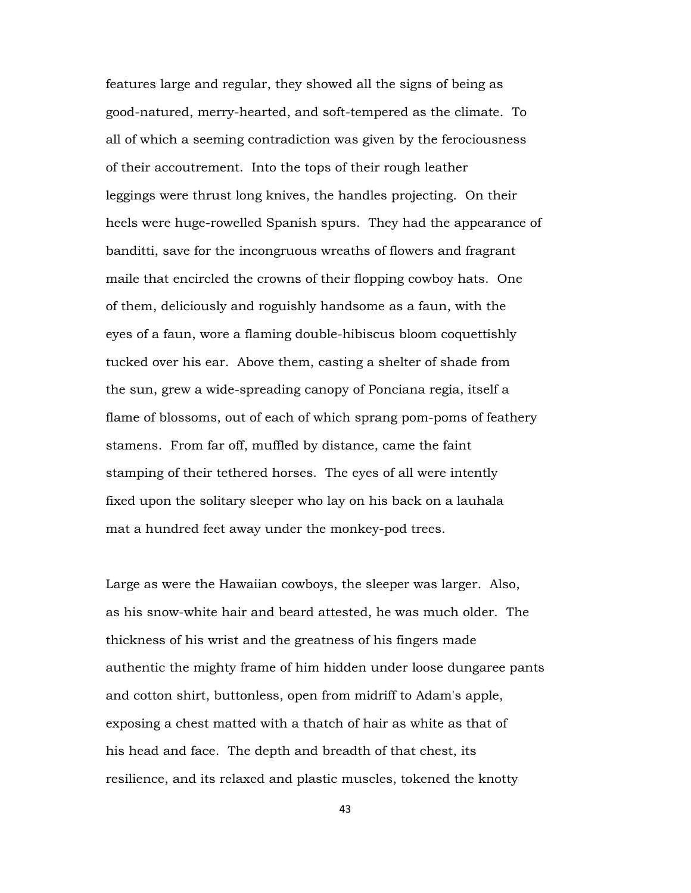features large and regular, they showed all the signs of being as good-natured, merry-hearted, and soft-tempered as the climate. To all of which a seeming contradiction was given by the ferociousness of their accoutrement. Into the tops of their rough leather leggings were thrust long knives, the handles projecting. On their heels were huge-rowelled Spanish spurs. They had the appearance of banditti, save for the incongruous wreaths of flowers and fragrant maile that encircled the crowns of their flopping cowboy hats. One of them, deliciously and roguishly handsome as a faun, with the eyes of a faun, wore a flaming double-hibiscus bloom coquettishly tucked over his ear. Above them, casting a shelter of shade from the sun, grew a wide-spreading canopy of Ponciana regia, itself a flame of blossoms, out of each of which sprang pom-poms of feathery stamens. From far off, muffled by distance, came the faint stamping of their tethered horses. The eyes of all were intently fixed upon the solitary sleeper who lay on his back on a lauhala mat a hundred feet away under the monkey-pod trees.

Large as were the Hawaiian cowboys, the sleeper was larger. Also, as his snow-white hair and beard attested, he was much older. The thickness of his wrist and the greatness of his fingers made authentic the mighty frame of him hidden under loose dungaree pants and cotton shirt, buttonless, open from midriff to Adam's apple, exposing a chest matted with a thatch of hair as white as that of his head and face. The depth and breadth of that chest, its resilience, and its relaxed and plastic muscles, tokened the knotty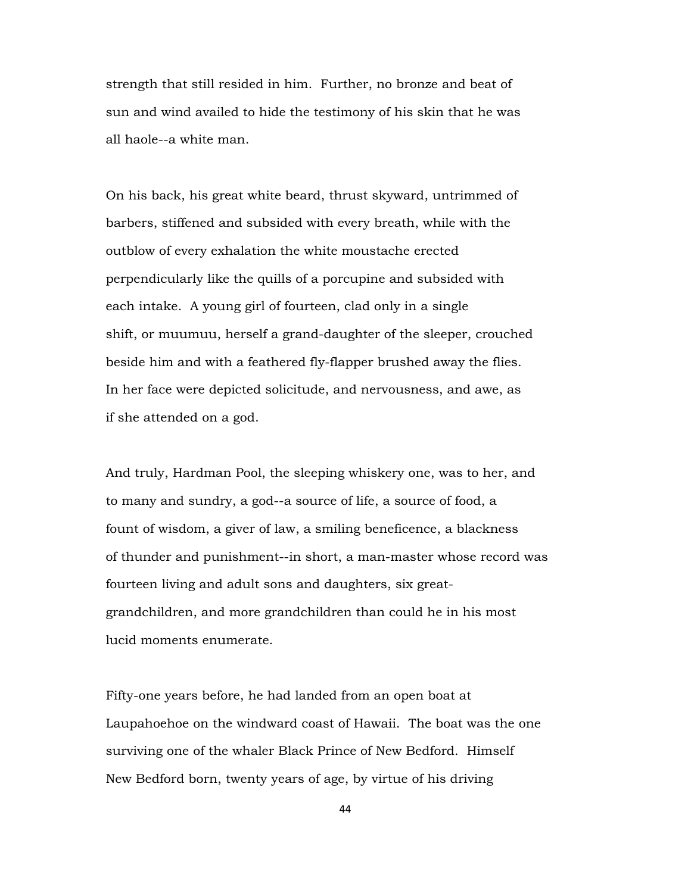strength that still resided in him. Further, no bronze and beat of sun and wind availed to hide the testimony of his skin that he was all haole--a white man.

On his back, his great white beard, thrust skyward, untrimmed of barbers, stiffened and subsided with every breath, while with the outblow of every exhalation the white moustache erected perpendicularly like the quills of a porcupine and subsided with each intake. A young girl of fourteen, clad only in a single shift, or muumuu, herself a grand-daughter of the sleeper, crouched beside him and with a feathered fly-flapper brushed away the flies. In her face were depicted solicitude, and nervousness, and awe, as if she attended on a god.

And truly, Hardman Pool, the sleeping whiskery one, was to her, and to many and sundry, a god--a source of life, a source of food, a fount of wisdom, a giver of law, a smiling beneficence, a blackness of thunder and punishment--in short, a man-master whose record was fourteen living and adult sons and daughters, six greatgrandchildren, and more grandchildren than could he in his most lucid moments enumerate.

Fifty-one years before, he had landed from an open boat at Laupahoehoe on the windward coast of Hawaii. The boat was the one surviving one of the whaler Black Prince of New Bedford. Himself New Bedford born, twenty years of age, by virtue of his driving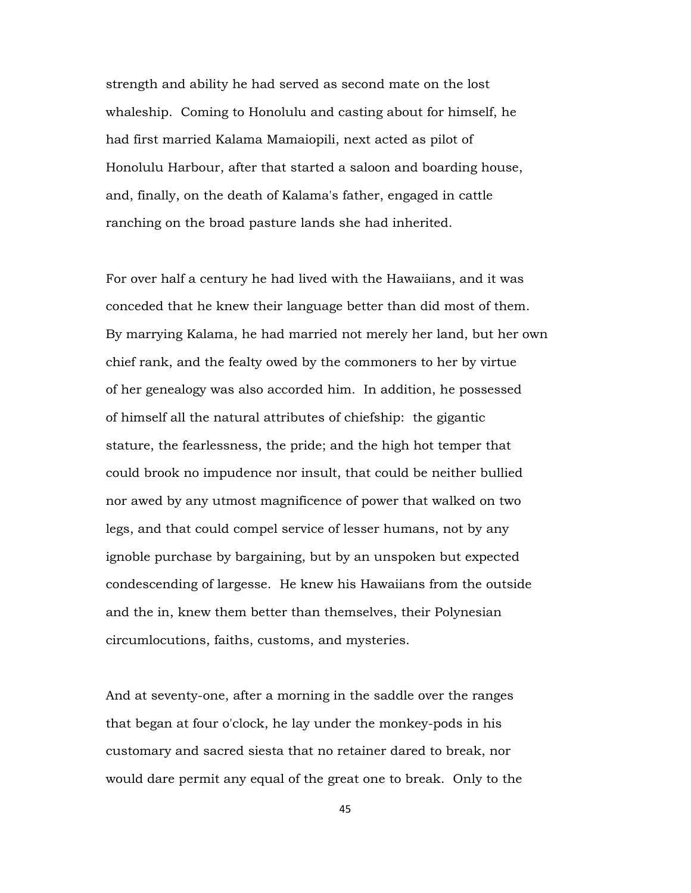strength and ability he had served as second mate on the lost whaleship. Coming to Honolulu and casting about for himself, he had first married Kalama Mamaiopili, next acted as pilot of Honolulu Harbour, after that started a saloon and boarding house, and, finally, on the death of Kalama's father, engaged in cattle ranching on the broad pasture lands she had inherited.

For over half a century he had lived with the Hawaiians, and it was conceded that he knew their language better than did most of them. By marrying Kalama, he had married not merely her land, but her own chief rank, and the fealty owed by the commoners to her by virtue of her genealogy was also accorded him. In addition, he possessed of himself all the natural attributes of chiefship: the gigantic stature, the fearlessness, the pride; and the high hot temper that could brook no impudence nor insult, that could be neither bullied nor awed by any utmost magnificence of power that walked on two legs, and that could compel service of lesser humans, not by any ignoble purchase by bargaining, but by an unspoken but expected condescending of largesse. He knew his Hawaiians from the outside and the in, knew them better than themselves, their Polynesian circumlocutions, faiths, customs, and mysteries.

And at seventy-one, after a morning in the saddle over the ranges that began at four o'clock, he lay under the monkey-pods in his customary and sacred siesta that no retainer dared to break, nor would dare permit any equal of the great one to break. Only to the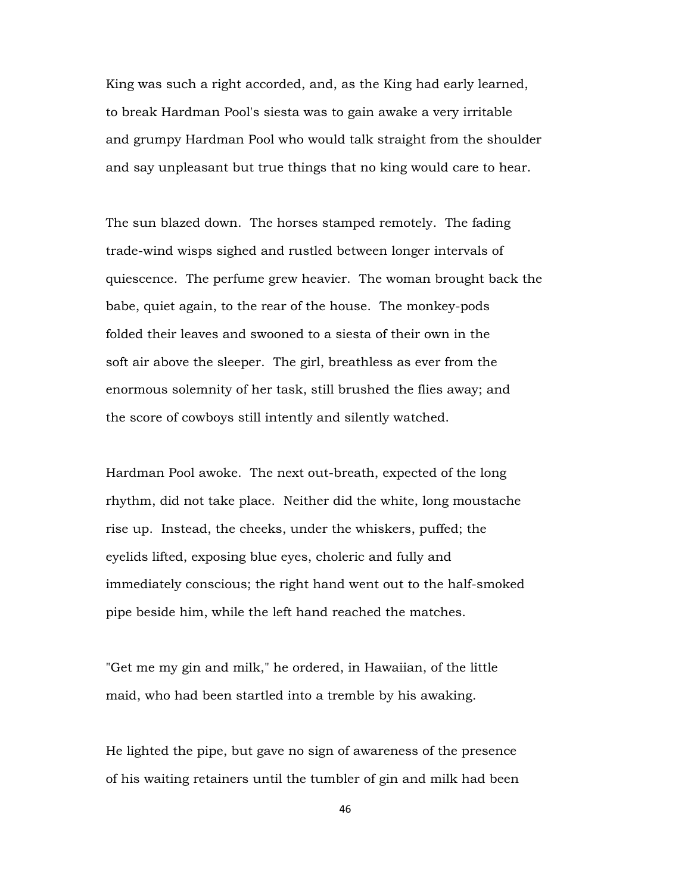King was such a right accorded, and, as the King had early learned, to break Hardman Pool's siesta was to gain awake a very irritable and grumpy Hardman Pool who would talk straight from the shoulder and say unpleasant but true things that no king would care to hear.

The sun blazed down. The horses stamped remotely. The fading trade-wind wisps sighed and rustled between longer intervals of quiescence. The perfume grew heavier. The woman brought back the babe, quiet again, to the rear of the house. The monkey-pods folded their leaves and swooned to a siesta of their own in the soft air above the sleeper. The girl, breathless as ever from the enormous solemnity of her task, still brushed the flies away; and the score of cowboys still intently and silently watched.

Hardman Pool awoke. The next out-breath, expected of the long rhythm, did not take place. Neither did the white, long moustache rise up. Instead, the cheeks, under the whiskers, puffed; the eyelids lifted, exposing blue eyes, choleric and fully and immediately conscious; the right hand went out to the half-smoked pipe beside him, while the left hand reached the matches.

"Get me my gin and milk," he ordered, in Hawaiian, of the little maid, who had been startled into a tremble by his awaking.

He lighted the pipe, but gave no sign of awareness of the presence of his waiting retainers until the tumbler of gin and milk had been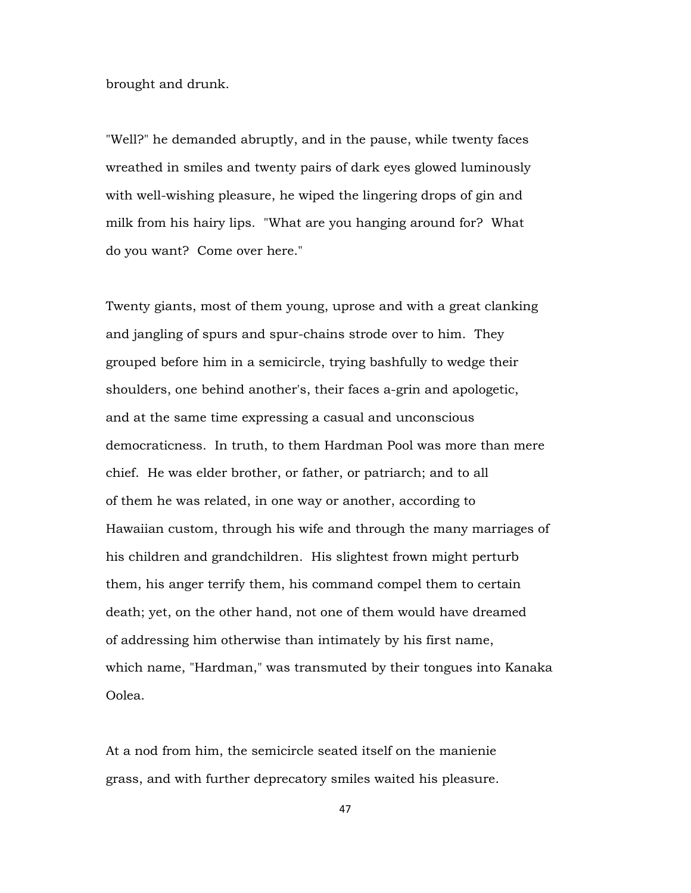brought and drunk.

"Well?" he demanded abruptly, and in the pause, while twenty faces wreathed in smiles and twenty pairs of dark eyes glowed luminously with well-wishing pleasure, he wiped the lingering drops of gin and milk from his hairy lips. "What are you hanging around for? What do you want? Come over here."

Twenty giants, most of them young, uprose and with a great clanking and jangling of spurs and spur-chains strode over to him. They grouped before him in a semicircle, trying bashfully to wedge their shoulders, one behind another's, their faces a-grin and apologetic, and at the same time expressing a casual and unconscious democraticness. In truth, to them Hardman Pool was more than mere chief. He was elder brother, or father, or patriarch; and to all of them he was related, in one way or another, according to Hawaiian custom, through his wife and through the many marriages of his children and grandchildren. His slightest frown might perturb them, his anger terrify them, his command compel them to certain death; yet, on the other hand, not one of them would have dreamed of addressing him otherwise than intimately by his first name, which name, "Hardman," was transmuted by their tongues into Kanaka Oolea.

At a nod from him, the semicircle seated itself on the manienie grass, and with further deprecatory smiles waited his pleasure.

47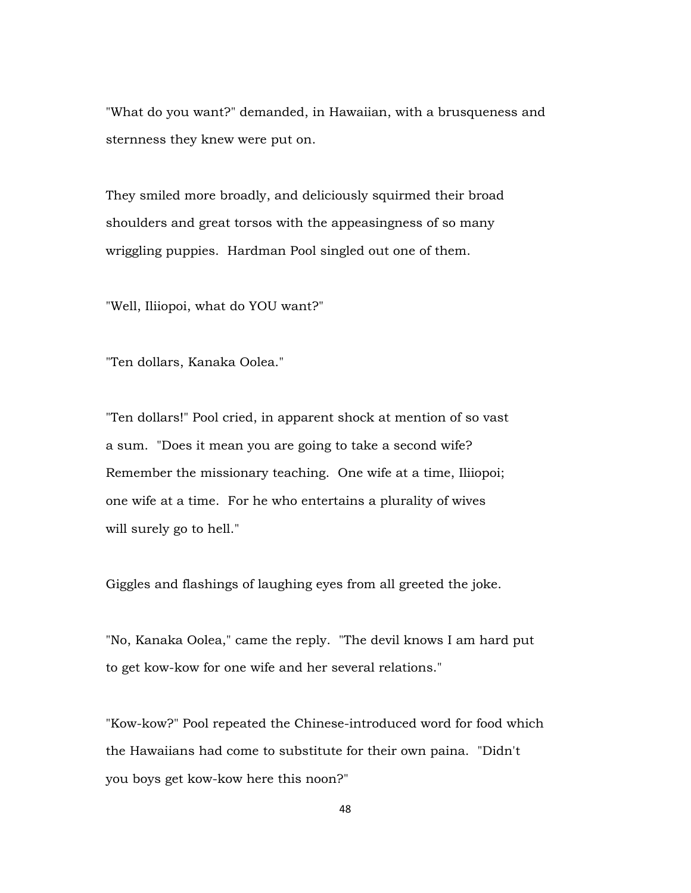"What do you want?" demanded, in Hawaiian, with a brusqueness and sternness they knew were put on.

They smiled more broadly, and deliciously squirmed their broad shoulders and great torsos with the appeasingness of so many wriggling puppies. Hardman Pool singled out one of them.

"Well, Iliiopoi, what do YOU want?"

"Ten dollars, Kanaka Oolea."

"Ten dollars!" Pool cried, in apparent shock at mention of so vast a sum. "Does it mean you are going to take a second wife? Remember the missionary teaching. One wife at a time, Iliiopoi; one wife at a time. For he who entertains a plurality of wives will surely go to hell."

Giggles and flashings of laughing eyes from all greeted the joke.

"No, Kanaka Oolea," came the reply. "The devil knows I am hard put to get kow-kow for one wife and her several relations."

"Kow-kow?" Pool repeated the Chinese-introduced word for food which the Hawaiians had come to substitute for their own paina. "Didn't you boys get kow-kow here this noon?"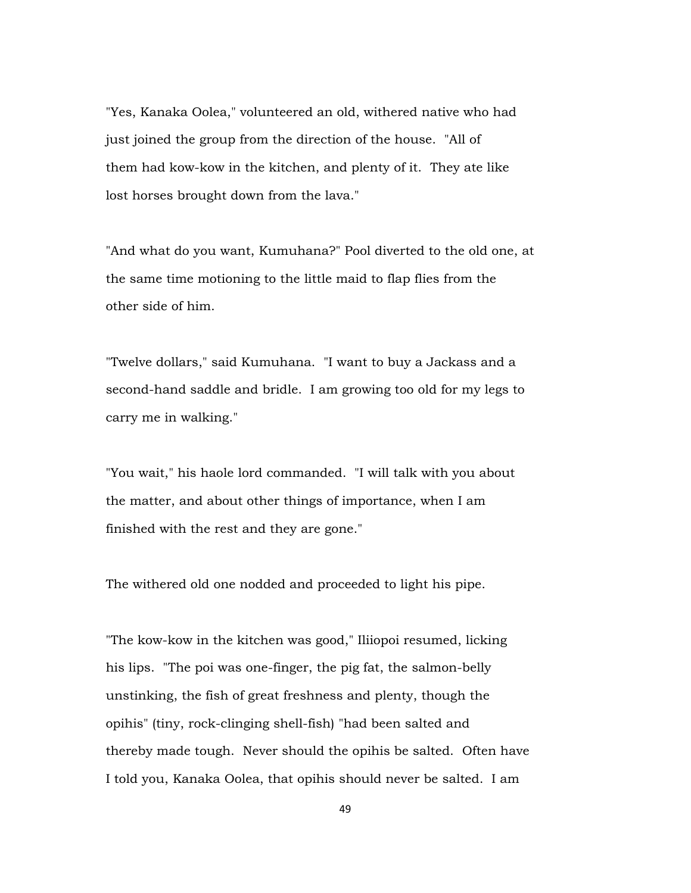"Yes, Kanaka Oolea," volunteered an old, withered native who had just joined the group from the direction of the house. "All of them had kow-kow in the kitchen, and plenty of it. They ate like lost horses brought down from the lava."

"And what do you want, Kumuhana?" Pool diverted to the old one, at the same time motioning to the little maid to flap flies from the other side of him.

"Twelve dollars," said Kumuhana. "I want to buy a Jackass and a second-hand saddle and bridle. I am growing too old for my legs to carry me in walking."

"You wait," his haole lord commanded. "I will talk with you about the matter, and about other things of importance, when I am finished with the rest and they are gone."

The withered old one nodded and proceeded to light his pipe.

"The kow-kow in the kitchen was good," Iliiopoi resumed, licking his lips. "The poi was one-finger, the pig fat, the salmon-belly unstinking, the fish of great freshness and plenty, though the opihis" (tiny, rock-clinging shell-fish) "had been salted and thereby made tough. Never should the opihis be salted. Often have I told you, Kanaka Oolea, that opihis should never be salted. I am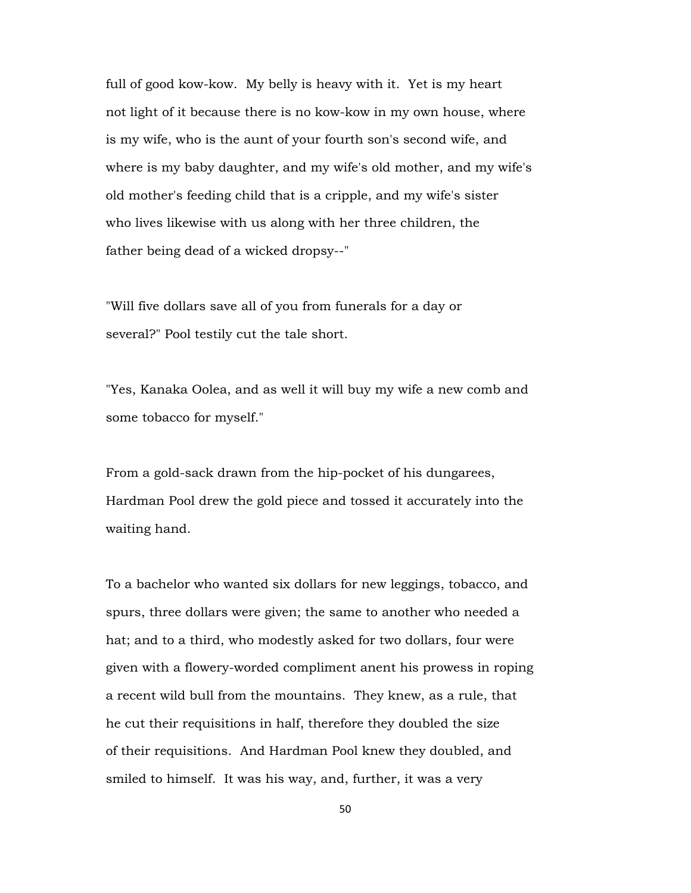full of good kow-kow. My belly is heavy with it. Yet is my heart not light of it because there is no kow-kow in my own house, where is my wife, who is the aunt of your fourth son's second wife, and where is my baby daughter, and my wife's old mother, and my wife's old mother's feeding child that is a cripple, and my wife's sister who lives likewise with us along with her three children, the father being dead of a wicked dropsy--"

"Will five dollars save all of you from funerals for a day or several?" Pool testily cut the tale short.

"Yes, Kanaka Oolea, and as well it will buy my wife a new comb and some tobacco for myself."

From a gold-sack drawn from the hip-pocket of his dungarees, Hardman Pool drew the gold piece and tossed it accurately into the waiting hand.

To a bachelor who wanted six dollars for new leggings, tobacco, and spurs, three dollars were given; the same to another who needed a hat; and to a third, who modestly asked for two dollars, four were given with a flowery-worded compliment anent his prowess in roping a recent wild bull from the mountains. They knew, as a rule, that he cut their requisitions in half, therefore they doubled the size of their requisitions. And Hardman Pool knew they doubled, and smiled to himself. It was his way, and, further, it was a very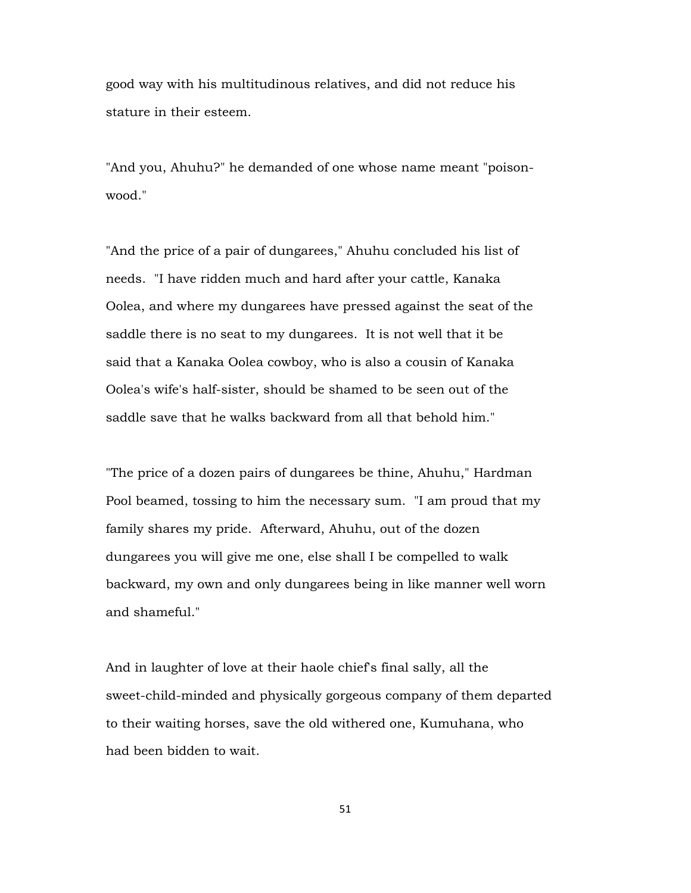good way with his multitudinous relatives, and did not reduce his stature in their esteem.

"And you, Ahuhu?" he demanded of one whose name meant "poisonwood."

"And the price of a pair of dungarees," Ahuhu concluded his list of needs. "I have ridden much and hard after your cattle, Kanaka Oolea, and where my dungarees have pressed against the seat of the saddle there is no seat to my dungarees. It is not well that it be said that a Kanaka Oolea cowboy, who is also a cousin of Kanaka Oolea's wife's half-sister, should be shamed to be seen out of the saddle save that he walks backward from all that behold him."

"The price of a dozen pairs of dungarees be thine, Ahuhu," Hardman Pool beamed, tossing to him the necessary sum. "I am proud that my family shares my pride. Afterward, Ahuhu, out of the dozen dungarees you will give me one, else shall I be compelled to walk backward, my own and only dungarees being in like manner well worn and shameful."

And in laughter of love at their haole chief's final sally, all the sweet-child-minded and physically gorgeous company of them departed to their waiting horses, save the old withered one, Kumuhana, who had been bidden to wait.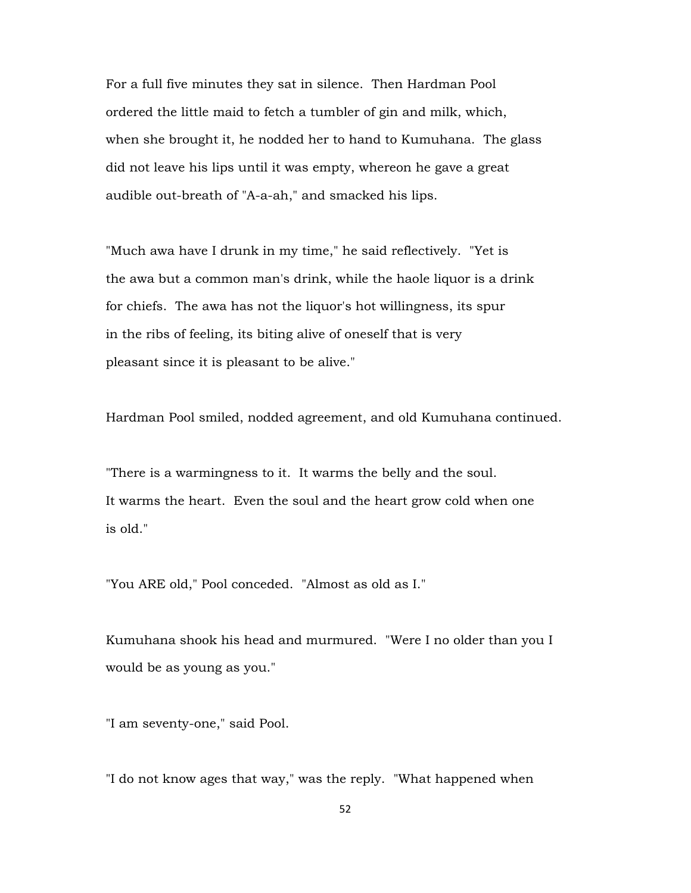For a full five minutes they sat in silence. Then Hardman Pool ordered the little maid to fetch a tumbler of gin and milk, which, when she brought it, he nodded her to hand to Kumuhana. The glass did not leave his lips until it was empty, whereon he gave a great audible out-breath of "A-a-ah," and smacked his lips.

"Much awa have I drunk in my time," he said reflectively. "Yet is the awa but a common man's drink, while the haole liquor is a drink for chiefs. The awa has not the liquor's hot willingness, its spur in the ribs of feeling, its biting alive of oneself that is very pleasant since it is pleasant to be alive."

Hardman Pool smiled, nodded agreement, and old Kumuhana continued.

"There is a warmingness to it. It warms the belly and the soul. It warms the heart. Even the soul and the heart grow cold when one is old."

"You ARE old," Pool conceded. "Almost as old as I."

Kumuhana shook his head and murmured. "Were I no older than you I would be as young as you."

"I am seventy-one," said Pool.

"I do not know ages that way," was the reply. "What happened when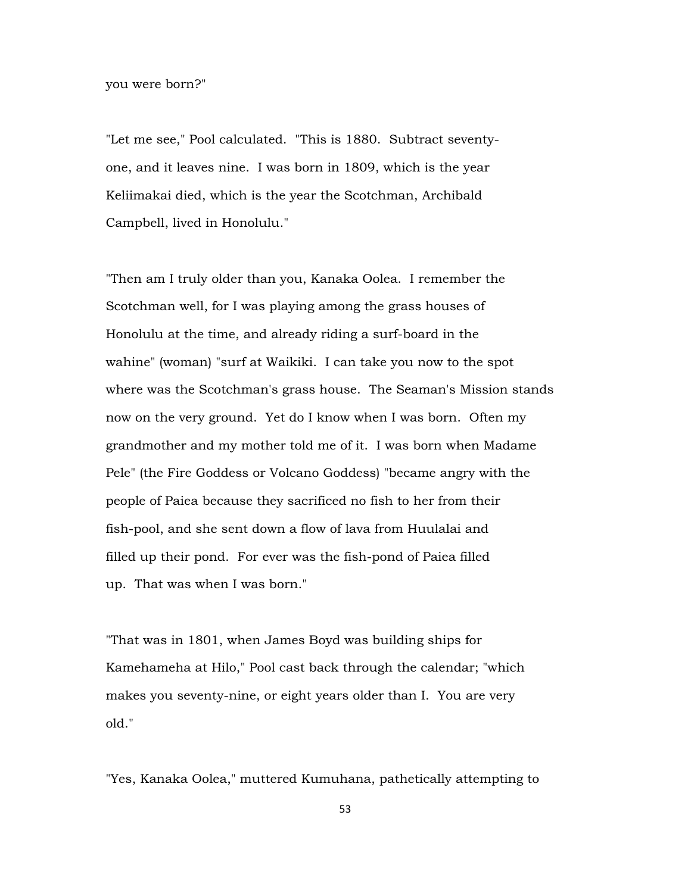you were born?"

"Let me see," Pool calculated. "This is 1880. Subtract seventyone, and it leaves nine. I was born in 1809, which is the year Keliimakai died, which is the year the Scotchman, Archibald Campbell, lived in Honolulu."

"Then am I truly older than you, Kanaka Oolea. I remember the Scotchman well, for I was playing among the grass houses of Honolulu at the time, and already riding a surf-board in the wahine" (woman) "surf at Waikiki. I can take you now to the spot where was the Scotchman's grass house. The Seaman's Mission stands now on the very ground. Yet do I know when I was born. Often my grandmother and my mother told me of it. I was born when Madame Pele" (the Fire Goddess or Volcano Goddess) "became angry with the people of Paiea because they sacrificed no fish to her from their fish-pool, and she sent down a flow of lava from Huulalai and filled up their pond. For ever was the fish-pond of Paiea filled up. That was when I was born."

"That was in 1801, when James Boyd was building ships for Kamehameha at Hilo," Pool cast back through the calendar; "which makes you seventy-nine, or eight years older than I. You are very old."

"Yes, Kanaka Oolea," muttered Kumuhana, pathetically attempting to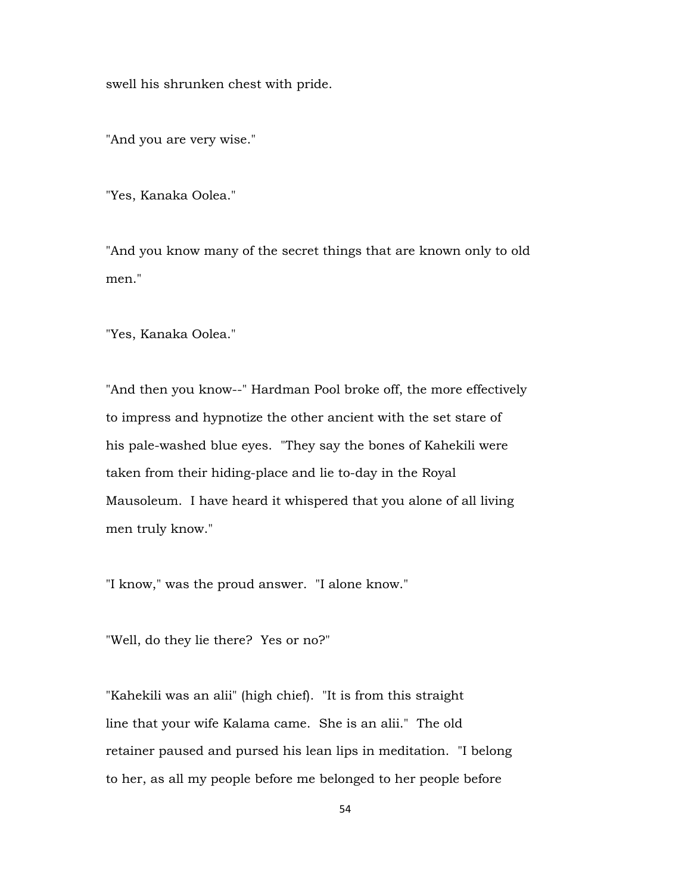swell his shrunken chest with pride.

"And you are very wise."

"Yes, Kanaka Oolea."

"And you know many of the secret things that are known only to old men."

"Yes, Kanaka Oolea."

"And then you know--" Hardman Pool broke off, the more effectively to impress and hypnotize the other ancient with the set stare of his pale-washed blue eyes. "They say the bones of Kahekili were taken from their hiding-place and lie to-day in the Royal Mausoleum. I have heard it whispered that you alone of all living men truly know."

"I know," was the proud answer. "I alone know."

"Well, do they lie there? Yes or no?"

"Kahekili was an alii" (high chief). "It is from this straight line that your wife Kalama came. She is an alii." The old retainer paused and pursed his lean lips in meditation. "I belong to her, as all my people before me belonged to her people before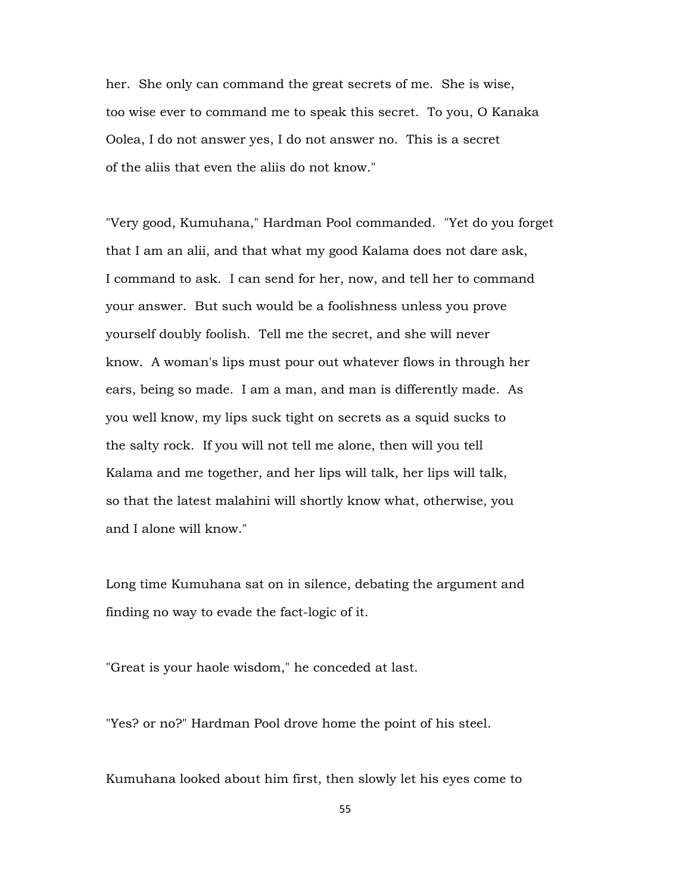her. She only can command the great secrets of me. She is wise, too wise ever to command me to speak this secret. To you, O Kanaka Oolea, I do not answer yes, I do not answer no. This is a secret of the aliis that even the aliis do not know."

"Very good, Kumuhana," Hardman Pool commanded. "Yet do you forget that I am an alii, and that what my good Kalama does not dare ask, I command to ask. I can send for her, now, and tell her to command your answer. But such would be a foolishness unless you prove yourself doubly foolish. Tell me the secret, and she will never know. A woman's lips must pour out whatever flows in through her ears, being so made. I am a man, and man is differently made. As you well know, my lips suck tight on secrets as a squid sucks to the salty rock. If you will not tell me alone, then will you tell Kalama and me together, and her lips will talk, her lips will talk, so that the latest malahini will shortly know what, otherwise, you and I alone will know."

Long time Kumuhana sat on in silence, debating the argument and finding no way to evade the fact-logic of it.

"Great is your haole wisdom," he conceded at last.

"Yes? or no?" Hardman Pool drove home the point of his steel.

Kumuhana looked about him first, then slowly let his eyes come to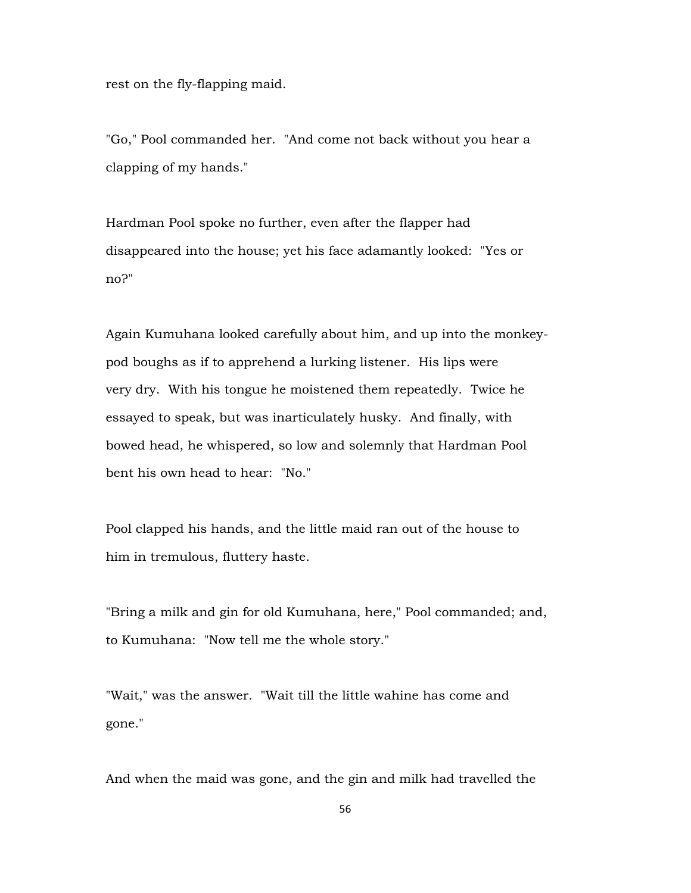rest on the fly-flapping maid.

"Go," Pool commanded her. "And come not back without you hear a clapping of my hands."

Hardman Pool spoke no further, even after the flapper had disappeared into the house; yet his face adamantly looked: "Yes or no?"

Again Kumuhana looked carefully about him, and up into the monkeypod boughs as if to apprehend a lurking listener. His lips were very dry. With his tongue he moistened them repeatedly. Twice he essayed to speak, but was inarticulately husky. And finally, with bowed head, he whispered, so low and solemnly that Hardman Pool bent his own head to hear: "No."

Pool clapped his hands, and the little maid ran out of the house to him in tremulous, fluttery haste.

"Bring a milk and gin for old Kumuhana, here," Pool commanded; and, to Kumuhana: "Now tell me the whole story."

"Wait," was the answer. "Wait till the little wahine has come and gone."

And when the maid was gone, and the gin and milk had travelled the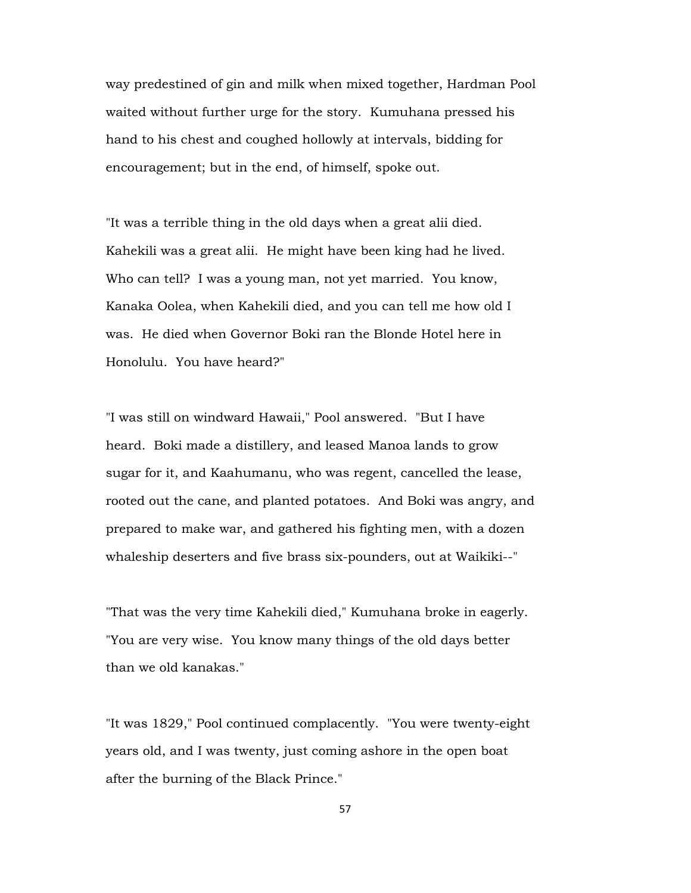way predestined of gin and milk when mixed together, Hardman Pool waited without further urge for the story. Kumuhana pressed his hand to his chest and coughed hollowly at intervals, bidding for encouragement; but in the end, of himself, spoke out.

"It was a terrible thing in the old days when a great alii died. Kahekili was a great alii. He might have been king had he lived. Who can tell? I was a young man, not yet married. You know, Kanaka Oolea, when Kahekili died, and you can tell me how old I was. He died when Governor Boki ran the Blonde Hotel here in Honolulu. You have heard?"

"I was still on windward Hawaii," Pool answered. "But I have heard. Boki made a distillery, and leased Manoa lands to grow sugar for it, and Kaahumanu, who was regent, cancelled the lease, rooted out the cane, and planted potatoes. And Boki was angry, and prepared to make war, and gathered his fighting men, with a dozen whaleship deserters and five brass six-pounders, out at Waikiki--"

"That was the very time Kahekili died," Kumuhana broke in eagerly. "You are very wise. You know many things of the old days better than we old kanakas."

"It was 1829," Pool continued complacently. "You were twenty-eight years old, and I was twenty, just coming ashore in the open boat after the burning of the Black Prince."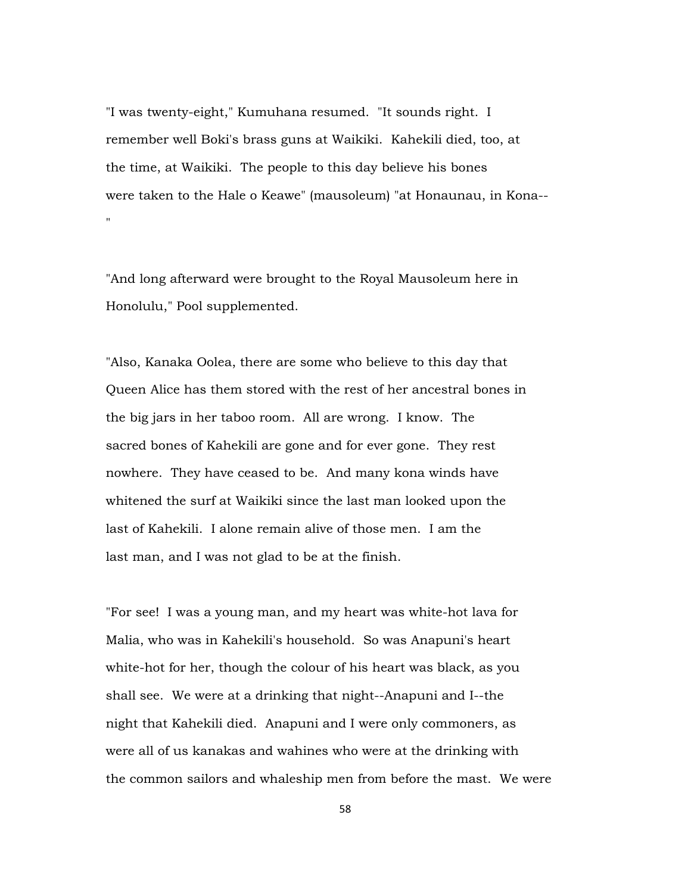"I was twenty-eight," Kumuhana resumed. "It sounds right. I remember well Boki's brass guns at Waikiki. Kahekili died, too, at the time, at Waikiki. The people to this day believe his bones were taken to the Hale o Keawe" (mausoleum) "at Honaunau, in Kona-- "

"And long afterward were brought to the Royal Mausoleum here in Honolulu," Pool supplemented.

"Also, Kanaka Oolea, there are some who believe to this day that Queen Alice has them stored with the rest of her ancestral bones in the big jars in her taboo room. All are wrong. I know. The sacred bones of Kahekili are gone and for ever gone. They rest nowhere. They have ceased to be. And many kona winds have whitened the surf at Waikiki since the last man looked upon the last of Kahekili. I alone remain alive of those men. I am the last man, and I was not glad to be at the finish.

"For see! I was a young man, and my heart was white-hot lava for Malia, who was in Kahekili's household. So was Anapuni's heart white-hot for her, though the colour of his heart was black, as you shall see. We were at a drinking that night--Anapuni and I--the night that Kahekili died. Anapuni and I were only commoners, as were all of us kanakas and wahines who were at the drinking with the common sailors and whaleship men from before the mast. We were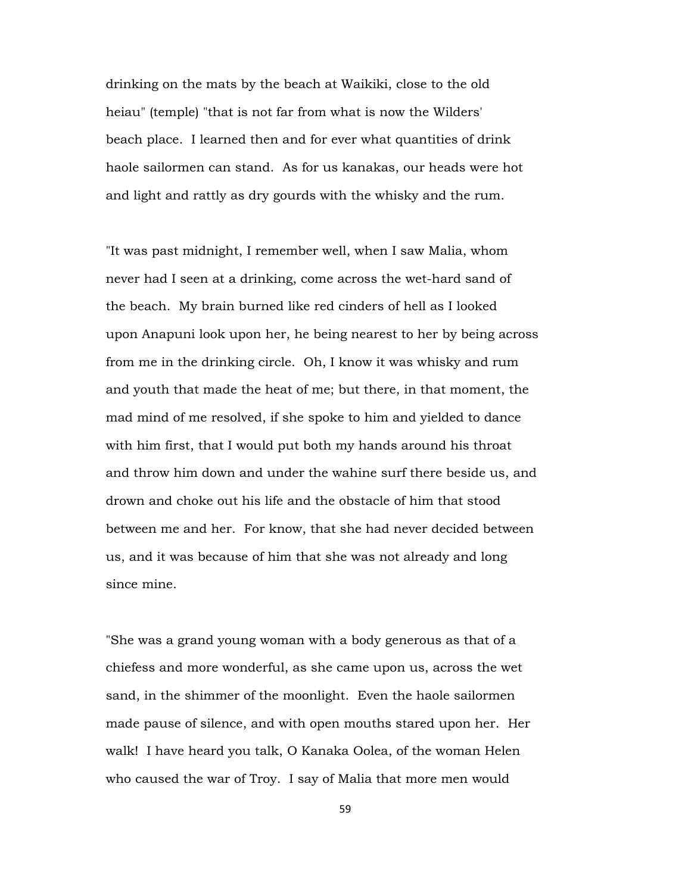drinking on the mats by the beach at Waikiki, close to the old heiau" (temple) "that is not far from what is now the Wilders' beach place. I learned then and for ever what quantities of drink haole sailormen can stand. As for us kanakas, our heads were hot and light and rattly as dry gourds with the whisky and the rum.

"It was past midnight, I remember well, when I saw Malia, whom never had I seen at a drinking, come across the wet-hard sand of the beach. My brain burned like red cinders of hell as I looked upon Anapuni look upon her, he being nearest to her by being across from me in the drinking circle. Oh, I know it was whisky and rum and youth that made the heat of me; but there, in that moment, the mad mind of me resolved, if she spoke to him and yielded to dance with him first, that I would put both my hands around his throat and throw him down and under the wahine surf there beside us, and drown and choke out his life and the obstacle of him that stood between me and her. For know, that she had never decided between us, and it was because of him that she was not already and long since mine.

"She was a grand young woman with a body generous as that of a chiefess and more wonderful, as she came upon us, across the wet sand, in the shimmer of the moonlight. Even the haole sailormen made pause of silence, and with open mouths stared upon her. Her walk! I have heard you talk, O Kanaka Oolea, of the woman Helen who caused the war of Troy. I say of Malia that more men would

59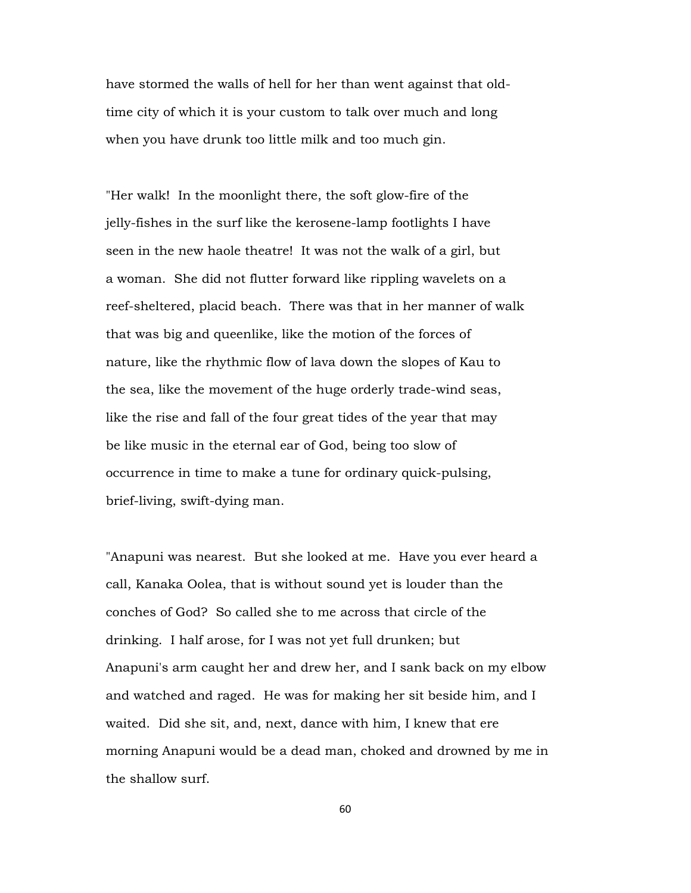have stormed the walls of hell for her than went against that oldtime city of which it is your custom to talk over much and long when you have drunk too little milk and too much gin.

"Her walk! In the moonlight there, the soft glow-fire of the jelly-fishes in the surf like the kerosene-lamp footlights I have seen in the new haole theatre! It was not the walk of a girl, but a woman. She did not flutter forward like rippling wavelets on a reef-sheltered, placid beach. There was that in her manner of walk that was big and queenlike, like the motion of the forces of nature, like the rhythmic flow of lava down the slopes of Kau to the sea, like the movement of the huge orderly trade-wind seas, like the rise and fall of the four great tides of the year that may be like music in the eternal ear of God, being too slow of occurrence in time to make a tune for ordinary quick-pulsing, brief-living, swift-dying man.

"Anapuni was nearest. But she looked at me. Have you ever heard a call, Kanaka Oolea, that is without sound yet is louder than the conches of God? So called she to me across that circle of the drinking. I half arose, for I was not yet full drunken; but Anapuni's arm caught her and drew her, and I sank back on my elbow and watched and raged. He was for making her sit beside him, and I waited. Did she sit, and, next, dance with him, I knew that ere morning Anapuni would be a dead man, choked and drowned by me in the shallow surf.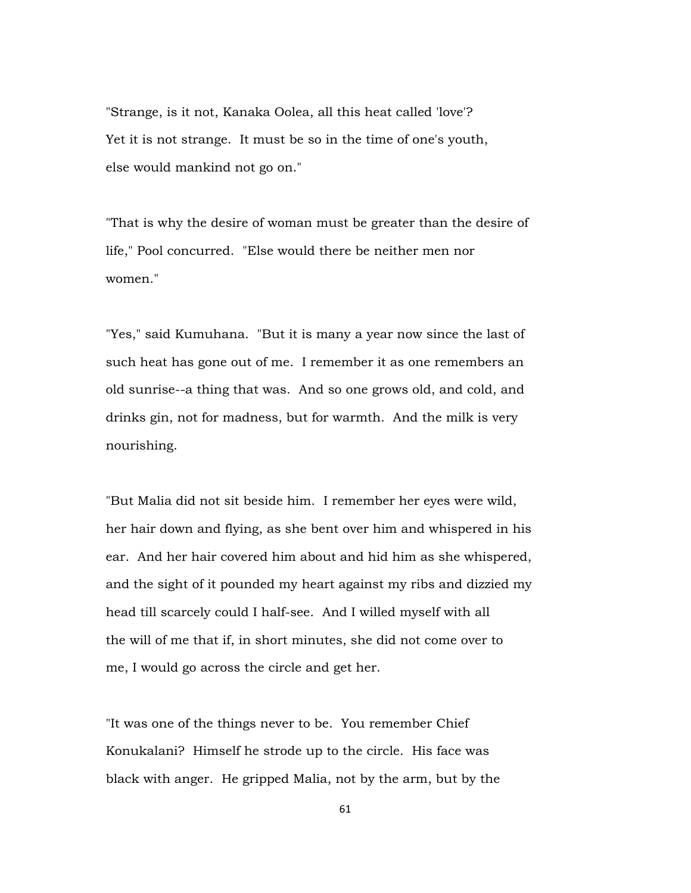"Strange, is it not, Kanaka Oolea, all this heat called 'love'? Yet it is not strange. It must be so in the time of one's youth, else would mankind not go on."

"That is why the desire of woman must be greater than the desire of life," Pool concurred. "Else would there be neither men nor women."

"Yes," said Kumuhana. "But it is many a year now since the last of such heat has gone out of me. I remember it as one remembers an old sunrise--a thing that was. And so one grows old, and cold, and drinks gin, not for madness, but for warmth. And the milk is very nourishing.

"But Malia did not sit beside him. I remember her eyes were wild, her hair down and flying, as she bent over him and whispered in his ear. And her hair covered him about and hid him as she whispered, and the sight of it pounded my heart against my ribs and dizzied my head till scarcely could I half-see. And I willed myself with all the will of me that if, in short minutes, she did not come over to me, I would go across the circle and get her.

"It was one of the things never to be. You remember Chief Konukalani? Himself he strode up to the circle. His face was black with anger. He gripped Malia, not by the arm, but by the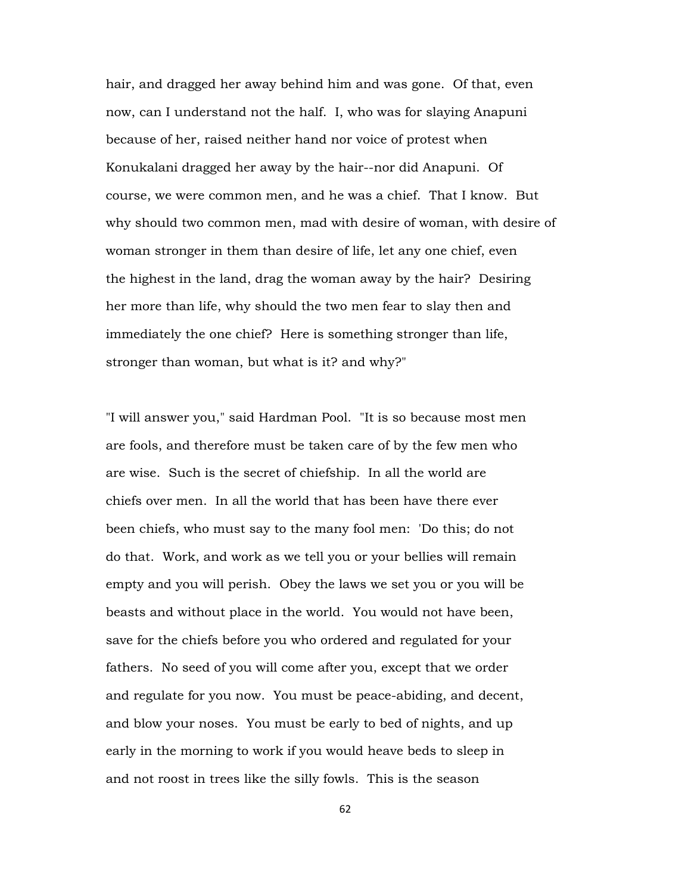hair, and dragged her away behind him and was gone. Of that, even now, can I understand not the half. I, who was for slaying Anapuni because of her, raised neither hand nor voice of protest when Konukalani dragged her away by the hair--nor did Anapuni. Of course, we were common men, and he was a chief. That I know. But why should two common men, mad with desire of woman, with desire of woman stronger in them than desire of life, let any one chief, even the highest in the land, drag the woman away by the hair? Desiring her more than life, why should the two men fear to slay then and immediately the one chief? Here is something stronger than life, stronger than woman, but what is it? and why?"

"I will answer you," said Hardman Pool. "It is so because most men are fools, and therefore must be taken care of by the few men who are wise. Such is the secret of chiefship. In all the world are chiefs over men. In all the world that has been have there ever been chiefs, who must say to the many fool men: 'Do this; do not do that. Work, and work as we tell you or your bellies will remain empty and you will perish. Obey the laws we set you or you will be beasts and without place in the world. You would not have been, save for the chiefs before you who ordered and regulated for your fathers. No seed of you will come after you, except that we order and regulate for you now. You must be peace-abiding, and decent, and blow your noses. You must be early to bed of nights, and up early in the morning to work if you would heave beds to sleep in and not roost in trees like the silly fowls. This is the season

62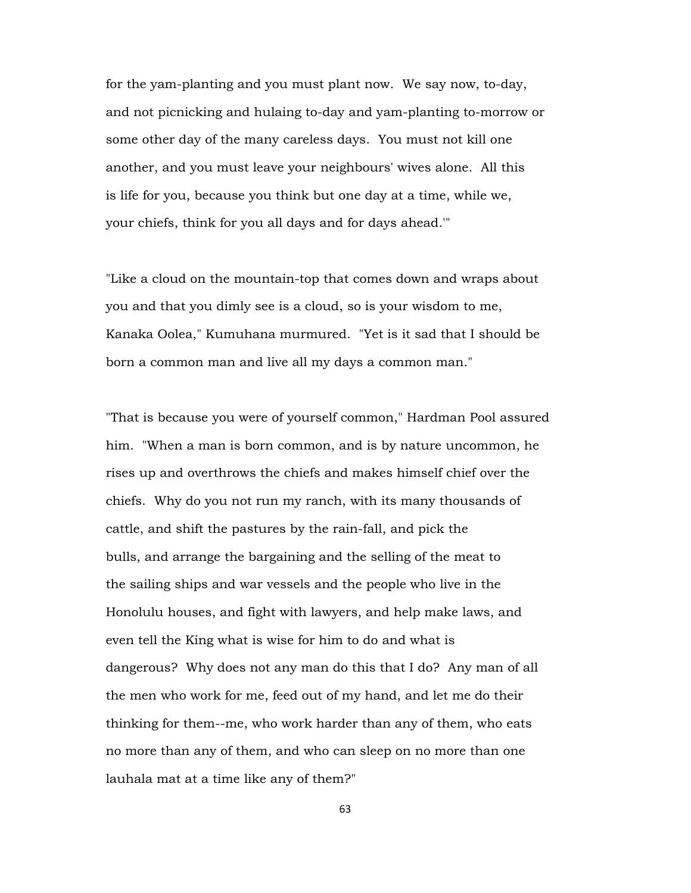for the yam-planting and you must plant now. We say now, to-day, and not picnicking and hulaing to-day and yam-planting to-morrow or some other day of the many careless days. You must not kill one another, and you must leave your neighbours' wives alone. All this is life for you, because you think but one day at a time, while we, your chiefs, think for you all days and for days ahead.'"

"Like a cloud on the mountain-top that comes down and wraps about you and that you dimly see is a cloud, so is your wisdom to me, Kanaka Oolea," Kumuhana murmured. "Yet is it sad that I should be born a common man and live all my days a common man."

"That is because you were of yourself common," Hardman Pool assured him. "When a man is born common, and is by nature uncommon, he rises up and overthrows the chiefs and makes himself chief over the chiefs. Why do you not run my ranch, with its many thousands of cattle, and shift the pastures by the rain-fall, and pick the bulls, and arrange the bargaining and the selling of the meat to the sailing ships and war vessels and the people who live in the Honolulu houses, and fight with lawyers, and help make laws, and even tell the King what is wise for him to do and what is dangerous? Why does not any man do this that I do? Any man of all the men who work for me, feed out of my hand, and let me do their thinking for them--me, who work harder than any of them, who eats no more than any of them, and who can sleep on no more than one lauhala mat at a time like any of them?"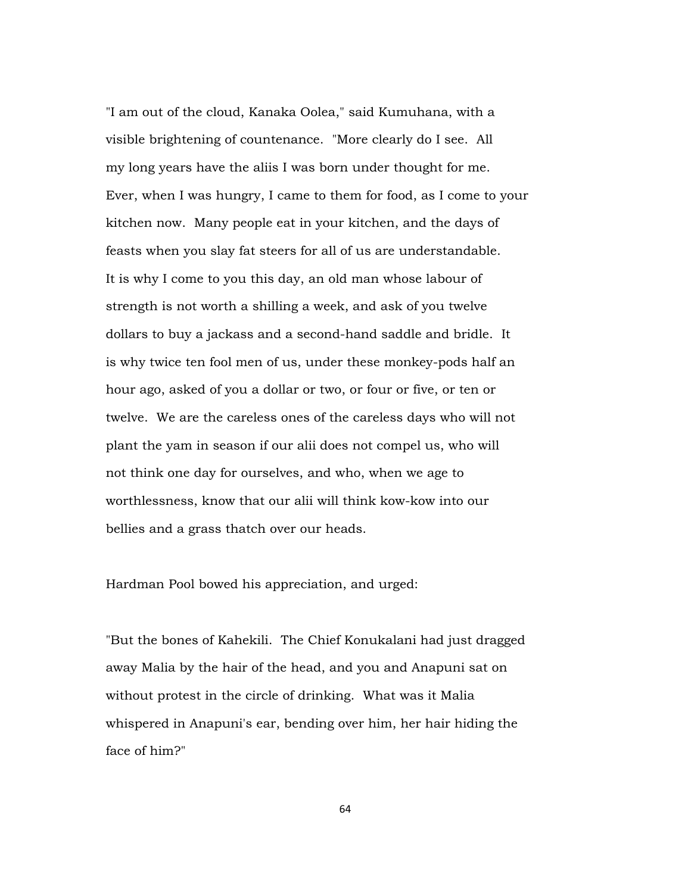"I am out of the cloud, Kanaka Oolea," said Kumuhana, with a visible brightening of countenance. "More clearly do I see. All my long years have the aliis I was born under thought for me. Ever, when I was hungry, I came to them for food, as I come to your kitchen now. Many people eat in your kitchen, and the days of feasts when you slay fat steers for all of us are understandable. It is why I come to you this day, an old man whose labour of strength is not worth a shilling a week, and ask of you twelve dollars to buy a jackass and a second-hand saddle and bridle. It is why twice ten fool men of us, under these monkey-pods half an hour ago, asked of you a dollar or two, or four or five, or ten or twelve. We are the careless ones of the careless days who will not plant the yam in season if our alii does not compel us, who will not think one day for ourselves, and who, when we age to worthlessness, know that our alii will think kow-kow into our bellies and a grass thatch over our heads.

Hardman Pool bowed his appreciation, and urged:

"But the bones of Kahekili. The Chief Konukalani had just dragged away Malia by the hair of the head, and you and Anapuni sat on without protest in the circle of drinking. What was it Malia whispered in Anapuni's ear, bending over him, her hair hiding the face of him?"

64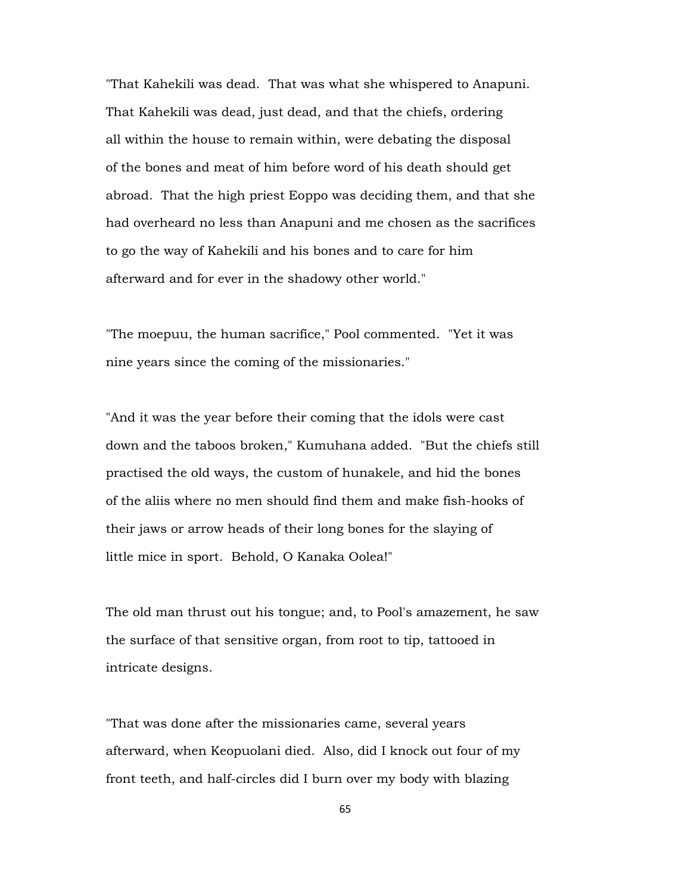"That Kahekili was dead. That was what she whispered to Anapuni. That Kahekili was dead, just dead, and that the chiefs, ordering all within the house to remain within, were debating the disposal of the bones and meat of him before word of his death should get abroad. That the high priest Eoppo was deciding them, and that she had overheard no less than Anapuni and me chosen as the sacrifices to go the way of Kahekili and his bones and to care for him afterward and for ever in the shadowy other world."

"The moepuu, the human sacrifice," Pool commented. "Yet it was nine years since the coming of the missionaries."

"And it was the year before their coming that the idols were cast down and the taboos broken," Kumuhana added. "But the chiefs still practised the old ways, the custom of hunakele, and hid the bones of the aliis where no men should find them and make fish-hooks of their jaws or arrow heads of their long bones for the slaying of little mice in sport. Behold, O Kanaka Oolea!"

The old man thrust out his tongue; and, to Pool's amazement, he saw the surface of that sensitive organ, from root to tip, tattooed in intricate designs.

"That was done after the missionaries came, several years afterward, when Keopuolani died. Also, did I knock out four of my front teeth, and half-circles did I burn over my body with blazing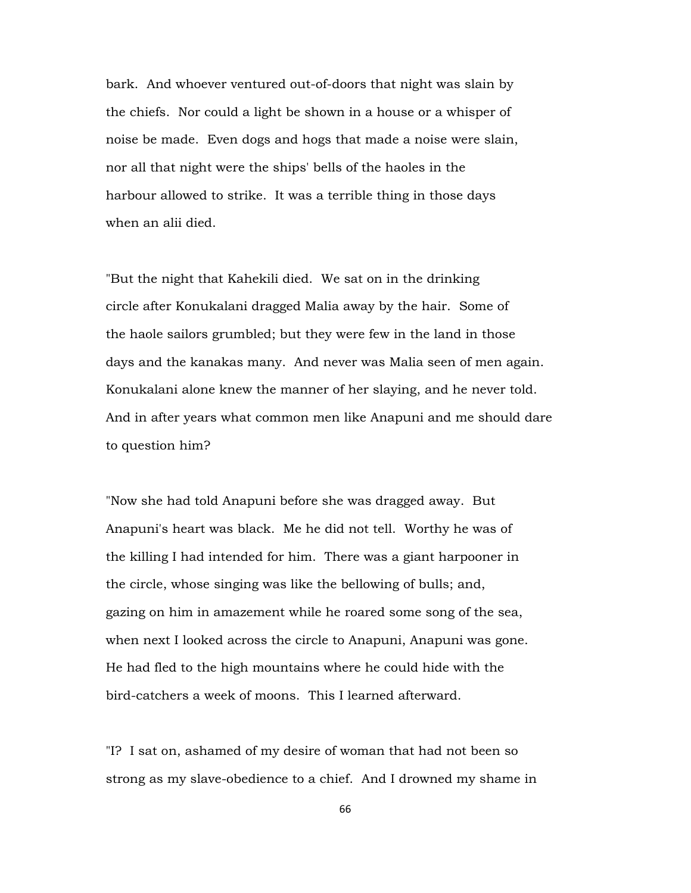bark. And whoever ventured out-of-doors that night was slain by the chiefs. Nor could a light be shown in a house or a whisper of noise be made. Even dogs and hogs that made a noise were slain, nor all that night were the ships' bells of the haoles in the harbour allowed to strike. It was a terrible thing in those days when an alii died.

"But the night that Kahekili died. We sat on in the drinking circle after Konukalani dragged Malia away by the hair. Some of the haole sailors grumbled; but they were few in the land in those days and the kanakas many. And never was Malia seen of men again. Konukalani alone knew the manner of her slaying, and he never told. And in after years what common men like Anapuni and me should dare to question him?

"Now she had told Anapuni before she was dragged away. But Anapuni's heart was black. Me he did not tell. Worthy he was of the killing I had intended for him. There was a giant harpooner in the circle, whose singing was like the bellowing of bulls; and, gazing on him in amazement while he roared some song of the sea, when next I looked across the circle to Anapuni, Anapuni was gone. He had fled to the high mountains where he could hide with the bird-catchers a week of moons. This I learned afterward.

"I? I sat on, ashamed of my desire of woman that had not been so strong as my slave-obedience to a chief. And I drowned my shame in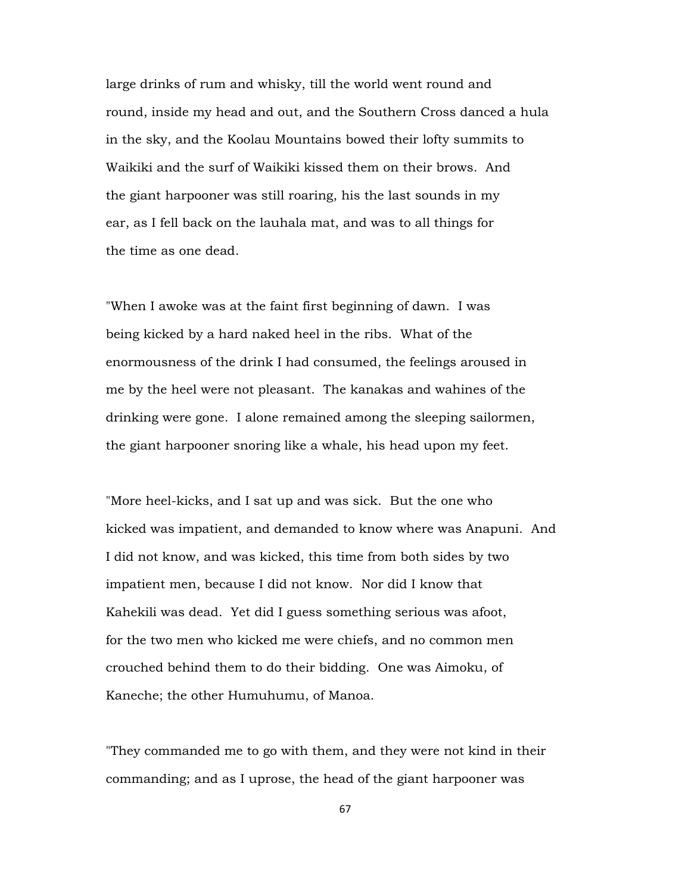large drinks of rum and whisky, till the world went round and round, inside my head and out, and the Southern Cross danced a hula in the sky, and the Koolau Mountains bowed their lofty summits to Waikiki and the surf of Waikiki kissed them on their brows. And the giant harpooner was still roaring, his the last sounds in my ear, as I fell back on the lauhala mat, and was to all things for the time as one dead.

"When I awoke was at the faint first beginning of dawn. I was being kicked by a hard naked heel in the ribs. What of the enormousness of the drink I had consumed, the feelings aroused in me by the heel were not pleasant. The kanakas and wahines of the drinking were gone. I alone remained among the sleeping sailormen, the giant harpooner snoring like a whale, his head upon my feet.

"More heel-kicks, and I sat up and was sick. But the one who kicked was impatient, and demanded to know where was Anapuni. And I did not know, and was kicked, this time from both sides by two impatient men, because I did not know. Nor did I know that Kahekili was dead. Yet did I guess something serious was afoot, for the two men who kicked me were chiefs, and no common men crouched behind them to do their bidding. One was Aimoku, of Kaneche; the other Humuhumu, of Manoa.

"They commanded me to go with them, and they were not kind in their commanding; and as I uprose, the head of the giant harpooner was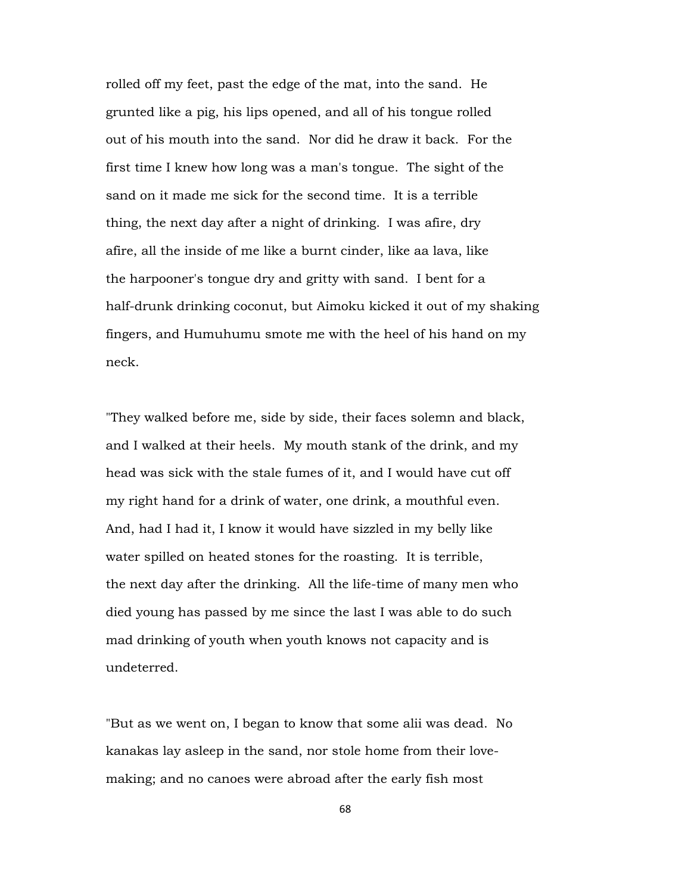rolled off my feet, past the edge of the mat, into the sand. He grunted like a pig, his lips opened, and all of his tongue rolled out of his mouth into the sand. Nor did he draw it back. For the first time I knew how long was a man's tongue. The sight of the sand on it made me sick for the second time. It is a terrible thing, the next day after a night of drinking. I was afire, dry afire, all the inside of me like a burnt cinder, like aa lava, like the harpooner's tongue dry and gritty with sand. I bent for a half-drunk drinking coconut, but Aimoku kicked it out of my shaking fingers, and Humuhumu smote me with the heel of his hand on my neck.

"They walked before me, side by side, their faces solemn and black, and I walked at their heels. My mouth stank of the drink, and my head was sick with the stale fumes of it, and I would have cut off my right hand for a drink of water, one drink, a mouthful even. And, had I had it, I know it would have sizzled in my belly like water spilled on heated stones for the roasting. It is terrible, the next day after the drinking. All the life-time of many men who died young has passed by me since the last I was able to do such mad drinking of youth when youth knows not capacity and is undeterred.

"But as we went on, I began to know that some alii was dead. No kanakas lay asleep in the sand, nor stole home from their lovemaking; and no canoes were abroad after the early fish most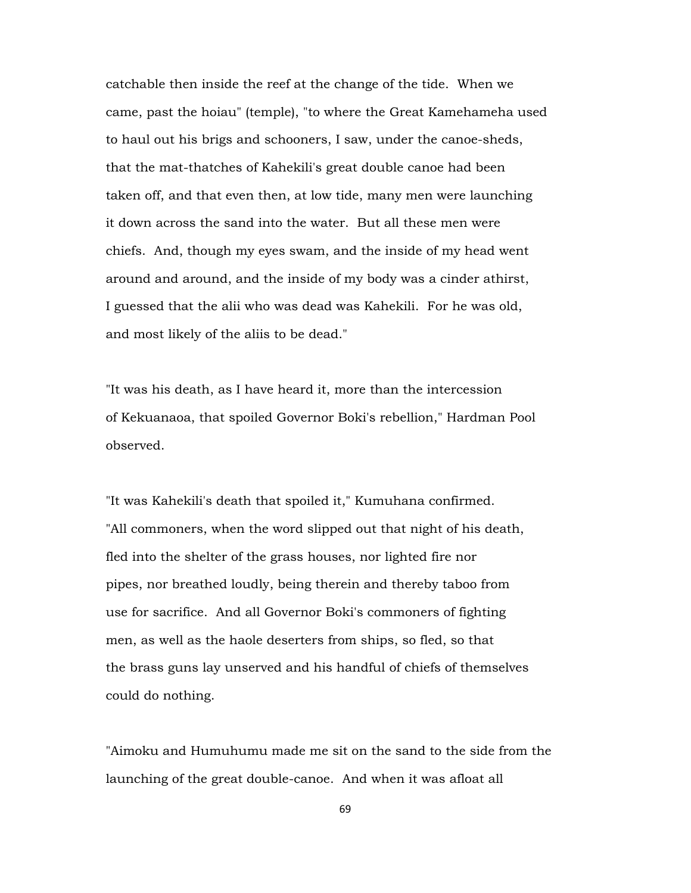catchable then inside the reef at the change of the tide. When we came, past the hoiau" (temple), "to where the Great Kamehameha used to haul out his brigs and schooners, I saw, under the canoe-sheds, that the mat-thatches of Kahekili's great double canoe had been taken off, and that even then, at low tide, many men were launching it down across the sand into the water. But all these men were chiefs. And, though my eyes swam, and the inside of my head went around and around, and the inside of my body was a cinder athirst, I guessed that the alii who was dead was Kahekili. For he was old, and most likely of the aliis to be dead."

"It was his death, as I have heard it, more than the intercession of Kekuanaoa, that spoiled Governor Boki's rebellion," Hardman Pool observed.

"It was Kahekili's death that spoiled it," Kumuhana confirmed. "All commoners, when the word slipped out that night of his death, fled into the shelter of the grass houses, nor lighted fire nor pipes, nor breathed loudly, being therein and thereby taboo from use for sacrifice. And all Governor Boki's commoners of fighting men, as well as the haole deserters from ships, so fled, so that the brass guns lay unserved and his handful of chiefs of themselves could do nothing.

"Aimoku and Humuhumu made me sit on the sand to the side from the launching of the great double-canoe. And when it was afloat all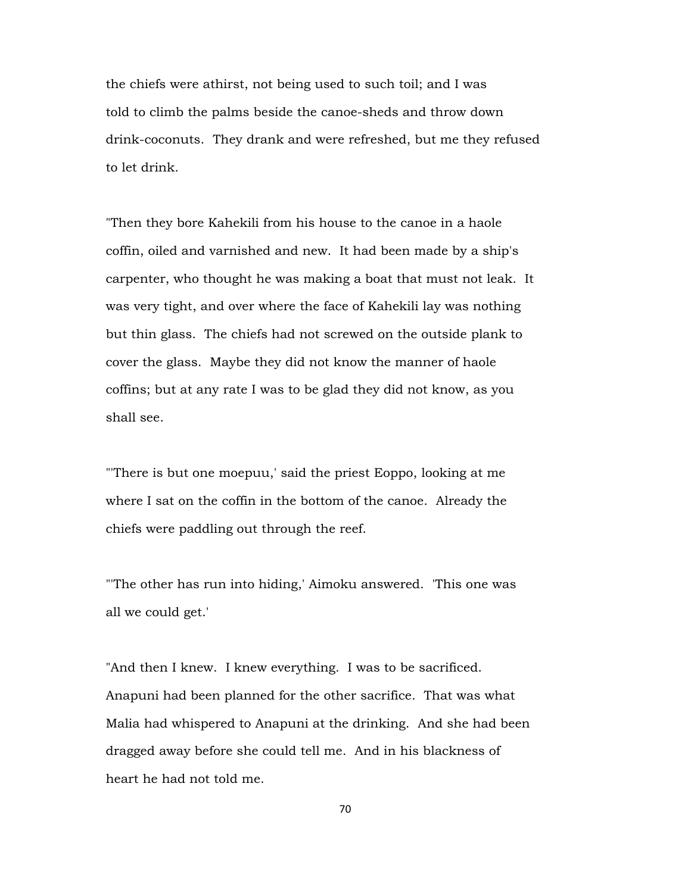the chiefs were athirst, not being used to such toil; and I was told to climb the palms beside the canoe-sheds and throw down drink-coconuts. They drank and were refreshed, but me they refused to let drink.

"Then they bore Kahekili from his house to the canoe in a haole coffin, oiled and varnished and new. It had been made by a ship's carpenter, who thought he was making a boat that must not leak. It was very tight, and over where the face of Kahekili lay was nothing but thin glass. The chiefs had not screwed on the outside plank to cover the glass. Maybe they did not know the manner of haole coffins; but at any rate I was to be glad they did not know, as you shall see.

"'There is but one moepuu,' said the priest Eoppo, looking at me where I sat on the coffin in the bottom of the canoe. Already the chiefs were paddling out through the reef.

"'The other has run into hiding,' Aimoku answered. 'This one was all we could get.'

"And then I knew. I knew everything. I was to be sacrificed. Anapuni had been planned for the other sacrifice. That was what Malia had whispered to Anapuni at the drinking. And she had been dragged away before she could tell me. And in his blackness of heart he had not told me.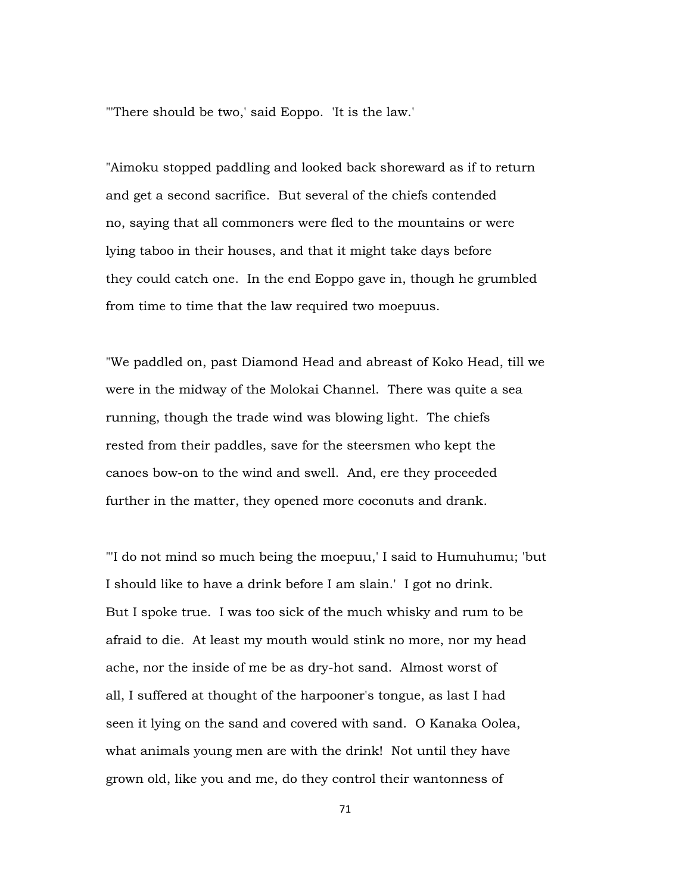"'There should be two,' said Eoppo. 'It is the law.'

"Aimoku stopped paddling and looked back shoreward as if to return and get a second sacrifice. But several of the chiefs contended no, saying that all commoners were fled to the mountains or were lying taboo in their houses, and that it might take days before they could catch one. In the end Eoppo gave in, though he grumbled from time to time that the law required two moepuus.

"We paddled on, past Diamond Head and abreast of Koko Head, till we were in the midway of the Molokai Channel. There was quite a sea running, though the trade wind was blowing light. The chiefs rested from their paddles, save for the steersmen who kept the canoes bow-on to the wind and swell. And, ere they proceeded further in the matter, they opened more coconuts and drank.

"'I do not mind so much being the moepuu,' I said to Humuhumu; 'but I should like to have a drink before I am slain.' I got no drink. But I spoke true. I was too sick of the much whisky and rum to be afraid to die. At least my mouth would stink no more, nor my head ache, nor the inside of me be as dry-hot sand. Almost worst of all, I suffered at thought of the harpooner's tongue, as last I had seen it lying on the sand and covered with sand. O Kanaka Oolea, what animals young men are with the drink! Not until they have grown old, like you and me, do they control their wantonness of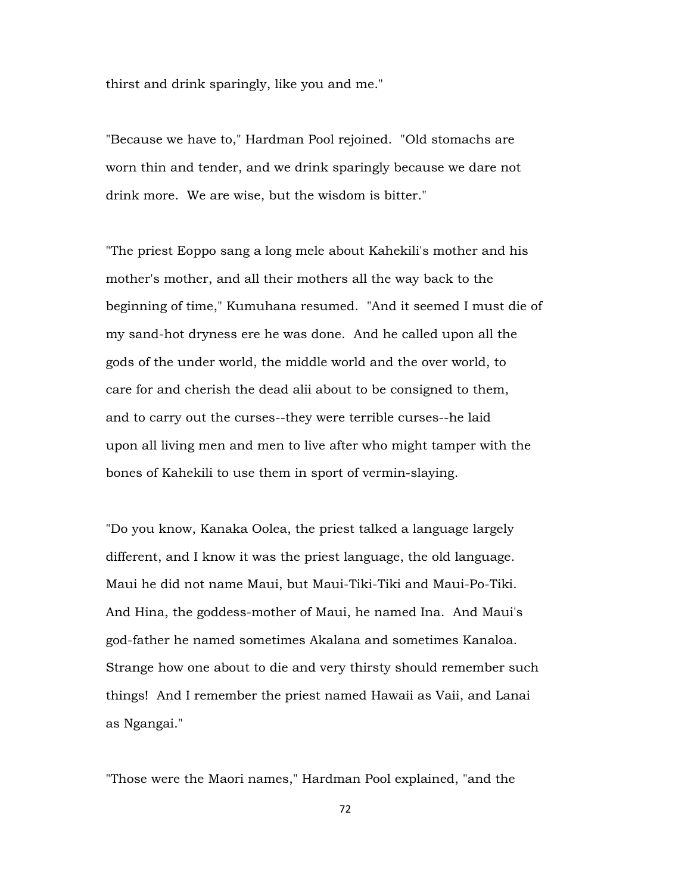thirst and drink sparingly, like you and me."

"Because we have to," Hardman Pool rejoined. "Old stomachs are worn thin and tender, and we drink sparingly because we dare not drink more. We are wise, but the wisdom is bitter."

"The priest Eoppo sang a long mele about Kahekili's mother and his mother's mother, and all their mothers all the way back to the beginning of time," Kumuhana resumed. "And it seemed I must die of my sand-hot dryness ere he was done. And he called upon all the gods of the under world, the middle world and the over world, to care for and cherish the dead alii about to be consigned to them, and to carry out the curses--they were terrible curses--he laid upon all living men and men to live after who might tamper with the bones of Kahekili to use them in sport of vermin-slaying.

"Do you know, Kanaka Oolea, the priest talked a language largely different, and I know it was the priest language, the old language. Maui he did not name Maui, but Maui-Tiki-Tiki and Maui-Po-Tiki. And Hina, the goddess-mother of Maui, he named Ina. And Maui's god-father he named sometimes Akalana and sometimes Kanaloa. Strange how one about to die and very thirsty should remember such things! And I remember the priest named Hawaii as Vaii, and Lanai as Ngangai."

"Those were the Maori names," Hardman Pool explained, "and the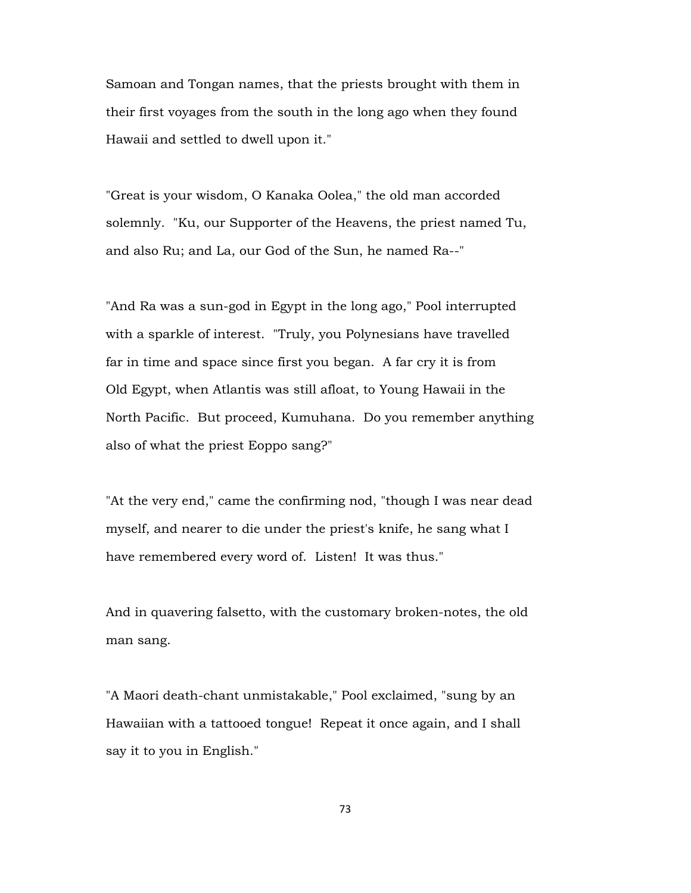Samoan and Tongan names, that the priests brought with them in their first voyages from the south in the long ago when they found Hawaii and settled to dwell upon it."

"Great is your wisdom, O Kanaka Oolea," the old man accorded solemnly. "Ku, our Supporter of the Heavens, the priest named Tu, and also Ru; and La, our God of the Sun, he named Ra--"

"And Ra was a sun-god in Egypt in the long ago," Pool interrupted with a sparkle of interest. "Truly, you Polynesians have travelled far in time and space since first you began. A far cry it is from Old Egypt, when Atlantis was still afloat, to Young Hawaii in the North Pacific. But proceed, Kumuhana. Do you remember anything also of what the priest Eoppo sang?"

"At the very end," came the confirming nod, "though I was near dead myself, and nearer to die under the priest's knife, he sang what I have remembered every word of. Listen! It was thus."

And in quavering falsetto, with the customary broken-notes, the old man sang.

"A Maori death-chant unmistakable," Pool exclaimed, "sung by an Hawaiian with a tattooed tongue! Repeat it once again, and I shall say it to you in English."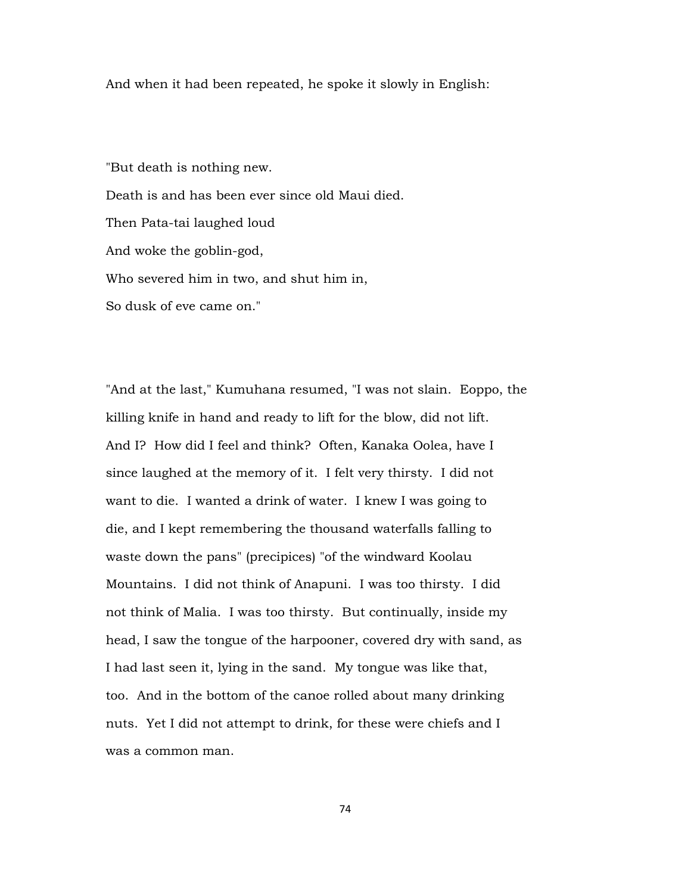And when it had been repeated, he spoke it slowly in English:

"But death is nothing new. Death is and has been ever since old Maui died. Then Pata-tai laughed loud And woke the goblin-god, Who severed him in two, and shut him in, So dusk of eve came on."

"And at the last," Kumuhana resumed, "I was not slain. Eoppo, the killing knife in hand and ready to lift for the blow, did not lift. And I? How did I feel and think? Often, Kanaka Oolea, have I since laughed at the memory of it. I felt very thirsty. I did not want to die. I wanted a drink of water. I knew I was going to die, and I kept remembering the thousand waterfalls falling to waste down the pans" (precipices) "of the windward Koolau Mountains. I did not think of Anapuni. I was too thirsty. I did not think of Malia. I was too thirsty. But continually, inside my head, I saw the tongue of the harpooner, covered dry with sand, as I had last seen it, lying in the sand. My tongue was like that, too. And in the bottom of the canoe rolled about many drinking nuts. Yet I did not attempt to drink, for these were chiefs and I was a common man.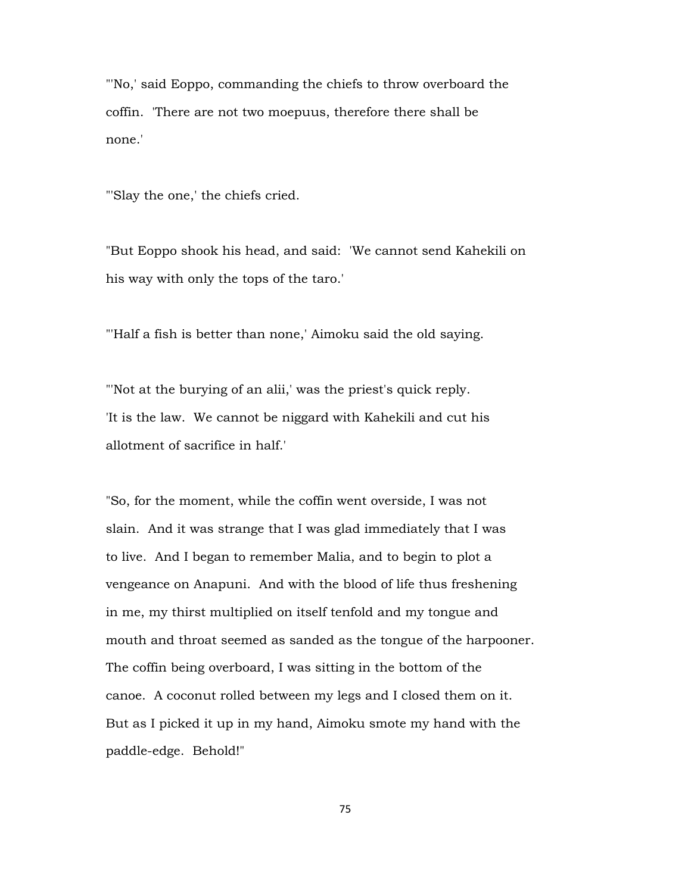"'No,' said Eoppo, commanding the chiefs to throw overboard the coffin. 'There are not two moepuus, therefore there shall be none.'

"'Slay the one,' the chiefs cried.

"But Eoppo shook his head, and said: 'We cannot send Kahekili on his way with only the tops of the taro.'

"'Half a fish is better than none,' Aimoku said the old saying.

"'Not at the burying of an alii,' was the priest's quick reply. 'It is the law. We cannot be niggard with Kahekili and cut his allotment of sacrifice in half.'

"So, for the moment, while the coffin went overside, I was not slain. And it was strange that I was glad immediately that I was to live. And I began to remember Malia, and to begin to plot a vengeance on Anapuni. And with the blood of life thus freshening in me, my thirst multiplied on itself tenfold and my tongue and mouth and throat seemed as sanded as the tongue of the harpooner. The coffin being overboard, I was sitting in the bottom of the canoe. A coconut rolled between my legs and I closed them on it. But as I picked it up in my hand, Aimoku smote my hand with the paddle-edge. Behold!"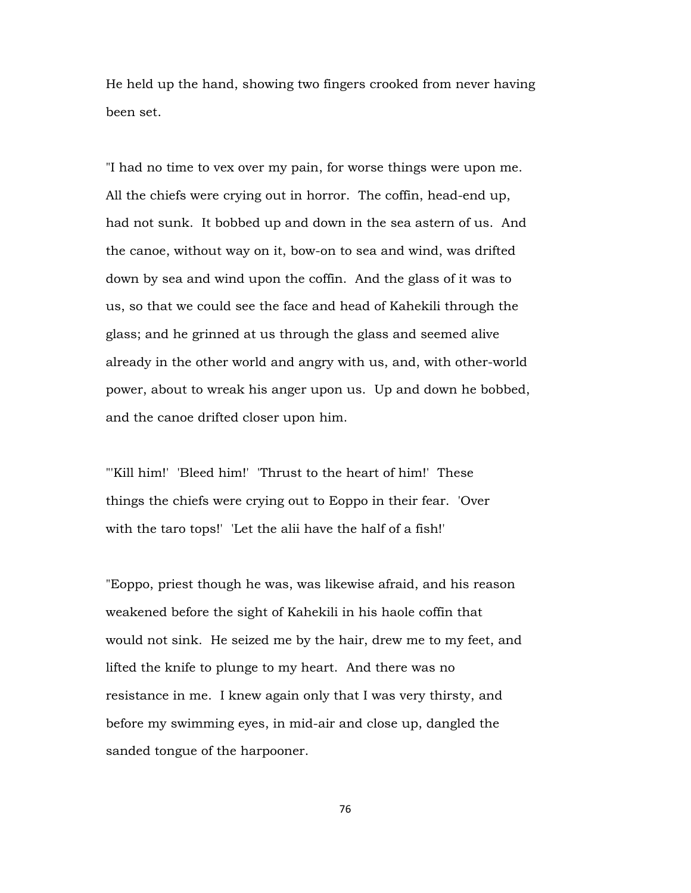He held up the hand, showing two fingers crooked from never having been set.

"I had no time to vex over my pain, for worse things were upon me. All the chiefs were crying out in horror. The coffin, head-end up, had not sunk. It bobbed up and down in the sea astern of us. And the canoe, without way on it, bow-on to sea and wind, was drifted down by sea and wind upon the coffin. And the glass of it was to us, so that we could see the face and head of Kahekili through the glass; and he grinned at us through the glass and seemed alive already in the other world and angry with us, and, with other-world power, about to wreak his anger upon us. Up and down he bobbed, and the canoe drifted closer upon him.

"'Kill him!' 'Bleed him!' 'Thrust to the heart of him!' These things the chiefs were crying out to Eoppo in their fear. 'Over with the taro tops!' 'Let the alii have the half of a fish!'

"Eoppo, priest though he was, was likewise afraid, and his reason weakened before the sight of Kahekili in his haole coffin that would not sink. He seized me by the hair, drew me to my feet, and lifted the knife to plunge to my heart. And there was no resistance in me. I knew again only that I was very thirsty, and before my swimming eyes, in mid-air and close up, dangled the sanded tongue of the harpooner.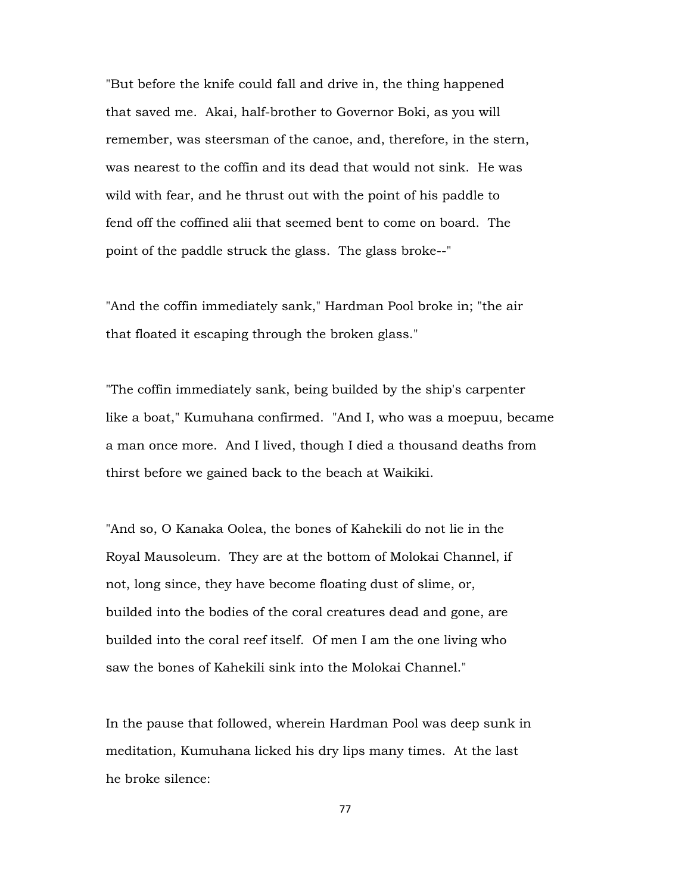"But before the knife could fall and drive in, the thing happened that saved me. Akai, half-brother to Governor Boki, as you will remember, was steersman of the canoe, and, therefore, in the stern, was nearest to the coffin and its dead that would not sink. He was wild with fear, and he thrust out with the point of his paddle to fend off the coffined alii that seemed bent to come on board. The point of the paddle struck the glass. The glass broke--"

"And the coffin immediately sank," Hardman Pool broke in; "the air that floated it escaping through the broken glass."

"The coffin immediately sank, being builded by the ship's carpenter like a boat," Kumuhana confirmed. "And I, who was a moepuu, became a man once more. And I lived, though I died a thousand deaths from thirst before we gained back to the beach at Waikiki.

"And so, O Kanaka Oolea, the bones of Kahekili do not lie in the Royal Mausoleum. They are at the bottom of Molokai Channel, if not, long since, they have become floating dust of slime, or, builded into the bodies of the coral creatures dead and gone, are builded into the coral reef itself. Of men I am the one living who saw the bones of Kahekili sink into the Molokai Channel."

In the pause that followed, wherein Hardman Pool was deep sunk in meditation, Kumuhana licked his dry lips many times. At the last he broke silence: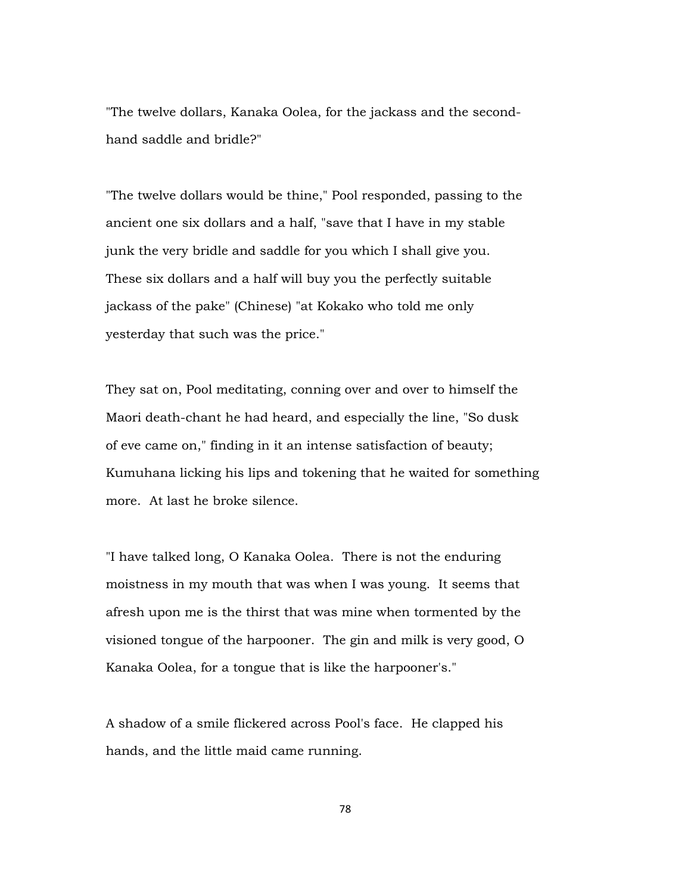"The twelve dollars, Kanaka Oolea, for the jackass and the secondhand saddle and bridle?"

"The twelve dollars would be thine," Pool responded, passing to the ancient one six dollars and a half, "save that I have in my stable junk the very bridle and saddle for you which I shall give you. These six dollars and a half will buy you the perfectly suitable jackass of the pake" (Chinese) "at Kokako who told me only yesterday that such was the price."

They sat on, Pool meditating, conning over and over to himself the Maori death-chant he had heard, and especially the line, "So dusk of eve came on," finding in it an intense satisfaction of beauty; Kumuhana licking his lips and tokening that he waited for something more. At last he broke silence.

"I have talked long, O Kanaka Oolea. There is not the enduring moistness in my mouth that was when I was young. It seems that afresh upon me is the thirst that was mine when tormented by the visioned tongue of the harpooner. The gin and milk is very good, O Kanaka Oolea, for a tongue that is like the harpooner's."

A shadow of a smile flickered across Pool's face. He clapped his hands, and the little maid came running.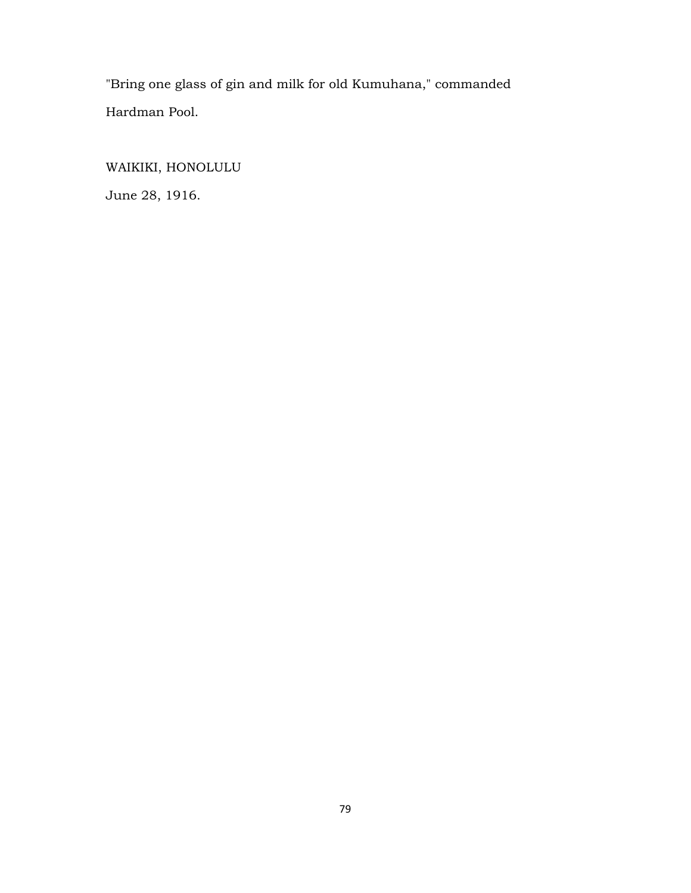"Bring one glass of gin and milk for old Kumuhana," commanded Hardman Pool.

WAIKIKI, HONOLULU June 28, 1916.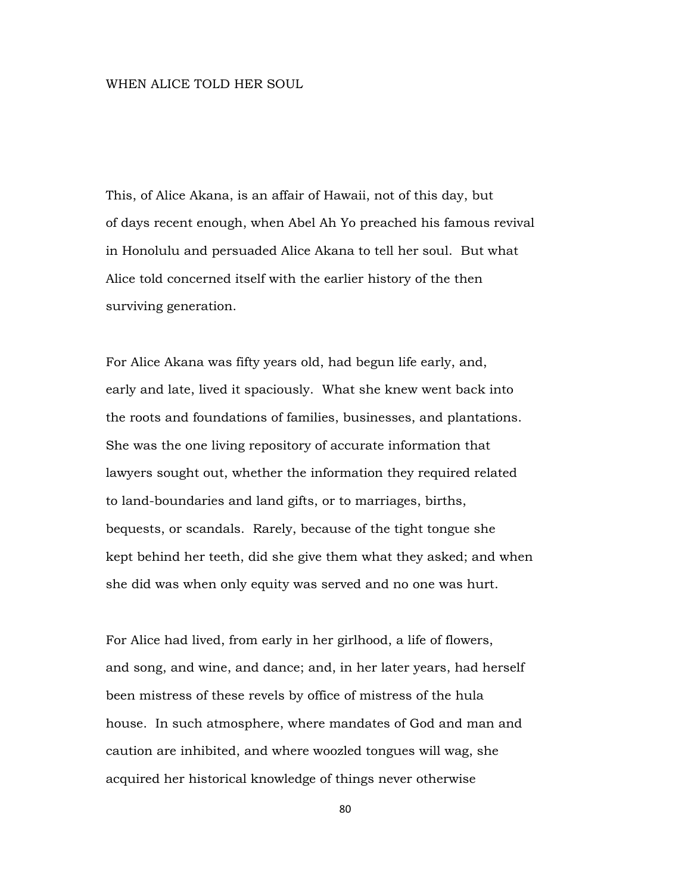## WHEN ALICE TOLD HER SOUL

This, of Alice Akana, is an affair of Hawaii, not of this day, but of days recent enough, when Abel Ah Yo preached his famous revival in Honolulu and persuaded Alice Akana to tell her soul. But what Alice told concerned itself with the earlier history of the then surviving generation.

For Alice Akana was fifty years old, had begun life early, and, early and late, lived it spaciously. What she knew went back into the roots and foundations of families, businesses, and plantations. She was the one living repository of accurate information that lawyers sought out, whether the information they required related to land-boundaries and land gifts, or to marriages, births, bequests, or scandals. Rarely, because of the tight tongue she kept behind her teeth, did she give them what they asked; and when she did was when only equity was served and no one was hurt.

For Alice had lived, from early in her girlhood, a life of flowers, and song, and wine, and dance; and, in her later years, had herself been mistress of these revels by office of mistress of the hula house. In such atmosphere, where mandates of God and man and caution are inhibited, and where woozled tongues will wag, she acquired her historical knowledge of things never otherwise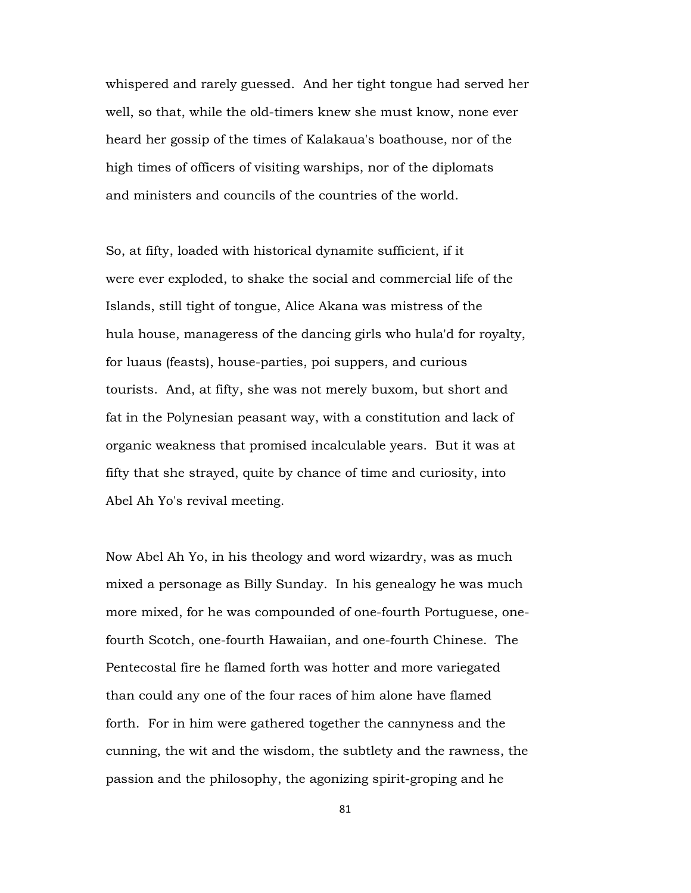whispered and rarely guessed. And her tight tongue had served her well, so that, while the old-timers knew she must know, none ever heard her gossip of the times of Kalakaua's boathouse, nor of the high times of officers of visiting warships, nor of the diplomats and ministers and councils of the countries of the world.

So, at fifty, loaded with historical dynamite sufficient, if it were ever exploded, to shake the social and commercial life of the Islands, still tight of tongue, Alice Akana was mistress of the hula house, manageress of the dancing girls who hula'd for royalty, for luaus (feasts), house-parties, poi suppers, and curious tourists. And, at fifty, she was not merely buxom, but short and fat in the Polynesian peasant way, with a constitution and lack of organic weakness that promised incalculable years. But it was at fifty that she strayed, quite by chance of time and curiosity, into Abel Ah Yo's revival meeting.

Now Abel Ah Yo, in his theology and word wizardry, was as much mixed a personage as Billy Sunday. In his genealogy he was much more mixed, for he was compounded of one-fourth Portuguese, onefourth Scotch, one-fourth Hawaiian, and one-fourth Chinese. The Pentecostal fire he flamed forth was hotter and more variegated than could any one of the four races of him alone have flamed forth. For in him were gathered together the cannyness and the cunning, the wit and the wisdom, the subtlety and the rawness, the passion and the philosophy, the agonizing spirit-groping and he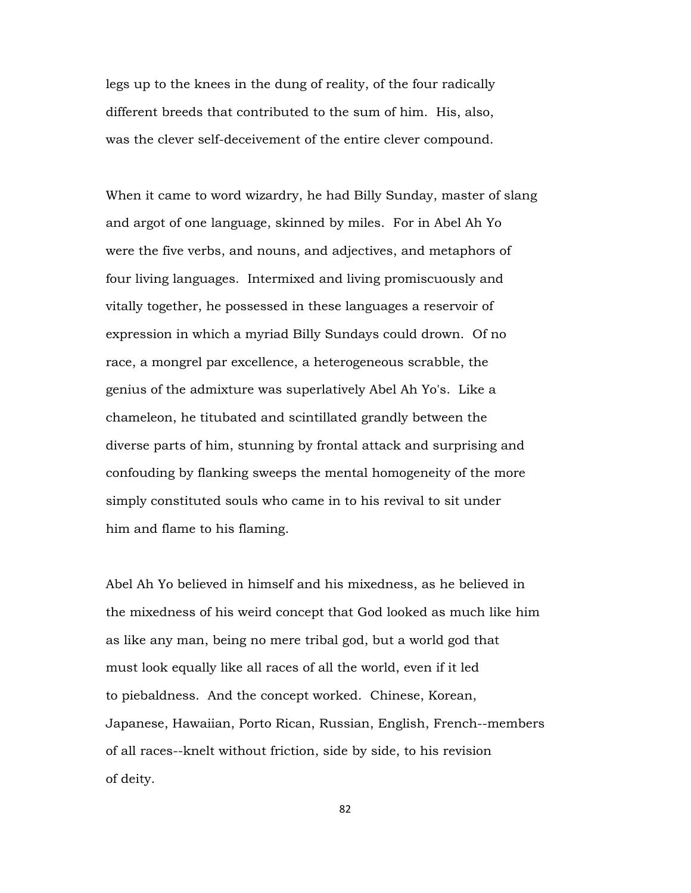legs up to the knees in the dung of reality, of the four radically different breeds that contributed to the sum of him. His, also, was the clever self-deceivement of the entire clever compound.

When it came to word wizardry, he had Billy Sunday, master of slang and argot of one language, skinned by miles. For in Abel Ah Yo were the five verbs, and nouns, and adjectives, and metaphors of four living languages. Intermixed and living promiscuously and vitally together, he possessed in these languages a reservoir of expression in which a myriad Billy Sundays could drown. Of no race, a mongrel par excellence, a heterogeneous scrabble, the genius of the admixture was superlatively Abel Ah Yo's. Like a chameleon, he titubated and scintillated grandly between the diverse parts of him, stunning by frontal attack and surprising and confouding by flanking sweeps the mental homogeneity of the more simply constituted souls who came in to his revival to sit under him and flame to his flaming.

Abel Ah Yo believed in himself and his mixedness, as he believed in the mixedness of his weird concept that God looked as much like him as like any man, being no mere tribal god, but a world god that must look equally like all races of all the world, even if it led to piebaldness. And the concept worked. Chinese, Korean, Japanese, Hawaiian, Porto Rican, Russian, English, French--members of all races--knelt without friction, side by side, to his revision of deity.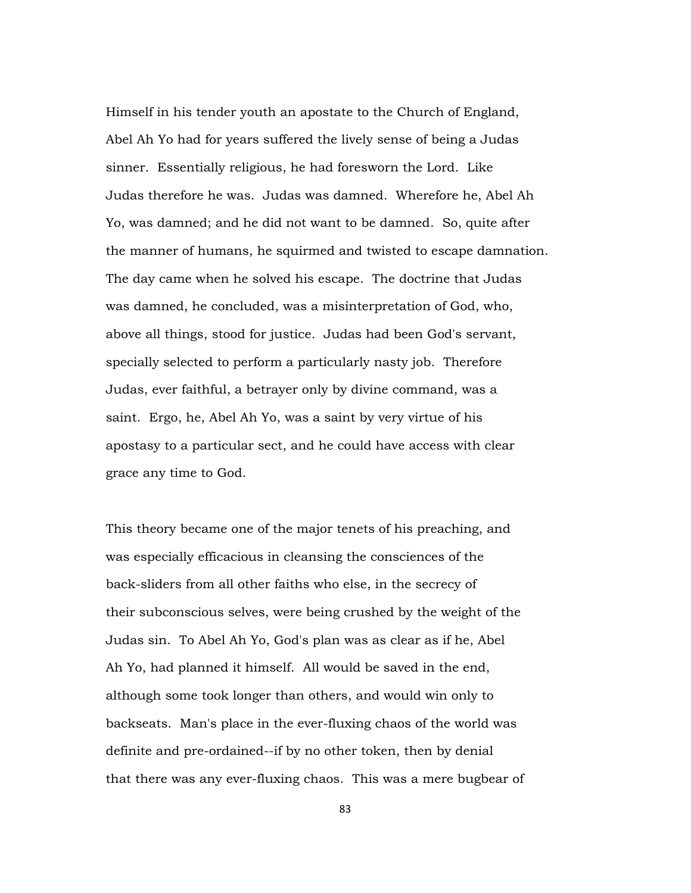Himself in his tender youth an apostate to the Church of England, Abel Ah Yo had for years suffered the lively sense of being a Judas sinner. Essentially religious, he had foresworn the Lord. Like Judas therefore he was. Judas was damned. Wherefore he, Abel Ah Yo, was damned; and he did not want to be damned. So, quite after the manner of humans, he squirmed and twisted to escape damnation. The day came when he solved his escape. The doctrine that Judas was damned, he concluded, was a misinterpretation of God, who, above all things, stood for justice. Judas had been God's servant, specially selected to perform a particularly nasty job. Therefore Judas, ever faithful, a betrayer only by divine command, was a saint. Ergo, he, Abel Ah Yo, was a saint by very virtue of his apostasy to a particular sect, and he could have access with clear grace any time to God.

This theory became one of the major tenets of his preaching, and was especially efficacious in cleansing the consciences of the back-sliders from all other faiths who else, in the secrecy of their subconscious selves, were being crushed by the weight of the Judas sin. To Abel Ah Yo, God's plan was as clear as if he, Abel Ah Yo, had planned it himself. All would be saved in the end, although some took longer than others, and would win only to backseats. Man's place in the ever-fluxing chaos of the world was definite and pre-ordained--if by no other token, then by denial that there was any ever-fluxing chaos. This was a mere bugbear of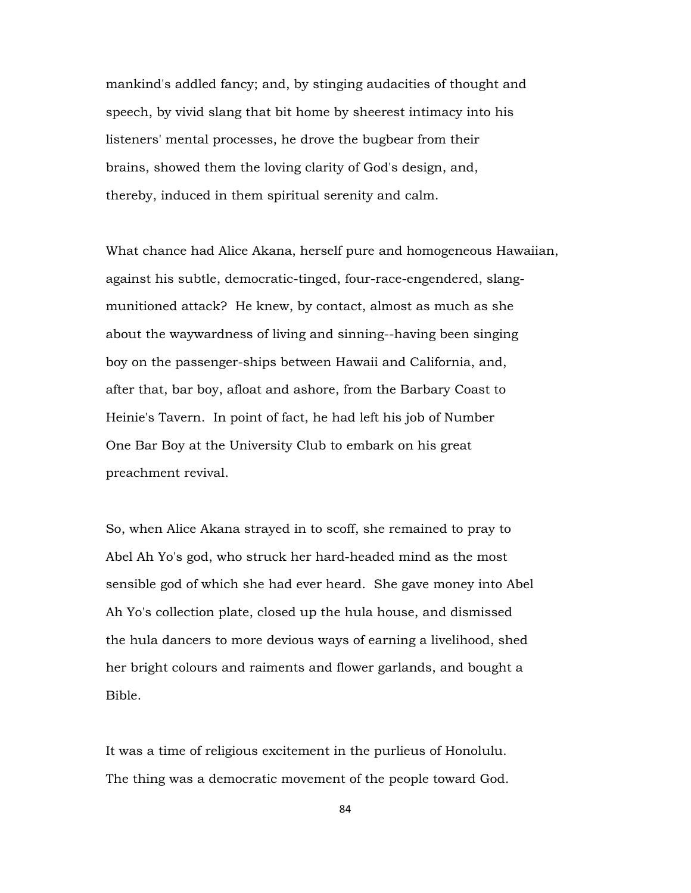mankind's addled fancy; and, by stinging audacities of thought and speech, by vivid slang that bit home by sheerest intimacy into his listeners' mental processes, he drove the bugbear from their brains, showed them the loving clarity of God's design, and, thereby, induced in them spiritual serenity and calm.

What chance had Alice Akana, herself pure and homogeneous Hawaiian, against his subtle, democratic-tinged, four-race-engendered, slangmunitioned attack? He knew, by contact, almost as much as she about the waywardness of living and sinning--having been singing boy on the passenger-ships between Hawaii and California, and, after that, bar boy, afloat and ashore, from the Barbary Coast to Heinie's Tavern. In point of fact, he had left his job of Number One Bar Boy at the University Club to embark on his great preachment revival.

So, when Alice Akana strayed in to scoff, she remained to pray to Abel Ah Yo's god, who struck her hard-headed mind as the most sensible god of which she had ever heard. She gave money into Abel Ah Yo's collection plate, closed up the hula house, and dismissed the hula dancers to more devious ways of earning a livelihood, shed her bright colours and raiments and flower garlands, and bought a Bible.

It was a time of religious excitement in the purlieus of Honolulu. The thing was a democratic movement of the people toward God.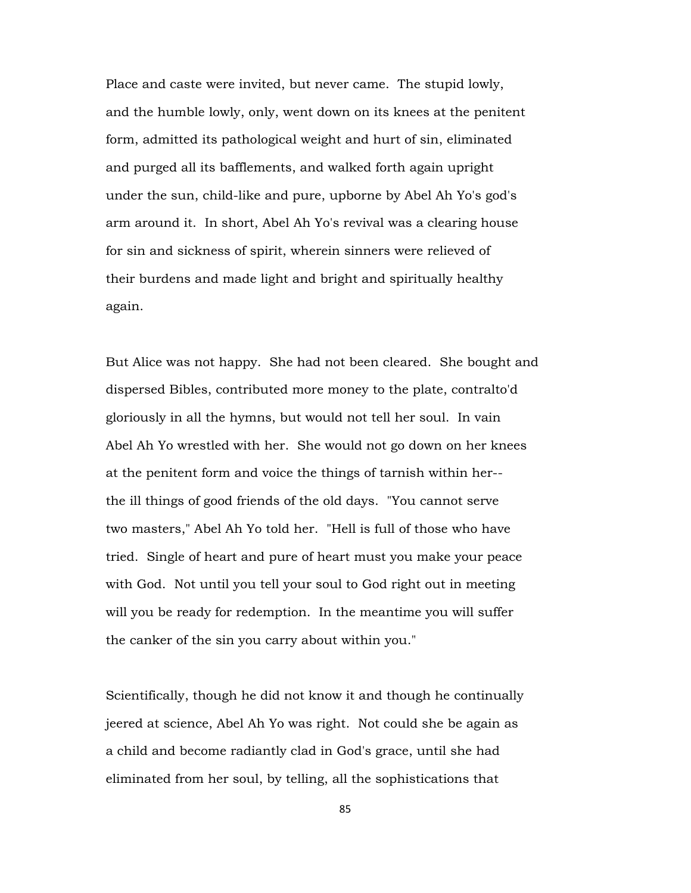Place and caste were invited, but never came. The stupid lowly, and the humble lowly, only, went down on its knees at the penitent form, admitted its pathological weight and hurt of sin, eliminated and purged all its bafflements, and walked forth again upright under the sun, child-like and pure, upborne by Abel Ah Yo's god's arm around it. In short, Abel Ah Yo's revival was a clearing house for sin and sickness of spirit, wherein sinners were relieved of their burdens and made light and bright and spiritually healthy again.

But Alice was not happy. She had not been cleared. She bought and dispersed Bibles, contributed more money to the plate, contralto'd gloriously in all the hymns, but would not tell her soul. In vain Abel Ah Yo wrestled with her. She would not go down on her knees at the penitent form and voice the things of tarnish within her- the ill things of good friends of the old days. "You cannot serve two masters," Abel Ah Yo told her. "Hell is full of those who have tried. Single of heart and pure of heart must you make your peace with God. Not until you tell your soul to God right out in meeting will you be ready for redemption. In the meantime you will suffer the canker of the sin you carry about within you."

Scientifically, though he did not know it and though he continually jeered at science, Abel Ah Yo was right. Not could she be again as a child and become radiantly clad in God's grace, until she had eliminated from her soul, by telling, all the sophistications that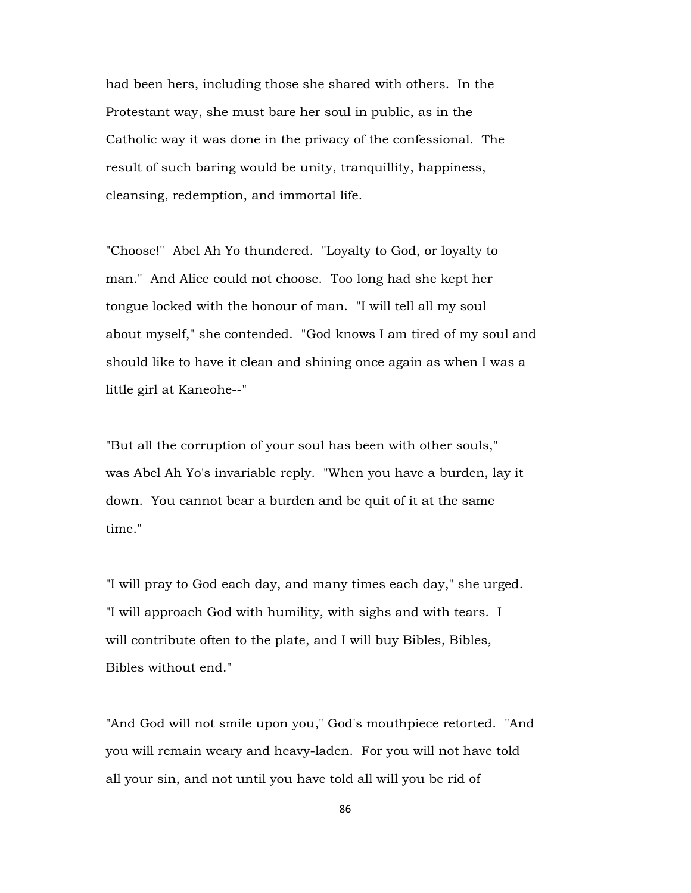had been hers, including those she shared with others. In the Protestant way, she must bare her soul in public, as in the Catholic way it was done in the privacy of the confessional. The result of such baring would be unity, tranquillity, happiness, cleansing, redemption, and immortal life.

"Choose!" Abel Ah Yo thundered. "Loyalty to God, or loyalty to man." And Alice could not choose. Too long had she kept her tongue locked with the honour of man. "I will tell all my soul about myself," she contended. "God knows I am tired of my soul and should like to have it clean and shining once again as when I was a little girl at Kaneohe--"

"But all the corruption of your soul has been with other souls," was Abel Ah Yo's invariable reply. "When you have a burden, lay it down. You cannot bear a burden and be quit of it at the same time."

"I will pray to God each day, and many times each day," she urged. "I will approach God with humility, with sighs and with tears. I will contribute often to the plate, and I will buy Bibles, Bibles, Bibles without end."

"And God will not smile upon you," God's mouthpiece retorted. "And you will remain weary and heavy-laden. For you will not have told all your sin, and not until you have told all will you be rid of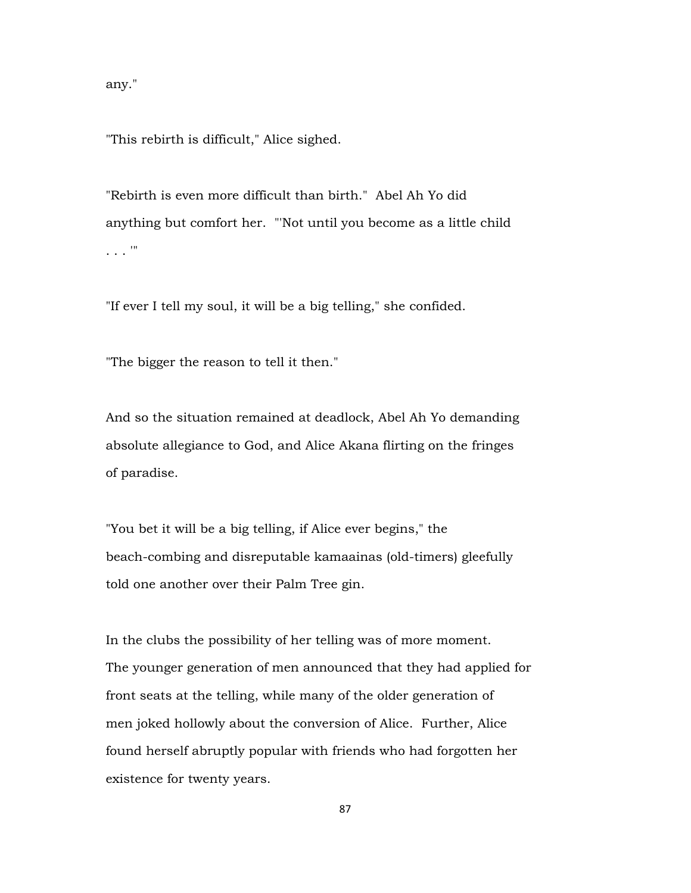any."

"This rebirth is difficult," Alice sighed.

"Rebirth is even more difficult than birth." Abel Ah Yo did anything but comfort her. "'Not until you become as a little child . . . '"

"If ever I tell my soul, it will be a big telling," she confided.

"The bigger the reason to tell it then."

And so the situation remained at deadlock, Abel Ah Yo demanding absolute allegiance to God, and Alice Akana flirting on the fringes of paradise.

"You bet it will be a big telling, if Alice ever begins," the beach-combing and disreputable kamaainas (old-timers) gleefully told one another over their Palm Tree gin.

In the clubs the possibility of her telling was of more moment. The younger generation of men announced that they had applied for front seats at the telling, while many of the older generation of men joked hollowly about the conversion of Alice. Further, Alice found herself abruptly popular with friends who had forgotten her existence for twenty years.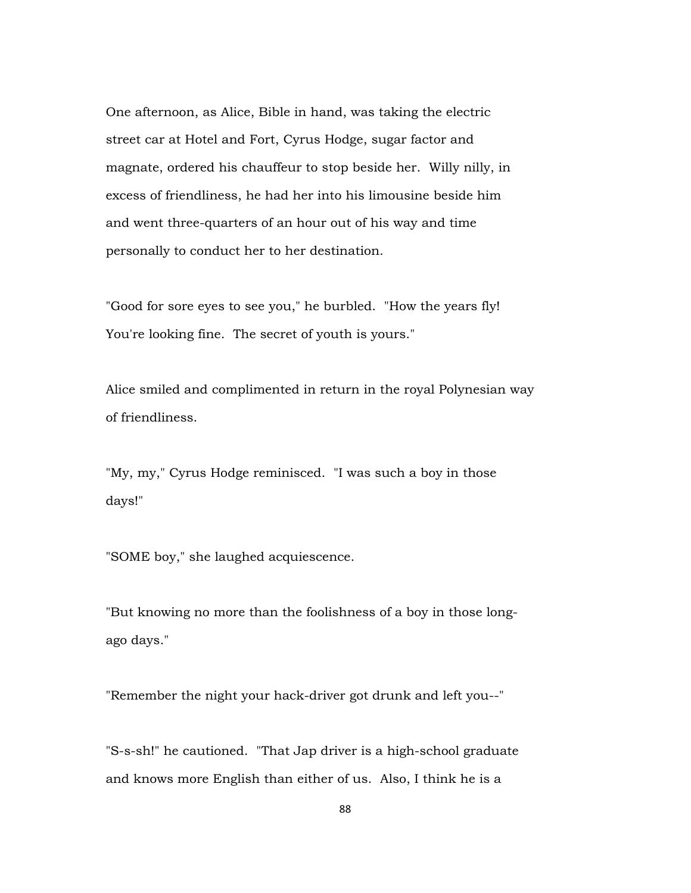One afternoon, as Alice, Bible in hand, was taking the electric street car at Hotel and Fort, Cyrus Hodge, sugar factor and magnate, ordered his chauffeur to stop beside her. Willy nilly, in excess of friendliness, he had her into his limousine beside him and went three-quarters of an hour out of his way and time personally to conduct her to her destination.

"Good for sore eyes to see you," he burbled. "How the years fly! You're looking fine. The secret of youth is yours."

Alice smiled and complimented in return in the royal Polynesian way of friendliness.

"My, my," Cyrus Hodge reminisced. "I was such a boy in those days!"

"SOME boy," she laughed acquiescence.

"But knowing no more than the foolishness of a boy in those longago days."

"Remember the night your hack-driver got drunk and left you--"

"S-s-sh!" he cautioned. "That Jap driver is a high-school graduate and knows more English than either of us. Also, I think he is a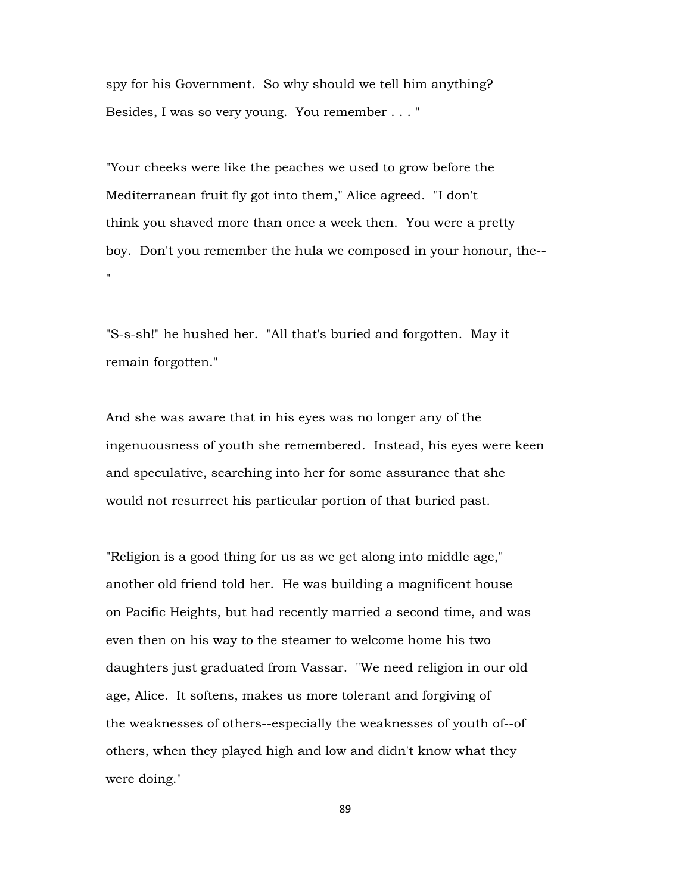spy for his Government. So why should we tell him anything? Besides, I was so very young. You remember . . . "

"Your cheeks were like the peaches we used to grow before the Mediterranean fruit fly got into them," Alice agreed. "I don't think you shaved more than once a week then. You were a pretty boy. Don't you remember the hula we composed in your honour, the-- "

"S-s-sh!" he hushed her. "All that's buried and forgotten. May it remain forgotten."

And she was aware that in his eyes was no longer any of the ingenuousness of youth she remembered. Instead, his eyes were keen and speculative, searching into her for some assurance that she would not resurrect his particular portion of that buried past.

"Religion is a good thing for us as we get along into middle age," another old friend told her. He was building a magnificent house on Pacific Heights, but had recently married a second time, and was even then on his way to the steamer to welcome home his two daughters just graduated from Vassar. "We need religion in our old age, Alice. It softens, makes us more tolerant and forgiving of the weaknesses of others--especially the weaknesses of youth of--of others, when they played high and low and didn't know what they were doing."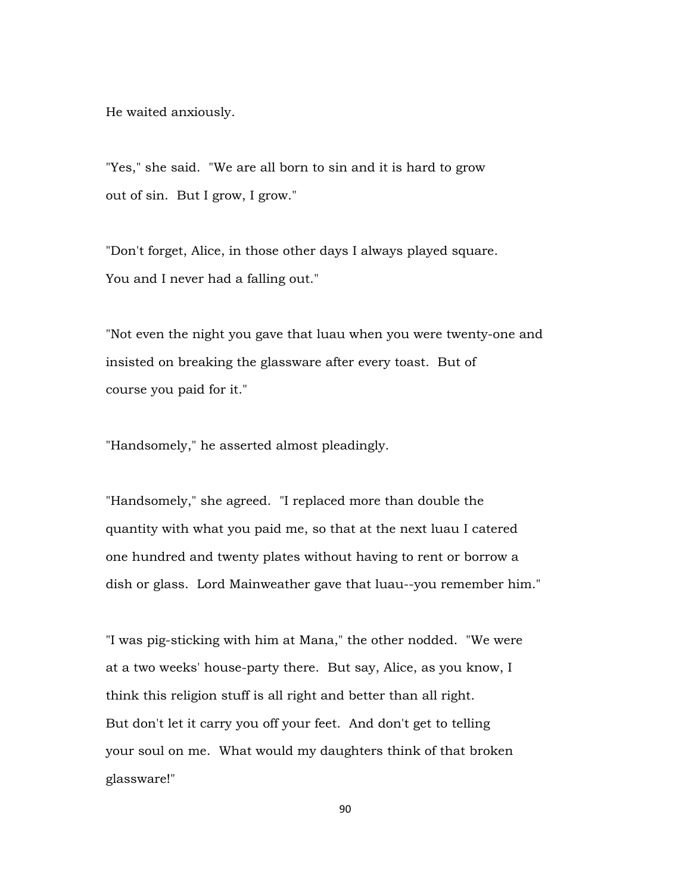He waited anxiously.

"Yes," she said. "We are all born to sin and it is hard to grow out of sin. But I grow, I grow."

"Don't forget, Alice, in those other days I always played square. You and I never had a falling out."

"Not even the night you gave that luau when you were twenty-one and insisted on breaking the glassware after every toast. But of course you paid for it."

"Handsomely," he asserted almost pleadingly.

"Handsomely," she agreed. "I replaced more than double the quantity with what you paid me, so that at the next luau I catered one hundred and twenty plates without having to rent or borrow a dish or glass. Lord Mainweather gave that luau--you remember him."

"I was pig-sticking with him at Mana," the other nodded. "We were at a two weeks' house-party there. But say, Alice, as you know, I think this religion stuff is all right and better than all right. But don't let it carry you off your feet. And don't get to telling your soul on me. What would my daughters think of that broken glassware!"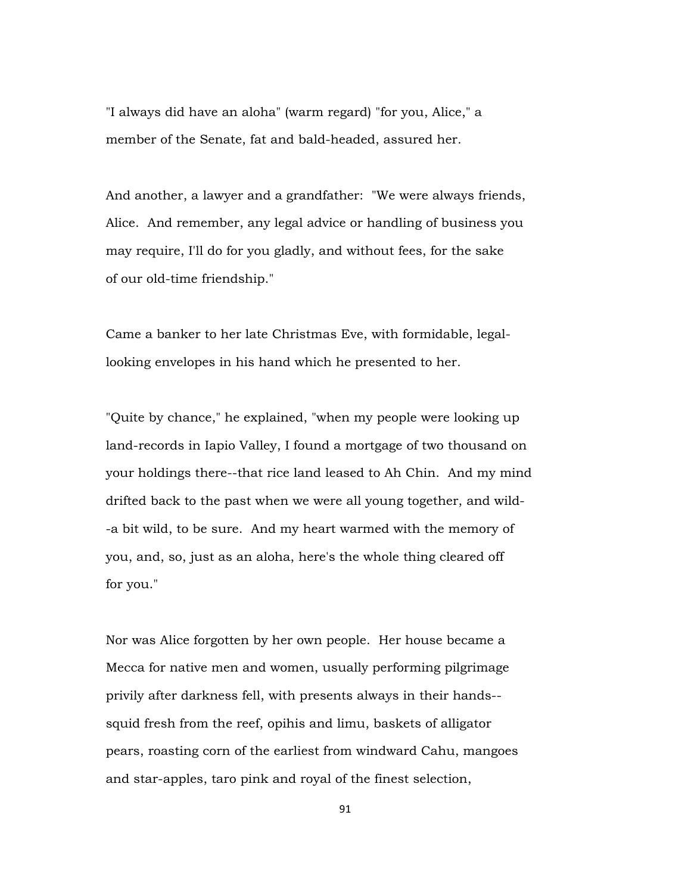"I always did have an aloha" (warm regard) "for you, Alice," a member of the Senate, fat and bald-headed, assured her.

And another, a lawyer and a grandfather: "We were always friends, Alice. And remember, any legal advice or handling of business you may require, I'll do for you gladly, and without fees, for the sake of our old-time friendship."

Came a banker to her late Christmas Eve, with formidable, legallooking envelopes in his hand which he presented to her.

"Quite by chance," he explained, "when my people were looking up land-records in Iapio Valley, I found a mortgage of two thousand on your holdings there--that rice land leased to Ah Chin. And my mind drifted back to the past when we were all young together, and wild- -a bit wild, to be sure. And my heart warmed with the memory of you, and, so, just as an aloha, here's the whole thing cleared off for you."

Nor was Alice forgotten by her own people. Her house became a Mecca for native men and women, usually performing pilgrimage privily after darkness fell, with presents always in their hands- squid fresh from the reef, opihis and limu, baskets of alligator pears, roasting corn of the earliest from windward Cahu, mangoes and star-apples, taro pink and royal of the finest selection,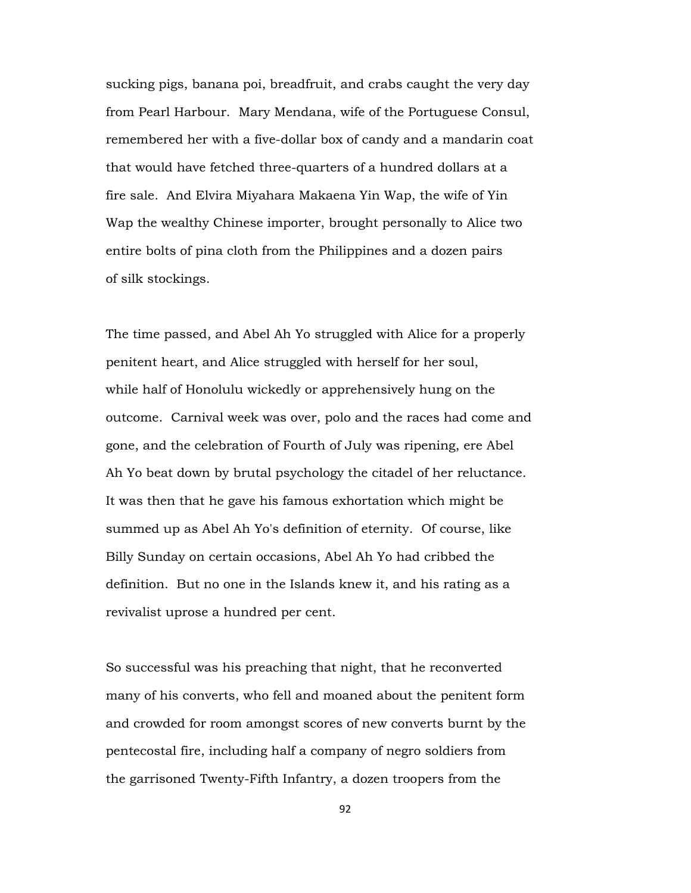sucking pigs, banana poi, breadfruit, and crabs caught the very day from Pearl Harbour. Mary Mendana, wife of the Portuguese Consul, remembered her with a five-dollar box of candy and a mandarin coat that would have fetched three-quarters of a hundred dollars at a fire sale. And Elvira Miyahara Makaena Yin Wap, the wife of Yin Wap the wealthy Chinese importer, brought personally to Alice two entire bolts of pina cloth from the Philippines and a dozen pairs of silk stockings.

The time passed, and Abel Ah Yo struggled with Alice for a properly penitent heart, and Alice struggled with herself for her soul, while half of Honolulu wickedly or apprehensively hung on the outcome. Carnival week was over, polo and the races had come and gone, and the celebration of Fourth of July was ripening, ere Abel Ah Yo beat down by brutal psychology the citadel of her reluctance. It was then that he gave his famous exhortation which might be summed up as Abel Ah Yo's definition of eternity. Of course, like Billy Sunday on certain occasions, Abel Ah Yo had cribbed the definition. But no one in the Islands knew it, and his rating as a revivalist uprose a hundred per cent.

So successful was his preaching that night, that he reconverted many of his converts, who fell and moaned about the penitent form and crowded for room amongst scores of new converts burnt by the pentecostal fire, including half a company of negro soldiers from the garrisoned Twenty-Fifth Infantry, a dozen troopers from the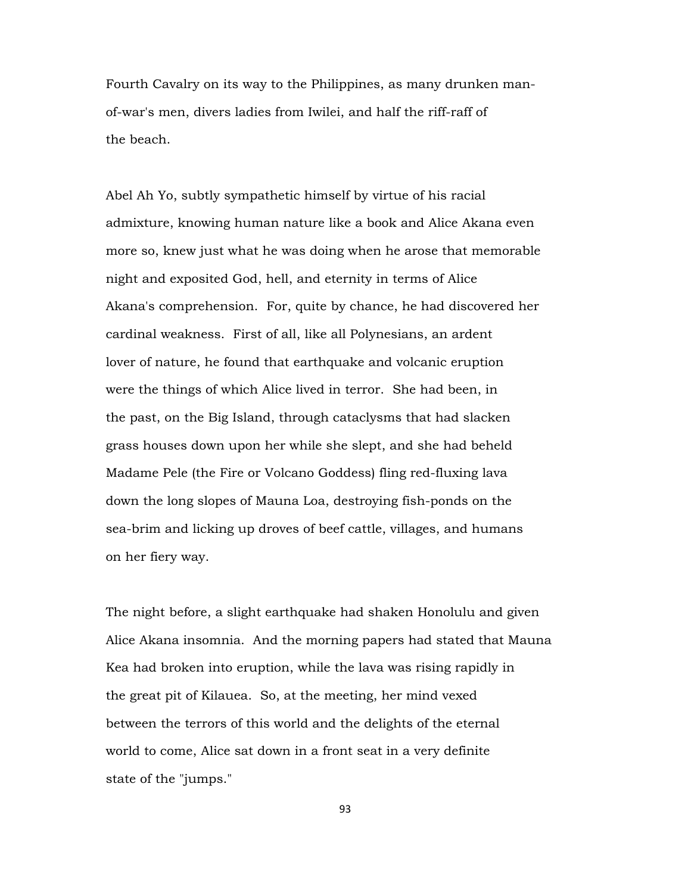Fourth Cavalry on its way to the Philippines, as many drunken manof-war's men, divers ladies from Iwilei, and half the riff-raff of the beach.

Abel Ah Yo, subtly sympathetic himself by virtue of his racial admixture, knowing human nature like a book and Alice Akana even more so, knew just what he was doing when he arose that memorable night and exposited God, hell, and eternity in terms of Alice Akana's comprehension. For, quite by chance, he had discovered her cardinal weakness. First of all, like all Polynesians, an ardent lover of nature, he found that earthquake and volcanic eruption were the things of which Alice lived in terror. She had been, in the past, on the Big Island, through cataclysms that had slacken grass houses down upon her while she slept, and she had beheld Madame Pele (the Fire or Volcano Goddess) fling red-fluxing lava down the long slopes of Mauna Loa, destroying fish-ponds on the sea-brim and licking up droves of beef cattle, villages, and humans on her fiery way.

The night before, a slight earthquake had shaken Honolulu and given Alice Akana insomnia. And the morning papers had stated that Mauna Kea had broken into eruption, while the lava was rising rapidly in the great pit of Kilauea. So, at the meeting, her mind vexed between the terrors of this world and the delights of the eternal world to come, Alice sat down in a front seat in a very definite state of the "jumps."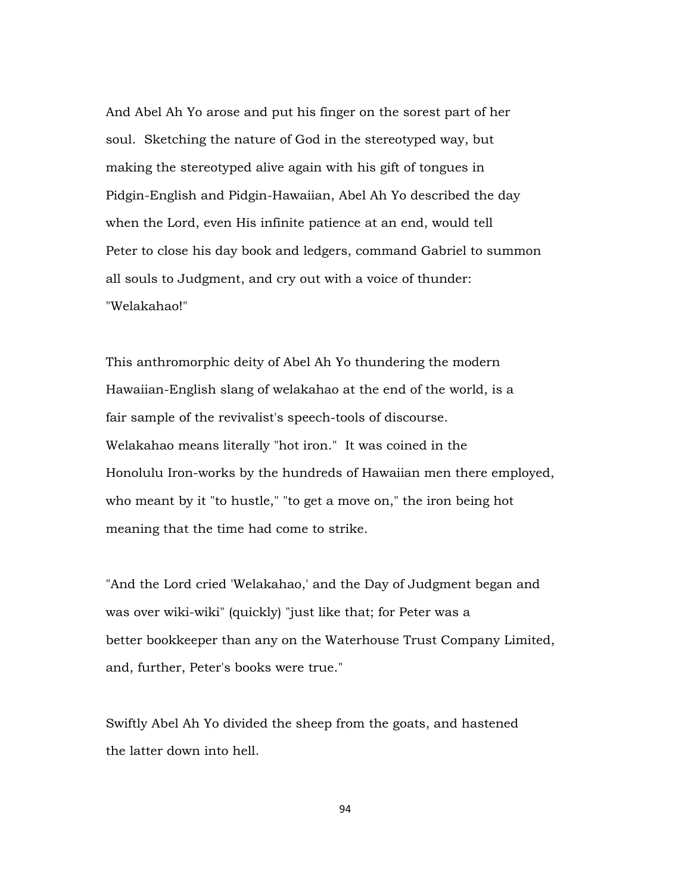And Abel Ah Yo arose and put his finger on the sorest part of her soul. Sketching the nature of God in the stereotyped way, but making the stereotyped alive again with his gift of tongues in Pidgin-English and Pidgin-Hawaiian, Abel Ah Yo described the day when the Lord, even His infinite patience at an end, would tell Peter to close his day book and ledgers, command Gabriel to summon all souls to Judgment, and cry out with a voice of thunder: "Welakahao!"

This anthromorphic deity of Abel Ah Yo thundering the modern Hawaiian-English slang of welakahao at the end of the world, is a fair sample of the revivalist's speech-tools of discourse. Welakahao means literally "hot iron." It was coined in the Honolulu Iron-works by the hundreds of Hawaiian men there employed, who meant by it "to hustle," "to get a move on," the iron being hot meaning that the time had come to strike.

"And the Lord cried 'Welakahao,' and the Day of Judgment began and was over wiki-wiki" (quickly) "just like that; for Peter was a better bookkeeper than any on the Waterhouse Trust Company Limited, and, further, Peter's books were true."

Swiftly Abel Ah Yo divided the sheep from the goats, and hastened the latter down into hell.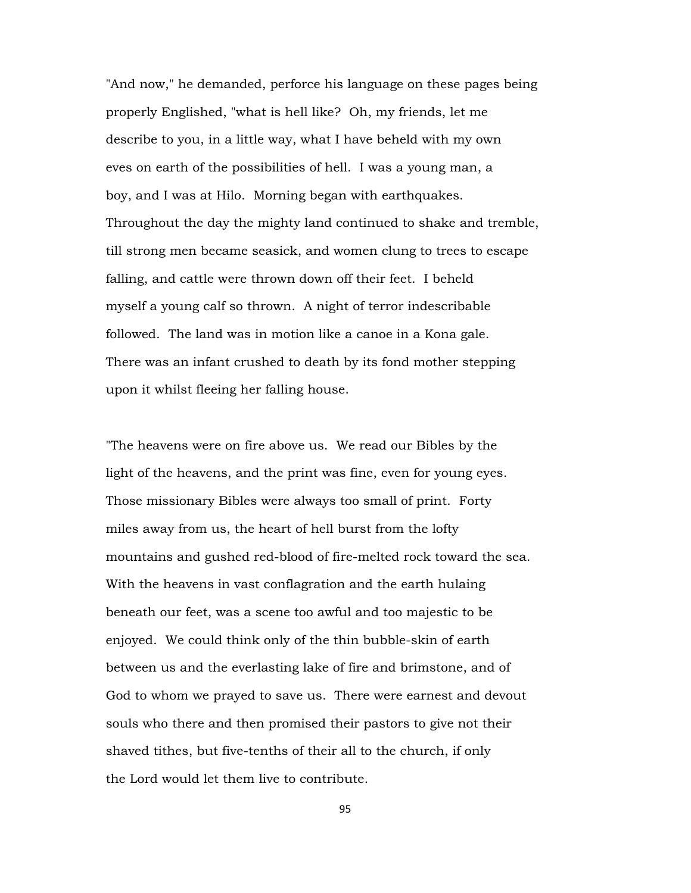"And now," he demanded, perforce his language on these pages being properly Englished, "what is hell like? Oh, my friends, let me describe to you, in a little way, what I have beheld with my own eves on earth of the possibilities of hell. I was a young man, a boy, and I was at Hilo. Morning began with earthquakes. Throughout the day the mighty land continued to shake and tremble, till strong men became seasick, and women clung to trees to escape falling, and cattle were thrown down off their feet. I beheld myself a young calf so thrown. A night of terror indescribable followed. The land was in motion like a canoe in a Kona gale. There was an infant crushed to death by its fond mother stepping upon it whilst fleeing her falling house.

"The heavens were on fire above us. We read our Bibles by the light of the heavens, and the print was fine, even for young eyes. Those missionary Bibles were always too small of print. Forty miles away from us, the heart of hell burst from the lofty mountains and gushed red-blood of fire-melted rock toward the sea. With the heavens in vast conflagration and the earth hulaing beneath our feet, was a scene too awful and too majestic to be enjoyed. We could think only of the thin bubble-skin of earth between us and the everlasting lake of fire and brimstone, and of God to whom we prayed to save us. There were earnest and devout souls who there and then promised their pastors to give not their shaved tithes, but five-tenths of their all to the church, if only the Lord would let them live to contribute.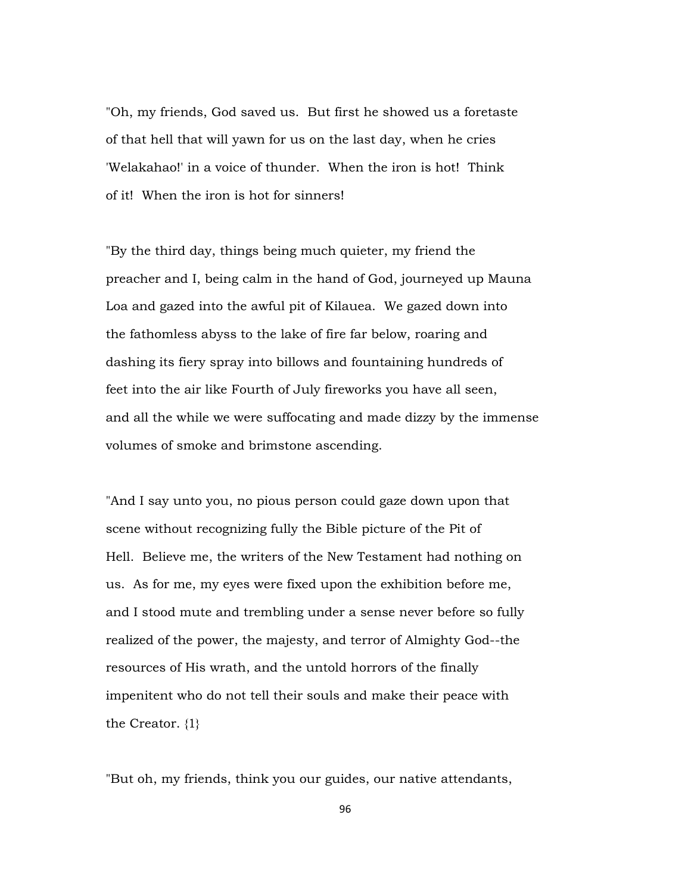"Oh, my friends, God saved us. But first he showed us a foretaste of that hell that will yawn for us on the last day, when he cries 'Welakahao!' in a voice of thunder. When the iron is hot! Think of it! When the iron is hot for sinners!

"By the third day, things being much quieter, my friend the preacher and I, being calm in the hand of God, journeyed up Mauna Loa and gazed into the awful pit of Kilauea. We gazed down into the fathomless abyss to the lake of fire far below, roaring and dashing its fiery spray into billows and fountaining hundreds of feet into the air like Fourth of July fireworks you have all seen, and all the while we were suffocating and made dizzy by the immense volumes of smoke and brimstone ascending.

"And I say unto you, no pious person could gaze down upon that scene without recognizing fully the Bible picture of the Pit of Hell. Believe me, the writers of the New Testament had nothing on us. As for me, my eyes were fixed upon the exhibition before me, and I stood mute and trembling under a sense never before so fully realized of the power, the majesty, and terror of Almighty God--the resources of His wrath, and the untold horrors of the finally impenitent who do not tell their souls and make their peace with the Creator. {1}

"But oh, my friends, think you our guides, our native attendants,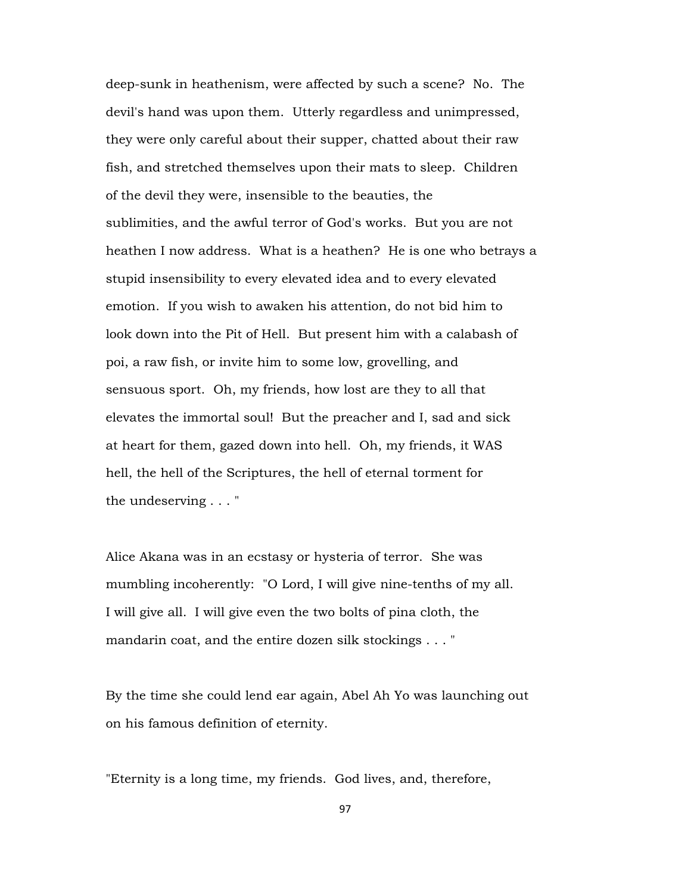deep-sunk in heathenism, were affected by such a scene? No. The devil's hand was upon them. Utterly regardless and unimpressed, they were only careful about their supper, chatted about their raw fish, and stretched themselves upon their mats to sleep. Children of the devil they were, insensible to the beauties, the sublimities, and the awful terror of God's works. But you are not heathen I now address. What is a heathen? He is one who betrays a stupid insensibility to every elevated idea and to every elevated emotion. If you wish to awaken his attention, do not bid him to look down into the Pit of Hell. But present him with a calabash of poi, a raw fish, or invite him to some low, grovelling, and sensuous sport. Oh, my friends, how lost are they to all that elevates the immortal soul! But the preacher and I, sad and sick at heart for them, gazed down into hell. Oh, my friends, it WAS hell, the hell of the Scriptures, the hell of eternal torment for the undeserving . . . "

Alice Akana was in an ecstasy or hysteria of terror. She was mumbling incoherently: "O Lord, I will give nine-tenths of my all. I will give all. I will give even the two bolts of pina cloth, the mandarin coat, and the entire dozen silk stockings . . . "

By the time she could lend ear again, Abel Ah Yo was launching out on his famous definition of eternity.

"Eternity is a long time, my friends. God lives, and, therefore,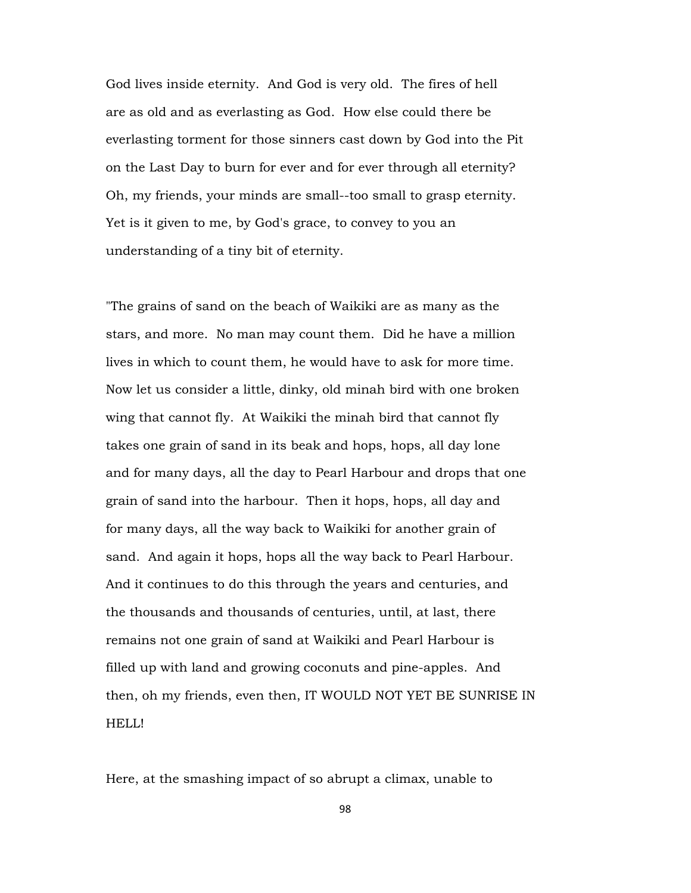God lives inside eternity. And God is very old. The fires of hell are as old and as everlasting as God. How else could there be everlasting torment for those sinners cast down by God into the Pit on the Last Day to burn for ever and for ever through all eternity? Oh, my friends, your minds are small--too small to grasp eternity. Yet is it given to me, by God's grace, to convey to you an understanding of a tiny bit of eternity.

"The grains of sand on the beach of Waikiki are as many as the stars, and more. No man may count them. Did he have a million lives in which to count them, he would have to ask for more time. Now let us consider a little, dinky, old minah bird with one broken wing that cannot fly. At Waikiki the minah bird that cannot fly takes one grain of sand in its beak and hops, hops, all day lone and for many days, all the day to Pearl Harbour and drops that one grain of sand into the harbour. Then it hops, hops, all day and for many days, all the way back to Waikiki for another grain of sand. And again it hops, hops all the way back to Pearl Harbour. And it continues to do this through the years and centuries, and the thousands and thousands of centuries, until, at last, there remains not one grain of sand at Waikiki and Pearl Harbour is filled up with land and growing coconuts and pine-apples. And then, oh my friends, even then, IT WOULD NOT YET BE SUNRISE IN HELL!

Here, at the smashing impact of so abrupt a climax, unable to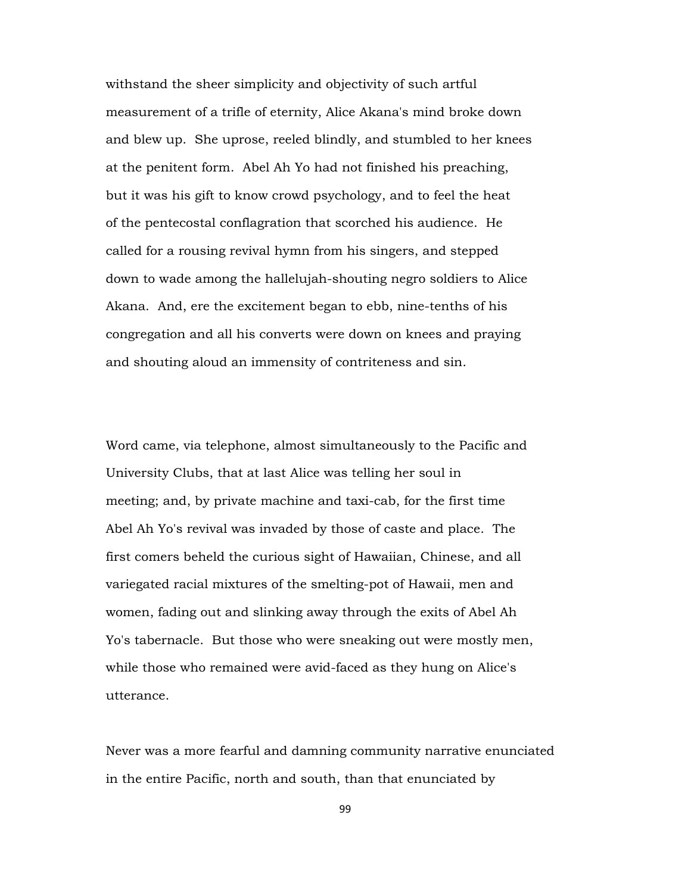withstand the sheer simplicity and objectivity of such artful measurement of a trifle of eternity, Alice Akana's mind broke down and blew up. She uprose, reeled blindly, and stumbled to her knees at the penitent form. Abel Ah Yo had not finished his preaching, but it was his gift to know crowd psychology, and to feel the heat of the pentecostal conflagration that scorched his audience. He called for a rousing revival hymn from his singers, and stepped down to wade among the hallelujah-shouting negro soldiers to Alice Akana. And, ere the excitement began to ebb, nine-tenths of his congregation and all his converts were down on knees and praying and shouting aloud an immensity of contriteness and sin.

Word came, via telephone, almost simultaneously to the Pacific and University Clubs, that at last Alice was telling her soul in meeting; and, by private machine and taxi-cab, for the first time Abel Ah Yo's revival was invaded by those of caste and place. The first comers beheld the curious sight of Hawaiian, Chinese, and all variegated racial mixtures of the smelting-pot of Hawaii, men and women, fading out and slinking away through the exits of Abel Ah Yo's tabernacle. But those who were sneaking out were mostly men, while those who remained were avid-faced as they hung on Alice's utterance.

Never was a more fearful and damning community narrative enunciated in the entire Pacific, north and south, than that enunciated by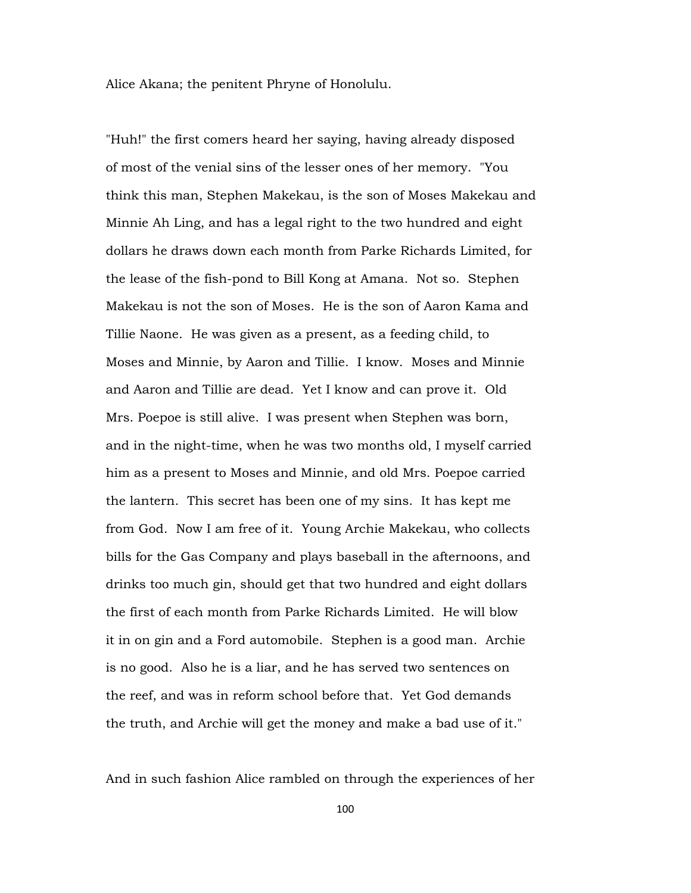Alice Akana; the penitent Phryne of Honolulu.

"Huh!" the first comers heard her saying, having already disposed of most of the venial sins of the lesser ones of her memory. "You think this man, Stephen Makekau, is the son of Moses Makekau and Minnie Ah Ling, and has a legal right to the two hundred and eight dollars he draws down each month from Parke Richards Limited, for the lease of the fish-pond to Bill Kong at Amana. Not so. Stephen Makekau is not the son of Moses. He is the son of Aaron Kama and Tillie Naone. He was given as a present, as a feeding child, to Moses and Minnie, by Aaron and Tillie. I know. Moses and Minnie and Aaron and Tillie are dead. Yet I know and can prove it. Old Mrs. Poepoe is still alive. I was present when Stephen was born, and in the night-time, when he was two months old, I myself carried him as a present to Moses and Minnie, and old Mrs. Poepoe carried the lantern. This secret has been one of my sins. It has kept me from God. Now I am free of it. Young Archie Makekau, who collects bills for the Gas Company and plays baseball in the afternoons, and drinks too much gin, should get that two hundred and eight dollars the first of each month from Parke Richards Limited. He will blow it in on gin and a Ford automobile. Stephen is a good man. Archie is no good. Also he is a liar, and he has served two sentences on the reef, and was in reform school before that. Yet God demands the truth, and Archie will get the money and make a bad use of it."

And in such fashion Alice rambled on through the experiences of her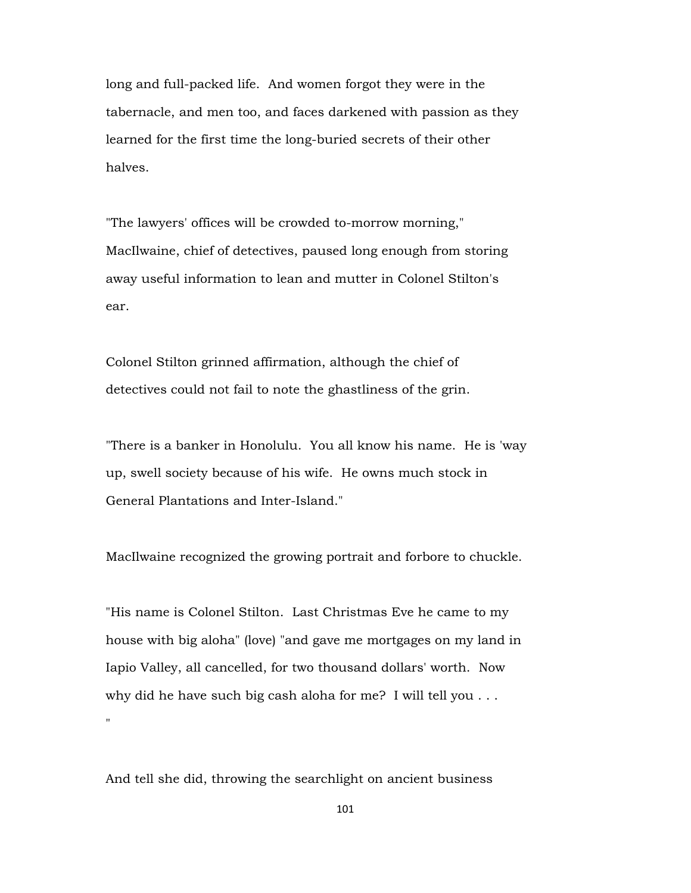long and full-packed life. And women forgot they were in the tabernacle, and men too, and faces darkened with passion as they learned for the first time the long-buried secrets of their other halves.

"The lawyers' offices will be crowded to-morrow morning," MacIlwaine, chief of detectives, paused long enough from storing away useful information to lean and mutter in Colonel Stilton's ear.

Colonel Stilton grinned affirmation, although the chief of detectives could not fail to note the ghastliness of the grin.

"There is a banker in Honolulu. You all know his name. He is 'way up, swell society because of his wife. He owns much stock in General Plantations and Inter-Island."

MacIlwaine recognized the growing portrait and forbore to chuckle.

"His name is Colonel Stilton. Last Christmas Eve he came to my house with big aloha" (love) "and gave me mortgages on my land in Iapio Valley, all cancelled, for two thousand dollars' worth. Now why did he have such big cash aloha for me? I will tell you . . . "

And tell she did, throwing the searchlight on ancient business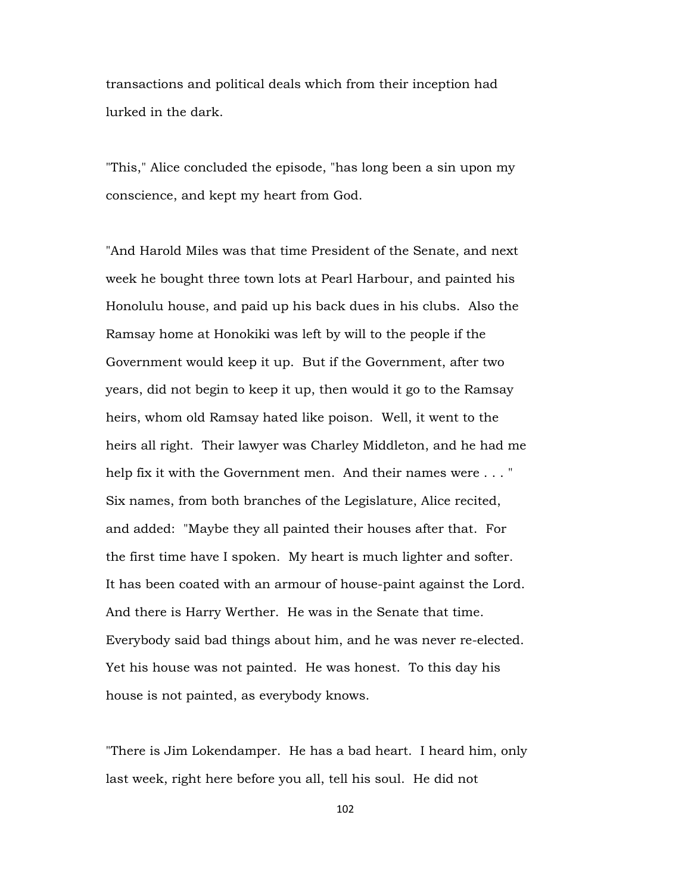transactions and political deals which from their inception had lurked in the dark.

"This," Alice concluded the episode, "has long been a sin upon my conscience, and kept my heart from God.

"And Harold Miles was that time President of the Senate, and next week he bought three town lots at Pearl Harbour, and painted his Honolulu house, and paid up his back dues in his clubs. Also the Ramsay home at Honokiki was left by will to the people if the Government would keep it up. But if the Government, after two years, did not begin to keep it up, then would it go to the Ramsay heirs, whom old Ramsay hated like poison. Well, it went to the heirs all right. Their lawyer was Charley Middleton, and he had me help fix it with the Government men. And their names were . . . " Six names, from both branches of the Legislature, Alice recited, and added: "Maybe they all painted their houses after that. For the first time have I spoken. My heart is much lighter and softer. It has been coated with an armour of house-paint against the Lord. And there is Harry Werther. He was in the Senate that time. Everybody said bad things about him, and he was never re-elected. Yet his house was not painted. He was honest. To this day his house is not painted, as everybody knows.

"There is Jim Lokendamper. He has a bad heart. I heard him, only last week, right here before you all, tell his soul. He did not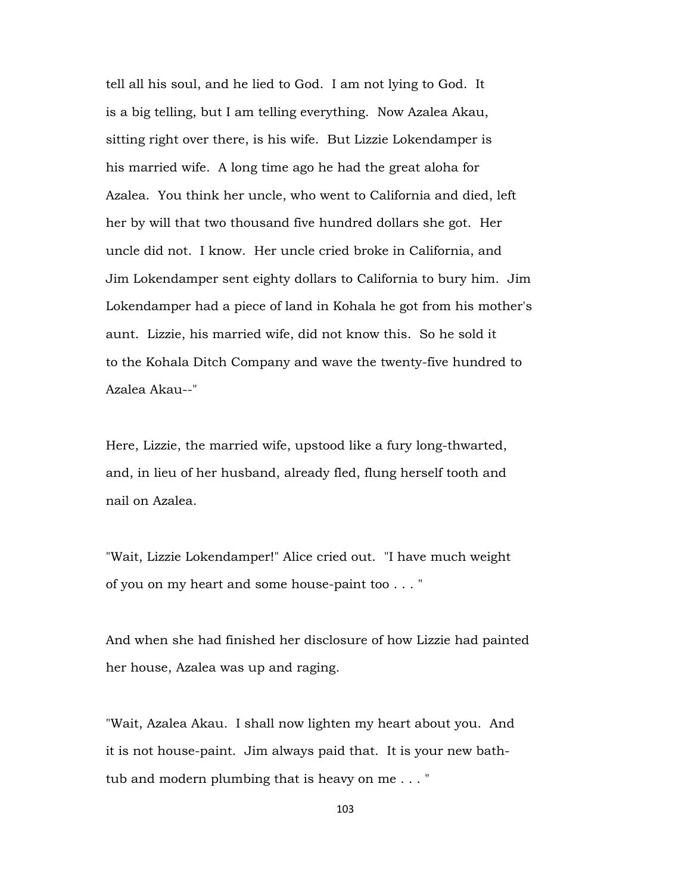tell all his soul, and he lied to God. I am not lying to God. It is a big telling, but I am telling everything. Now Azalea Akau, sitting right over there, is his wife. But Lizzie Lokendamper is his married wife. A long time ago he had the great aloha for Azalea. You think her uncle, who went to California and died, left her by will that two thousand five hundred dollars she got. Her uncle did not. I know. Her uncle cried broke in California, and Jim Lokendamper sent eighty dollars to California to bury him. Jim Lokendamper had a piece of land in Kohala he got from his mother's aunt. Lizzie, his married wife, did not know this. So he sold it to the Kohala Ditch Company and wave the twenty-five hundred to Azalea Akau--"

Here, Lizzie, the married wife, upstood like a fury long-thwarted, and, in lieu of her husband, already fled, flung herself tooth and nail on Azalea.

"Wait, Lizzie Lokendamper!" Alice cried out. "I have much weight of you on my heart and some house-paint too . . . "

And when she had finished her disclosure of how Lizzie had painted her house, Azalea was up and raging.

"Wait, Azalea Akau. I shall now lighten my heart about you. And it is not house-paint. Jim always paid that. It is your new bathtub and modern plumbing that is heavy on me . . . "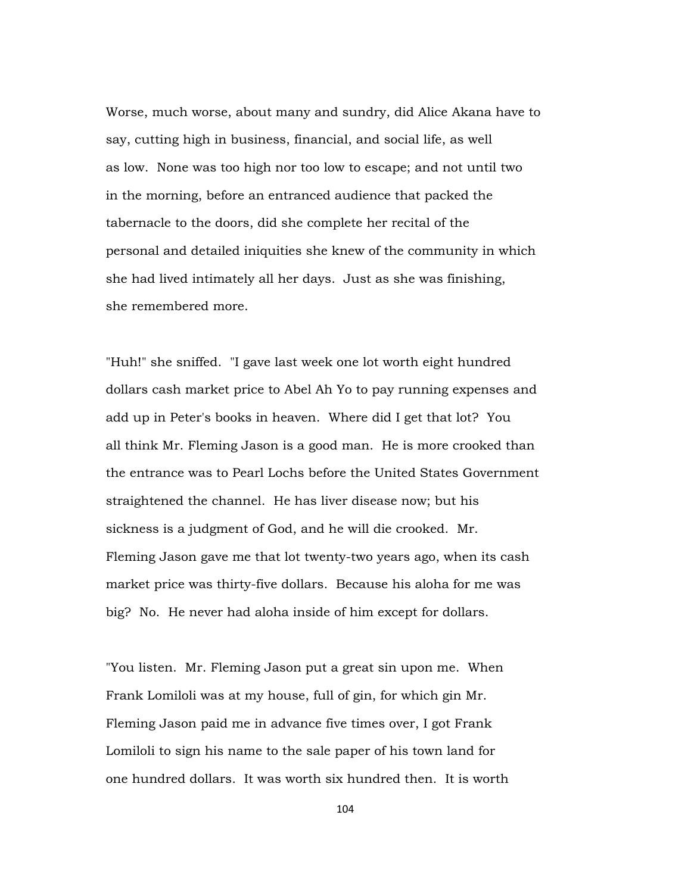Worse, much worse, about many and sundry, did Alice Akana have to say, cutting high in business, financial, and social life, as well as low. None was too high nor too low to escape; and not until two in the morning, before an entranced audience that packed the tabernacle to the doors, did she complete her recital of the personal and detailed iniquities she knew of the community in which she had lived intimately all her days. Just as she was finishing, she remembered more.

"Huh!" she sniffed. "I gave last week one lot worth eight hundred dollars cash market price to Abel Ah Yo to pay running expenses and add up in Peter's books in heaven. Where did I get that lot? You all think Mr. Fleming Jason is a good man. He is more crooked than the entrance was to Pearl Lochs before the United States Government straightened the channel. He has liver disease now; but his sickness is a judgment of God, and he will die crooked. Mr. Fleming Jason gave me that lot twenty-two years ago, when its cash market price was thirty-five dollars. Because his aloha for me was big? No. He never had aloha inside of him except for dollars.

"You listen. Mr. Fleming Jason put a great sin upon me. When Frank Lomiloli was at my house, full of gin, for which gin Mr. Fleming Jason paid me in advance five times over, I got Frank Lomiloli to sign his name to the sale paper of his town land for one hundred dollars. It was worth six hundred then. It is worth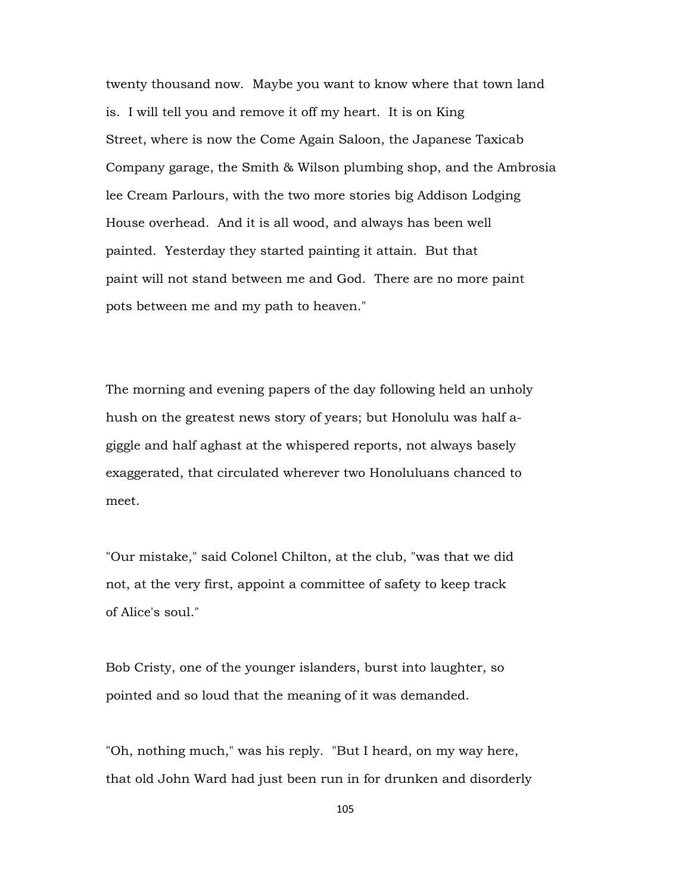twenty thousand now. Maybe you want to know where that town land is. I will tell you and remove it off my heart. It is on King Street, where is now the Come Again Saloon, the Japanese Taxicab Company garage, the Smith & Wilson plumbing shop, and the Ambrosia lee Cream Parlours, with the two more stories big Addison Lodging House overhead. And it is all wood, and always has been well painted. Yesterday they started painting it attain. But that paint will not stand between me and God. There are no more paint pots between me and my path to heaven."

The morning and evening papers of the day following held an unholy hush on the greatest news story of years; but Honolulu was half agiggle and half aghast at the whispered reports, not always basely exaggerated, that circulated wherever two Honoluluans chanced to meet.

"Our mistake," said Colonel Chilton, at the club, "was that we did not, at the very first, appoint a committee of safety to keep track of Alice's soul."

Bob Cristy, one of the younger islanders, burst into laughter, so pointed and so loud that the meaning of it was demanded.

"Oh, nothing much," was his reply. "But I heard, on my way here, that old John Ward had just been run in for drunken and disorderly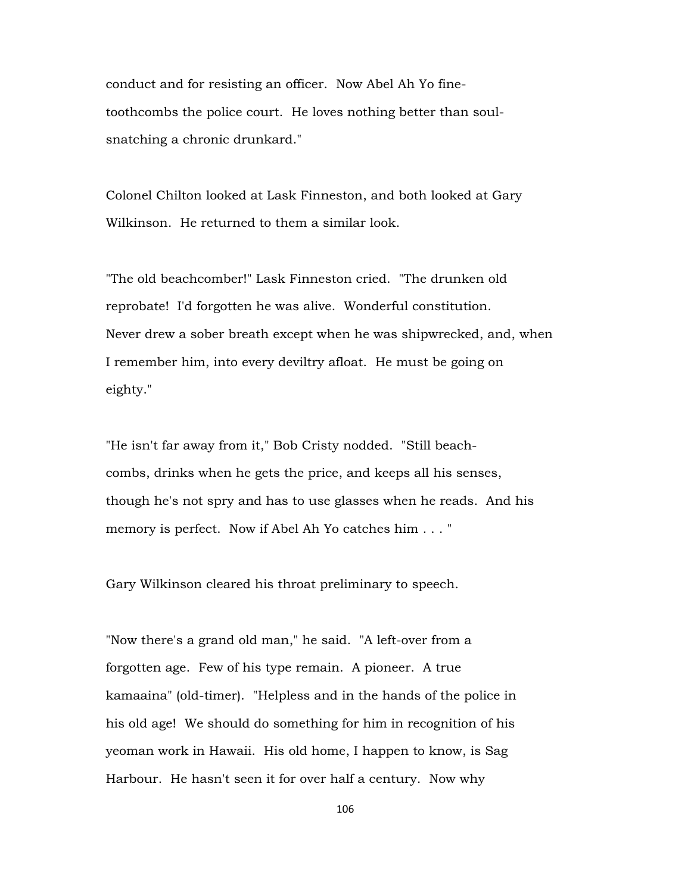conduct and for resisting an officer. Now Abel Ah Yo finetoothcombs the police court. He loves nothing better than soulsnatching a chronic drunkard."

Colonel Chilton looked at Lask Finneston, and both looked at Gary Wilkinson. He returned to them a similar look.

"The old beachcomber!" Lask Finneston cried. "The drunken old reprobate! I'd forgotten he was alive. Wonderful constitution. Never drew a sober breath except when he was shipwrecked, and, when I remember him, into every deviltry afloat. He must be going on eighty."

"He isn't far away from it," Bob Cristy nodded. "Still beachcombs, drinks when he gets the price, and keeps all his senses, though he's not spry and has to use glasses when he reads. And his memory is perfect. Now if Abel Ah Yo catches him . . . "

Gary Wilkinson cleared his throat preliminary to speech.

"Now there's a grand old man," he said. "A left-over from a forgotten age. Few of his type remain. A pioneer. A true kamaaina" (old-timer). "Helpless and in the hands of the police in his old age! We should do something for him in recognition of his yeoman work in Hawaii. His old home, I happen to know, is Sag Harbour. He hasn't seen it for over half a century. Now why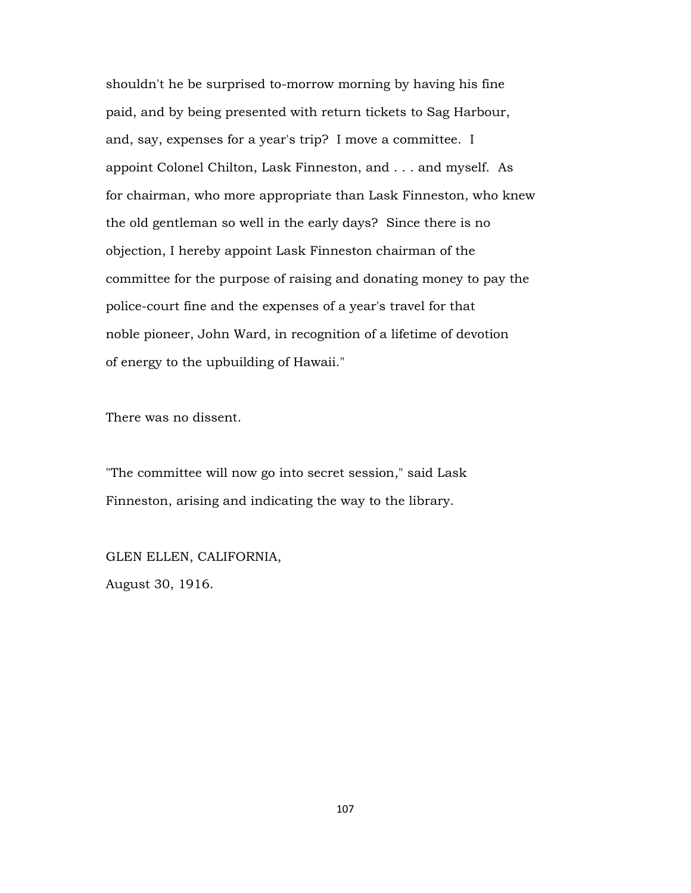shouldn't he be surprised to-morrow morning by having his fine paid, and by being presented with return tickets to Sag Harbour, and, say, expenses for a year's trip? I move a committee. I appoint Colonel Chilton, Lask Finneston, and . . . and myself. As for chairman, who more appropriate than Lask Finneston, who knew the old gentleman so well in the early days? Since there is no objection, I hereby appoint Lask Finneston chairman of the committee for the purpose of raising and donating money to pay the police-court fine and the expenses of a year's travel for that noble pioneer, John Ward, in recognition of a lifetime of devotion of energy to the upbuilding of Hawaii."

There was no dissent.

"The committee will now go into secret session," said Lask Finneston, arising and indicating the way to the library.

GLEN ELLEN, CALIFORNIA, August 30, 1916.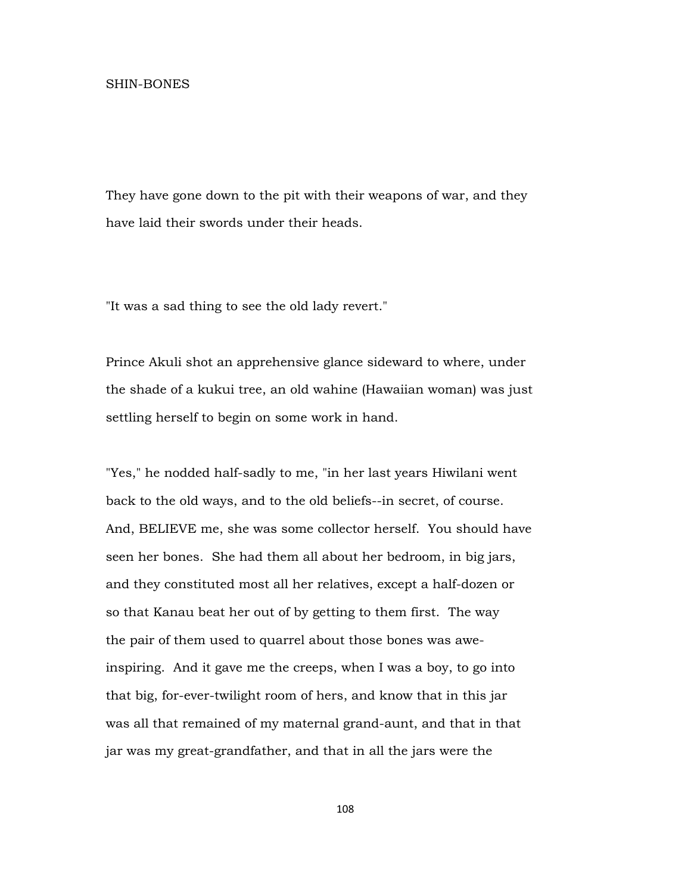They have gone down to the pit with their weapons of war, and they have laid their swords under their heads.

"It was a sad thing to see the old lady revert."

Prince Akuli shot an apprehensive glance sideward to where, under the shade of a kukui tree, an old wahine (Hawaiian woman) was just settling herself to begin on some work in hand.

"Yes," he nodded half-sadly to me, "in her last years Hiwilani went back to the old ways, and to the old beliefs--in secret, of course. And, BELIEVE me, she was some collector herself. You should have seen her bones. She had them all about her bedroom, in big jars, and they constituted most all her relatives, except a half-dozen or so that Kanau beat her out of by getting to them first. The way the pair of them used to quarrel about those bones was aweinspiring. And it gave me the creeps, when I was a boy, to go into that big, for-ever-twilight room of hers, and know that in this jar was all that remained of my maternal grand-aunt, and that in that jar was my great-grandfather, and that in all the jars were the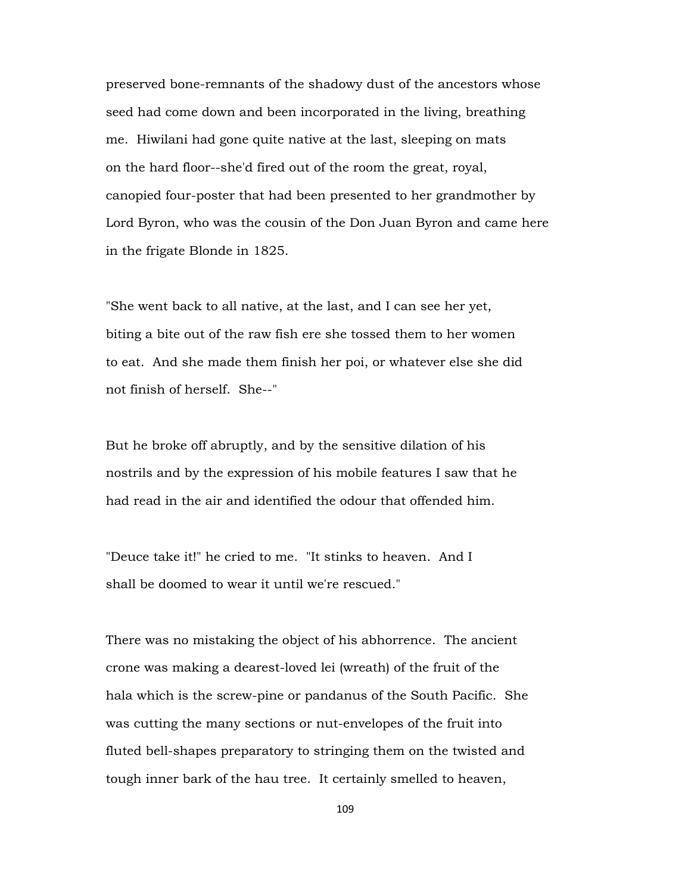preserved bone-remnants of the shadowy dust of the ancestors whose seed had come down and been incorporated in the living, breathing me. Hiwilani had gone quite native at the last, sleeping on mats on the hard floor--she'd fired out of the room the great, royal, canopied four-poster that had been presented to her grandmother by Lord Byron, who was the cousin of the Don Juan Byron and came here in the frigate Blonde in 1825.

"She went back to all native, at the last, and I can see her yet, biting a bite out of the raw fish ere she tossed them to her women to eat. And she made them finish her poi, or whatever else she did not finish of herself. She--"

But he broke off abruptly, and by the sensitive dilation of his nostrils and by the expression of his mobile features I saw that he had read in the air and identified the odour that offended him.

"Deuce take it!" he cried to me. "It stinks to heaven. And I shall be doomed to wear it until we're rescued."

There was no mistaking the object of his abhorrence. The ancient crone was making a dearest-loved lei (wreath) of the fruit of the hala which is the screw-pine or pandanus of the South Pacific. She was cutting the many sections or nut-envelopes of the fruit into fluted bell-shapes preparatory to stringing them on the twisted and tough inner bark of the hau tree. It certainly smelled to heaven,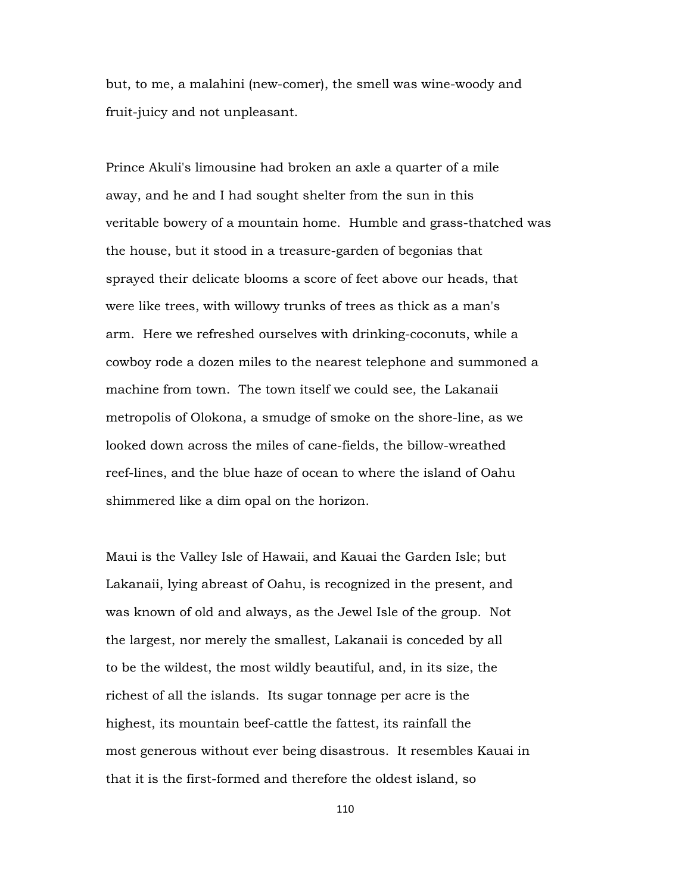but, to me, a malahini (new-comer), the smell was wine-woody and fruit-juicy and not unpleasant.

Prince Akuli's limousine had broken an axle a quarter of a mile away, and he and I had sought shelter from the sun in this veritable bowery of a mountain home. Humble and grass-thatched was the house, but it stood in a treasure-garden of begonias that sprayed their delicate blooms a score of feet above our heads, that were like trees, with willowy trunks of trees as thick as a man's arm. Here we refreshed ourselves with drinking-coconuts, while a cowboy rode a dozen miles to the nearest telephone and summoned a machine from town. The town itself we could see, the Lakanaii metropolis of Olokona, a smudge of smoke on the shore-line, as we looked down across the miles of cane-fields, the billow-wreathed reef-lines, and the blue haze of ocean to where the island of Oahu shimmered like a dim opal on the horizon.

Maui is the Valley Isle of Hawaii, and Kauai the Garden Isle; but Lakanaii, lying abreast of Oahu, is recognized in the present, and was known of old and always, as the Jewel Isle of the group. Not the largest, nor merely the smallest, Lakanaii is conceded by all to be the wildest, the most wildly beautiful, and, in its size, the richest of all the islands. Its sugar tonnage per acre is the highest, its mountain beef-cattle the fattest, its rainfall the most generous without ever being disastrous. It resembles Kauai in that it is the first-formed and therefore the oldest island, so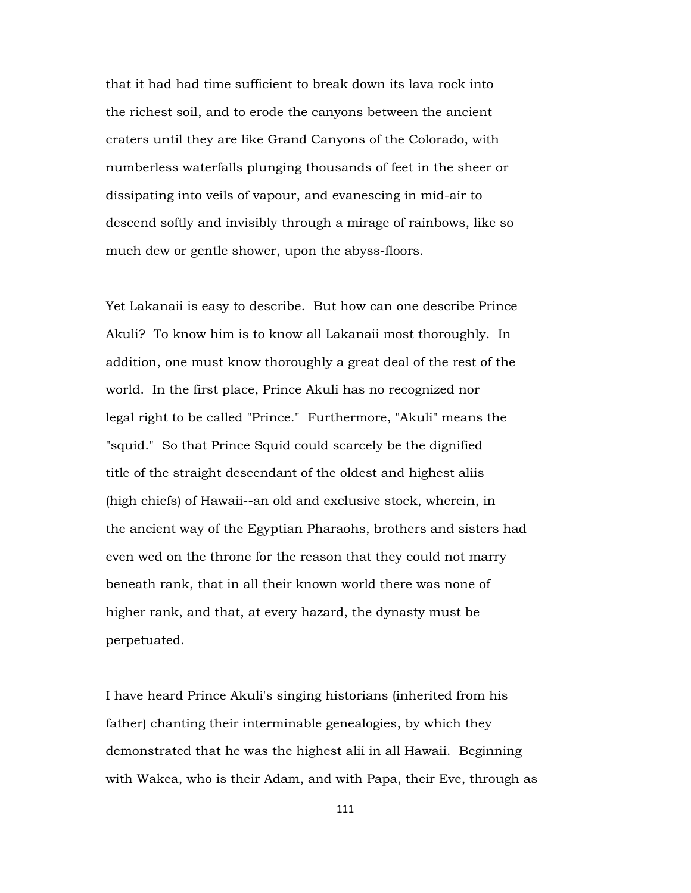that it had had time sufficient to break down its lava rock into the richest soil, and to erode the canyons between the ancient craters until they are like Grand Canyons of the Colorado, with numberless waterfalls plunging thousands of feet in the sheer or dissipating into veils of vapour, and evanescing in mid-air to descend softly and invisibly through a mirage of rainbows, like so much dew or gentle shower, upon the abyss-floors.

Yet Lakanaii is easy to describe. But how can one describe Prince Akuli? To know him is to know all Lakanaii most thoroughly. In addition, one must know thoroughly a great deal of the rest of the world. In the first place, Prince Akuli has no recognized nor legal right to be called "Prince." Furthermore, "Akuli" means the "squid." So that Prince Squid could scarcely be the dignified title of the straight descendant of the oldest and highest aliis (high chiefs) of Hawaii--an old and exclusive stock, wherein, in the ancient way of the Egyptian Pharaohs, brothers and sisters had even wed on the throne for the reason that they could not marry beneath rank, that in all their known world there was none of higher rank, and that, at every hazard, the dynasty must be perpetuated.

I have heard Prince Akuli's singing historians (inherited from his father) chanting their interminable genealogies, by which they demonstrated that he was the highest alii in all Hawaii. Beginning with Wakea, who is their Adam, and with Papa, their Eve, through as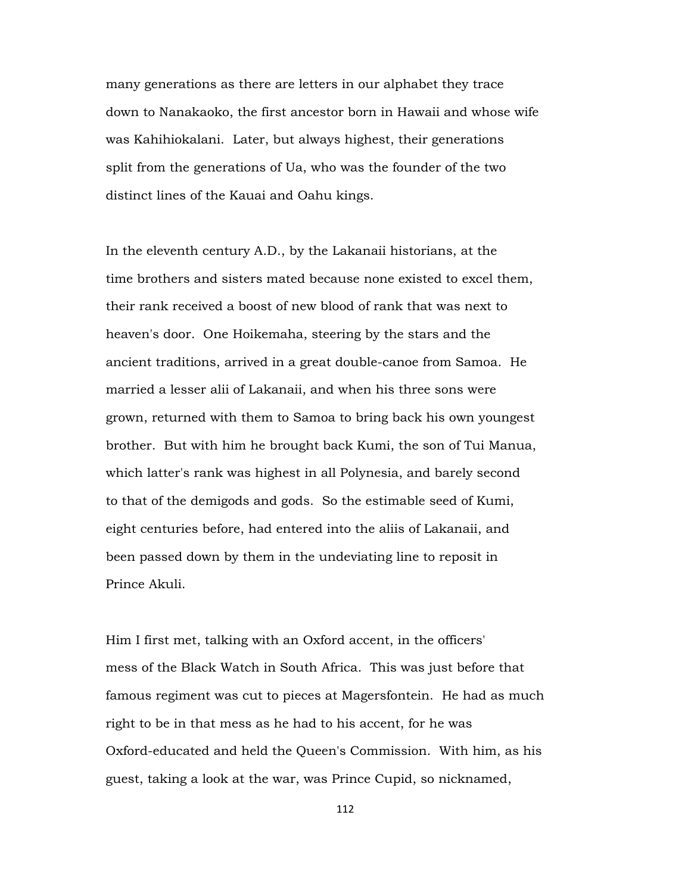many generations as there are letters in our alphabet they trace down to Nanakaoko, the first ancestor born in Hawaii and whose wife was Kahihiokalani. Later, but always highest, their generations split from the generations of Ua, who was the founder of the two distinct lines of the Kauai and Oahu kings.

In the eleventh century A.D., by the Lakanaii historians, at the time brothers and sisters mated because none existed to excel them, their rank received a boost of new blood of rank that was next to heaven's door. One Hoikemaha, steering by the stars and the ancient traditions, arrived in a great double-canoe from Samoa. He married a lesser alii of Lakanaii, and when his three sons were grown, returned with them to Samoa to bring back his own youngest brother. But with him he brought back Kumi, the son of Tui Manua, which latter's rank was highest in all Polynesia, and barely second to that of the demigods and gods. So the estimable seed of Kumi, eight centuries before, had entered into the aliis of Lakanaii, and been passed down by them in the undeviating line to reposit in Prince Akuli.

Him I first met, talking with an Oxford accent, in the officers' mess of the Black Watch in South Africa. This was just before that famous regiment was cut to pieces at Magersfontein. He had as much right to be in that mess as he had to his accent, for he was Oxford-educated and held the Queen's Commission. With him, as his guest, taking a look at the war, was Prince Cupid, so nicknamed,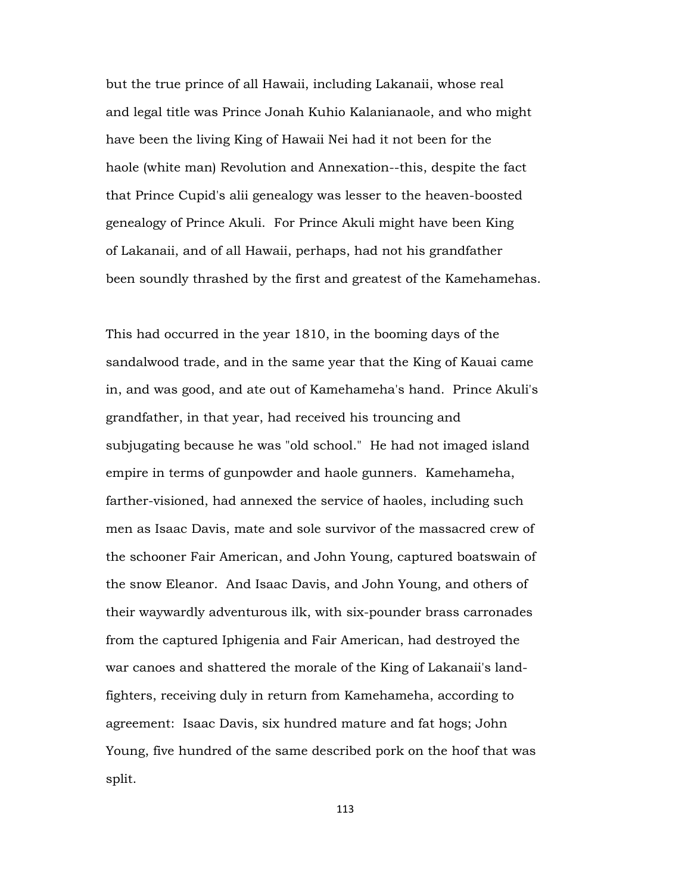but the true prince of all Hawaii, including Lakanaii, whose real and legal title was Prince Jonah Kuhio Kalanianaole, and who might have been the living King of Hawaii Nei had it not been for the haole (white man) Revolution and Annexation--this, despite the fact that Prince Cupid's alii genealogy was lesser to the heaven-boosted genealogy of Prince Akuli. For Prince Akuli might have been King of Lakanaii, and of all Hawaii, perhaps, had not his grandfather been soundly thrashed by the first and greatest of the Kamehamehas.

This had occurred in the year 1810, in the booming days of the sandalwood trade, and in the same year that the King of Kauai came in, and was good, and ate out of Kamehameha's hand. Prince Akuli's grandfather, in that year, had received his trouncing and subjugating because he was "old school." He had not imaged island empire in terms of gunpowder and haole gunners. Kamehameha, farther-visioned, had annexed the service of haoles, including such men as Isaac Davis, mate and sole survivor of the massacred crew of the schooner Fair American, and John Young, captured boatswain of the snow Eleanor. And Isaac Davis, and John Young, and others of their waywardly adventurous ilk, with six-pounder brass carronades from the captured Iphigenia and Fair American, had destroyed the war canoes and shattered the morale of the King of Lakanaii's landfighters, receiving duly in return from Kamehameha, according to agreement: Isaac Davis, six hundred mature and fat hogs; John Young, five hundred of the same described pork on the hoof that was split.

113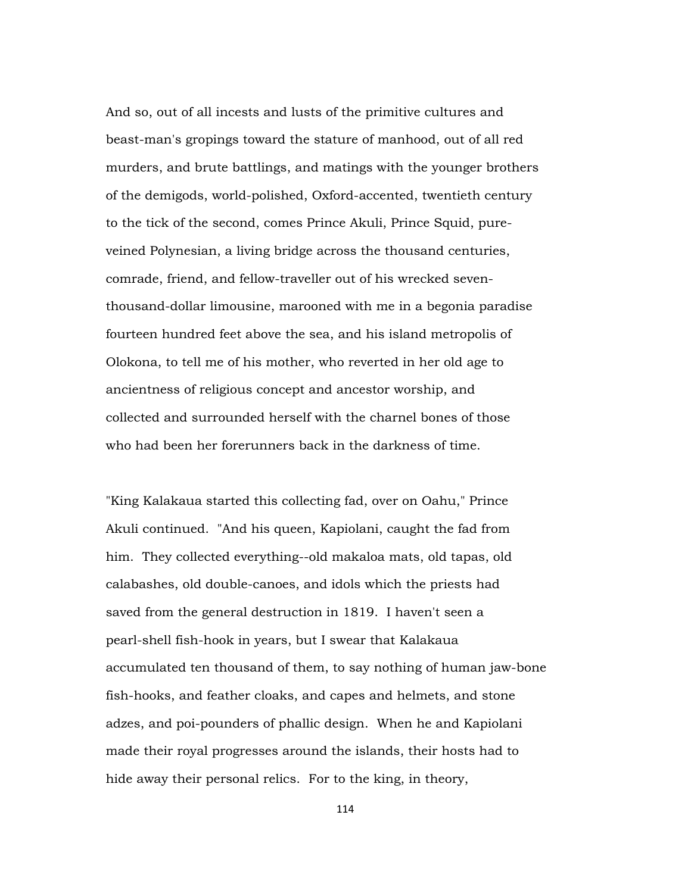And so, out of all incests and lusts of the primitive cultures and beast-man's gropings toward the stature of manhood, out of all red murders, and brute battlings, and matings with the younger brothers of the demigods, world-polished, Oxford-accented, twentieth century to the tick of the second, comes Prince Akuli, Prince Squid, pureveined Polynesian, a living bridge across the thousand centuries, comrade, friend, and fellow-traveller out of his wrecked seventhousand-dollar limousine, marooned with me in a begonia paradise fourteen hundred feet above the sea, and his island metropolis of Olokona, to tell me of his mother, who reverted in her old age to ancientness of religious concept and ancestor worship, and collected and surrounded herself with the charnel bones of those who had been her forerunners back in the darkness of time.

"King Kalakaua started this collecting fad, over on Oahu," Prince Akuli continued. "And his queen, Kapiolani, caught the fad from him. They collected everything--old makaloa mats, old tapas, old calabashes, old double-canoes, and idols which the priests had saved from the general destruction in 1819. I haven't seen a pearl-shell fish-hook in years, but I swear that Kalakaua accumulated ten thousand of them, to say nothing of human jaw-bone fish-hooks, and feather cloaks, and capes and helmets, and stone adzes, and poi-pounders of phallic design. When he and Kapiolani made their royal progresses around the islands, their hosts had to hide away their personal relics. For to the king, in theory,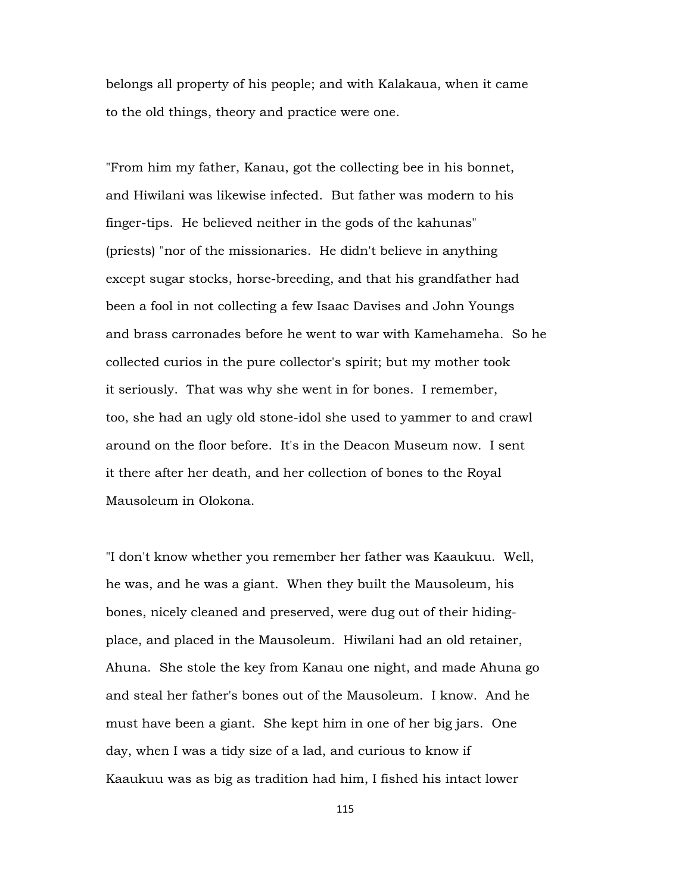belongs all property of his people; and with Kalakaua, when it came to the old things, theory and practice were one.

"From him my father, Kanau, got the collecting bee in his bonnet, and Hiwilani was likewise infected. But father was modern to his finger-tips. He believed neither in the gods of the kahunas" (priests) "nor of the missionaries. He didn't believe in anything except sugar stocks, horse-breeding, and that his grandfather had been a fool in not collecting a few Isaac Davises and John Youngs and brass carronades before he went to war with Kamehameha. So he collected curios in the pure collector's spirit; but my mother took it seriously. That was why she went in for bones. I remember, too, she had an ugly old stone-idol she used to yammer to and crawl around on the floor before. It's in the Deacon Museum now. I sent it there after her death, and her collection of bones to the Royal Mausoleum in Olokona.

"I don't know whether you remember her father was Kaaukuu. Well, he was, and he was a giant. When they built the Mausoleum, his bones, nicely cleaned and preserved, were dug out of their hidingplace, and placed in the Mausoleum. Hiwilani had an old retainer, Ahuna. She stole the key from Kanau one night, and made Ahuna go and steal her father's bones out of the Mausoleum. I know. And he must have been a giant. She kept him in one of her big jars. One day, when I was a tidy size of a lad, and curious to know if Kaaukuu was as big as tradition had him, I fished his intact lower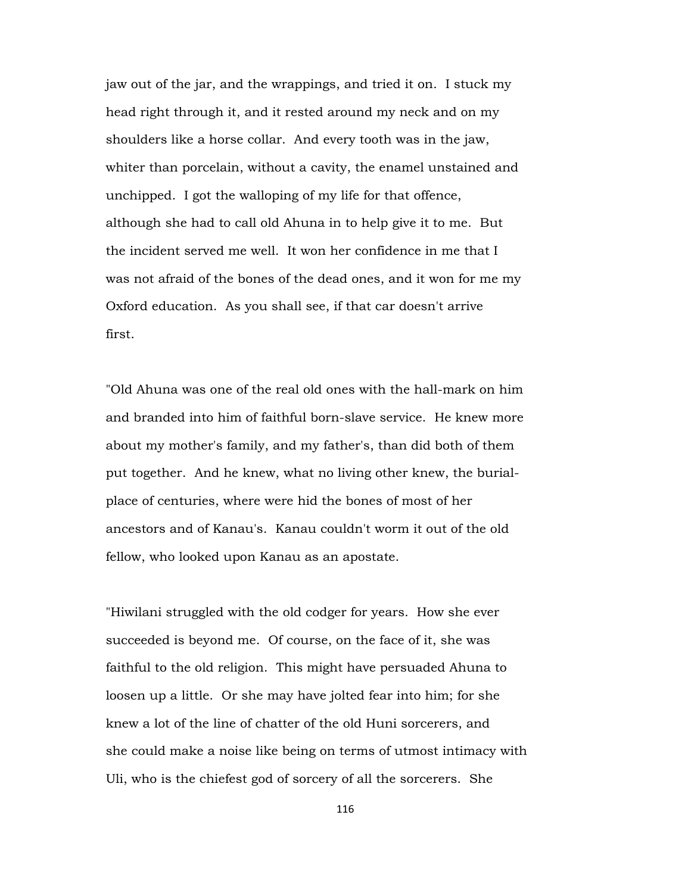jaw out of the jar, and the wrappings, and tried it on. I stuck my head right through it, and it rested around my neck and on my shoulders like a horse collar. And every tooth was in the jaw, whiter than porcelain, without a cavity, the enamel unstained and unchipped. I got the walloping of my life for that offence, although she had to call old Ahuna in to help give it to me. But the incident served me well. It won her confidence in me that I was not afraid of the bones of the dead ones, and it won for me my Oxford education. As you shall see, if that car doesn't arrive first.

"Old Ahuna was one of the real old ones with the hall-mark on him and branded into him of faithful born-slave service. He knew more about my mother's family, and my father's, than did both of them put together. And he knew, what no living other knew, the burialplace of centuries, where were hid the bones of most of her ancestors and of Kanau's. Kanau couldn't worm it out of the old fellow, who looked upon Kanau as an apostate.

"Hiwilani struggled with the old codger for years. How she ever succeeded is beyond me. Of course, on the face of it, she was faithful to the old religion. This might have persuaded Ahuna to loosen up a little. Or she may have jolted fear into him; for she knew a lot of the line of chatter of the old Huni sorcerers, and she could make a noise like being on terms of utmost intimacy with Uli, who is the chiefest god of sorcery of all the sorcerers. She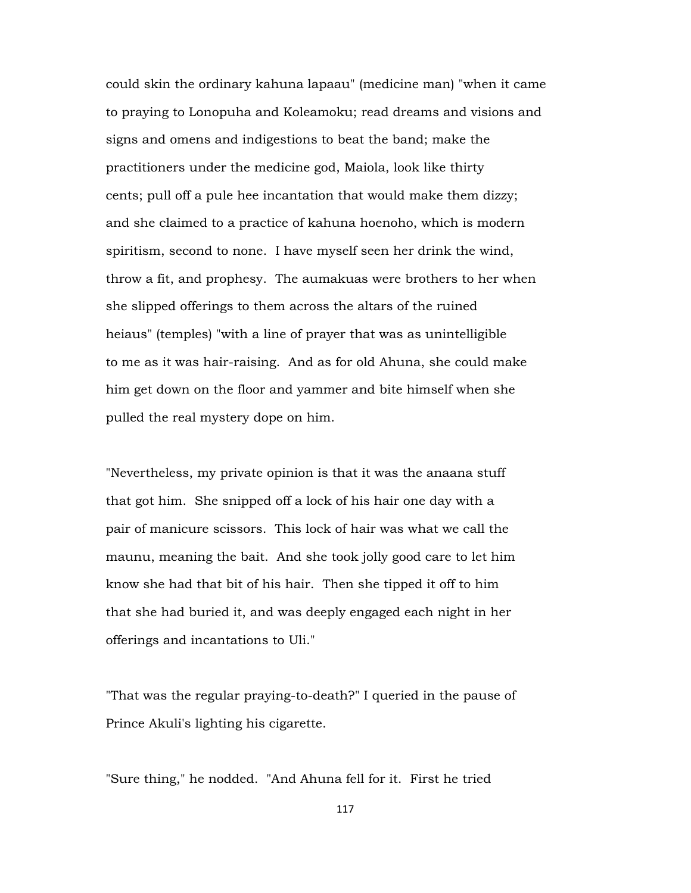could skin the ordinary kahuna lapaau" (medicine man) "when it came to praying to Lonopuha and Koleamoku; read dreams and visions and signs and omens and indigestions to beat the band; make the practitioners under the medicine god, Maiola, look like thirty cents; pull off a pule hee incantation that would make them dizzy; and she claimed to a practice of kahuna hoenoho, which is modern spiritism, second to none. I have myself seen her drink the wind, throw a fit, and prophesy. The aumakuas were brothers to her when she slipped offerings to them across the altars of the ruined heiaus" (temples) "with a line of prayer that was as unintelligible to me as it was hair-raising. And as for old Ahuna, she could make him get down on the floor and yammer and bite himself when she pulled the real mystery dope on him.

"Nevertheless, my private opinion is that it was the anaana stuff that got him. She snipped off a lock of his hair one day with a pair of manicure scissors. This lock of hair was what we call the maunu, meaning the bait. And she took jolly good care to let him know she had that bit of his hair. Then she tipped it off to him that she had buried it, and was deeply engaged each night in her offerings and incantations to Uli."

"That was the regular praying-to-death?" I queried in the pause of Prince Akuli's lighting his cigarette.

"Sure thing," he nodded. "And Ahuna fell for it. First he tried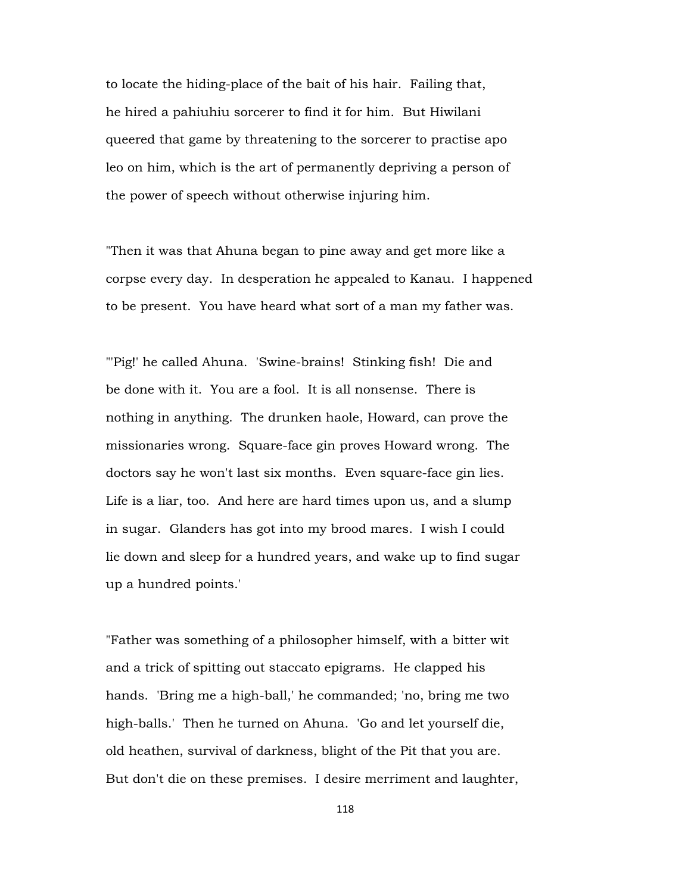to locate the hiding-place of the bait of his hair. Failing that, he hired a pahiuhiu sorcerer to find it for him. But Hiwilani queered that game by threatening to the sorcerer to practise apo leo on him, which is the art of permanently depriving a person of the power of speech without otherwise injuring him.

"Then it was that Ahuna began to pine away and get more like a corpse every day. In desperation he appealed to Kanau. I happened to be present. You have heard what sort of a man my father was.

"'Pig!' he called Ahuna. 'Swine-brains! Stinking fish! Die and be done with it. You are a fool. It is all nonsense. There is nothing in anything. The drunken haole, Howard, can prove the missionaries wrong. Square-face gin proves Howard wrong. The doctors say he won't last six months. Even square-face gin lies. Life is a liar, too. And here are hard times upon us, and a slump in sugar. Glanders has got into my brood mares. I wish I could lie down and sleep for a hundred years, and wake up to find sugar up a hundred points.'

"Father was something of a philosopher himself, with a bitter wit and a trick of spitting out staccato epigrams. He clapped his hands. 'Bring me a high-ball,' he commanded; 'no, bring me two high-balls.' Then he turned on Ahuna. 'Go and let yourself die, old heathen, survival of darkness, blight of the Pit that you are. But don't die on these premises. I desire merriment and laughter,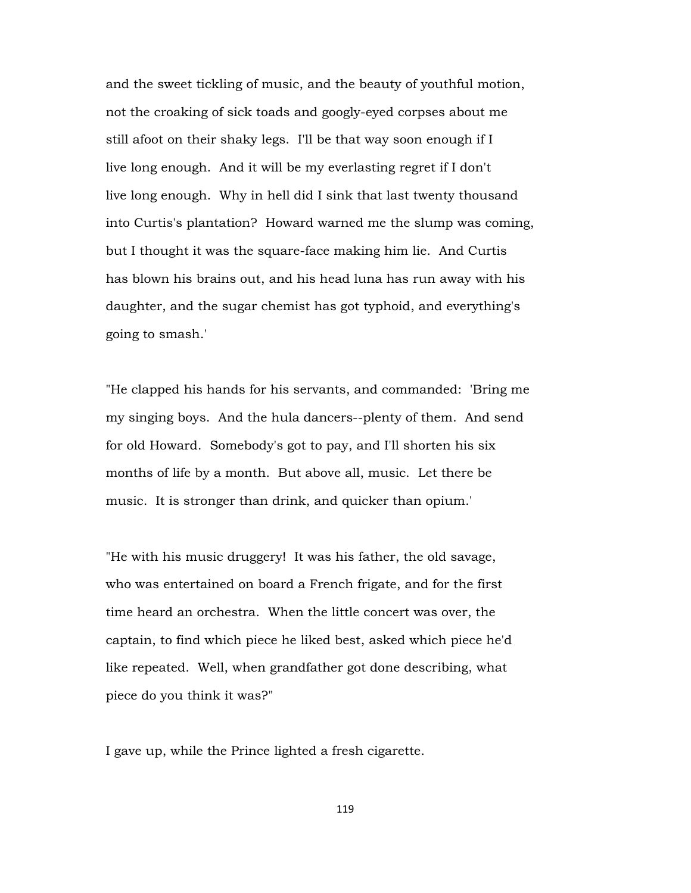and the sweet tickling of music, and the beauty of youthful motion, not the croaking of sick toads and googly-eyed corpses about me still afoot on their shaky legs. I'll be that way soon enough if I live long enough. And it will be my everlasting regret if I don't live long enough. Why in hell did I sink that last twenty thousand into Curtis's plantation? Howard warned me the slump was coming, but I thought it was the square-face making him lie. And Curtis has blown his brains out, and his head luna has run away with his daughter, and the sugar chemist has got typhoid, and everything's going to smash.'

"He clapped his hands for his servants, and commanded: 'Bring me my singing boys. And the hula dancers--plenty of them. And send for old Howard. Somebody's got to pay, and I'll shorten his six months of life by a month. But above all, music. Let there be music. It is stronger than drink, and quicker than opium.'

"He with his music druggery! It was his father, the old savage, who was entertained on board a French frigate, and for the first time heard an orchestra. When the little concert was over, the captain, to find which piece he liked best, asked which piece he'd like repeated. Well, when grandfather got done describing, what piece do you think it was?"

I gave up, while the Prince lighted a fresh cigarette.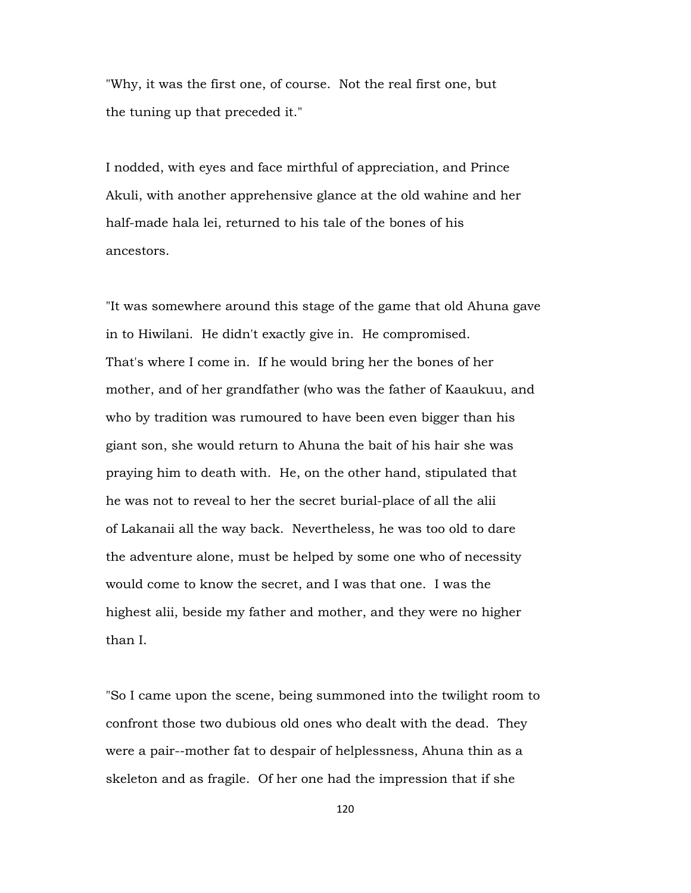"Why, it was the first one, of course. Not the real first one, but the tuning up that preceded it."

I nodded, with eyes and face mirthful of appreciation, and Prince Akuli, with another apprehensive glance at the old wahine and her half-made hala lei, returned to his tale of the bones of his ancestors.

"It was somewhere around this stage of the game that old Ahuna gave in to Hiwilani. He didn't exactly give in. He compromised. That's where I come in. If he would bring her the bones of her mother, and of her grandfather (who was the father of Kaaukuu, and who by tradition was rumoured to have been even bigger than his giant son, she would return to Ahuna the bait of his hair she was praying him to death with. He, on the other hand, stipulated that he was not to reveal to her the secret burial-place of all the alii of Lakanaii all the way back. Nevertheless, he was too old to dare the adventure alone, must be helped by some one who of necessity would come to know the secret, and I was that one. I was the highest alii, beside my father and mother, and they were no higher than I.

"So I came upon the scene, being summoned into the twilight room to confront those two dubious old ones who dealt with the dead. They were a pair--mother fat to despair of helplessness, Ahuna thin as a skeleton and as fragile. Of her one had the impression that if she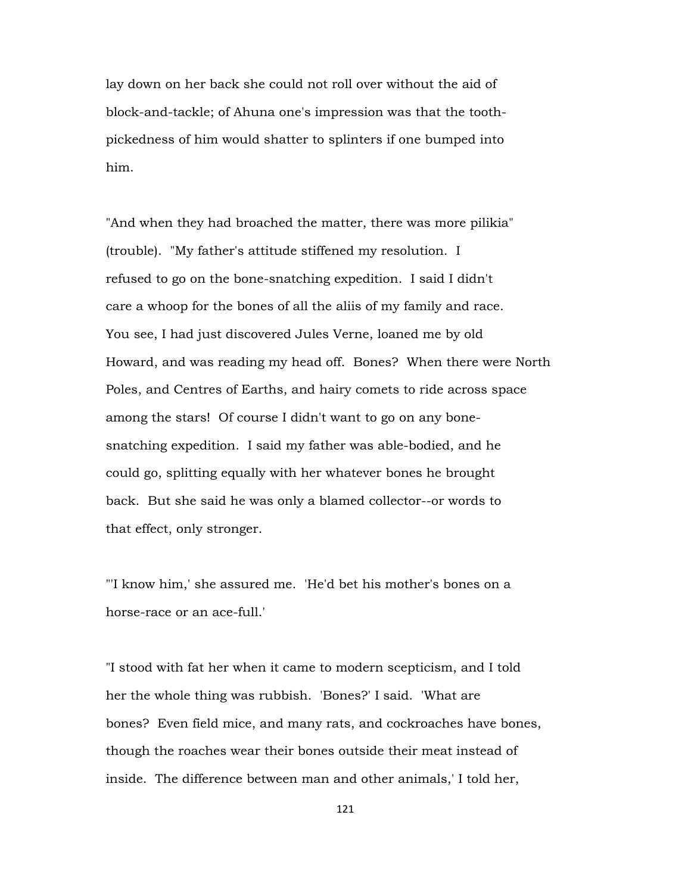lay down on her back she could not roll over without the aid of block-and-tackle; of Ahuna one's impression was that the toothpickedness of him would shatter to splinters if one bumped into him.

"And when they had broached the matter, there was more pilikia" (trouble). "My father's attitude stiffened my resolution. I refused to go on the bone-snatching expedition. I said I didn't care a whoop for the bones of all the aliis of my family and race. You see, I had just discovered Jules Verne, loaned me by old Howard, and was reading my head off. Bones? When there were North Poles, and Centres of Earths, and hairy comets to ride across space among the stars! Of course I didn't want to go on any bonesnatching expedition. I said my father was able-bodied, and he could go, splitting equally with her whatever bones he brought back. But she said he was only a blamed collector--or words to that effect, only stronger.

"'I know him,' she assured me. 'He'd bet his mother's bones on a horse-race or an ace-full.'

"I stood with fat her when it came to modern scepticism, and I told her the whole thing was rubbish. 'Bones?' I said. 'What are bones? Even field mice, and many rats, and cockroaches have bones, though the roaches wear their bones outside their meat instead of inside. The difference between man and other animals,' I told her,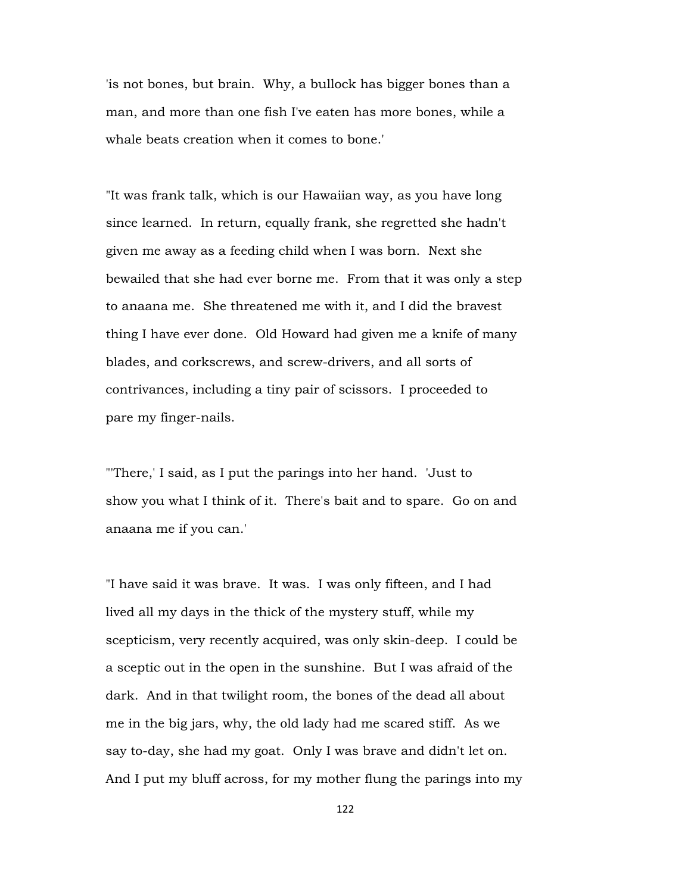'is not bones, but brain. Why, a bullock has bigger bones than a man, and more than one fish I've eaten has more bones, while a whale beats creation when it comes to bone.'

"It was frank talk, which is our Hawaiian way, as you have long since learned. In return, equally frank, she regretted she hadn't given me away as a feeding child when I was born. Next she bewailed that she had ever borne me. From that it was only a step to anaana me. She threatened me with it, and I did the bravest thing I have ever done. Old Howard had given me a knife of many blades, and corkscrews, and screw-drivers, and all sorts of contrivances, including a tiny pair of scissors. I proceeded to pare my finger-nails.

"'There,' I said, as I put the parings into her hand. 'Just to show you what I think of it. There's bait and to spare. Go on and anaana me if you can.'

"I have said it was brave. It was. I was only fifteen, and I had lived all my days in the thick of the mystery stuff, while my scepticism, very recently acquired, was only skin-deep. I could be a sceptic out in the open in the sunshine. But I was afraid of the dark. And in that twilight room, the bones of the dead all about me in the big jars, why, the old lady had me scared stiff. As we say to-day, she had my goat. Only I was brave and didn't let on. And I put my bluff across, for my mother flung the parings into my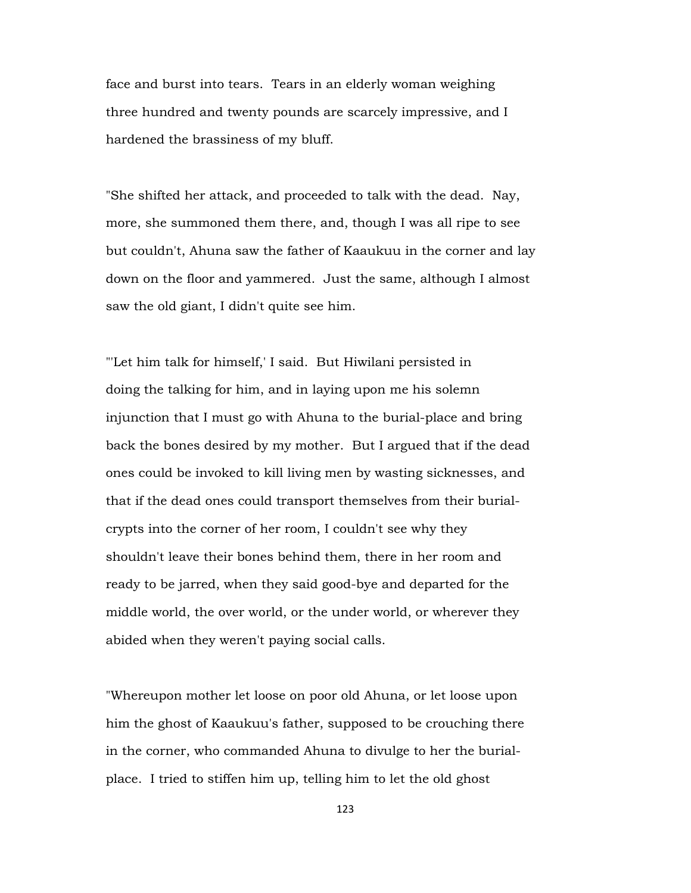face and burst into tears. Tears in an elderly woman weighing three hundred and twenty pounds are scarcely impressive, and I hardened the brassiness of my bluff.

"She shifted her attack, and proceeded to talk with the dead. Nay, more, she summoned them there, and, though I was all ripe to see but couldn't, Ahuna saw the father of Kaaukuu in the corner and lay down on the floor and yammered. Just the same, although I almost saw the old giant, I didn't quite see him.

"'Let him talk for himself,' I said. But Hiwilani persisted in doing the talking for him, and in laying upon me his solemn injunction that I must go with Ahuna to the burial-place and bring back the bones desired by my mother. But I argued that if the dead ones could be invoked to kill living men by wasting sicknesses, and that if the dead ones could transport themselves from their burialcrypts into the corner of her room, I couldn't see why they shouldn't leave their bones behind them, there in her room and ready to be jarred, when they said good-bye and departed for the middle world, the over world, or the under world, or wherever they abided when they weren't paying social calls.

"Whereupon mother let loose on poor old Ahuna, or let loose upon him the ghost of Kaaukuu's father, supposed to be crouching there in the corner, who commanded Ahuna to divulge to her the burialplace. I tried to stiffen him up, telling him to let the old ghost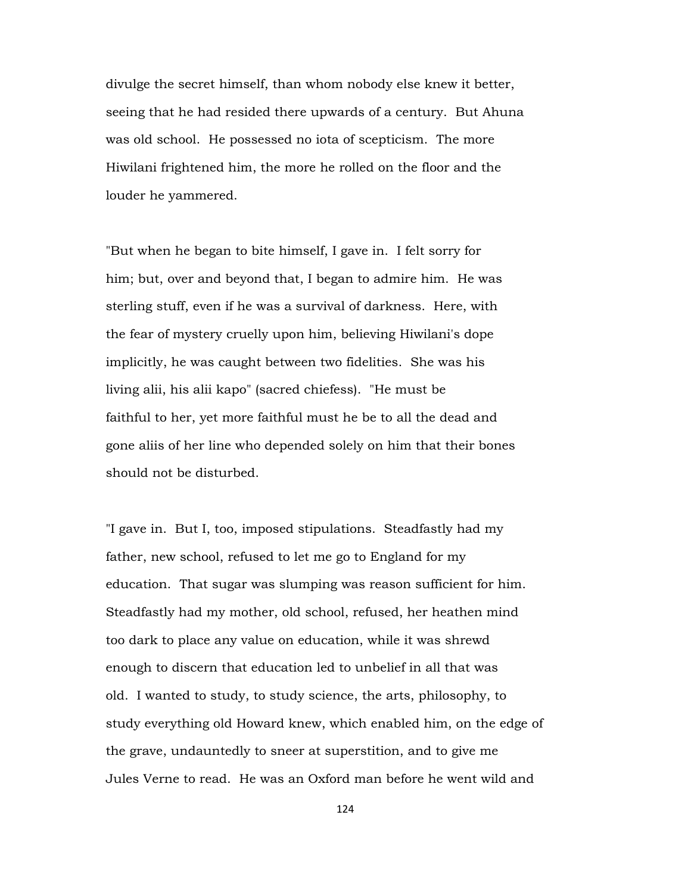divulge the secret himself, than whom nobody else knew it better, seeing that he had resided there upwards of a century. But Ahuna was old school. He possessed no iota of scepticism. The more Hiwilani frightened him, the more he rolled on the floor and the louder he yammered.

"But when he began to bite himself, I gave in. I felt sorry for him; but, over and beyond that, I began to admire him. He was sterling stuff, even if he was a survival of darkness. Here, with the fear of mystery cruelly upon him, believing Hiwilani's dope implicitly, he was caught between two fidelities. She was his living alii, his alii kapo" (sacred chiefess). "He must be faithful to her, yet more faithful must he be to all the dead and gone aliis of her line who depended solely on him that their bones should not be disturbed.

"I gave in. But I, too, imposed stipulations. Steadfastly had my father, new school, refused to let me go to England for my education. That sugar was slumping was reason sufficient for him. Steadfastly had my mother, old school, refused, her heathen mind too dark to place any value on education, while it was shrewd enough to discern that education led to unbelief in all that was old. I wanted to study, to study science, the arts, philosophy, to study everything old Howard knew, which enabled him, on the edge of the grave, undauntedly to sneer at superstition, and to give me Jules Verne to read. He was an Oxford man before he went wild and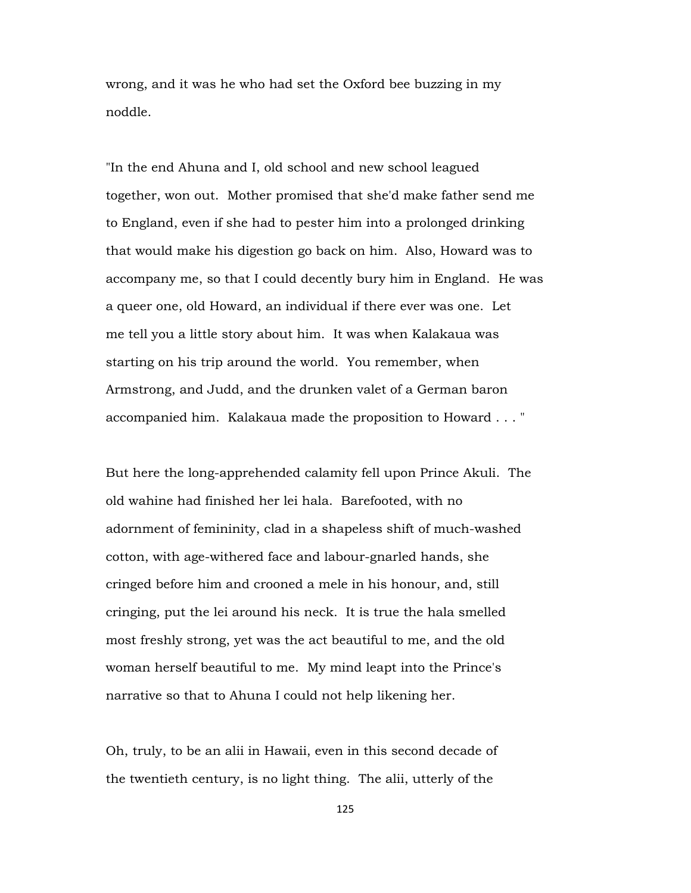wrong, and it was he who had set the Oxford bee buzzing in my noddle.

"In the end Ahuna and I, old school and new school leagued together, won out. Mother promised that she'd make father send me to England, even if she had to pester him into a prolonged drinking that would make his digestion go back on him. Also, Howard was to accompany me, so that I could decently bury him in England. He was a queer one, old Howard, an individual if there ever was one. Let me tell you a little story about him. It was when Kalakaua was starting on his trip around the world. You remember, when Armstrong, and Judd, and the drunken valet of a German baron accompanied him. Kalakaua made the proposition to Howard . . . "

But here the long-apprehended calamity fell upon Prince Akuli. The old wahine had finished her lei hala. Barefooted, with no adornment of femininity, clad in a shapeless shift of much-washed cotton, with age-withered face and labour-gnarled hands, she cringed before him and crooned a mele in his honour, and, still cringing, put the lei around his neck. It is true the hala smelled most freshly strong, yet was the act beautiful to me, and the old woman herself beautiful to me. My mind leapt into the Prince's narrative so that to Ahuna I could not help likening her.

Oh, truly, to be an alii in Hawaii, even in this second decade of the twentieth century, is no light thing. The alii, utterly of the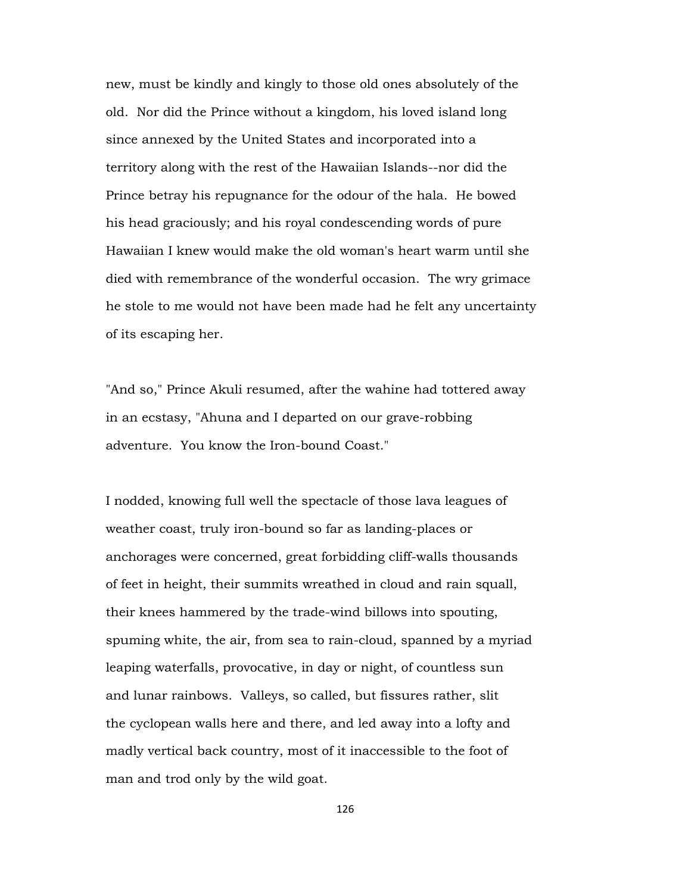new, must be kindly and kingly to those old ones absolutely of the old. Nor did the Prince without a kingdom, his loved island long since annexed by the United States and incorporated into a territory along with the rest of the Hawaiian Islands--nor did the Prince betray his repugnance for the odour of the hala. He bowed his head graciously; and his royal condescending words of pure Hawaiian I knew would make the old woman's heart warm until she died with remembrance of the wonderful occasion. The wry grimace he stole to me would not have been made had he felt any uncertainty of its escaping her.

"And so," Prince Akuli resumed, after the wahine had tottered away in an ecstasy, "Ahuna and I departed on our grave-robbing adventure. You know the Iron-bound Coast."

I nodded, knowing full well the spectacle of those lava leagues of weather coast, truly iron-bound so far as landing-places or anchorages were concerned, great forbidding cliff-walls thousands of feet in height, their summits wreathed in cloud and rain squall, their knees hammered by the trade-wind billows into spouting, spuming white, the air, from sea to rain-cloud, spanned by a myriad leaping waterfalls, provocative, in day or night, of countless sun and lunar rainbows. Valleys, so called, but fissures rather, slit the cyclopean walls here and there, and led away into a lofty and madly vertical back country, most of it inaccessible to the foot of man and trod only by the wild goat.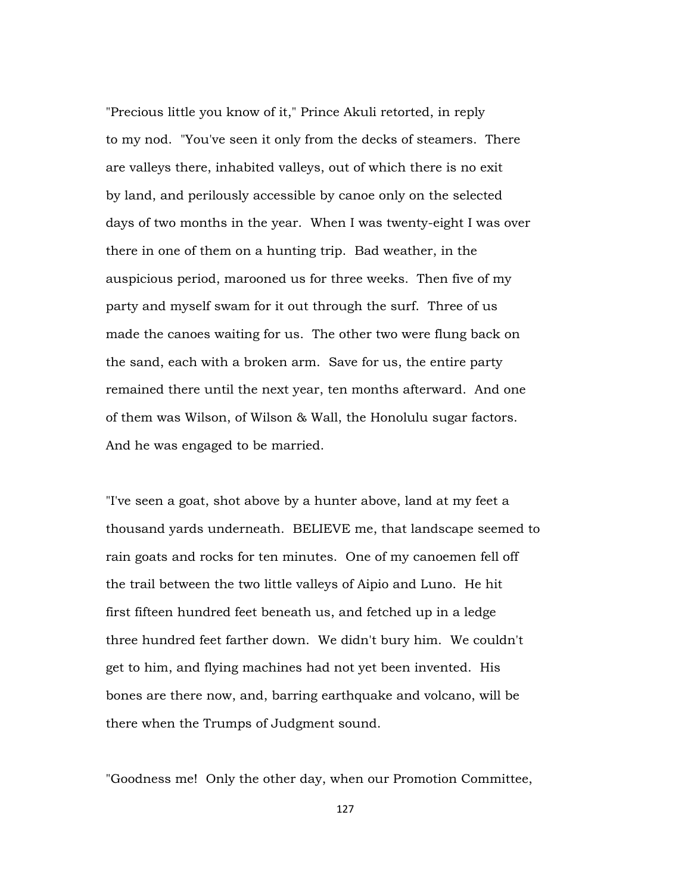"Precious little you know of it," Prince Akuli retorted, in reply to my nod. "You've seen it only from the decks of steamers. There are valleys there, inhabited valleys, out of which there is no exit by land, and perilously accessible by canoe only on the selected days of two months in the year. When I was twenty-eight I was over there in one of them on a hunting trip. Bad weather, in the auspicious period, marooned us for three weeks. Then five of my party and myself swam for it out through the surf. Three of us made the canoes waiting for us. The other two were flung back on the sand, each with a broken arm. Save for us, the entire party remained there until the next year, ten months afterward. And one of them was Wilson, of Wilson & Wall, the Honolulu sugar factors. And he was engaged to be married.

"I've seen a goat, shot above by a hunter above, land at my feet a thousand yards underneath. BELIEVE me, that landscape seemed to rain goats and rocks for ten minutes. One of my canoemen fell off the trail between the two little valleys of Aipio and Luno. He hit first fifteen hundred feet beneath us, and fetched up in a ledge three hundred feet farther down. We didn't bury him. We couldn't get to him, and flying machines had not yet been invented. His bones are there now, and, barring earthquake and volcano, will be there when the Trumps of Judgment sound.

"Goodness me! Only the other day, when our Promotion Committee,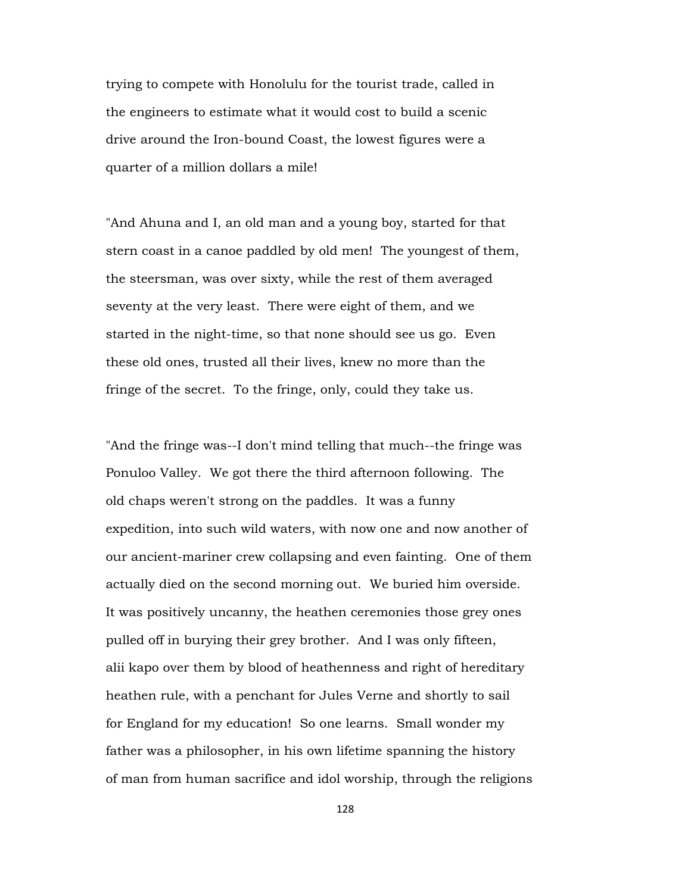trying to compete with Honolulu for the tourist trade, called in the engineers to estimate what it would cost to build a scenic drive around the Iron-bound Coast, the lowest figures were a quarter of a million dollars a mile!

"And Ahuna and I, an old man and a young boy, started for that stern coast in a canoe paddled by old men! The youngest of them, the steersman, was over sixty, while the rest of them averaged seventy at the very least. There were eight of them, and we started in the night-time, so that none should see us go. Even these old ones, trusted all their lives, knew no more than the fringe of the secret. To the fringe, only, could they take us.

"And the fringe was--I don't mind telling that much--the fringe was Ponuloo Valley. We got there the third afternoon following. The old chaps weren't strong on the paddles. It was a funny expedition, into such wild waters, with now one and now another of our ancient-mariner crew collapsing and even fainting. One of them actually died on the second morning out. We buried him overside. It was positively uncanny, the heathen ceremonies those grey ones pulled off in burying their grey brother. And I was only fifteen, alii kapo over them by blood of heathenness and right of hereditary heathen rule, with a penchant for Jules Verne and shortly to sail for England for my education! So one learns. Small wonder my father was a philosopher, in his own lifetime spanning the history of man from human sacrifice and idol worship, through the religions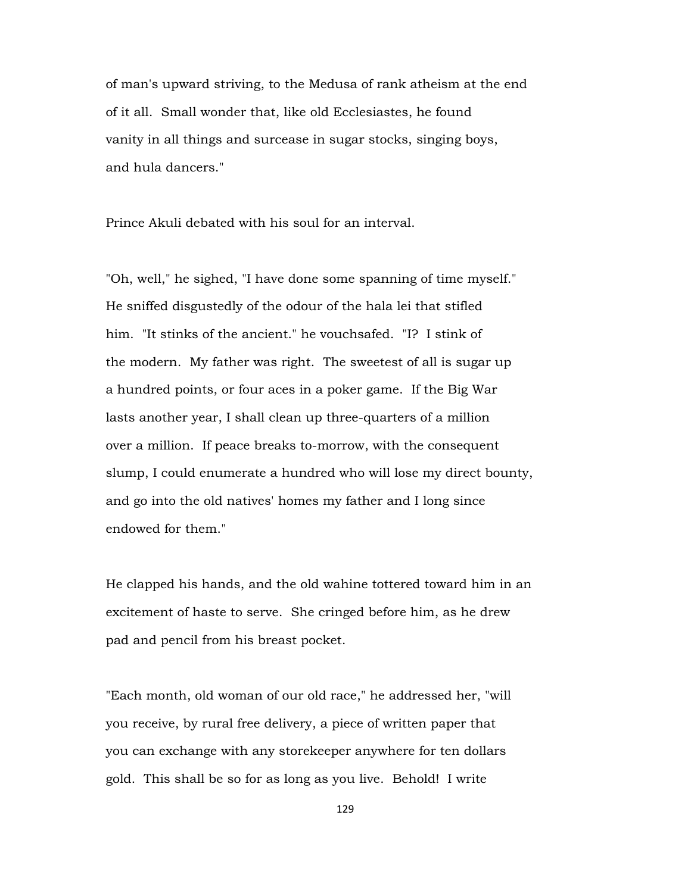of man's upward striving, to the Medusa of rank atheism at the end of it all. Small wonder that, like old Ecclesiastes, he found vanity in all things and surcease in sugar stocks, singing boys, and hula dancers."

Prince Akuli debated with his soul for an interval.

"Oh, well," he sighed, "I have done some spanning of time myself." He sniffed disgustedly of the odour of the hala lei that stifled him. "It stinks of the ancient." he vouchsafed. "I? I stink of the modern. My father was right. The sweetest of all is sugar up a hundred points, or four aces in a poker game. If the Big War lasts another year, I shall clean up three-quarters of a million over a million. If peace breaks to-morrow, with the consequent slump, I could enumerate a hundred who will lose my direct bounty, and go into the old natives' homes my father and I long since endowed for them."

He clapped his hands, and the old wahine tottered toward him in an excitement of haste to serve. She cringed before him, as he drew pad and pencil from his breast pocket.

"Each month, old woman of our old race," he addressed her, "will you receive, by rural free delivery, a piece of written paper that you can exchange with any storekeeper anywhere for ten dollars gold. This shall be so for as long as you live. Behold! I write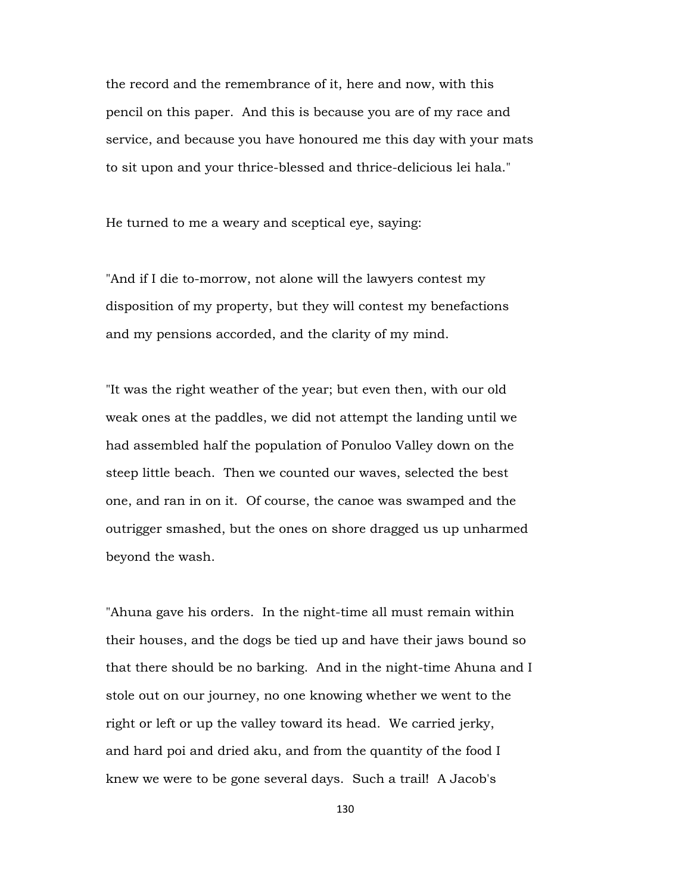the record and the remembrance of it, here and now, with this pencil on this paper. And this is because you are of my race and service, and because you have honoured me this day with your mats to sit upon and your thrice-blessed and thrice-delicious lei hala."

He turned to me a weary and sceptical eye, saying:

"And if I die to-morrow, not alone will the lawyers contest my disposition of my property, but they will contest my benefactions and my pensions accorded, and the clarity of my mind.

"It was the right weather of the year; but even then, with our old weak ones at the paddles, we did not attempt the landing until we had assembled half the population of Ponuloo Valley down on the steep little beach. Then we counted our waves, selected the best one, and ran in on it. Of course, the canoe was swamped and the outrigger smashed, but the ones on shore dragged us up unharmed beyond the wash.

"Ahuna gave his orders. In the night-time all must remain within their houses, and the dogs be tied up and have their jaws bound so that there should be no barking. And in the night-time Ahuna and I stole out on our journey, no one knowing whether we went to the right or left or up the valley toward its head. We carried jerky, and hard poi and dried aku, and from the quantity of the food I knew we were to be gone several days. Such a trail! A Jacob's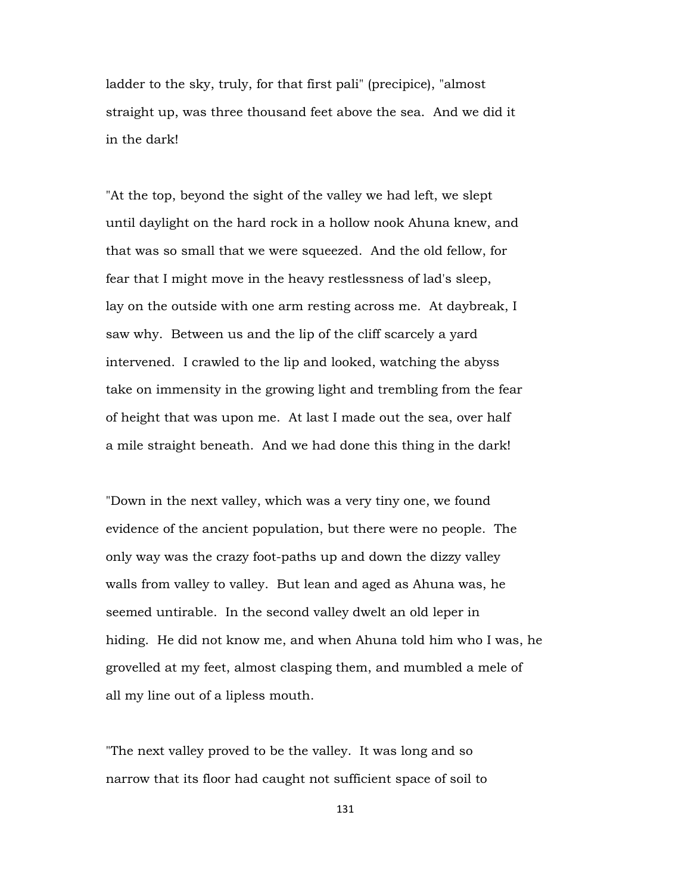ladder to the sky, truly, for that first pali" (precipice), "almost straight up, was three thousand feet above the sea. And we did it in the dark!

"At the top, beyond the sight of the valley we had left, we slept until daylight on the hard rock in a hollow nook Ahuna knew, and that was so small that we were squeezed. And the old fellow, for fear that I might move in the heavy restlessness of lad's sleep, lay on the outside with one arm resting across me. At daybreak, I saw why. Between us and the lip of the cliff scarcely a yard intervened. I crawled to the lip and looked, watching the abyss take on immensity in the growing light and trembling from the fear of height that was upon me. At last I made out the sea, over half a mile straight beneath. And we had done this thing in the dark!

"Down in the next valley, which was a very tiny one, we found evidence of the ancient population, but there were no people. The only way was the crazy foot-paths up and down the dizzy valley walls from valley to valley. But lean and aged as Ahuna was, he seemed untirable. In the second valley dwelt an old leper in hiding. He did not know me, and when Ahuna told him who I was, he grovelled at my feet, almost clasping them, and mumbled a mele of all my line out of a lipless mouth.

"The next valley proved to be the valley. It was long and so narrow that its floor had caught not sufficient space of soil to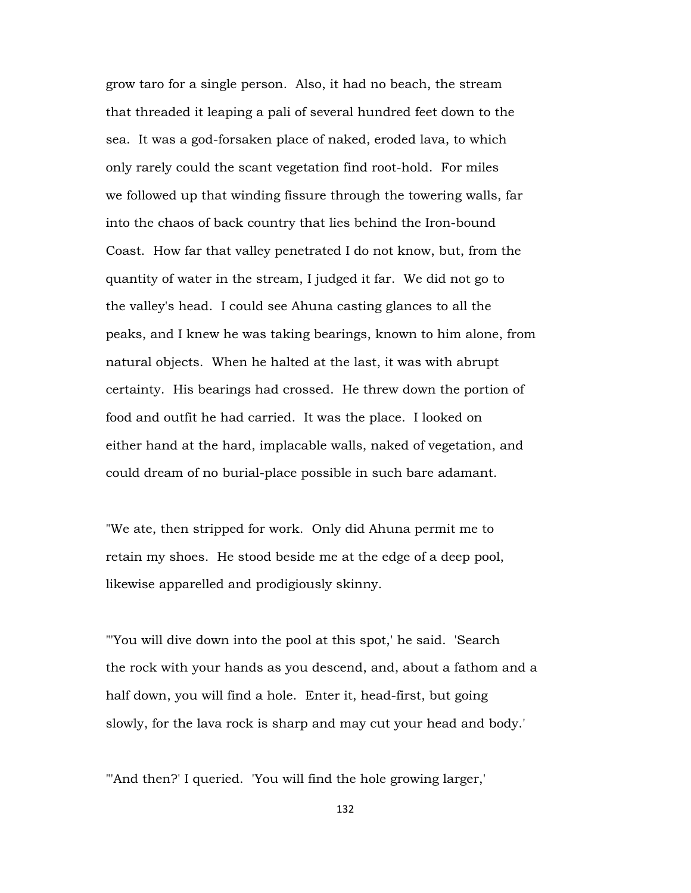grow taro for a single person. Also, it had no beach, the stream that threaded it leaping a pali of several hundred feet down to the sea. It was a god-forsaken place of naked, eroded lava, to which only rarely could the scant vegetation find root-hold. For miles we followed up that winding fissure through the towering walls, far into the chaos of back country that lies behind the Iron-bound Coast. How far that valley penetrated I do not know, but, from the quantity of water in the stream, I judged it far. We did not go to the valley's head. I could see Ahuna casting glances to all the peaks, and I knew he was taking bearings, known to him alone, from natural objects. When he halted at the last, it was with abrupt certainty. His bearings had crossed. He threw down the portion of food and outfit he had carried. It was the place. I looked on either hand at the hard, implacable walls, naked of vegetation, and could dream of no burial-place possible in such bare adamant.

"We ate, then stripped for work. Only did Ahuna permit me to retain my shoes. He stood beside me at the edge of a deep pool, likewise apparelled and prodigiously skinny.

"'You will dive down into the pool at this spot,' he said. 'Search the rock with your hands as you descend, and, about a fathom and a half down, you will find a hole. Enter it, head-first, but going slowly, for the lava rock is sharp and may cut your head and body.'

"'And then?' I queried. 'You will find the hole growing larger,'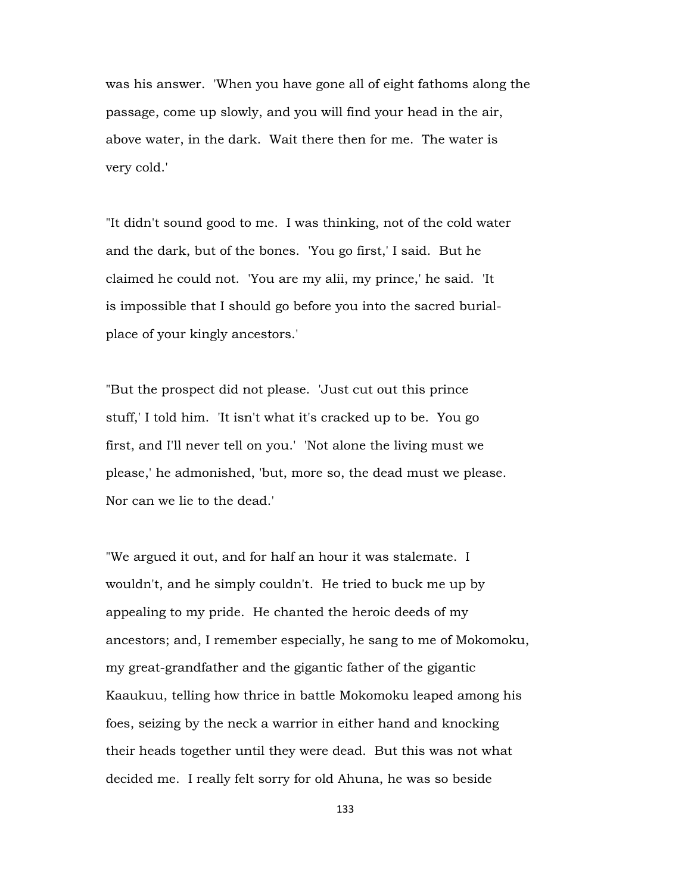was his answer. 'When you have gone all of eight fathoms along the passage, come up slowly, and you will find your head in the air, above water, in the dark. Wait there then for me. The water is very cold.'

"It didn't sound good to me. I was thinking, not of the cold water and the dark, but of the bones. 'You go first,' I said. But he claimed he could not. 'You are my alii, my prince,' he said. 'It is impossible that I should go before you into the sacred burialplace of your kingly ancestors.'

"But the prospect did not please. 'Just cut out this prince stuff,' I told him. 'It isn't what it's cracked up to be. You go first, and I'll never tell on you.' 'Not alone the living must we please,' he admonished, 'but, more so, the dead must we please. Nor can we lie to the dead.'

"We argued it out, and for half an hour it was stalemate. I wouldn't, and he simply couldn't. He tried to buck me up by appealing to my pride. He chanted the heroic deeds of my ancestors; and, I remember especially, he sang to me of Mokomoku, my great-grandfather and the gigantic father of the gigantic Kaaukuu, telling how thrice in battle Mokomoku leaped among his foes, seizing by the neck a warrior in either hand and knocking their heads together until they were dead. But this was not what decided me. I really felt sorry for old Ahuna, he was so beside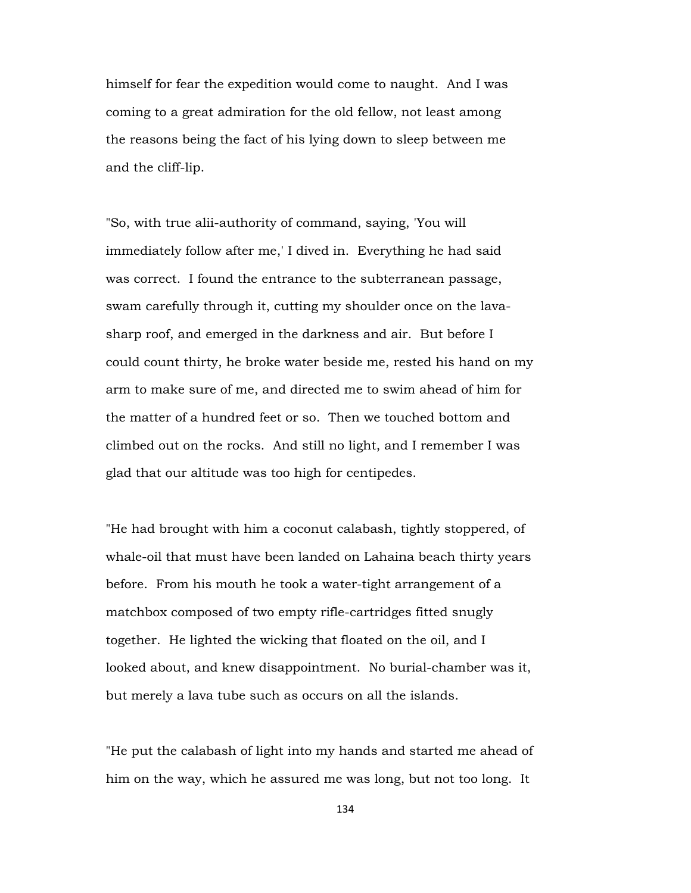himself for fear the expedition would come to naught. And I was coming to a great admiration for the old fellow, not least among the reasons being the fact of his lying down to sleep between me and the cliff-lip.

"So, with true alii-authority of command, saying, 'You will immediately follow after me,' I dived in. Everything he had said was correct. I found the entrance to the subterranean passage, swam carefully through it, cutting my shoulder once on the lavasharp roof, and emerged in the darkness and air. But before I could count thirty, he broke water beside me, rested his hand on my arm to make sure of me, and directed me to swim ahead of him for the matter of a hundred feet or so. Then we touched bottom and climbed out on the rocks. And still no light, and I remember I was glad that our altitude was too high for centipedes.

"He had brought with him a coconut calabash, tightly stoppered, of whale-oil that must have been landed on Lahaina beach thirty years before. From his mouth he took a water-tight arrangement of a matchbox composed of two empty rifle-cartridges fitted snugly together. He lighted the wicking that floated on the oil, and I looked about, and knew disappointment. No burial-chamber was it, but merely a lava tube such as occurs on all the islands.

"He put the calabash of light into my hands and started me ahead of him on the way, which he assured me was long, but not too long. It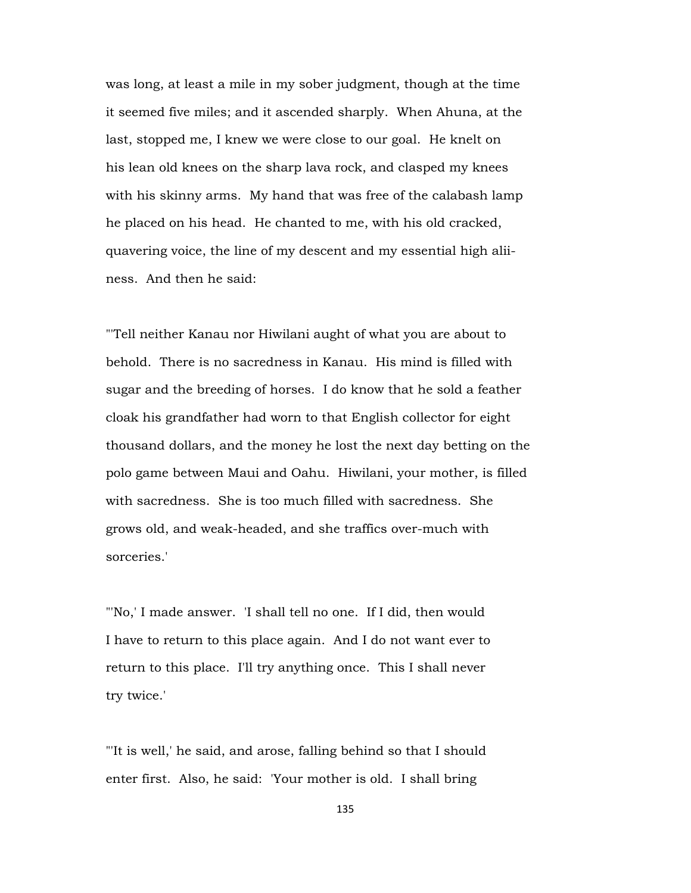was long, at least a mile in my sober judgment, though at the time it seemed five miles; and it ascended sharply. When Ahuna, at the last, stopped me, I knew we were close to our goal. He knelt on his lean old knees on the sharp lava rock, and clasped my knees with his skinny arms. My hand that was free of the calabash lamp he placed on his head. He chanted to me, with his old cracked, quavering voice, the line of my descent and my essential high aliiness. And then he said:

"'Tell neither Kanau nor Hiwilani aught of what you are about to behold. There is no sacredness in Kanau. His mind is filled with sugar and the breeding of horses. I do know that he sold a feather cloak his grandfather had worn to that English collector for eight thousand dollars, and the money he lost the next day betting on the polo game between Maui and Oahu. Hiwilani, your mother, is filled with sacredness. She is too much filled with sacredness. She grows old, and weak-headed, and she traffics over-much with sorceries.'

"'No,' I made answer. 'I shall tell no one. If I did, then would I have to return to this place again. And I do not want ever to return to this place. I'll try anything once. This I shall never try twice.'

"'It is well,' he said, and arose, falling behind so that I should enter first. Also, he said: 'Your mother is old. I shall bring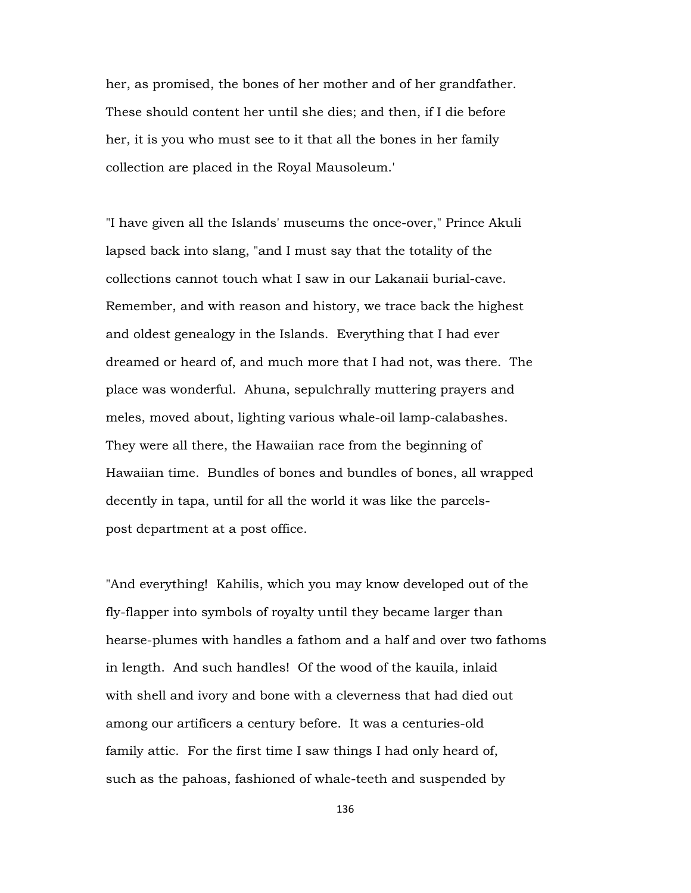her, as promised, the bones of her mother and of her grandfather. These should content her until she dies; and then, if I die before her, it is you who must see to it that all the bones in her family collection are placed in the Royal Mausoleum.'

"I have given all the Islands' museums the once-over," Prince Akuli lapsed back into slang, "and I must say that the totality of the collections cannot touch what I saw in our Lakanaii burial-cave. Remember, and with reason and history, we trace back the highest and oldest genealogy in the Islands. Everything that I had ever dreamed or heard of, and much more that I had not, was there. The place was wonderful. Ahuna, sepulchrally muttering prayers and meles, moved about, lighting various whale-oil lamp-calabashes. They were all there, the Hawaiian race from the beginning of Hawaiian time. Bundles of bones and bundles of bones, all wrapped decently in tapa, until for all the world it was like the parcelspost department at a post office.

"And everything! Kahilis, which you may know developed out of the fly-flapper into symbols of royalty until they became larger than hearse-plumes with handles a fathom and a half and over two fathoms in length. And such handles! Of the wood of the kauila, inlaid with shell and ivory and bone with a cleverness that had died out among our artificers a century before. It was a centuries-old family attic. For the first time I saw things I had only heard of, such as the pahoas, fashioned of whale-teeth and suspended by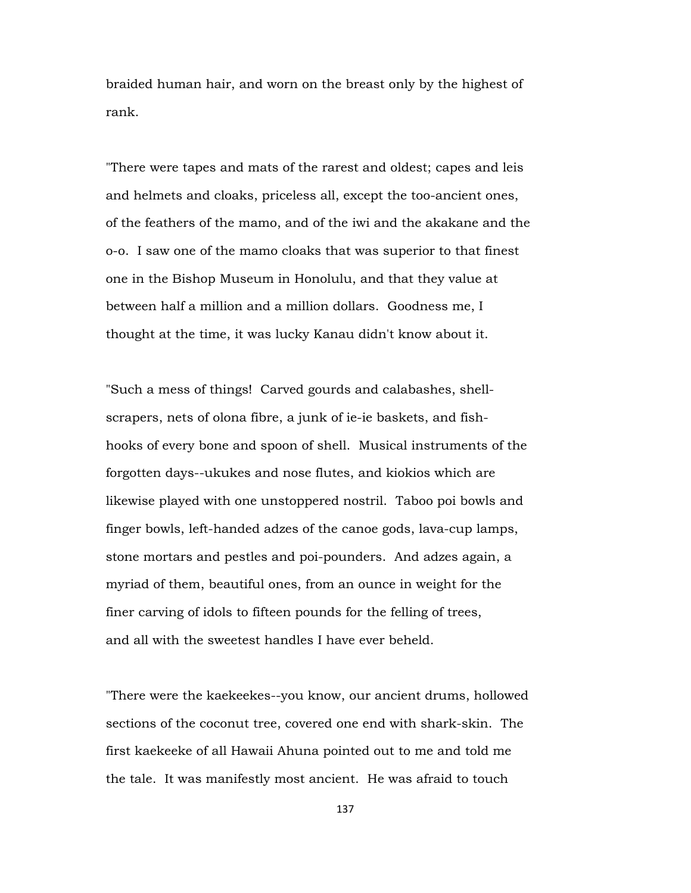braided human hair, and worn on the breast only by the highest of rank.

"There were tapes and mats of the rarest and oldest; capes and leis and helmets and cloaks, priceless all, except the too-ancient ones, of the feathers of the mamo, and of the iwi and the akakane and the o-o. I saw one of the mamo cloaks that was superior to that finest one in the Bishop Museum in Honolulu, and that they value at between half a million and a million dollars. Goodness me, I thought at the time, it was lucky Kanau didn't know about it.

"Such a mess of things! Carved gourds and calabashes, shellscrapers, nets of olona fibre, a junk of ie-ie baskets, and fishhooks of every bone and spoon of shell. Musical instruments of the forgotten days--ukukes and nose flutes, and kiokios which are likewise played with one unstoppered nostril. Taboo poi bowls and finger bowls, left-handed adzes of the canoe gods, lava-cup lamps, stone mortars and pestles and poi-pounders. And adzes again, a myriad of them, beautiful ones, from an ounce in weight for the finer carving of idols to fifteen pounds for the felling of trees, and all with the sweetest handles I have ever beheld.

"There were the kaekeekes--you know, our ancient drums, hollowed sections of the coconut tree, covered one end with shark-skin. The first kaekeeke of all Hawaii Ahuna pointed out to me and told me the tale. It was manifestly most ancient. He was afraid to touch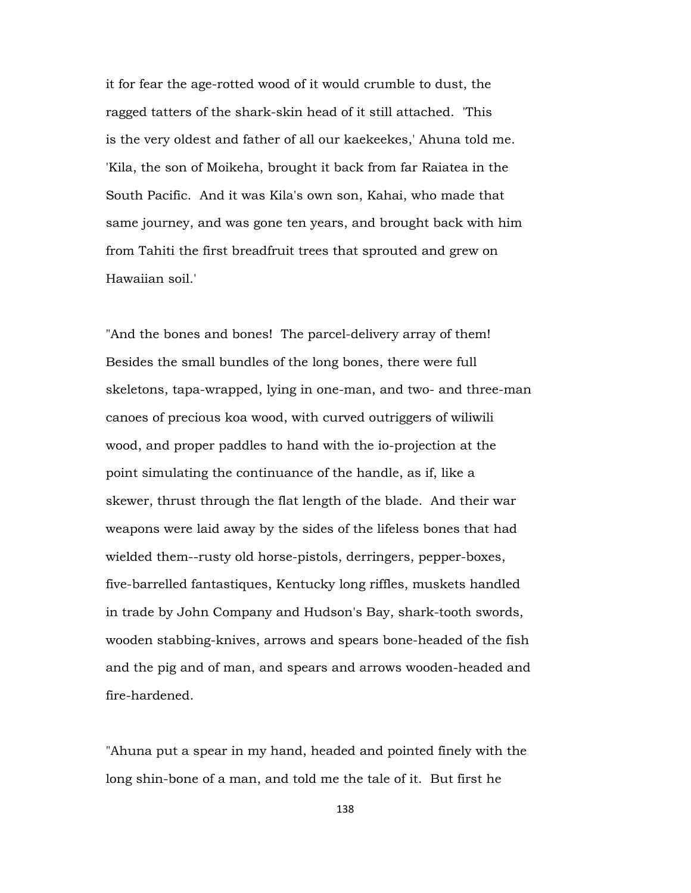it for fear the age-rotted wood of it would crumble to dust, the ragged tatters of the shark-skin head of it still attached. 'This is the very oldest and father of all our kaekeekes,' Ahuna told me. 'Kila, the son of Moikeha, brought it back from far Raiatea in the South Pacific. And it was Kila's own son, Kahai, who made that same journey, and was gone ten years, and brought back with him from Tahiti the first breadfruit trees that sprouted and grew on Hawaiian soil.'

"And the bones and bones! The parcel-delivery array of them! Besides the small bundles of the long bones, there were full skeletons, tapa-wrapped, lying in one-man, and two- and three-man canoes of precious koa wood, with curved outriggers of wiliwili wood, and proper paddles to hand with the io-projection at the point simulating the continuance of the handle, as if, like a skewer, thrust through the flat length of the blade. And their war weapons were laid away by the sides of the lifeless bones that had wielded them--rusty old horse-pistols, derringers, pepper-boxes, five-barrelled fantastiques, Kentucky long riffles, muskets handled in trade by John Company and Hudson's Bay, shark-tooth swords, wooden stabbing-knives, arrows and spears bone-headed of the fish and the pig and of man, and spears and arrows wooden-headed and fire-hardened.

"Ahuna put a spear in my hand, headed and pointed finely with the long shin-bone of a man, and told me the tale of it. But first he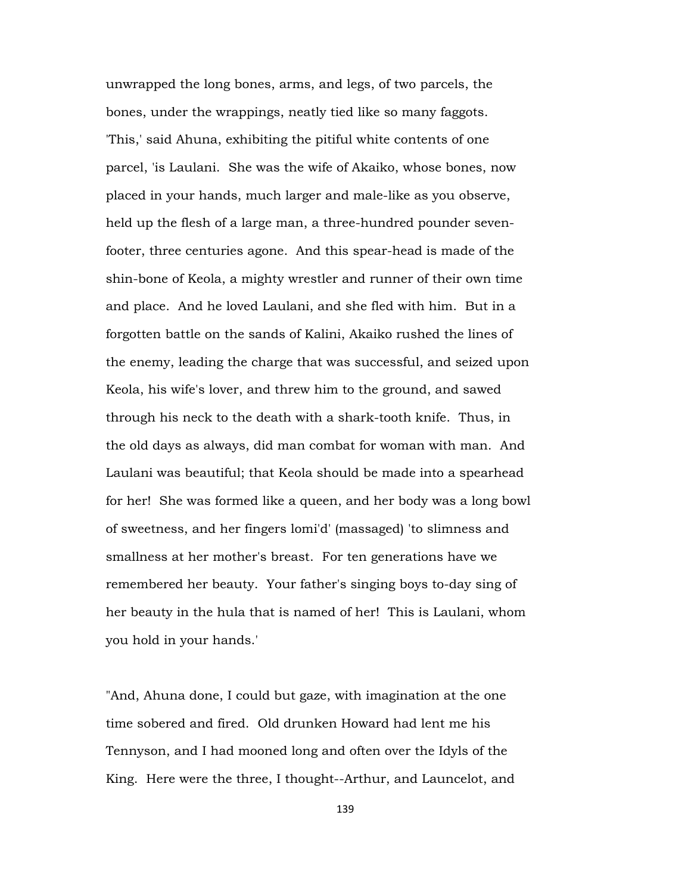unwrapped the long bones, arms, and legs, of two parcels, the bones, under the wrappings, neatly tied like so many faggots. 'This,' said Ahuna, exhibiting the pitiful white contents of one parcel, 'is Laulani. She was the wife of Akaiko, whose bones, now placed in your hands, much larger and male-like as you observe, held up the flesh of a large man, a three-hundred pounder sevenfooter, three centuries agone. And this spear-head is made of the shin-bone of Keola, a mighty wrestler and runner of their own time and place. And he loved Laulani, and she fled with him. But in a forgotten battle on the sands of Kalini, Akaiko rushed the lines of the enemy, leading the charge that was successful, and seized upon Keola, his wife's lover, and threw him to the ground, and sawed through his neck to the death with a shark-tooth knife. Thus, in the old days as always, did man combat for woman with man. And Laulani was beautiful; that Keola should be made into a spearhead for her! She was formed like a queen, and her body was a long bowl of sweetness, and her fingers lomi'd' (massaged) 'to slimness and smallness at her mother's breast. For ten generations have we remembered her beauty. Your father's singing boys to-day sing of her beauty in the hula that is named of her! This is Laulani, whom you hold in your hands.'

"And, Ahuna done, I could but gaze, with imagination at the one time sobered and fired. Old drunken Howard had lent me his Tennyson, and I had mooned long and often over the Idyls of the King. Here were the three, I thought--Arthur, and Launcelot, and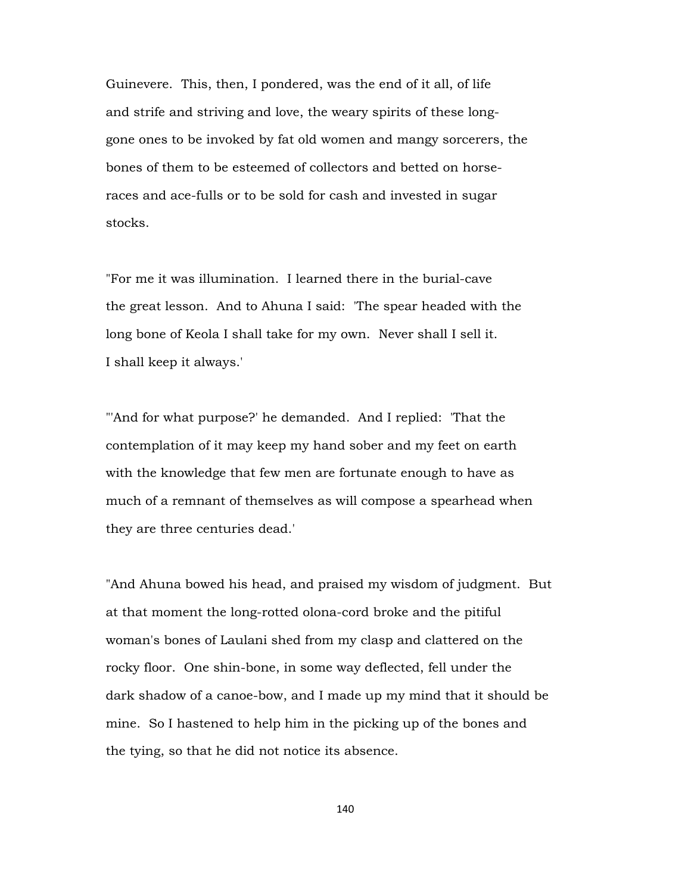Guinevere. This, then, I pondered, was the end of it all, of life and strife and striving and love, the weary spirits of these longgone ones to be invoked by fat old women and mangy sorcerers, the bones of them to be esteemed of collectors and betted on horseraces and ace-fulls or to be sold for cash and invested in sugar stocks.

"For me it was illumination. I learned there in the burial-cave the great lesson. And to Ahuna I said: 'The spear headed with the long bone of Keola I shall take for my own. Never shall I sell it. I shall keep it always.'

"'And for what purpose?' he demanded. And I replied: 'That the contemplation of it may keep my hand sober and my feet on earth with the knowledge that few men are fortunate enough to have as much of a remnant of themselves as will compose a spearhead when they are three centuries dead.'

"And Ahuna bowed his head, and praised my wisdom of judgment. But at that moment the long-rotted olona-cord broke and the pitiful woman's bones of Laulani shed from my clasp and clattered on the rocky floor. One shin-bone, in some way deflected, fell under the dark shadow of a canoe-bow, and I made up my mind that it should be mine. So I hastened to help him in the picking up of the bones and the tying, so that he did not notice its absence.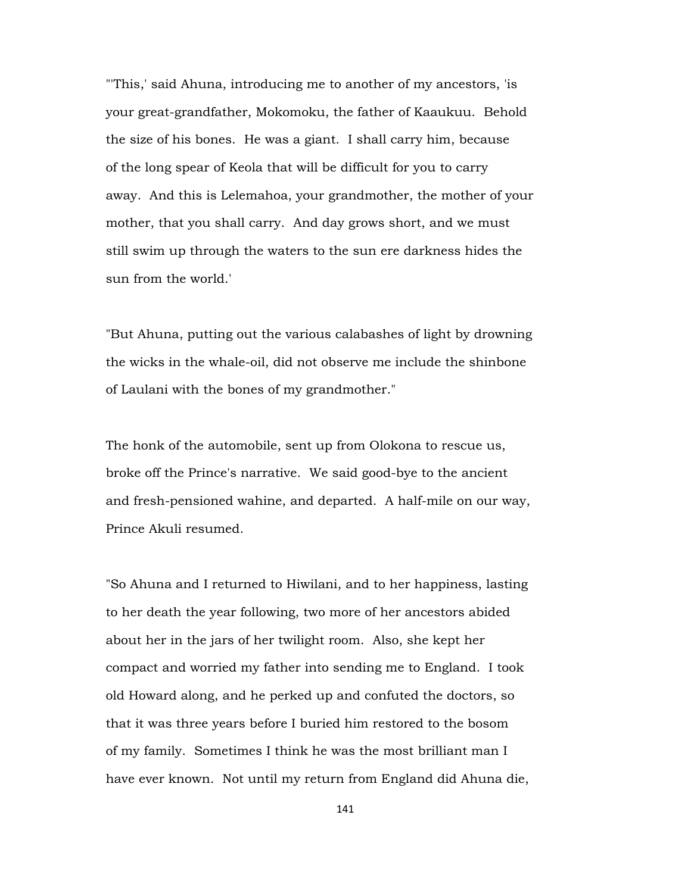"'This,' said Ahuna, introducing me to another of my ancestors, 'is your great-grandfather, Mokomoku, the father of Kaaukuu. Behold the size of his bones. He was a giant. I shall carry him, because of the long spear of Keola that will be difficult for you to carry away. And this is Lelemahoa, your grandmother, the mother of your mother, that you shall carry. And day grows short, and we must still swim up through the waters to the sun ere darkness hides the sun from the world.'

"But Ahuna, putting out the various calabashes of light by drowning the wicks in the whale-oil, did not observe me include the shinbone of Laulani with the bones of my grandmother."

The honk of the automobile, sent up from Olokona to rescue us, broke off the Prince's narrative. We said good-bye to the ancient and fresh-pensioned wahine, and departed. A half-mile on our way, Prince Akuli resumed.

"So Ahuna and I returned to Hiwilani, and to her happiness, lasting to her death the year following, two more of her ancestors abided about her in the jars of her twilight room. Also, she kept her compact and worried my father into sending me to England. I took old Howard along, and he perked up and confuted the doctors, so that it was three years before I buried him restored to the bosom of my family. Sometimes I think he was the most brilliant man I have ever known. Not until my return from England did Ahuna die,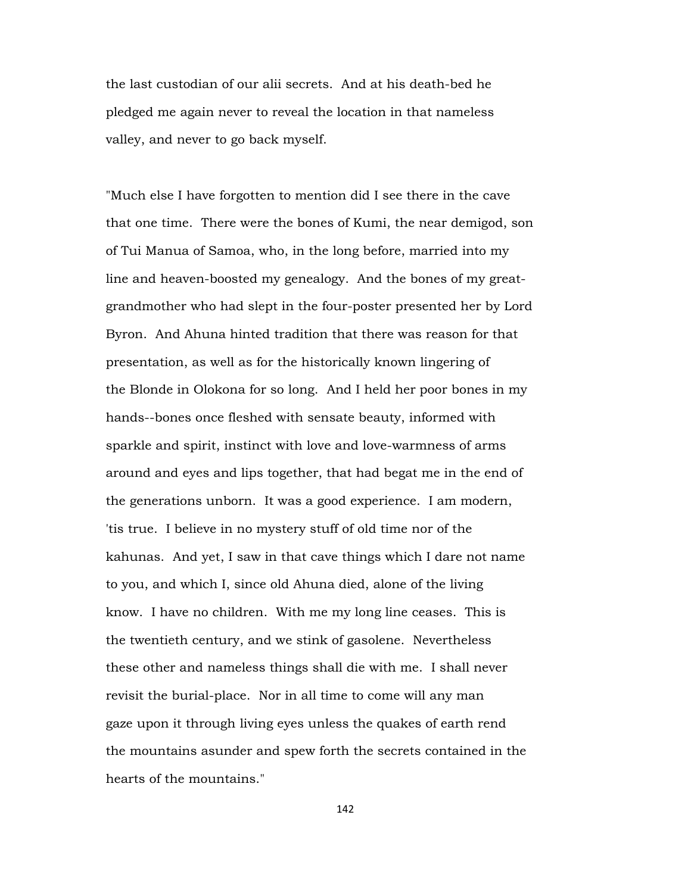the last custodian of our alii secrets. And at his death-bed he pledged me again never to reveal the location in that nameless valley, and never to go back myself.

"Much else I have forgotten to mention did I see there in the cave that one time. There were the bones of Kumi, the near demigod, son of Tui Manua of Samoa, who, in the long before, married into my line and heaven-boosted my genealogy. And the bones of my greatgrandmother who had slept in the four-poster presented her by Lord Byron. And Ahuna hinted tradition that there was reason for that presentation, as well as for the historically known lingering of the Blonde in Olokona for so long. And I held her poor bones in my hands--bones once fleshed with sensate beauty, informed with sparkle and spirit, instinct with love and love-warmness of arms around and eyes and lips together, that had begat me in the end of the generations unborn. It was a good experience. I am modern, 'tis true. I believe in no mystery stuff of old time nor of the kahunas. And yet, I saw in that cave things which I dare not name to you, and which I, since old Ahuna died, alone of the living know. I have no children. With me my long line ceases. This is the twentieth century, and we stink of gasolene. Nevertheless these other and nameless things shall die with me. I shall never revisit the burial-place. Nor in all time to come will any man gaze upon it through living eyes unless the quakes of earth rend the mountains asunder and spew forth the secrets contained in the hearts of the mountains."

142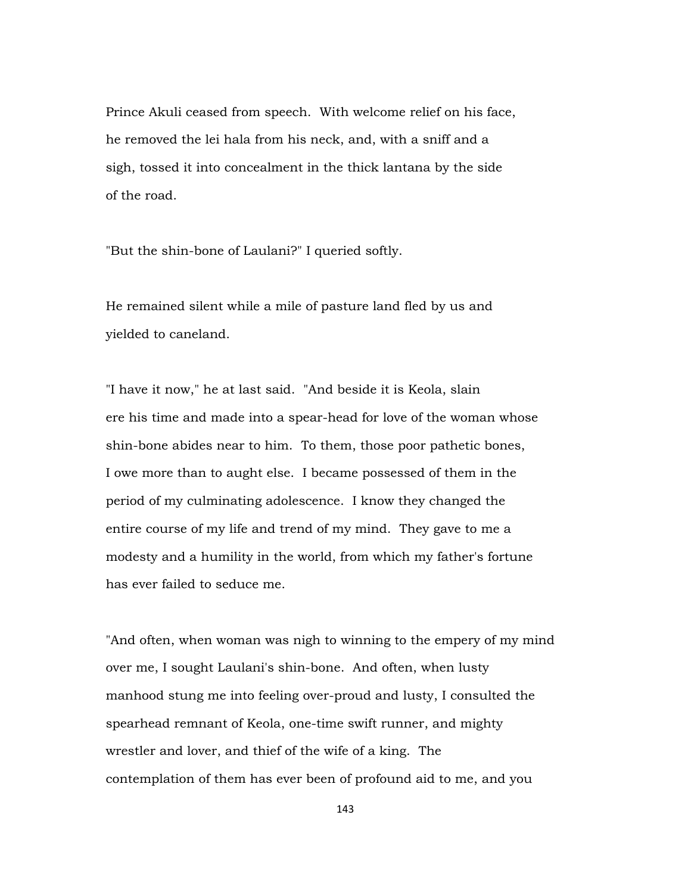Prince Akuli ceased from speech. With welcome relief on his face, he removed the lei hala from his neck, and, with a sniff and a sigh, tossed it into concealment in the thick lantana by the side of the road.

"But the shin-bone of Laulani?" I queried softly.

He remained silent while a mile of pasture land fled by us and yielded to caneland.

"I have it now," he at last said. "And beside it is Keola, slain ere his time and made into a spear-head for love of the woman whose shin-bone abides near to him. To them, those poor pathetic bones, I owe more than to aught else. I became possessed of them in the period of my culminating adolescence. I know they changed the entire course of my life and trend of my mind. They gave to me a modesty and a humility in the world, from which my father's fortune has ever failed to seduce me.

"And often, when woman was nigh to winning to the empery of my mind over me, I sought Laulani's shin-bone. And often, when lusty manhood stung me into feeling over-proud and lusty, I consulted the spearhead remnant of Keola, one-time swift runner, and mighty wrestler and lover, and thief of the wife of a king. The contemplation of them has ever been of profound aid to me, and you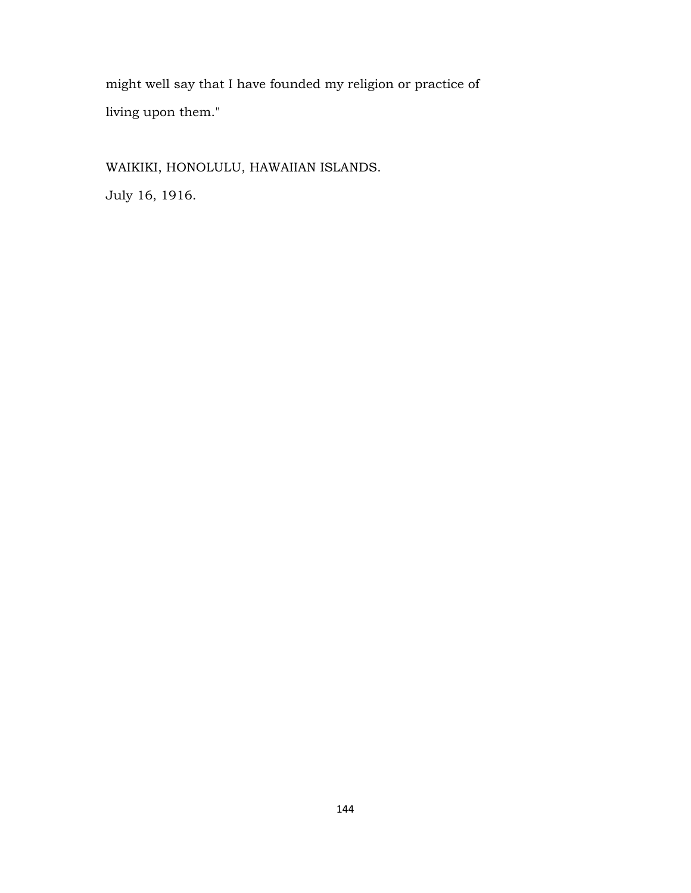might well say that I have founded my religion or practice of living upon them."

WAIKIKI, HONOLULU, HAWAIIAN ISLANDS.

July 16, 1916.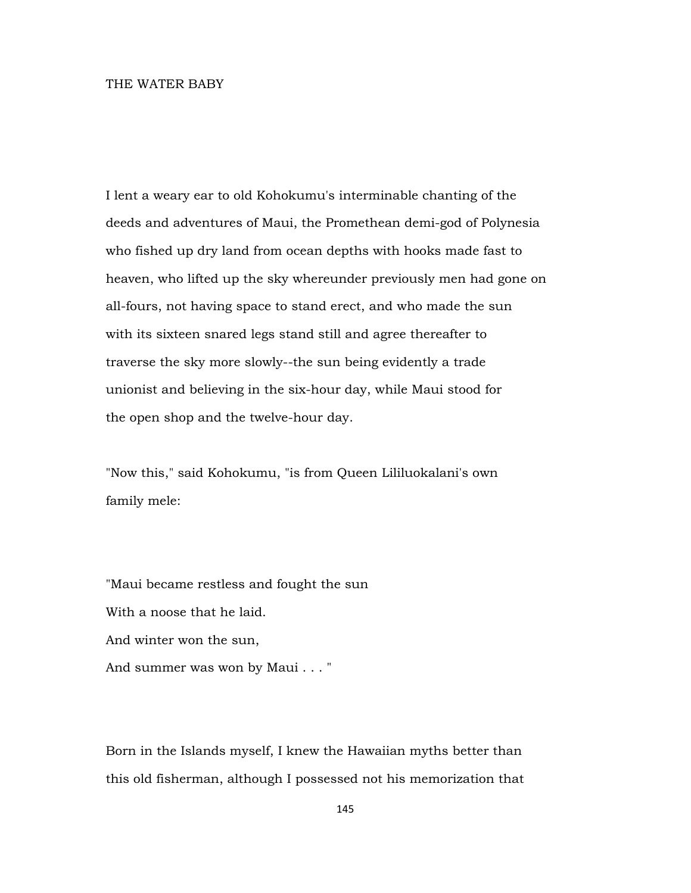## THE WATER BABY

I lent a weary ear to old Kohokumu's interminable chanting of the deeds and adventures of Maui, the Promethean demi-god of Polynesia who fished up dry land from ocean depths with hooks made fast to heaven, who lifted up the sky whereunder previously men had gone on all-fours, not having space to stand erect, and who made the sun with its sixteen snared legs stand still and agree thereafter to traverse the sky more slowly--the sun being evidently a trade unionist and believing in the six-hour day, while Maui stood for the open shop and the twelve-hour day.

"Now this," said Kohokumu, "is from Queen Lililuokalani's own family mele:

"Maui became restless and fought the sun With a noose that he laid. And winter won the sun, And summer was won by Maui . . . "

Born in the Islands myself, I knew the Hawaiian myths better than this old fisherman, although I possessed not his memorization that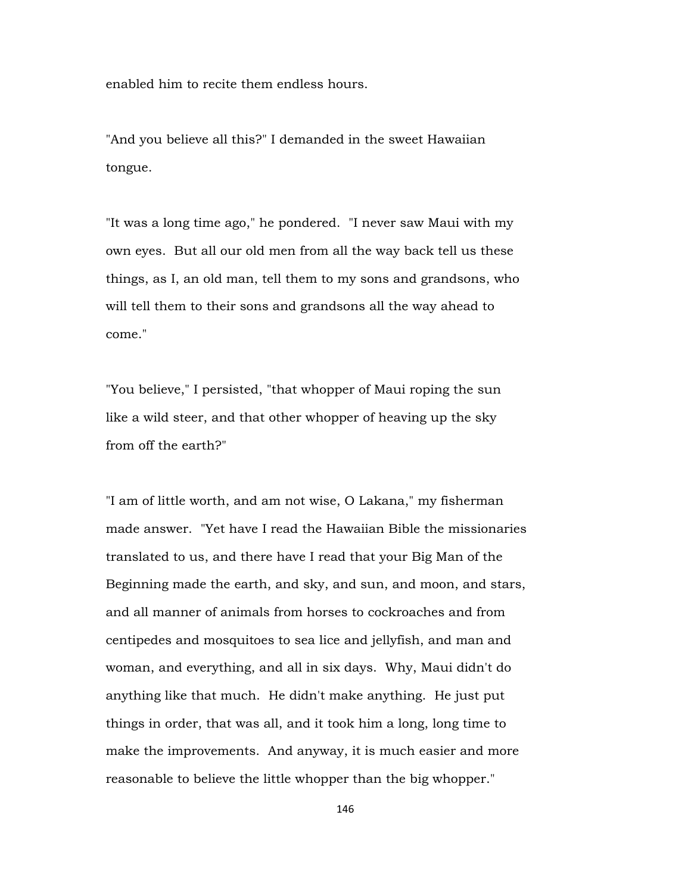enabled him to recite them endless hours.

"And you believe all this?" I demanded in the sweet Hawaiian tongue.

"It was a long time ago," he pondered. "I never saw Maui with my own eyes. But all our old men from all the way back tell us these things, as I, an old man, tell them to my sons and grandsons, who will tell them to their sons and grandsons all the way ahead to come."

"You believe," I persisted, "that whopper of Maui roping the sun like a wild steer, and that other whopper of heaving up the sky from off the earth?"

"I am of little worth, and am not wise, O Lakana," my fisherman made answer. "Yet have I read the Hawaiian Bible the missionaries translated to us, and there have I read that your Big Man of the Beginning made the earth, and sky, and sun, and moon, and stars, and all manner of animals from horses to cockroaches and from centipedes and mosquitoes to sea lice and jellyfish, and man and woman, and everything, and all in six days. Why, Maui didn't do anything like that much. He didn't make anything. He just put things in order, that was all, and it took him a long, long time to make the improvements. And anyway, it is much easier and more reasonable to believe the little whopper than the big whopper."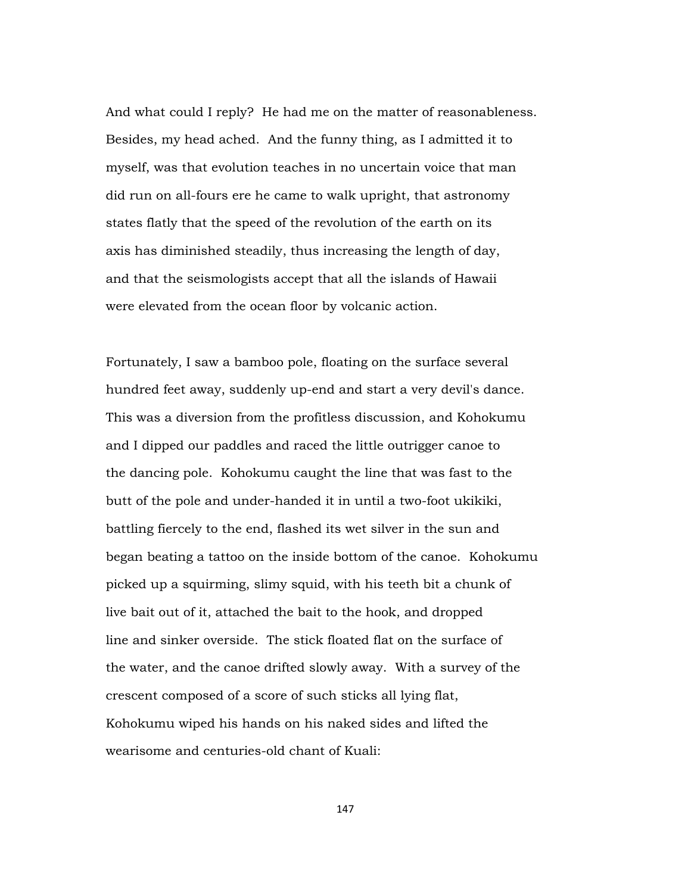And what could I reply? He had me on the matter of reasonableness. Besides, my head ached. And the funny thing, as I admitted it to myself, was that evolution teaches in no uncertain voice that man did run on all-fours ere he came to walk upright, that astronomy states flatly that the speed of the revolution of the earth on its axis has diminished steadily, thus increasing the length of day, and that the seismologists accept that all the islands of Hawaii were elevated from the ocean floor by volcanic action.

Fortunately, I saw a bamboo pole, floating on the surface several hundred feet away, suddenly up-end and start a very devil's dance. This was a diversion from the profitless discussion, and Kohokumu and I dipped our paddles and raced the little outrigger canoe to the dancing pole. Kohokumu caught the line that was fast to the butt of the pole and under-handed it in until a two-foot ukikiki, battling fiercely to the end, flashed its wet silver in the sun and began beating a tattoo on the inside bottom of the canoe. Kohokumu picked up a squirming, slimy squid, with his teeth bit a chunk of live bait out of it, attached the bait to the hook, and dropped line and sinker overside. The stick floated flat on the surface of the water, and the canoe drifted slowly away. With a survey of the crescent composed of a score of such sticks all lying flat, Kohokumu wiped his hands on his naked sides and lifted the wearisome and centuries-old chant of Kuali: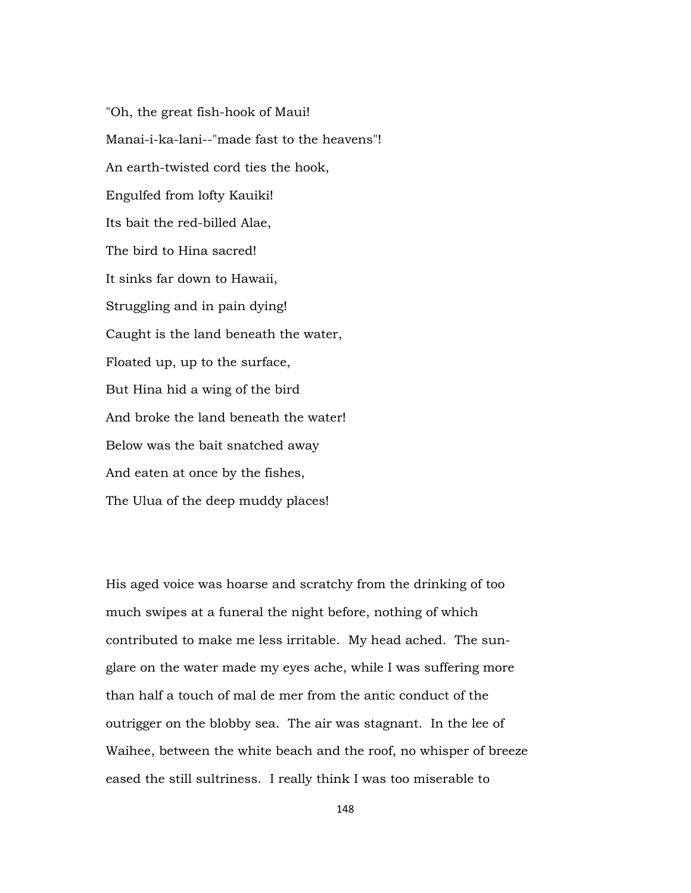"Oh, the great fish-hook of Maui! Manai-i-ka-lani--"made fast to the heavens"! An earth-twisted cord ties the hook, Engulfed from lofty Kauiki! Its bait the red-billed Alae, The bird to Hina sacred! It sinks far down to Hawaii, Struggling and in pain dying! Caught is the land beneath the water, Floated up, up to the surface, But Hina hid a wing of the bird And broke the land beneath the water! Below was the bait snatched away And eaten at once by the fishes, The Ulua of the deep muddy places!

His aged voice was hoarse and scratchy from the drinking of too much swipes at a funeral the night before, nothing of which contributed to make me less irritable. My head ached. The sunglare on the water made my eyes ache, while I was suffering more than half a touch of mal de mer from the antic conduct of the outrigger on the blobby sea. The air was stagnant. In the lee of Waihee, between the white beach and the roof, no whisper of breeze eased the still sultriness. I really think I was too miserable to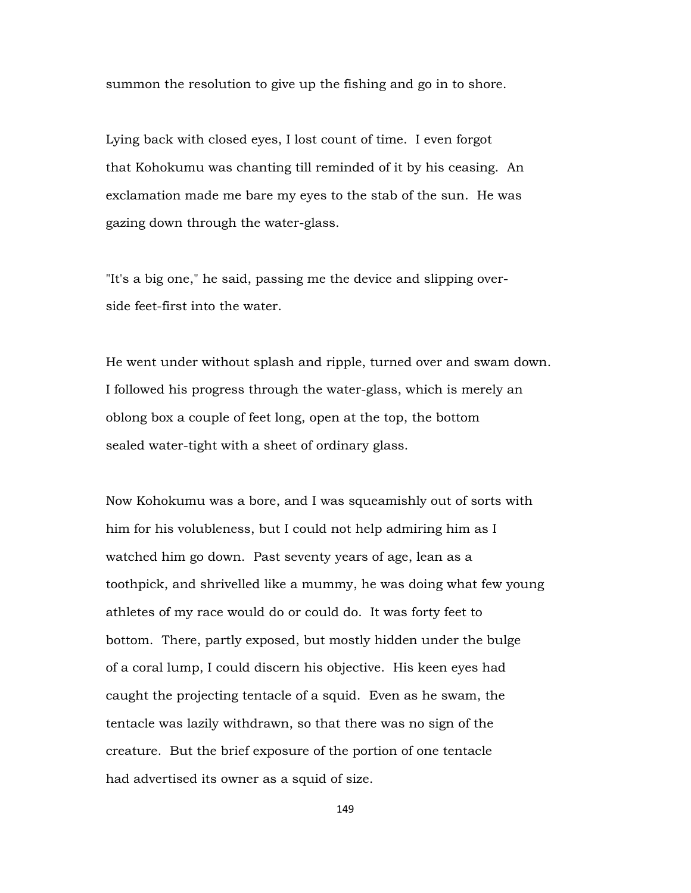summon the resolution to give up the fishing and go in to shore.

Lying back with closed eyes, I lost count of time. I even forgot that Kohokumu was chanting till reminded of it by his ceasing. An exclamation made me bare my eyes to the stab of the sun. He was gazing down through the water-glass.

"It's a big one," he said, passing me the device and slipping overside feet-first into the water.

He went under without splash and ripple, turned over and swam down. I followed his progress through the water-glass, which is merely an oblong box a couple of feet long, open at the top, the bottom sealed water-tight with a sheet of ordinary glass.

Now Kohokumu was a bore, and I was squeamishly out of sorts with him for his volubleness, but I could not help admiring him as I watched him go down. Past seventy years of age, lean as a toothpick, and shrivelled like a mummy, he was doing what few young athletes of my race would do or could do. It was forty feet to bottom. There, partly exposed, but mostly hidden under the bulge of a coral lump, I could discern his objective. His keen eyes had caught the projecting tentacle of a squid. Even as he swam, the tentacle was lazily withdrawn, so that there was no sign of the creature. But the brief exposure of the portion of one tentacle had advertised its owner as a squid of size.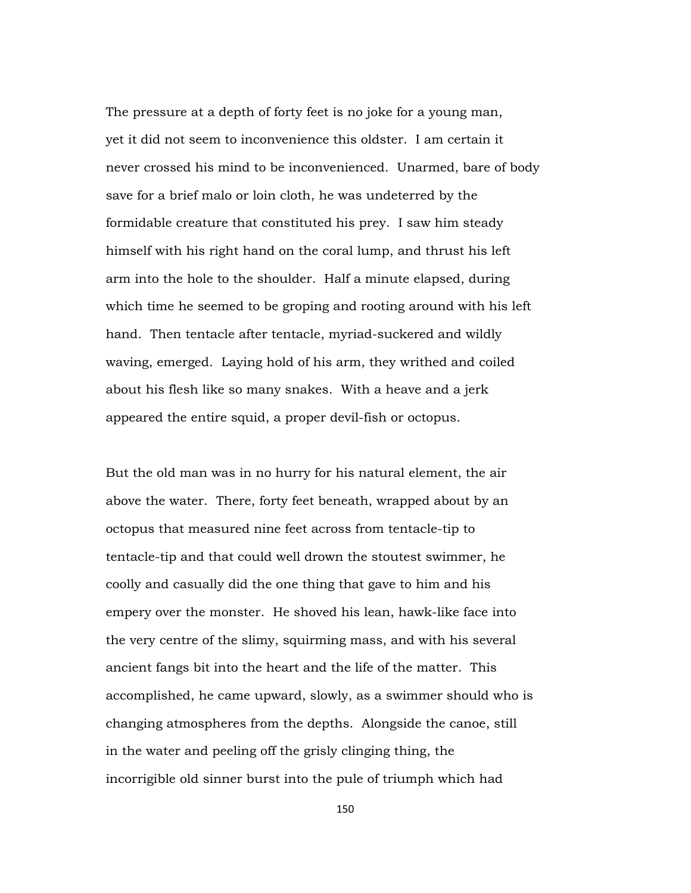The pressure at a depth of forty feet is no joke for a young man, yet it did not seem to inconvenience this oldster. I am certain it never crossed his mind to be inconvenienced. Unarmed, bare of body save for a brief malo or loin cloth, he was undeterred by the formidable creature that constituted his prey. I saw him steady himself with his right hand on the coral lump, and thrust his left arm into the hole to the shoulder. Half a minute elapsed, during which time he seemed to be groping and rooting around with his left hand. Then tentacle after tentacle, myriad-suckered and wildly waving, emerged. Laying hold of his arm, they writhed and coiled about his flesh like so many snakes. With a heave and a jerk appeared the entire squid, a proper devil-fish or octopus.

But the old man was in no hurry for his natural element, the air above the water. There, forty feet beneath, wrapped about by an octopus that measured nine feet across from tentacle-tip to tentacle-tip and that could well drown the stoutest swimmer, he coolly and casually did the one thing that gave to him and his empery over the monster. He shoved his lean, hawk-like face into the very centre of the slimy, squirming mass, and with his several ancient fangs bit into the heart and the life of the matter. This accomplished, he came upward, slowly, as a swimmer should who is changing atmospheres from the depths. Alongside the canoe, still in the water and peeling off the grisly clinging thing, the incorrigible old sinner burst into the pule of triumph which had

150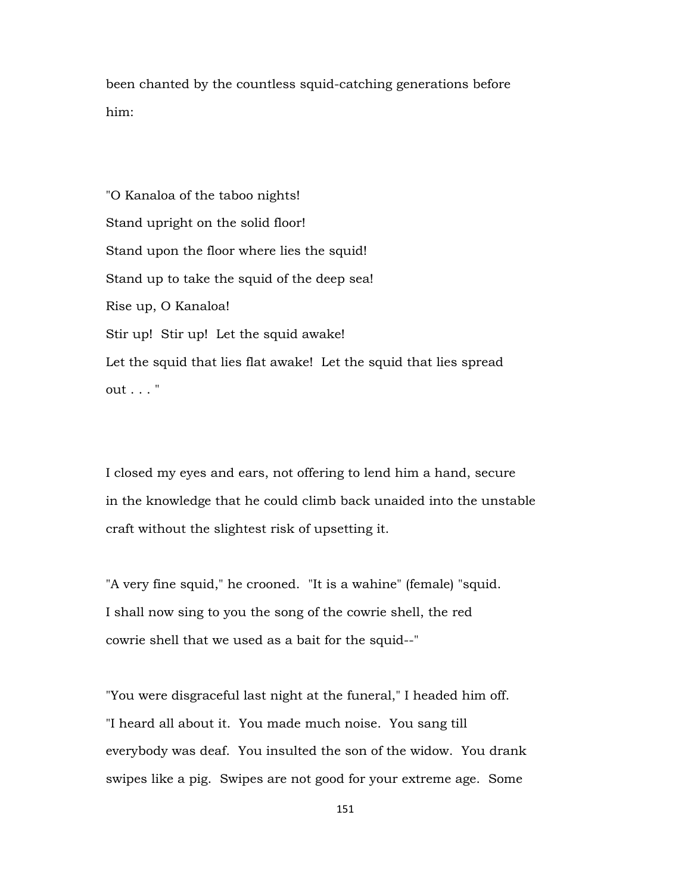been chanted by the countless squid-catching generations before him:

"O Kanaloa of the taboo nights! Stand upright on the solid floor! Stand upon the floor where lies the squid! Stand up to take the squid of the deep sea! Rise up, O Kanaloa! Stir up! Stir up! Let the squid awake! Let the squid that lies flat awake! Let the squid that lies spread out . . . "

I closed my eyes and ears, not offering to lend him a hand, secure in the knowledge that he could climb back unaided into the unstable craft without the slightest risk of upsetting it.

"A very fine squid," he crooned. "It is a wahine" (female) "squid. I shall now sing to you the song of the cowrie shell, the red cowrie shell that we used as a bait for the squid--"

"You were disgraceful last night at the funeral," I headed him off. "I heard all about it. You made much noise. You sang till everybody was deaf. You insulted the son of the widow. You drank swipes like a pig. Swipes are not good for your extreme age. Some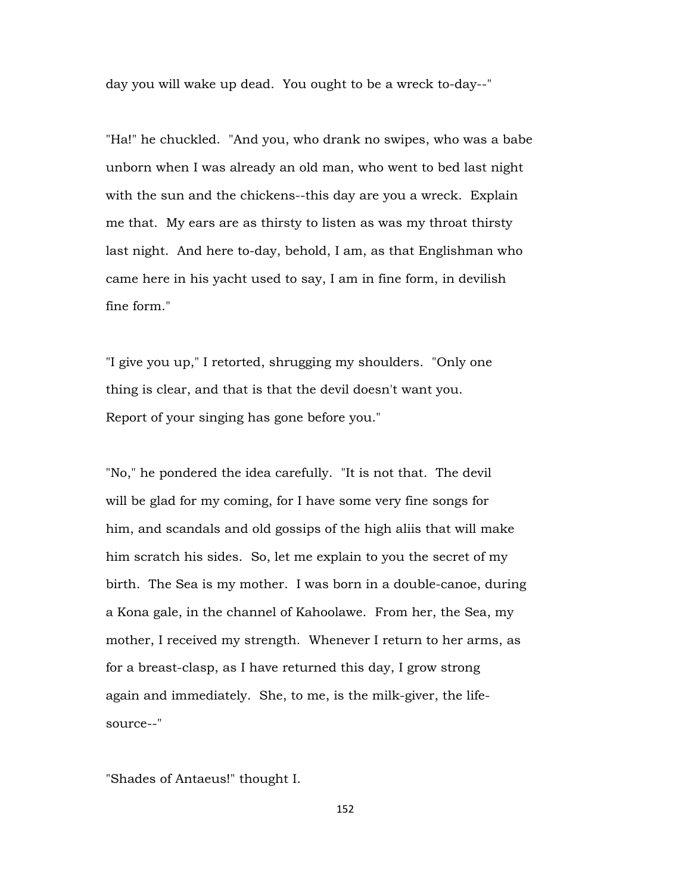day you will wake up dead. You ought to be a wreck to-day--"

"Ha!" he chuckled. "And you, who drank no swipes, who was a babe unborn when I was already an old man, who went to bed last night with the sun and the chickens--this day are you a wreck. Explain me that. My ears are as thirsty to listen as was my throat thirsty last night. And here to-day, behold, I am, as that Englishman who came here in his yacht used to say, I am in fine form, in devilish fine form."

"I give you up," I retorted, shrugging my shoulders. "Only one thing is clear, and that is that the devil doesn't want you. Report of your singing has gone before you."

"No," he pondered the idea carefully. "It is not that. The devil will be glad for my coming, for I have some very fine songs for him, and scandals and old gossips of the high aliis that will make him scratch his sides. So, let me explain to you the secret of my birth. The Sea is my mother. I was born in a double-canoe, during a Kona gale, in the channel of Kahoolawe. From her, the Sea, my mother, I received my strength. Whenever I return to her arms, as for a breast-clasp, as I have returned this day, I grow strong again and immediately. She, to me, is the milk-giver, the lifesource--"

"Shades of Antaeus!" thought I.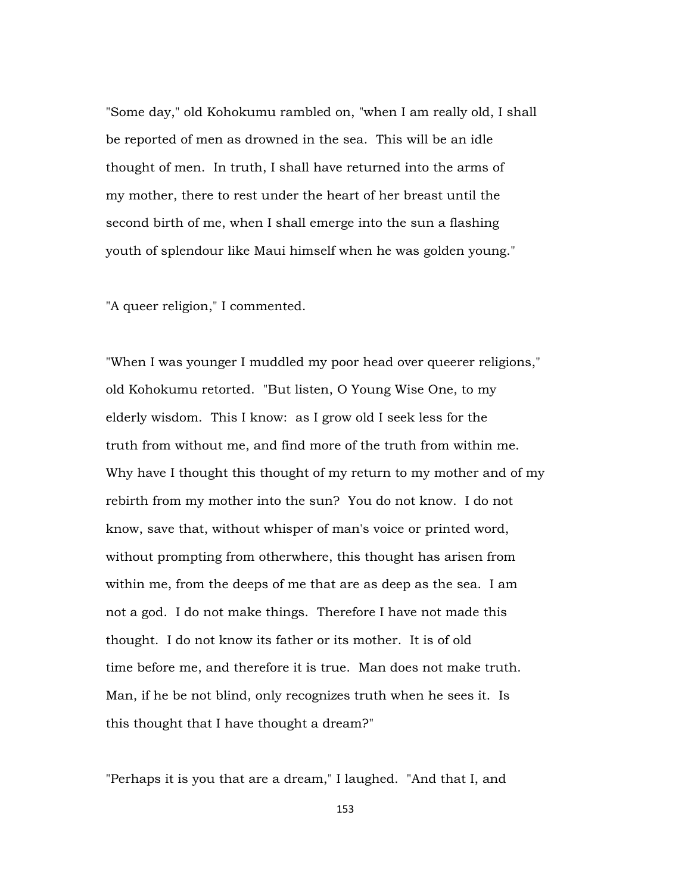"Some day," old Kohokumu rambled on, "when I am really old, I shall be reported of men as drowned in the sea. This will be an idle thought of men. In truth, I shall have returned into the arms of my mother, there to rest under the heart of her breast until the second birth of me, when I shall emerge into the sun a flashing youth of splendour like Maui himself when he was golden young."

"A queer religion," I commented.

"When I was younger I muddled my poor head over queerer religions," old Kohokumu retorted. "But listen, O Young Wise One, to my elderly wisdom. This I know: as I grow old I seek less for the truth from without me, and find more of the truth from within me. Why have I thought this thought of my return to my mother and of my rebirth from my mother into the sun? You do not know. I do not know, save that, without whisper of man's voice or printed word, without prompting from otherwhere, this thought has arisen from within me, from the deeps of me that are as deep as the sea. I am not a god. I do not make things. Therefore I have not made this thought. I do not know its father or its mother. It is of old time before me, and therefore it is true. Man does not make truth. Man, if he be not blind, only recognizes truth when he sees it. Is this thought that I have thought a dream?"

"Perhaps it is you that are a dream," I laughed. "And that I, and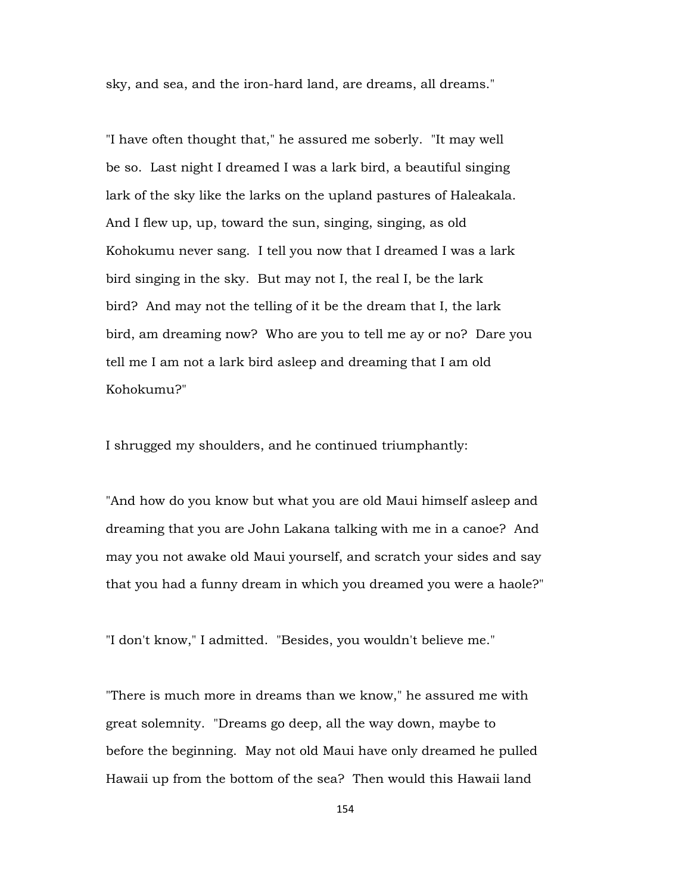sky, and sea, and the iron-hard land, are dreams, all dreams."

"I have often thought that," he assured me soberly. "It may well be so. Last night I dreamed I was a lark bird, a beautiful singing lark of the sky like the larks on the upland pastures of Haleakala. And I flew up, up, toward the sun, singing, singing, as old Kohokumu never sang. I tell you now that I dreamed I was a lark bird singing in the sky. But may not I, the real I, be the lark bird? And may not the telling of it be the dream that I, the lark bird, am dreaming now? Who are you to tell me ay or no? Dare you tell me I am not a lark bird asleep and dreaming that I am old Kohokumu?"

I shrugged my shoulders, and he continued triumphantly:

"And how do you know but what you are old Maui himself asleep and dreaming that you are John Lakana talking with me in a canoe? And may you not awake old Maui yourself, and scratch your sides and say that you had a funny dream in which you dreamed you were a haole?"

"I don't know," I admitted. "Besides, you wouldn't believe me."

"There is much more in dreams than we know," he assured me with great solemnity. "Dreams go deep, all the way down, maybe to before the beginning. May not old Maui have only dreamed he pulled Hawaii up from the bottom of the sea? Then would this Hawaii land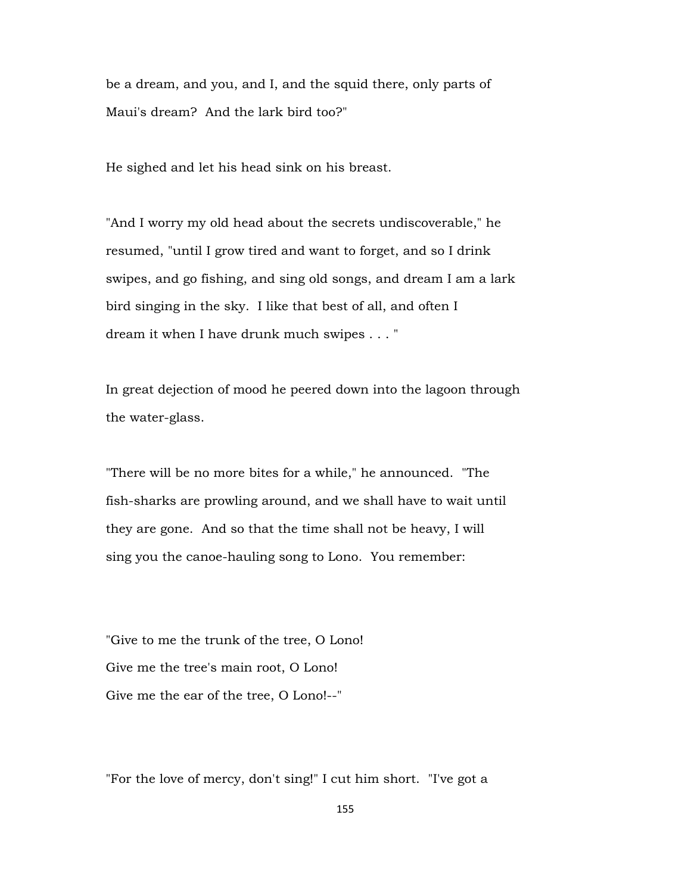be a dream, and you, and I, and the squid there, only parts of Maui's dream? And the lark bird too?"

He sighed and let his head sink on his breast.

"And I worry my old head about the secrets undiscoverable," he resumed, "until I grow tired and want to forget, and so I drink swipes, and go fishing, and sing old songs, and dream I am a lark bird singing in the sky. I like that best of all, and often I dream it when I have drunk much swipes . . . "

In great dejection of mood he peered down into the lagoon through the water-glass.

"There will be no more bites for a while," he announced. "The fish-sharks are prowling around, and we shall have to wait until they are gone. And so that the time shall not be heavy, I will sing you the canoe-hauling song to Lono. You remember:

"Give to me the trunk of the tree, O Lono! Give me the tree's main root, O Lono! Give me the ear of the tree, O Lono!--"

"For the love of mercy, don't sing!" I cut him short. "I've got a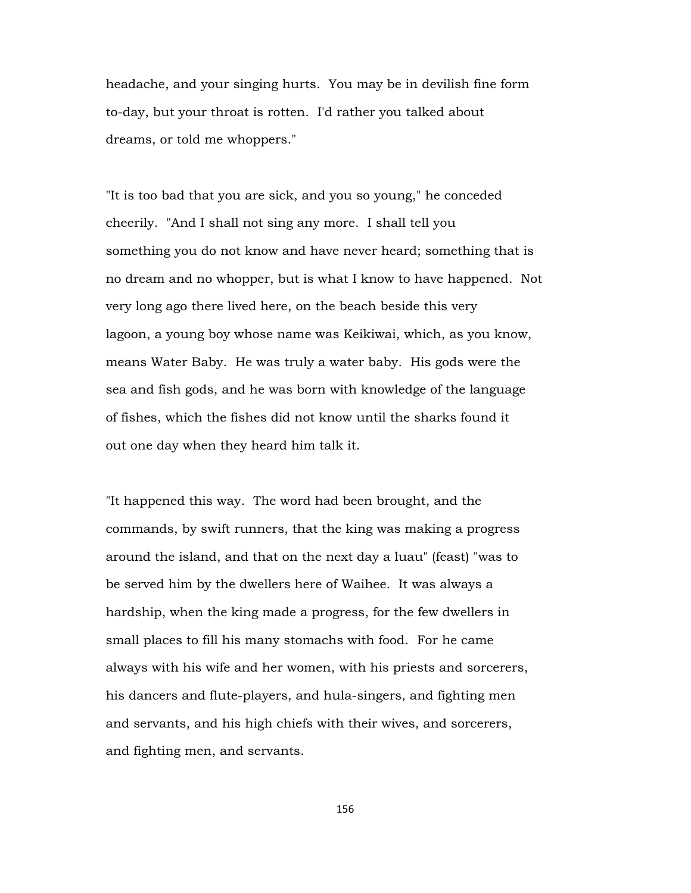headache, and your singing hurts. You may be in devilish fine form to-day, but your throat is rotten. I'd rather you talked about dreams, or told me whoppers."

"It is too bad that you are sick, and you so young," he conceded cheerily. "And I shall not sing any more. I shall tell you something you do not know and have never heard; something that is no dream and no whopper, but is what I know to have happened. Not very long ago there lived here, on the beach beside this very lagoon, a young boy whose name was Keikiwai, which, as you know, means Water Baby. He was truly a water baby. His gods were the sea and fish gods, and he was born with knowledge of the language of fishes, which the fishes did not know until the sharks found it out one day when they heard him talk it.

"It happened this way. The word had been brought, and the commands, by swift runners, that the king was making a progress around the island, and that on the next day a luau" (feast) "was to be served him by the dwellers here of Waihee. It was always a hardship, when the king made a progress, for the few dwellers in small places to fill his many stomachs with food. For he came always with his wife and her women, with his priests and sorcerers, his dancers and flute-players, and hula-singers, and fighting men and servants, and his high chiefs with their wives, and sorcerers, and fighting men, and servants.

156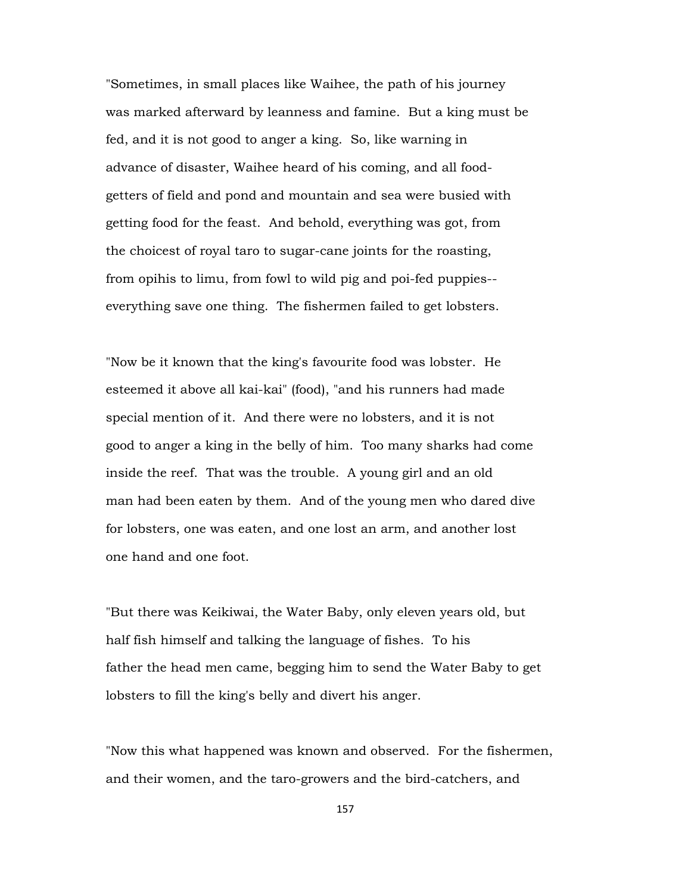"Sometimes, in small places like Waihee, the path of his journey was marked afterward by leanness and famine. But a king must be fed, and it is not good to anger a king. So, like warning in advance of disaster, Waihee heard of his coming, and all foodgetters of field and pond and mountain and sea were busied with getting food for the feast. And behold, everything was got, from the choicest of royal taro to sugar-cane joints for the roasting, from opihis to limu, from fowl to wild pig and poi-fed puppies- everything save one thing. The fishermen failed to get lobsters.

"Now be it known that the king's favourite food was lobster. He esteemed it above all kai-kai" (food), "and his runners had made special mention of it. And there were no lobsters, and it is not good to anger a king in the belly of him. Too many sharks had come inside the reef. That was the trouble. A young girl and an old man had been eaten by them. And of the young men who dared dive for lobsters, one was eaten, and one lost an arm, and another lost one hand and one foot.

"But there was Keikiwai, the Water Baby, only eleven years old, but half fish himself and talking the language of fishes. To his father the head men came, begging him to send the Water Baby to get lobsters to fill the king's belly and divert his anger.

"Now this what happened was known and observed. For the fishermen, and their women, and the taro-growers and the bird-catchers, and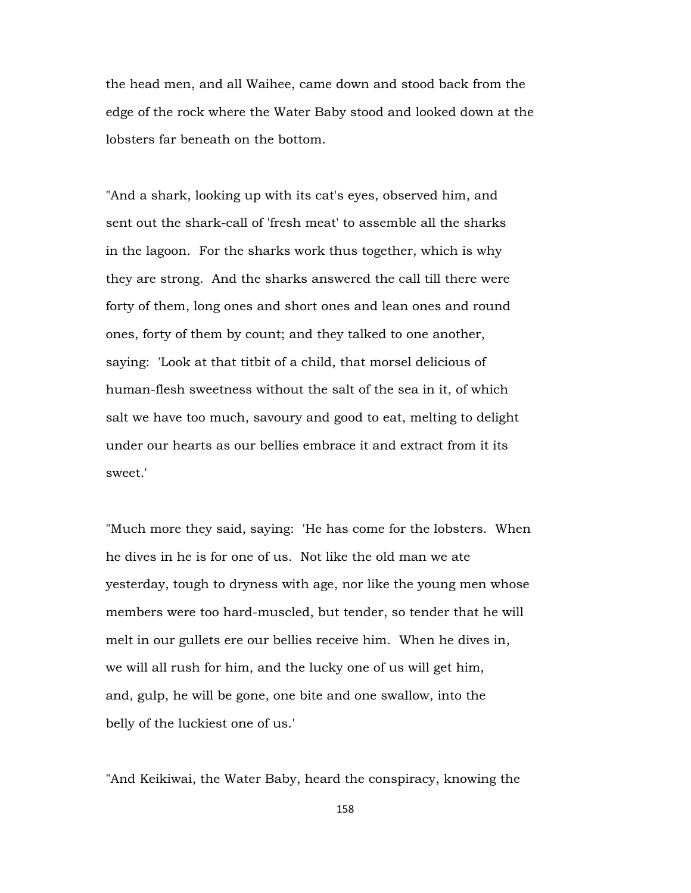the head men, and all Waihee, came down and stood back from the edge of the rock where the Water Baby stood and looked down at the lobsters far beneath on the bottom.

"And a shark, looking up with its cat's eyes, observed him, and sent out the shark-call of 'fresh meat' to assemble all the sharks in the lagoon. For the sharks work thus together, which is why they are strong. And the sharks answered the call till there were forty of them, long ones and short ones and lean ones and round ones, forty of them by count; and they talked to one another, saying: 'Look at that titbit of a child, that morsel delicious of human-flesh sweetness without the salt of the sea in it, of which salt we have too much, savoury and good to eat, melting to delight under our hearts as our bellies embrace it and extract from it its sweet.'

"Much more they said, saying: 'He has come for the lobsters. When he dives in he is for one of us. Not like the old man we ate yesterday, tough to dryness with age, nor like the young men whose members were too hard-muscled, but tender, so tender that he will melt in our gullets ere our bellies receive him. When he dives in, we will all rush for him, and the lucky one of us will get him, and, gulp, he will be gone, one bite and one swallow, into the belly of the luckiest one of us.'

"And Keikiwai, the Water Baby, heard the conspiracy, knowing the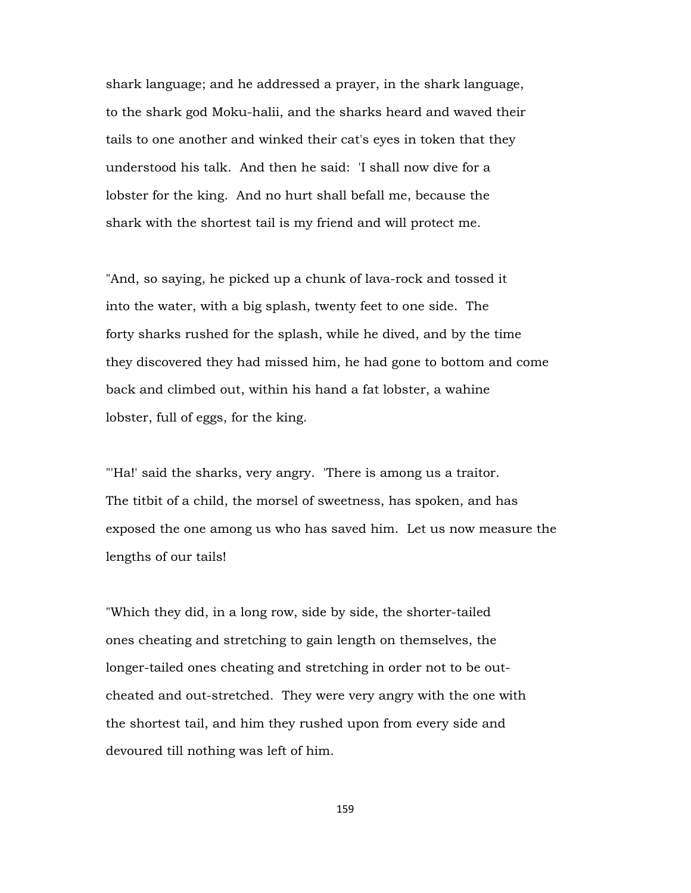shark language; and he addressed a prayer, in the shark language, to the shark god Moku-halii, and the sharks heard and waved their tails to one another and winked their cat's eyes in token that they understood his talk. And then he said: 'I shall now dive for a lobster for the king. And no hurt shall befall me, because the shark with the shortest tail is my friend and will protect me.

"And, so saying, he picked up a chunk of lava-rock and tossed it into the water, with a big splash, twenty feet to one side. The forty sharks rushed for the splash, while he dived, and by the time they discovered they had missed him, he had gone to bottom and come back and climbed out, within his hand a fat lobster, a wahine lobster, full of eggs, for the king.

"'Ha!' said the sharks, very angry. 'There is among us a traitor. The titbit of a child, the morsel of sweetness, has spoken, and has exposed the one among us who has saved him. Let us now measure the lengths of our tails!

"Which they did, in a long row, side by side, the shorter-tailed ones cheating and stretching to gain length on themselves, the longer-tailed ones cheating and stretching in order not to be outcheated and out-stretched. They were very angry with the one with the shortest tail, and him they rushed upon from every side and devoured till nothing was left of him.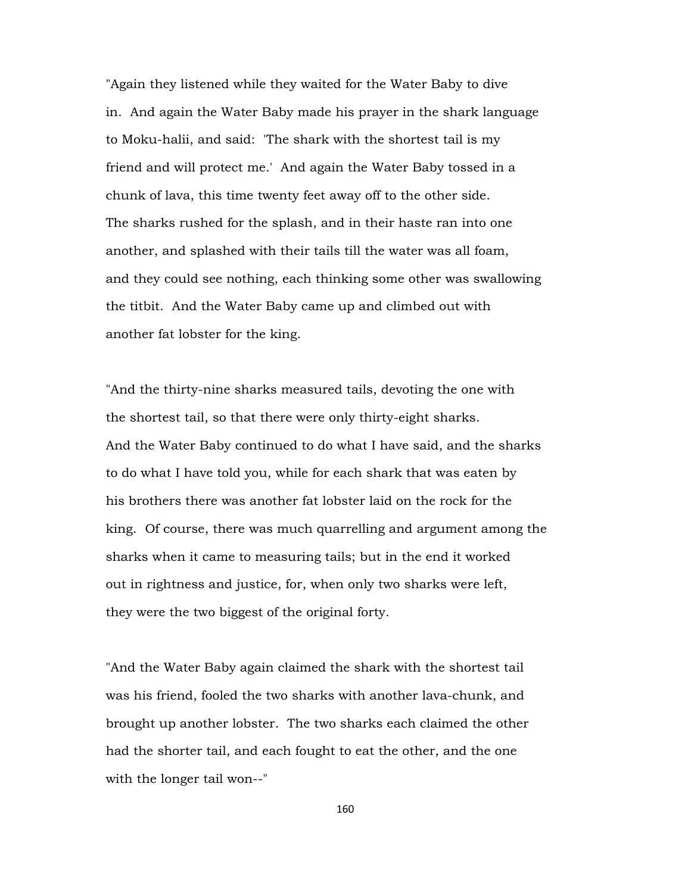"Again they listened while they waited for the Water Baby to dive in. And again the Water Baby made his prayer in the shark language to Moku-halii, and said: 'The shark with the shortest tail is my friend and will protect me.' And again the Water Baby tossed in a chunk of lava, this time twenty feet away off to the other side. The sharks rushed for the splash, and in their haste ran into one another, and splashed with their tails till the water was all foam, and they could see nothing, each thinking some other was swallowing the titbit. And the Water Baby came up and climbed out with another fat lobster for the king.

"And the thirty-nine sharks measured tails, devoting the one with the shortest tail, so that there were only thirty-eight sharks. And the Water Baby continued to do what I have said, and the sharks to do what I have told you, while for each shark that was eaten by his brothers there was another fat lobster laid on the rock for the king. Of course, there was much quarrelling and argument among the sharks when it came to measuring tails; but in the end it worked out in rightness and justice, for, when only two sharks were left, they were the two biggest of the original forty.

"And the Water Baby again claimed the shark with the shortest tail was his friend, fooled the two sharks with another lava-chunk, and brought up another lobster. The two sharks each claimed the other had the shorter tail, and each fought to eat the other, and the one with the longer tail won--"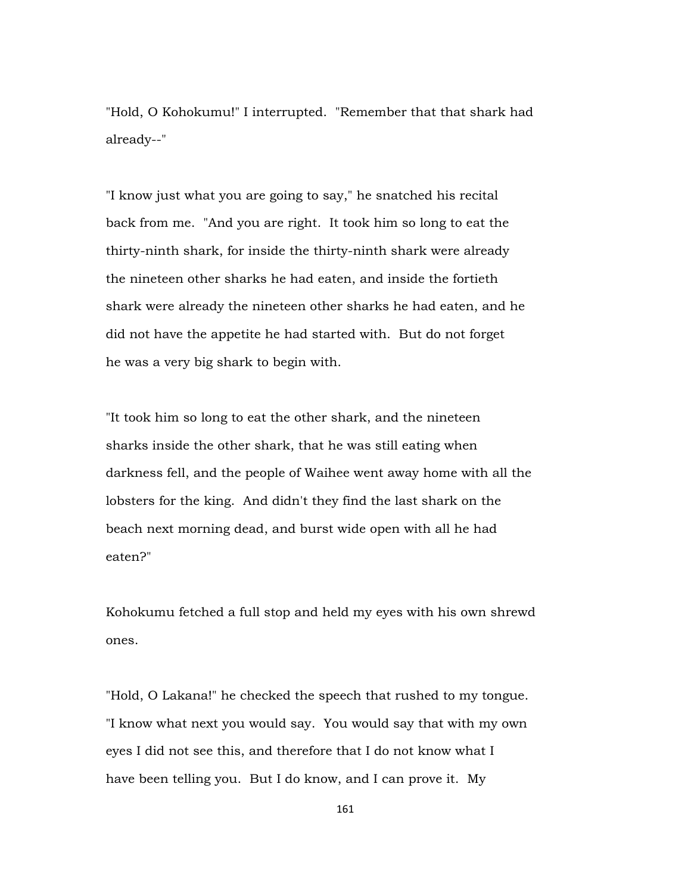"Hold, O Kohokumu!" I interrupted. "Remember that that shark had already--"

"I know just what you are going to say," he snatched his recital back from me. "And you are right. It took him so long to eat the thirty-ninth shark, for inside the thirty-ninth shark were already the nineteen other sharks he had eaten, and inside the fortieth shark were already the nineteen other sharks he had eaten, and he did not have the appetite he had started with. But do not forget he was a very big shark to begin with.

"It took him so long to eat the other shark, and the nineteen sharks inside the other shark, that he was still eating when darkness fell, and the people of Waihee went away home with all the lobsters for the king. And didn't they find the last shark on the beach next morning dead, and burst wide open with all he had eaten?"

Kohokumu fetched a full stop and held my eyes with his own shrewd ones.

"Hold, O Lakana!" he checked the speech that rushed to my tongue. "I know what next you would say. You would say that with my own eyes I did not see this, and therefore that I do not know what I have been telling you. But I do know, and I can prove it. My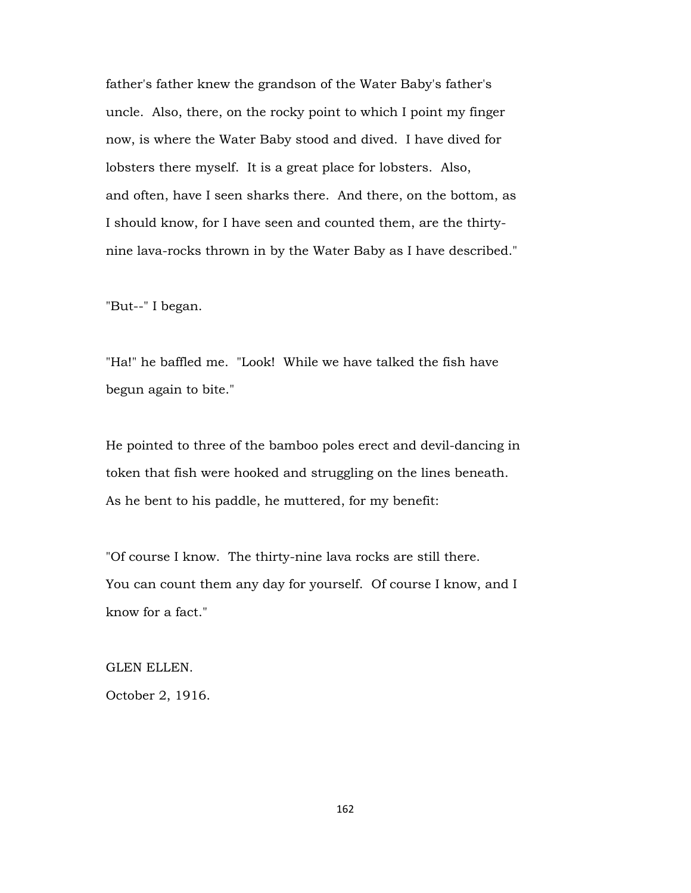father's father knew the grandson of the Water Baby's father's uncle. Also, there, on the rocky point to which I point my finger now, is where the Water Baby stood and dived. I have dived for lobsters there myself. It is a great place for lobsters. Also, and often, have I seen sharks there. And there, on the bottom, as I should know, for I have seen and counted them, are the thirtynine lava-rocks thrown in by the Water Baby as I have described."

"But--" I began.

"Ha!" he baffled me. "Look! While we have talked the fish have begun again to bite."

He pointed to three of the bamboo poles erect and devil-dancing in token that fish were hooked and struggling on the lines beneath. As he bent to his paddle, he muttered, for my benefit:

"Of course I know. The thirty-nine lava rocks are still there. You can count them any day for yourself. Of course I know, and I know for a fact."

GLEN ELLEN. October 2, 1916.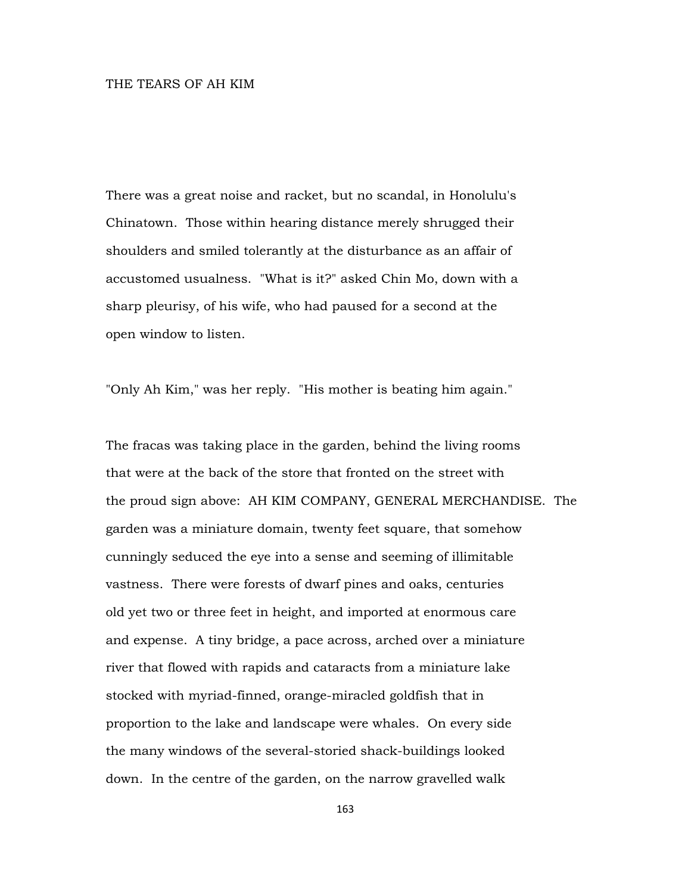## THE TEARS OF AH KIM

There was a great noise and racket, but no scandal, in Honolulu's Chinatown. Those within hearing distance merely shrugged their shoulders and smiled tolerantly at the disturbance as an affair of accustomed usualness. "What is it?" asked Chin Mo, down with a sharp pleurisy, of his wife, who had paused for a second at the open window to listen.

"Only Ah Kim," was her reply. "His mother is beating him again."

The fracas was taking place in the garden, behind the living rooms that were at the back of the store that fronted on the street with the proud sign above: AH KIM COMPANY, GENERAL MERCHANDISE. The garden was a miniature domain, twenty feet square, that somehow cunningly seduced the eye into a sense and seeming of illimitable vastness. There were forests of dwarf pines and oaks, centuries old yet two or three feet in height, and imported at enormous care and expense. A tiny bridge, a pace across, arched over a miniature river that flowed with rapids and cataracts from a miniature lake stocked with myriad-finned, orange-miracled goldfish that in proportion to the lake and landscape were whales. On every side the many windows of the several-storied shack-buildings looked down. In the centre of the garden, on the narrow gravelled walk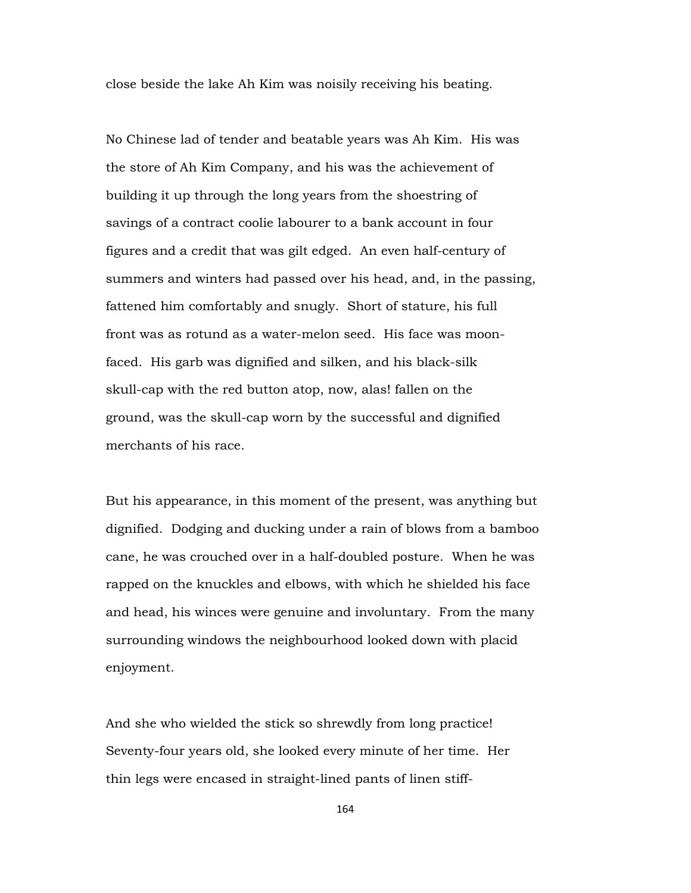close beside the lake Ah Kim was noisily receiving his beating.

No Chinese lad of tender and beatable years was Ah Kim. His was the store of Ah Kim Company, and his was the achievement of building it up through the long years from the shoestring of savings of a contract coolie labourer to a bank account in four figures and a credit that was gilt edged. An even half-century of summers and winters had passed over his head, and, in the passing, fattened him comfortably and snugly. Short of stature, his full front was as rotund as a water-melon seed. His face was moonfaced. His garb was dignified and silken, and his black-silk skull-cap with the red button atop, now, alas! fallen on the ground, was the skull-cap worn by the successful and dignified merchants of his race.

But his appearance, in this moment of the present, was anything but dignified. Dodging and ducking under a rain of blows from a bamboo cane, he was crouched over in a half-doubled posture. When he was rapped on the knuckles and elbows, with which he shielded his face and head, his winces were genuine and involuntary. From the many surrounding windows the neighbourhood looked down with placid enjoyment.

And she who wielded the stick so shrewdly from long practice! Seventy-four years old, she looked every minute of her time. Her thin legs were encased in straight-lined pants of linen stiff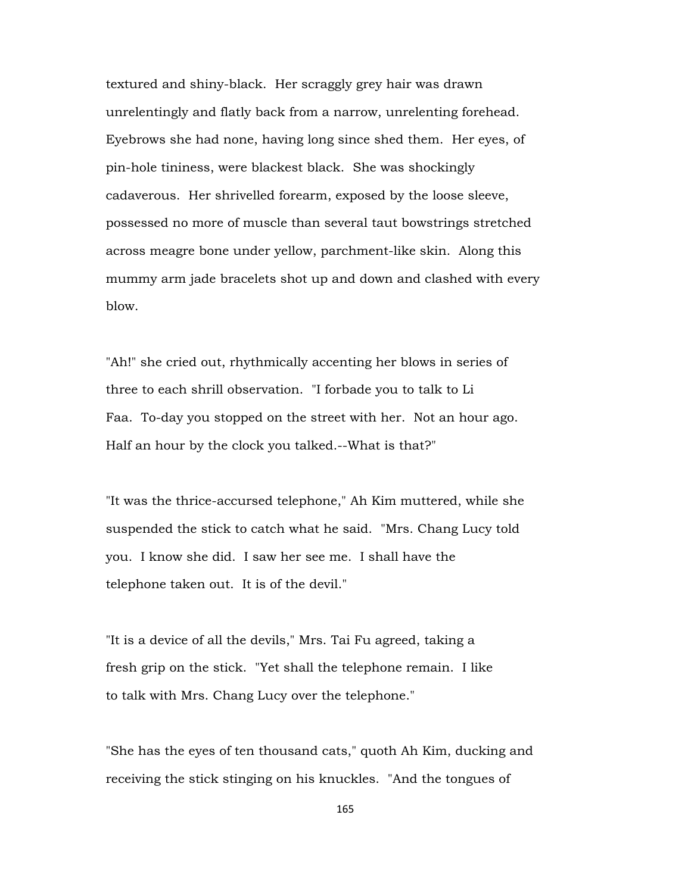textured and shiny-black. Her scraggly grey hair was drawn unrelentingly and flatly back from a narrow, unrelenting forehead. Eyebrows she had none, having long since shed them. Her eyes, of pin-hole tininess, were blackest black. She was shockingly cadaverous. Her shrivelled forearm, exposed by the loose sleeve, possessed no more of muscle than several taut bowstrings stretched across meagre bone under yellow, parchment-like skin. Along this mummy arm jade bracelets shot up and down and clashed with every blow.

"Ah!" she cried out, rhythmically accenting her blows in series of three to each shrill observation. "I forbade you to talk to Li Faa. To-day you stopped on the street with her. Not an hour ago. Half an hour by the clock you talked.--What is that?"

"It was the thrice-accursed telephone," Ah Kim muttered, while she suspended the stick to catch what he said. "Mrs. Chang Lucy told you. I know she did. I saw her see me. I shall have the telephone taken out. It is of the devil."

"It is a device of all the devils," Mrs. Tai Fu agreed, taking a fresh grip on the stick. "Yet shall the telephone remain. I like to talk with Mrs. Chang Lucy over the telephone."

"She has the eyes of ten thousand cats," quoth Ah Kim, ducking and receiving the stick stinging on his knuckles. "And the tongues of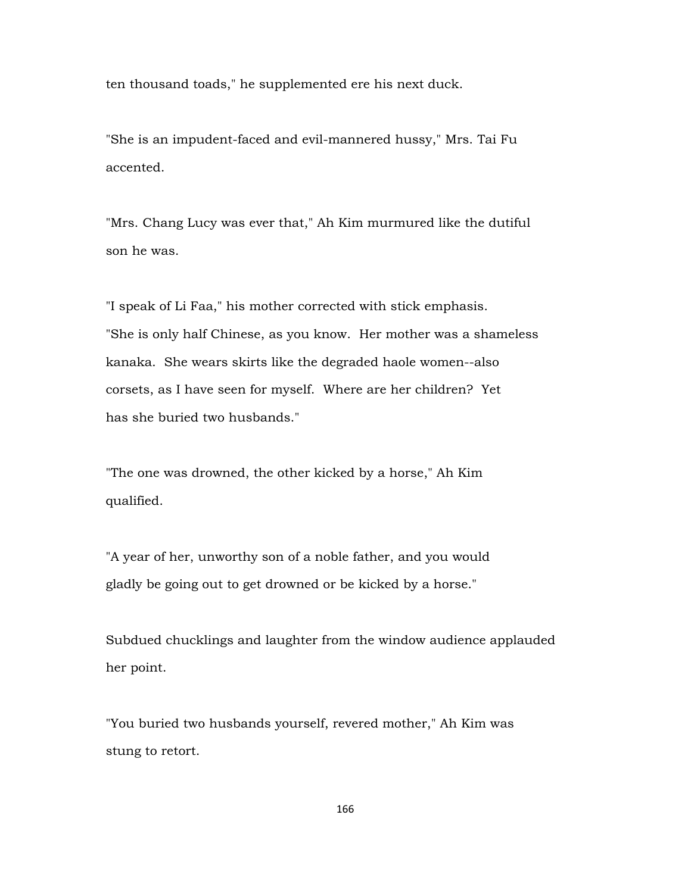ten thousand toads," he supplemented ere his next duck.

"She is an impudent-faced and evil-mannered hussy," Mrs. Tai Fu accented.

"Mrs. Chang Lucy was ever that," Ah Kim murmured like the dutiful son he was.

"I speak of Li Faa," his mother corrected with stick emphasis. "She is only half Chinese, as you know. Her mother was a shameless kanaka. She wears skirts like the degraded haole women--also corsets, as I have seen for myself. Where are her children? Yet has she buried two husbands."

"The one was drowned, the other kicked by a horse," Ah Kim qualified.

"A year of her, unworthy son of a noble father, and you would gladly be going out to get drowned or be kicked by a horse."

Subdued chucklings and laughter from the window audience applauded her point.

"You buried two husbands yourself, revered mother," Ah Kim was stung to retort.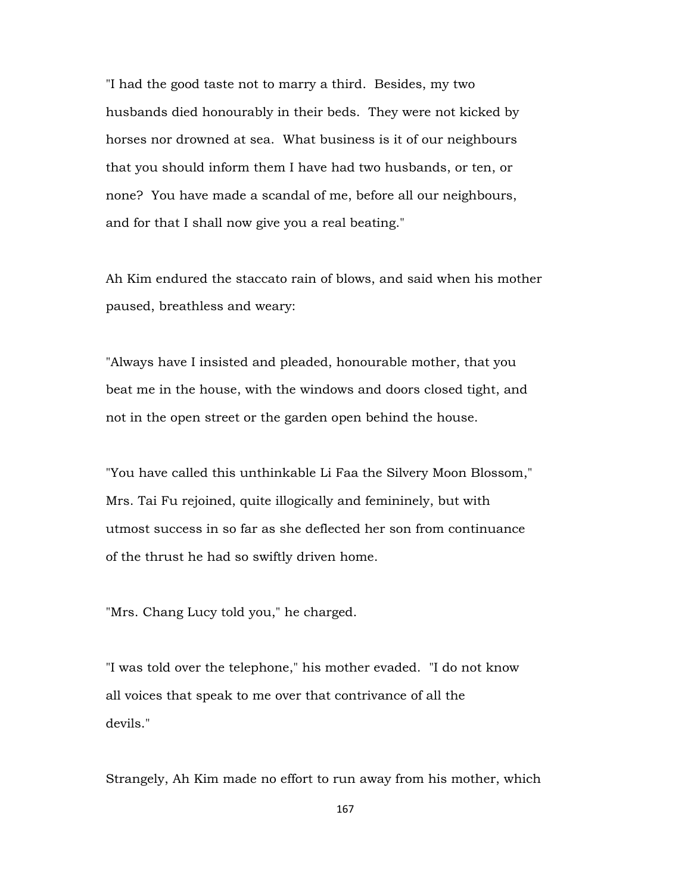"I had the good taste not to marry a third. Besides, my two husbands died honourably in their beds. They were not kicked by horses nor drowned at sea. What business is it of our neighbours that you should inform them I have had two husbands, or ten, or none? You have made a scandal of me, before all our neighbours, and for that I shall now give you a real beating."

Ah Kim endured the staccato rain of blows, and said when his mother paused, breathless and weary:

"Always have I insisted and pleaded, honourable mother, that you beat me in the house, with the windows and doors closed tight, and not in the open street or the garden open behind the house.

"You have called this unthinkable Li Faa the Silvery Moon Blossom," Mrs. Tai Fu rejoined, quite illogically and femininely, but with utmost success in so far as she deflected her son from continuance of the thrust he had so swiftly driven home.

"Mrs. Chang Lucy told you," he charged.

"I was told over the telephone," his mother evaded. "I do not know all voices that speak to me over that contrivance of all the devils."

Strangely, Ah Kim made no effort to run away from his mother, which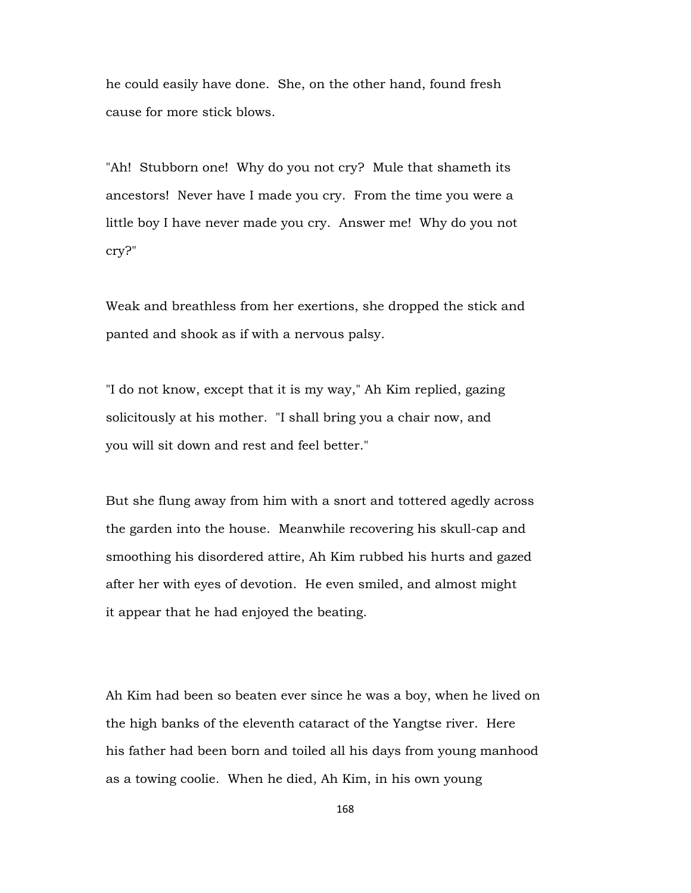he could easily have done. She, on the other hand, found fresh cause for more stick blows.

"Ah! Stubborn one! Why do you not cry? Mule that shameth its ancestors! Never have I made you cry. From the time you were a little boy I have never made you cry. Answer me! Why do you not cry?"

Weak and breathless from her exertions, she dropped the stick and panted and shook as if with a nervous palsy.

"I do not know, except that it is my way," Ah Kim replied, gazing solicitously at his mother. "I shall bring you a chair now, and you will sit down and rest and feel better."

But she flung away from him with a snort and tottered agedly across the garden into the house. Meanwhile recovering his skull-cap and smoothing his disordered attire, Ah Kim rubbed his hurts and gazed after her with eyes of devotion. He even smiled, and almost might it appear that he had enjoyed the beating.

Ah Kim had been so beaten ever since he was a boy, when he lived on the high banks of the eleventh cataract of the Yangtse river. Here his father had been born and toiled all his days from young manhood as a towing coolie. When he died, Ah Kim, in his own young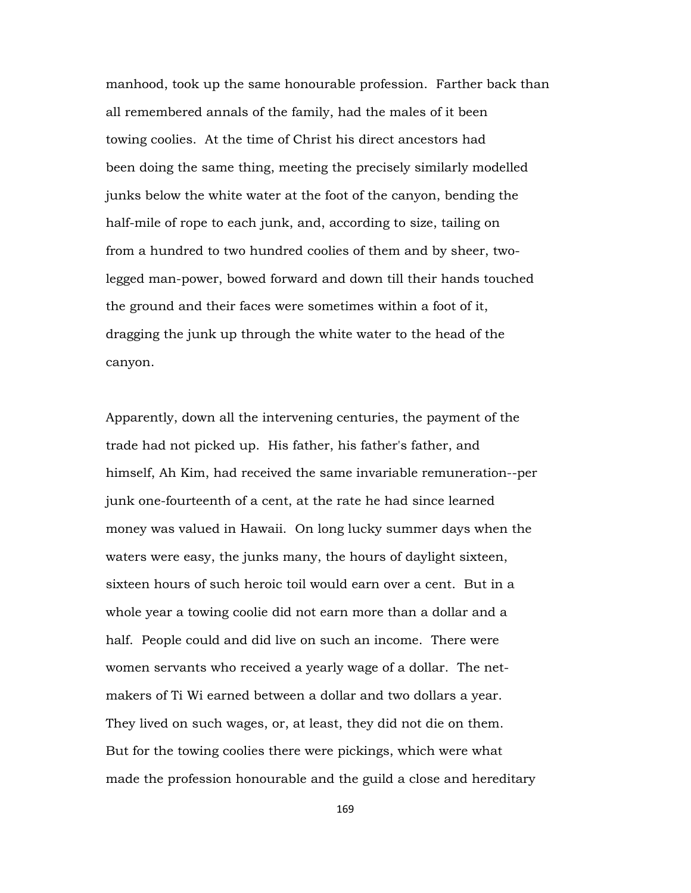manhood, took up the same honourable profession. Farther back than all remembered annals of the family, had the males of it been towing coolies. At the time of Christ his direct ancestors had been doing the same thing, meeting the precisely similarly modelled junks below the white water at the foot of the canyon, bending the half-mile of rope to each junk, and, according to size, tailing on from a hundred to two hundred coolies of them and by sheer, twolegged man-power, bowed forward and down till their hands touched the ground and their faces were sometimes within a foot of it, dragging the junk up through the white water to the head of the canyon.

Apparently, down all the intervening centuries, the payment of the trade had not picked up. His father, his father's father, and himself, Ah Kim, had received the same invariable remuneration--per junk one-fourteenth of a cent, at the rate he had since learned money was valued in Hawaii. On long lucky summer days when the waters were easy, the junks many, the hours of daylight sixteen, sixteen hours of such heroic toil would earn over a cent. But in a whole year a towing coolie did not earn more than a dollar and a half. People could and did live on such an income. There were women servants who received a yearly wage of a dollar. The netmakers of Ti Wi earned between a dollar and two dollars a year. They lived on such wages, or, at least, they did not die on them. But for the towing coolies there were pickings, which were what made the profession honourable and the guild a close and hereditary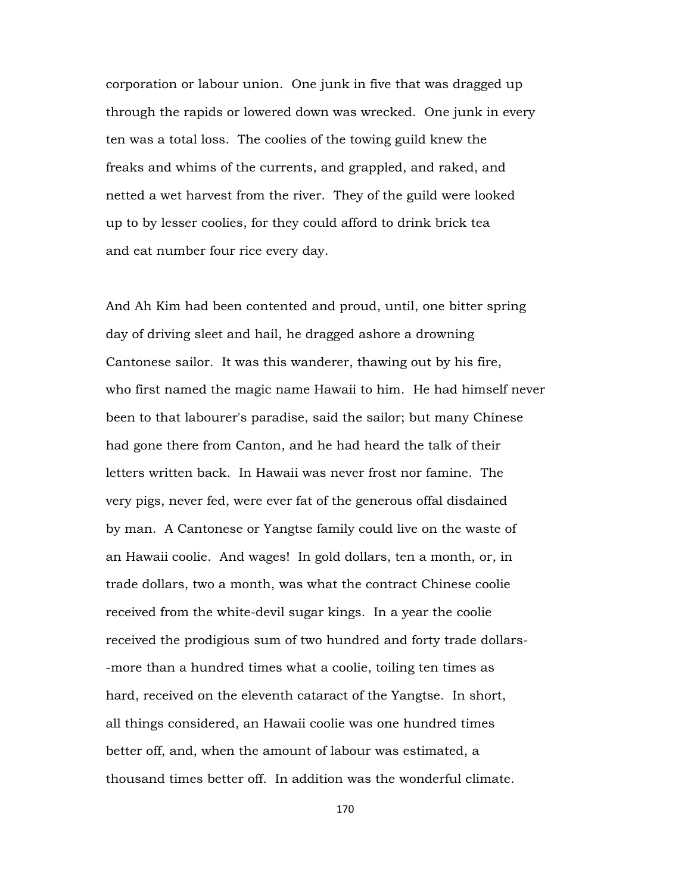corporation or labour union. One junk in five that was dragged up through the rapids or lowered down was wrecked. One junk in every ten was a total loss. The coolies of the towing guild knew the freaks and whims of the currents, and grappled, and raked, and netted a wet harvest from the river. They of the guild were looked up to by lesser coolies, for they could afford to drink brick tea and eat number four rice every day.

And Ah Kim had been contented and proud, until, one bitter spring day of driving sleet and hail, he dragged ashore a drowning Cantonese sailor. It was this wanderer, thawing out by his fire, who first named the magic name Hawaii to him. He had himself never been to that labourer's paradise, said the sailor; but many Chinese had gone there from Canton, and he had heard the talk of their letters written back. In Hawaii was never frost nor famine. The very pigs, never fed, were ever fat of the generous offal disdained by man. A Cantonese or Yangtse family could live on the waste of an Hawaii coolie. And wages! In gold dollars, ten a month, or, in trade dollars, two a month, was what the contract Chinese coolie received from the white-devil sugar kings. In a year the coolie received the prodigious sum of two hundred and forty trade dollars- -more than a hundred times what a coolie, toiling ten times as hard, received on the eleventh cataract of the Yangtse. In short, all things considered, an Hawaii coolie was one hundred times better off, and, when the amount of labour was estimated, a thousand times better off. In addition was the wonderful climate.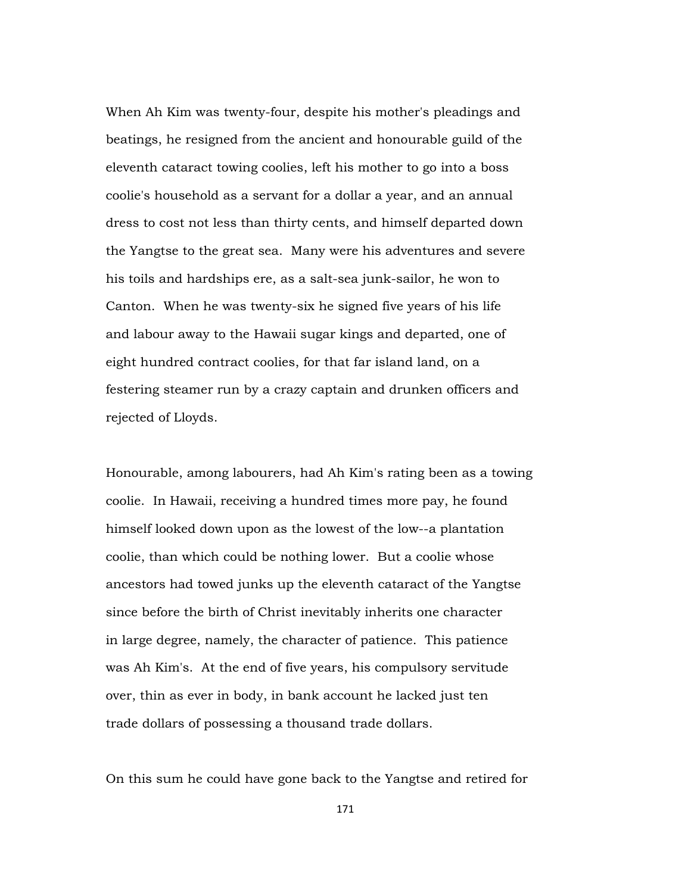When Ah Kim was twenty-four, despite his mother's pleadings and beatings, he resigned from the ancient and honourable guild of the eleventh cataract towing coolies, left his mother to go into a boss coolie's household as a servant for a dollar a year, and an annual dress to cost not less than thirty cents, and himself departed down the Yangtse to the great sea. Many were his adventures and severe his toils and hardships ere, as a salt-sea junk-sailor, he won to Canton. When he was twenty-six he signed five years of his life and labour away to the Hawaii sugar kings and departed, one of eight hundred contract coolies, for that far island land, on a festering steamer run by a crazy captain and drunken officers and rejected of Lloyds.

Honourable, among labourers, had Ah Kim's rating been as a towing coolie. In Hawaii, receiving a hundred times more pay, he found himself looked down upon as the lowest of the low--a plantation coolie, than which could be nothing lower. But a coolie whose ancestors had towed junks up the eleventh cataract of the Yangtse since before the birth of Christ inevitably inherits one character in large degree, namely, the character of patience. This patience was Ah Kim's. At the end of five years, his compulsory servitude over, thin as ever in body, in bank account he lacked just ten trade dollars of possessing a thousand trade dollars.

On this sum he could have gone back to the Yangtse and retired for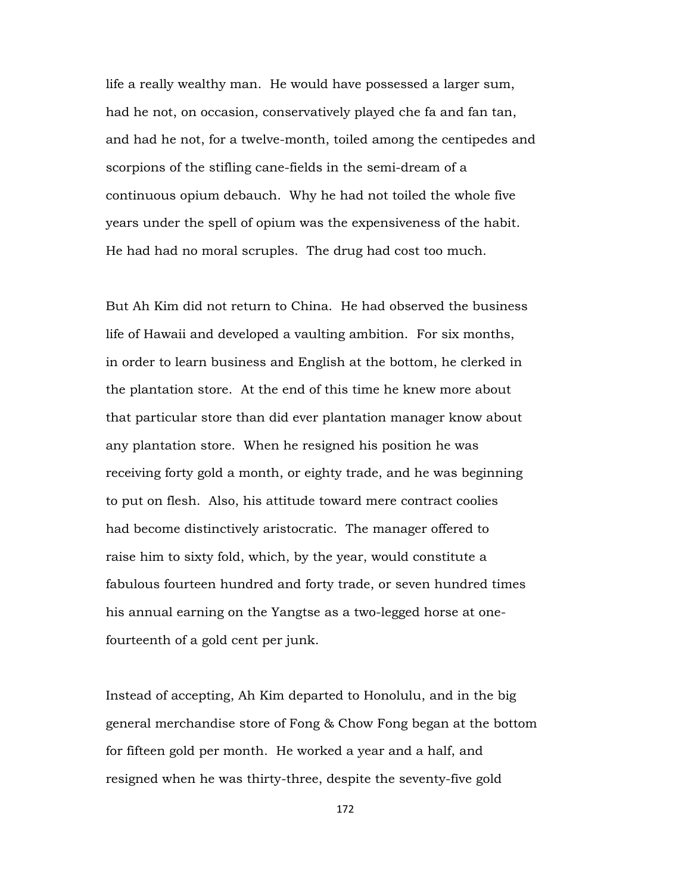life a really wealthy man. He would have possessed a larger sum, had he not, on occasion, conservatively played che fa and fan tan, and had he not, for a twelve-month, toiled among the centipedes and scorpions of the stifling cane-fields in the semi-dream of a continuous opium debauch. Why he had not toiled the whole five years under the spell of opium was the expensiveness of the habit. He had had no moral scruples. The drug had cost too much.

But Ah Kim did not return to China. He had observed the business life of Hawaii and developed a vaulting ambition. For six months, in order to learn business and English at the bottom, he clerked in the plantation store. At the end of this time he knew more about that particular store than did ever plantation manager know about any plantation store. When he resigned his position he was receiving forty gold a month, or eighty trade, and he was beginning to put on flesh. Also, his attitude toward mere contract coolies had become distinctively aristocratic. The manager offered to raise him to sixty fold, which, by the year, would constitute a fabulous fourteen hundred and forty trade, or seven hundred times his annual earning on the Yangtse as a two-legged horse at onefourteenth of a gold cent per junk.

Instead of accepting, Ah Kim departed to Honolulu, and in the big general merchandise store of Fong & Chow Fong began at the bottom for fifteen gold per month. He worked a year and a half, and resigned when he was thirty-three, despite the seventy-five gold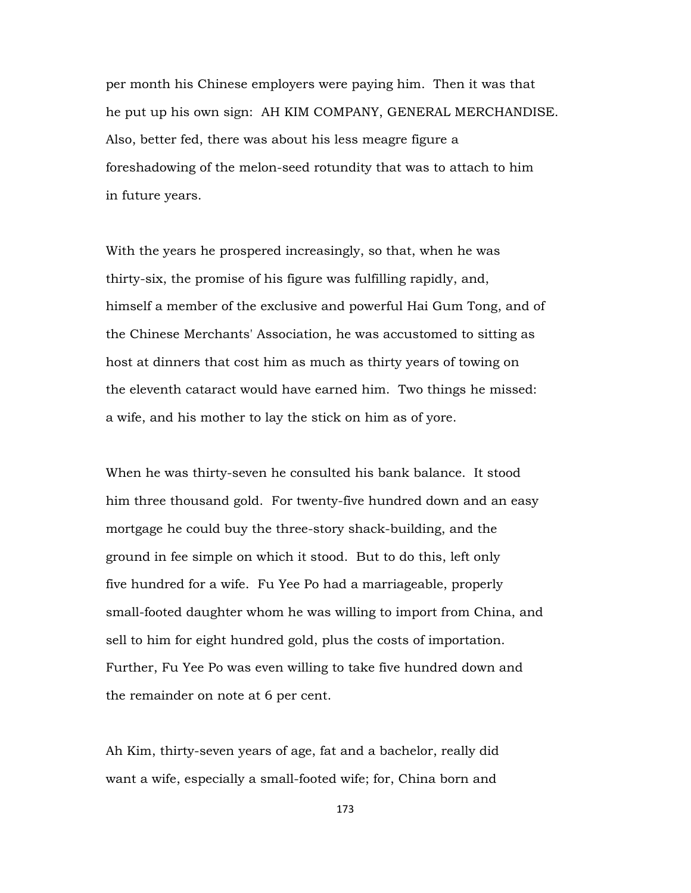per month his Chinese employers were paying him. Then it was that he put up his own sign: AH KIM COMPANY, GENERAL MERCHANDISE. Also, better fed, there was about his less meagre figure a foreshadowing of the melon-seed rotundity that was to attach to him in future years.

With the years he prospered increasingly, so that, when he was thirty-six, the promise of his figure was fulfilling rapidly, and, himself a member of the exclusive and powerful Hai Gum Tong, and of the Chinese Merchants' Association, he was accustomed to sitting as host at dinners that cost him as much as thirty years of towing on the eleventh cataract would have earned him. Two things he missed: a wife, and his mother to lay the stick on him as of yore.

When he was thirty-seven he consulted his bank balance. It stood him three thousand gold. For twenty-five hundred down and an easy mortgage he could buy the three-story shack-building, and the ground in fee simple on which it stood. But to do this, left only five hundred for a wife. Fu Yee Po had a marriageable, properly small-footed daughter whom he was willing to import from China, and sell to him for eight hundred gold, plus the costs of importation. Further, Fu Yee Po was even willing to take five hundred down and the remainder on note at 6 per cent.

Ah Kim, thirty-seven years of age, fat and a bachelor, really did want a wife, especially a small-footed wife; for, China born and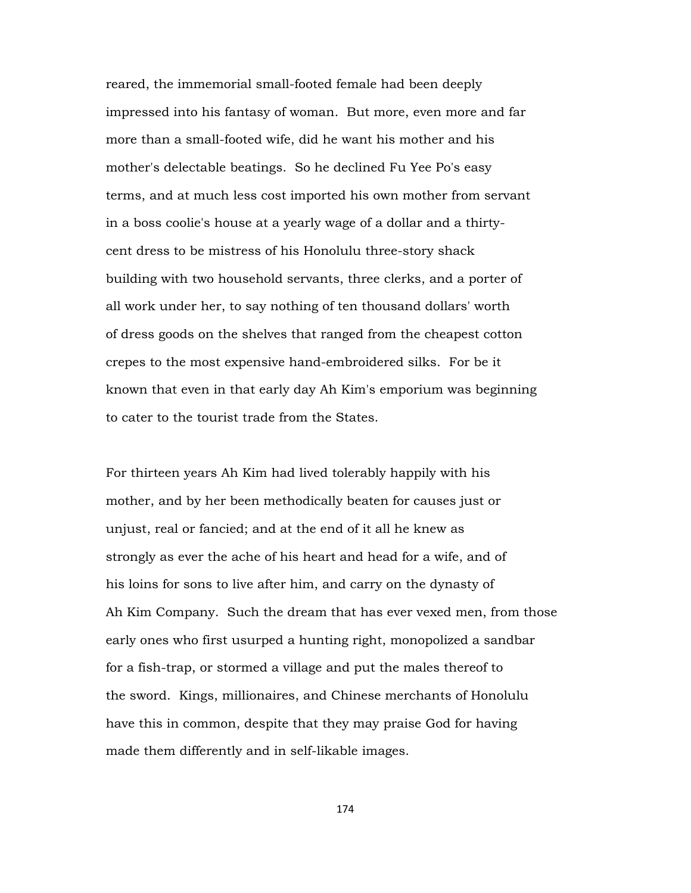reared, the immemorial small-footed female had been deeply impressed into his fantasy of woman. But more, even more and far more than a small-footed wife, did he want his mother and his mother's delectable beatings. So he declined Fu Yee Po's easy terms, and at much less cost imported his own mother from servant in a boss coolie's house at a yearly wage of a dollar and a thirtycent dress to be mistress of his Honolulu three-story shack building with two household servants, three clerks, and a porter of all work under her, to say nothing of ten thousand dollars' worth of dress goods on the shelves that ranged from the cheapest cotton crepes to the most expensive hand-embroidered silks. For be it known that even in that early day Ah Kim's emporium was beginning to cater to the tourist trade from the States.

For thirteen years Ah Kim had lived tolerably happily with his mother, and by her been methodically beaten for causes just or unjust, real or fancied; and at the end of it all he knew as strongly as ever the ache of his heart and head for a wife, and of his loins for sons to live after him, and carry on the dynasty of Ah Kim Company. Such the dream that has ever vexed men, from those early ones who first usurped a hunting right, monopolized a sandbar for a fish-trap, or stormed a village and put the males thereof to the sword. Kings, millionaires, and Chinese merchants of Honolulu have this in common, despite that they may praise God for having made them differently and in self-likable images.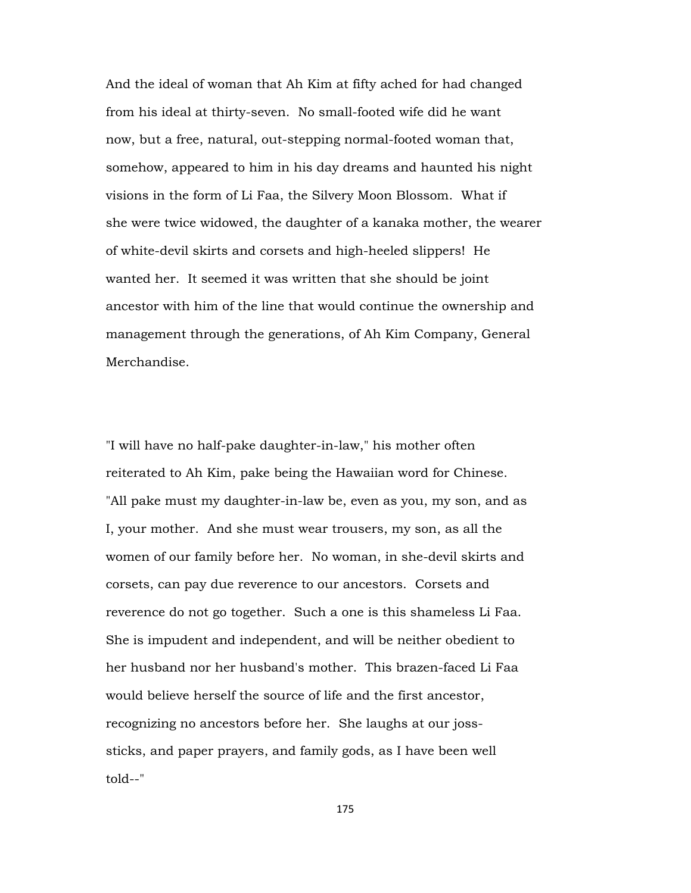And the ideal of woman that Ah Kim at fifty ached for had changed from his ideal at thirty-seven. No small-footed wife did he want now, but a free, natural, out-stepping normal-footed woman that, somehow, appeared to him in his day dreams and haunted his night visions in the form of Li Faa, the Silvery Moon Blossom. What if she were twice widowed, the daughter of a kanaka mother, the wearer of white-devil skirts and corsets and high-heeled slippers! He wanted her. It seemed it was written that she should be joint ancestor with him of the line that would continue the ownership and management through the generations, of Ah Kim Company, General Merchandise.

"I will have no half-pake daughter-in-law," his mother often reiterated to Ah Kim, pake being the Hawaiian word for Chinese. "All pake must my daughter-in-law be, even as you, my son, and as I, your mother. And she must wear trousers, my son, as all the women of our family before her. No woman, in she-devil skirts and corsets, can pay due reverence to our ancestors. Corsets and reverence do not go together. Such a one is this shameless Li Faa. She is impudent and independent, and will be neither obedient to her husband nor her husband's mother. This brazen-faced Li Faa would believe herself the source of life and the first ancestor, recognizing no ancestors before her. She laughs at our josssticks, and paper prayers, and family gods, as I have been well told--"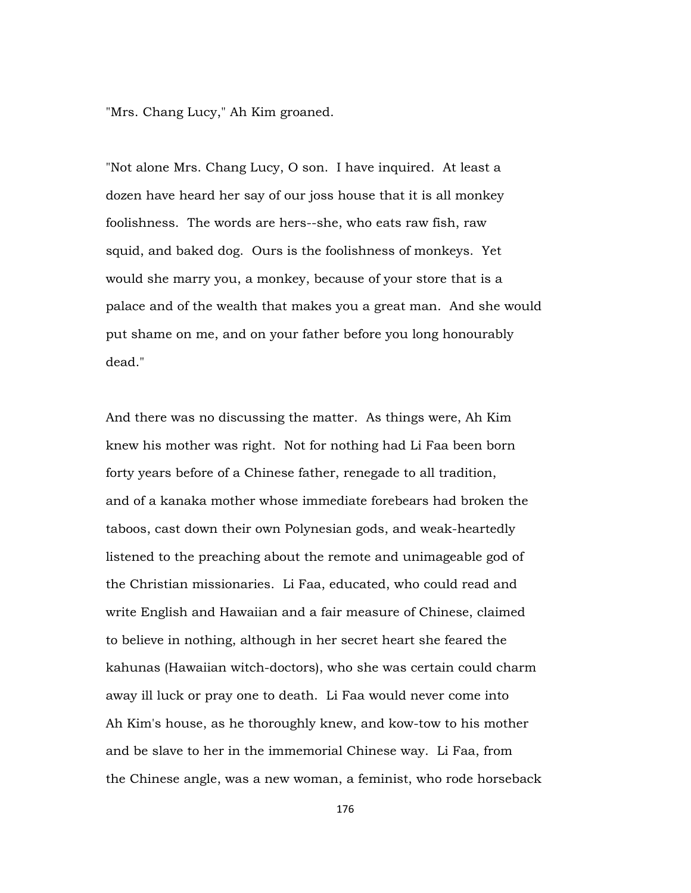"Mrs. Chang Lucy," Ah Kim groaned.

"Not alone Mrs. Chang Lucy, O son. I have inquired. At least a dozen have heard her say of our joss house that it is all monkey foolishness. The words are hers--she, who eats raw fish, raw squid, and baked dog. Ours is the foolishness of monkeys. Yet would she marry you, a monkey, because of your store that is a palace and of the wealth that makes you a great man. And she would put shame on me, and on your father before you long honourably dead."

And there was no discussing the matter. As things were, Ah Kim knew his mother was right. Not for nothing had Li Faa been born forty years before of a Chinese father, renegade to all tradition, and of a kanaka mother whose immediate forebears had broken the taboos, cast down their own Polynesian gods, and weak-heartedly listened to the preaching about the remote and unimageable god of the Christian missionaries. Li Faa, educated, who could read and write English and Hawaiian and a fair measure of Chinese, claimed to believe in nothing, although in her secret heart she feared the kahunas (Hawaiian witch-doctors), who she was certain could charm away ill luck or pray one to death. Li Faa would never come into Ah Kim's house, as he thoroughly knew, and kow-tow to his mother and be slave to her in the immemorial Chinese way. Li Faa, from the Chinese angle, was a new woman, a feminist, who rode horseback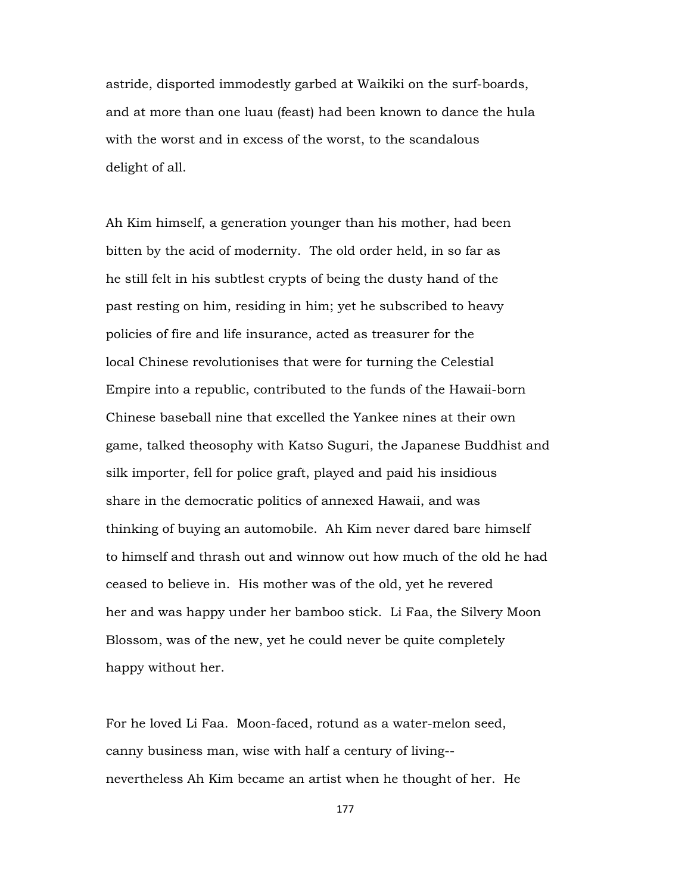astride, disported immodestly garbed at Waikiki on the surf-boards, and at more than one luau (feast) had been known to dance the hula with the worst and in excess of the worst, to the scandalous delight of all.

Ah Kim himself, a generation younger than his mother, had been bitten by the acid of modernity. The old order held, in so far as he still felt in his subtlest crypts of being the dusty hand of the past resting on him, residing in him; yet he subscribed to heavy policies of fire and life insurance, acted as treasurer for the local Chinese revolutionises that were for turning the Celestial Empire into a republic, contributed to the funds of the Hawaii-born Chinese baseball nine that excelled the Yankee nines at their own game, talked theosophy with Katso Suguri, the Japanese Buddhist and silk importer, fell for police graft, played and paid his insidious share in the democratic politics of annexed Hawaii, and was thinking of buying an automobile. Ah Kim never dared bare himself to himself and thrash out and winnow out how much of the old he had ceased to believe in. His mother was of the old, yet he revered her and was happy under her bamboo stick. Li Faa, the Silvery Moon Blossom, was of the new, yet he could never be quite completely happy without her.

For he loved Li Faa. Moon-faced, rotund as a water-melon seed, canny business man, wise with half a century of living- nevertheless Ah Kim became an artist when he thought of her. He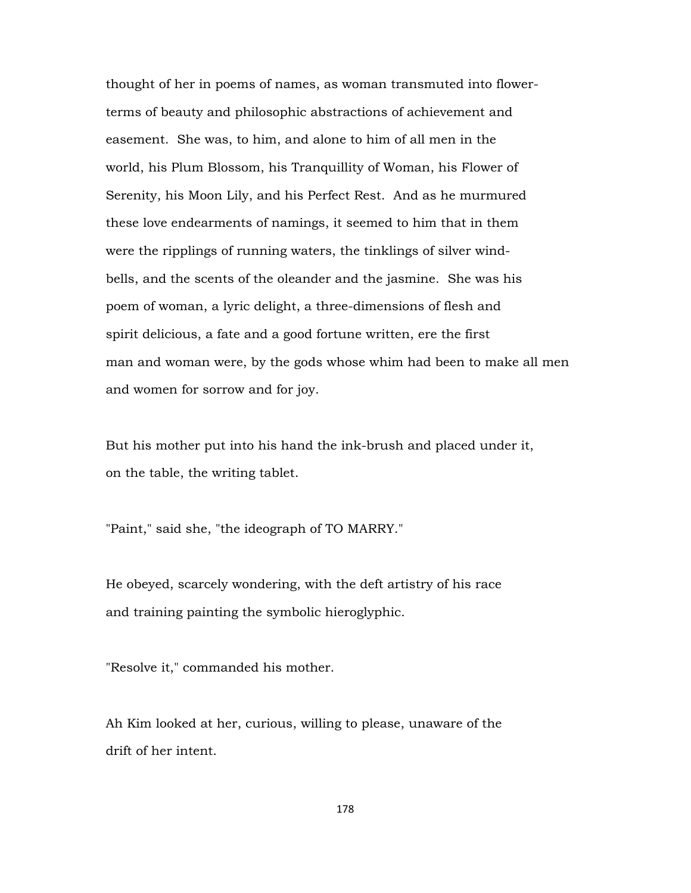thought of her in poems of names, as woman transmuted into flowerterms of beauty and philosophic abstractions of achievement and easement. She was, to him, and alone to him of all men in the world, his Plum Blossom, his Tranquillity of Woman, his Flower of Serenity, his Moon Lily, and his Perfect Rest. And as he murmured these love endearments of namings, it seemed to him that in them were the ripplings of running waters, the tinklings of silver windbells, and the scents of the oleander and the jasmine. She was his poem of woman, a lyric delight, a three-dimensions of flesh and spirit delicious, a fate and a good fortune written, ere the first man and woman were, by the gods whose whim had been to make all men and women for sorrow and for joy.

But his mother put into his hand the ink-brush and placed under it, on the table, the writing tablet.

"Paint," said she, "the ideograph of TO MARRY."

He obeyed, scarcely wondering, with the deft artistry of his race and training painting the symbolic hieroglyphic.

"Resolve it," commanded his mother.

Ah Kim looked at her, curious, willing to please, unaware of the drift of her intent.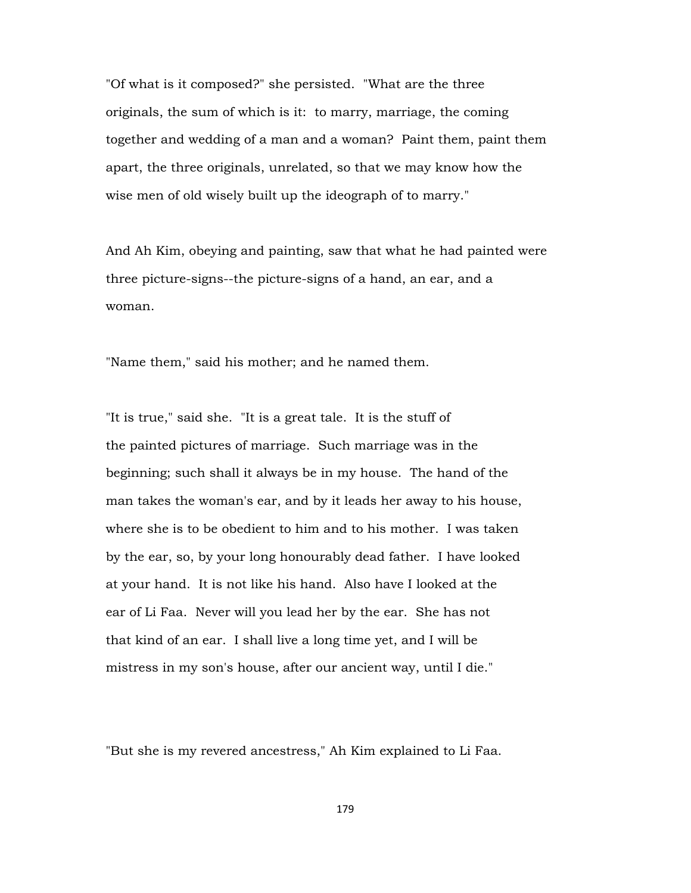"Of what is it composed?" she persisted. "What are the three originals, the sum of which is it: to marry, marriage, the coming together and wedding of a man and a woman? Paint them, paint them apart, the three originals, unrelated, so that we may know how the wise men of old wisely built up the ideograph of to marry."

And Ah Kim, obeying and painting, saw that what he had painted were three picture-signs--the picture-signs of a hand, an ear, and a woman.

"Name them," said his mother; and he named them.

"It is true," said she. "It is a great tale. It is the stuff of the painted pictures of marriage. Such marriage was in the beginning; such shall it always be in my house. The hand of the man takes the woman's ear, and by it leads her away to his house, where she is to be obedient to him and to his mother. I was taken by the ear, so, by your long honourably dead father. I have looked at your hand. It is not like his hand. Also have I looked at the ear of Li Faa. Never will you lead her by the ear. She has not that kind of an ear. I shall live a long time yet, and I will be mistress in my son's house, after our ancient way, until I die."

"But she is my revered ancestress," Ah Kim explained to Li Faa.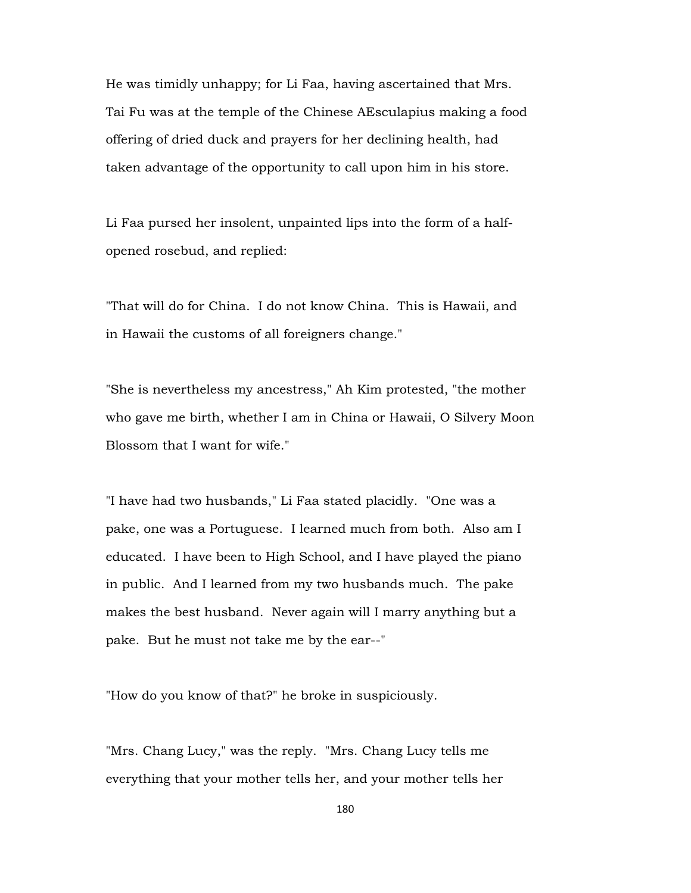He was timidly unhappy; for Li Faa, having ascertained that Mrs. Tai Fu was at the temple of the Chinese AEsculapius making a food offering of dried duck and prayers for her declining health, had taken advantage of the opportunity to call upon him in his store.

Li Faa pursed her insolent, unpainted lips into the form of a halfopened rosebud, and replied:

"That will do for China. I do not know China. This is Hawaii, and in Hawaii the customs of all foreigners change."

"She is nevertheless my ancestress," Ah Kim protested, "the mother who gave me birth, whether I am in China or Hawaii, O Silvery Moon Blossom that I want for wife."

"I have had two husbands," Li Faa stated placidly. "One was a pake, one was a Portuguese. I learned much from both. Also am I educated. I have been to High School, and I have played the piano in public. And I learned from my two husbands much. The pake makes the best husband. Never again will I marry anything but a pake. But he must not take me by the ear--"

"How do you know of that?" he broke in suspiciously.

"Mrs. Chang Lucy," was the reply. "Mrs. Chang Lucy tells me everything that your mother tells her, and your mother tells her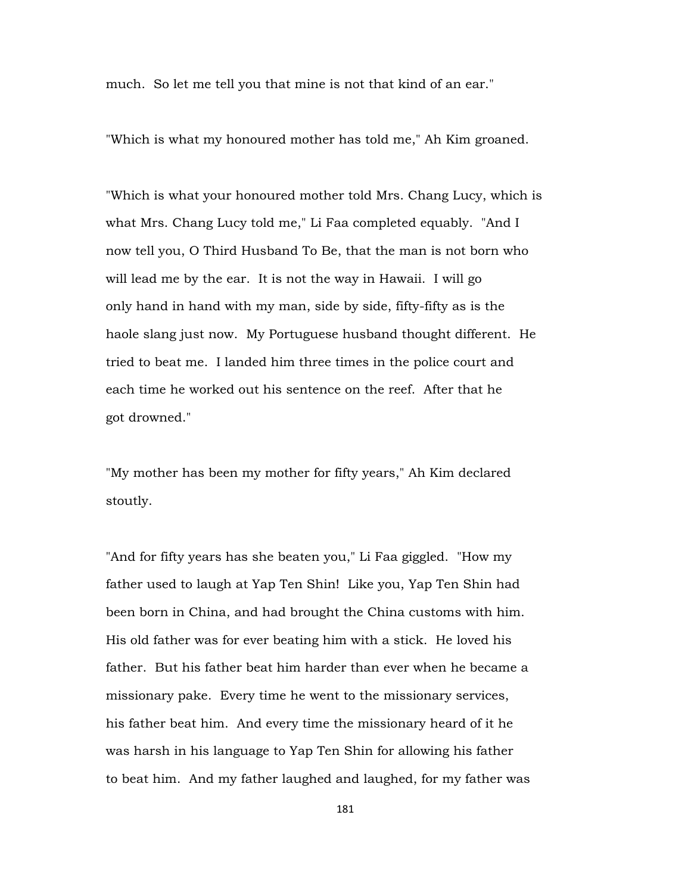much. So let me tell you that mine is not that kind of an ear."

"Which is what my honoured mother has told me," Ah Kim groaned.

"Which is what your honoured mother told Mrs. Chang Lucy, which is what Mrs. Chang Lucy told me," Li Faa completed equably. "And I now tell you, O Third Husband To Be, that the man is not born who will lead me by the ear. It is not the way in Hawaii. I will go only hand in hand with my man, side by side, fifty-fifty as is the haole slang just now. My Portuguese husband thought different. He tried to beat me. I landed him three times in the police court and each time he worked out his sentence on the reef. After that he got drowned."

"My mother has been my mother for fifty years," Ah Kim declared stoutly.

"And for fifty years has she beaten you," Li Faa giggled. "How my father used to laugh at Yap Ten Shin! Like you, Yap Ten Shin had been born in China, and had brought the China customs with him. His old father was for ever beating him with a stick. He loved his father. But his father beat him harder than ever when he became a missionary pake. Every time he went to the missionary services, his father beat him. And every time the missionary heard of it he was harsh in his language to Yap Ten Shin for allowing his father to beat him. And my father laughed and laughed, for my father was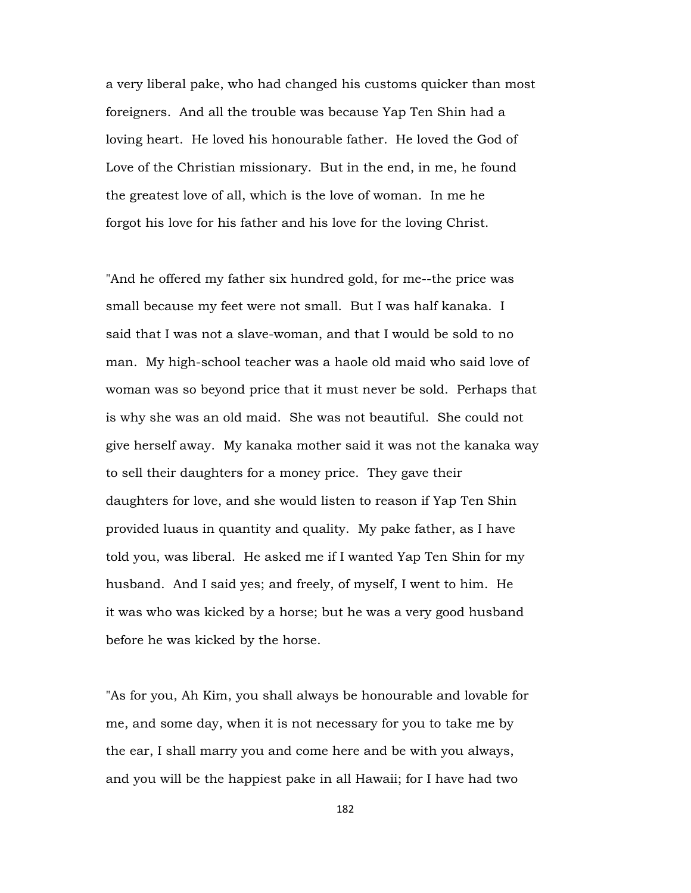a very liberal pake, who had changed his customs quicker than most foreigners. And all the trouble was because Yap Ten Shin had a loving heart. He loved his honourable father. He loved the God of Love of the Christian missionary. But in the end, in me, he found the greatest love of all, which is the love of woman. In me he forgot his love for his father and his love for the loving Christ.

"And he offered my father six hundred gold, for me--the price was small because my feet were not small. But I was half kanaka. I said that I was not a slave-woman, and that I would be sold to no man. My high-school teacher was a haole old maid who said love of woman was so beyond price that it must never be sold. Perhaps that is why she was an old maid. She was not beautiful. She could not give herself away. My kanaka mother said it was not the kanaka way to sell their daughters for a money price. They gave their daughters for love, and she would listen to reason if Yap Ten Shin provided luaus in quantity and quality. My pake father, as I have told you, was liberal. He asked me if I wanted Yap Ten Shin for my husband. And I said yes; and freely, of myself, I went to him. He it was who was kicked by a horse; but he was a very good husband before he was kicked by the horse.

"As for you, Ah Kim, you shall always be honourable and lovable for me, and some day, when it is not necessary for you to take me by the ear, I shall marry you and come here and be with you always, and you will be the happiest pake in all Hawaii; for I have had two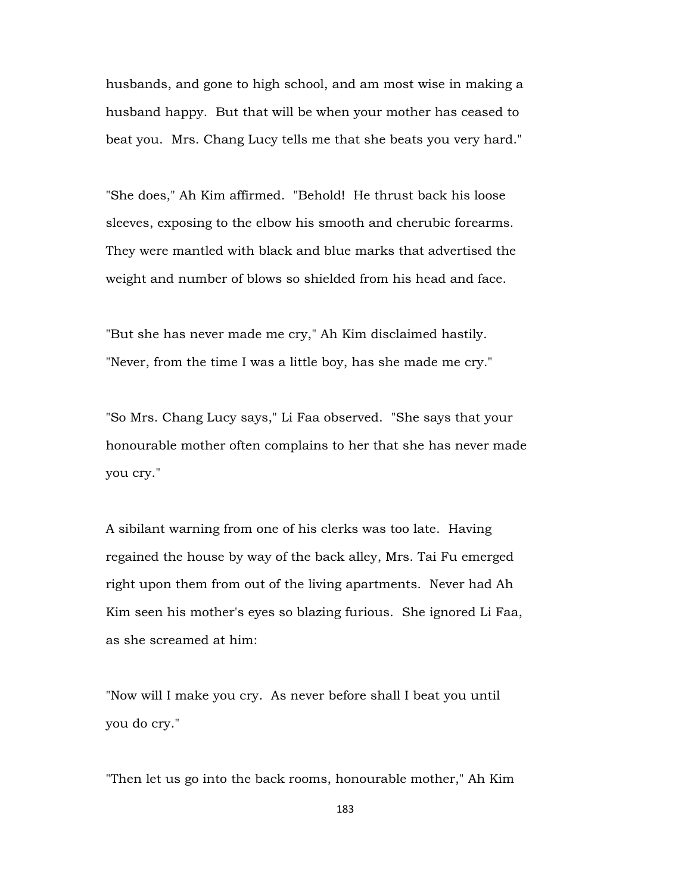husbands, and gone to high school, and am most wise in making a husband happy. But that will be when your mother has ceased to beat you. Mrs. Chang Lucy tells me that she beats you very hard."

"She does," Ah Kim affirmed. "Behold! He thrust back his loose sleeves, exposing to the elbow his smooth and cherubic forearms. They were mantled with black and blue marks that advertised the weight and number of blows so shielded from his head and face.

"But she has never made me cry," Ah Kim disclaimed hastily. "Never, from the time I was a little boy, has she made me cry."

"So Mrs. Chang Lucy says," Li Faa observed. "She says that your honourable mother often complains to her that she has never made you cry."

A sibilant warning from one of his clerks was too late. Having regained the house by way of the back alley, Mrs. Tai Fu emerged right upon them from out of the living apartments. Never had Ah Kim seen his mother's eyes so blazing furious. She ignored Li Faa, as she screamed at him:

"Now will I make you cry. As never before shall I beat you until you do cry."

"Then let us go into the back rooms, honourable mother," Ah Kim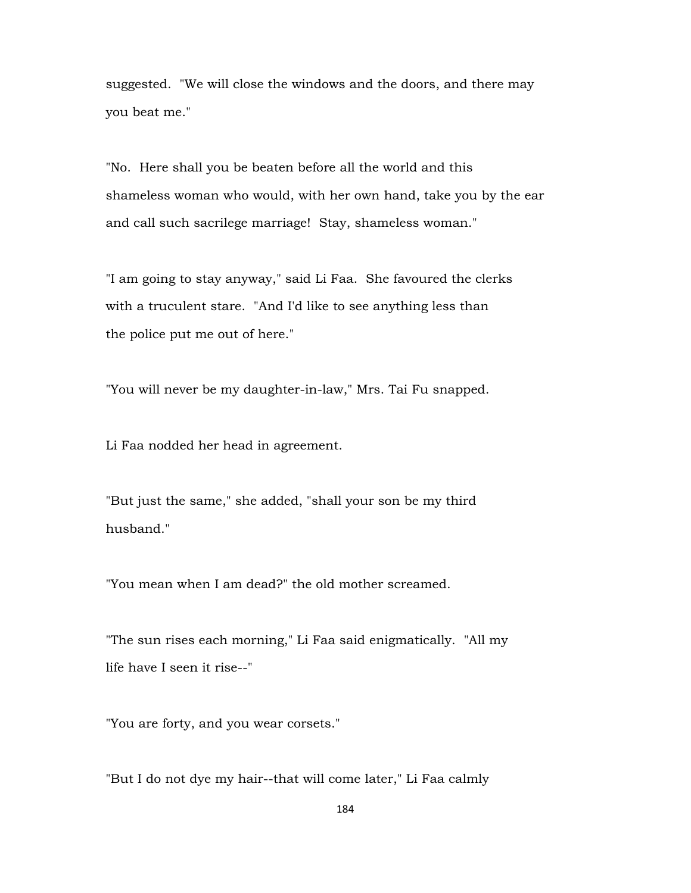suggested. "We will close the windows and the doors, and there may you beat me."

"No. Here shall you be beaten before all the world and this shameless woman who would, with her own hand, take you by the ear and call such sacrilege marriage! Stay, shameless woman."

"I am going to stay anyway," said Li Faa. She favoured the clerks with a truculent stare. "And I'd like to see anything less than the police put me out of here."

"You will never be my daughter-in-law," Mrs. Tai Fu snapped.

Li Faa nodded her head in agreement.

"But just the same," she added, "shall your son be my third husband."

"You mean when I am dead?" the old mother screamed.

"The sun rises each morning," Li Faa said enigmatically. "All my life have I seen it rise--"

"You are forty, and you wear corsets."

"But I do not dye my hair--that will come later," Li Faa calmly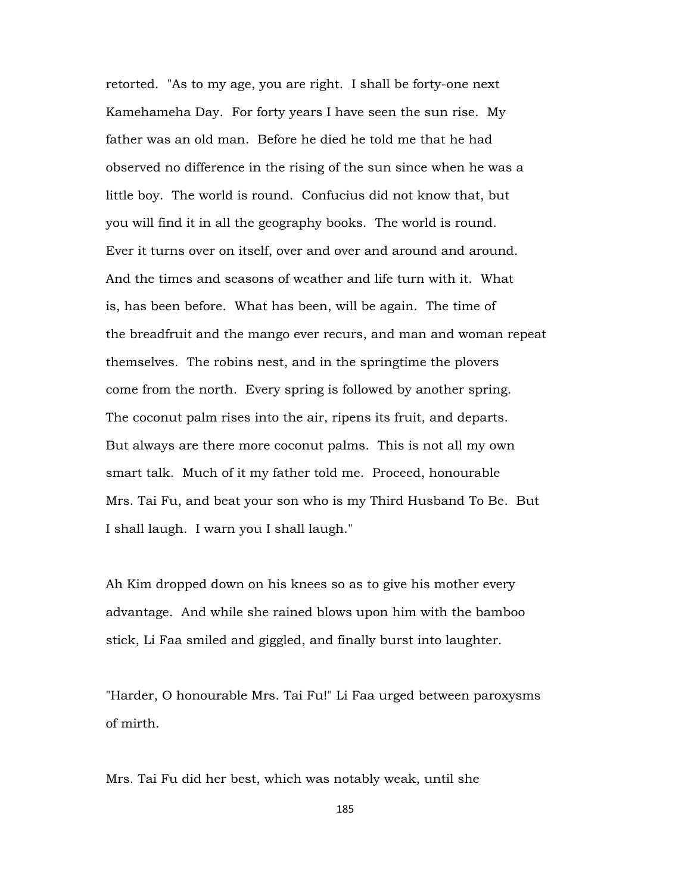retorted. "As to my age, you are right. I shall be forty-one next Kamehameha Day. For forty years I have seen the sun rise. My father was an old man. Before he died he told me that he had observed no difference in the rising of the sun since when he was a little boy. The world is round. Confucius did not know that, but you will find it in all the geography books. The world is round. Ever it turns over on itself, over and over and around and around. And the times and seasons of weather and life turn with it. What is, has been before. What has been, will be again. The time of the breadfruit and the mango ever recurs, and man and woman repeat themselves. The robins nest, and in the springtime the plovers come from the north. Every spring is followed by another spring. The coconut palm rises into the air, ripens its fruit, and departs. But always are there more coconut palms. This is not all my own smart talk. Much of it my father told me. Proceed, honourable Mrs. Tai Fu, and beat your son who is my Third Husband To Be. But I shall laugh. I warn you I shall laugh."

Ah Kim dropped down on his knees so as to give his mother every advantage. And while she rained blows upon him with the bamboo stick, Li Faa smiled and giggled, and finally burst into laughter.

"Harder, O honourable Mrs. Tai Fu!" Li Faa urged between paroxysms of mirth.

Mrs. Tai Fu did her best, which was notably weak, until she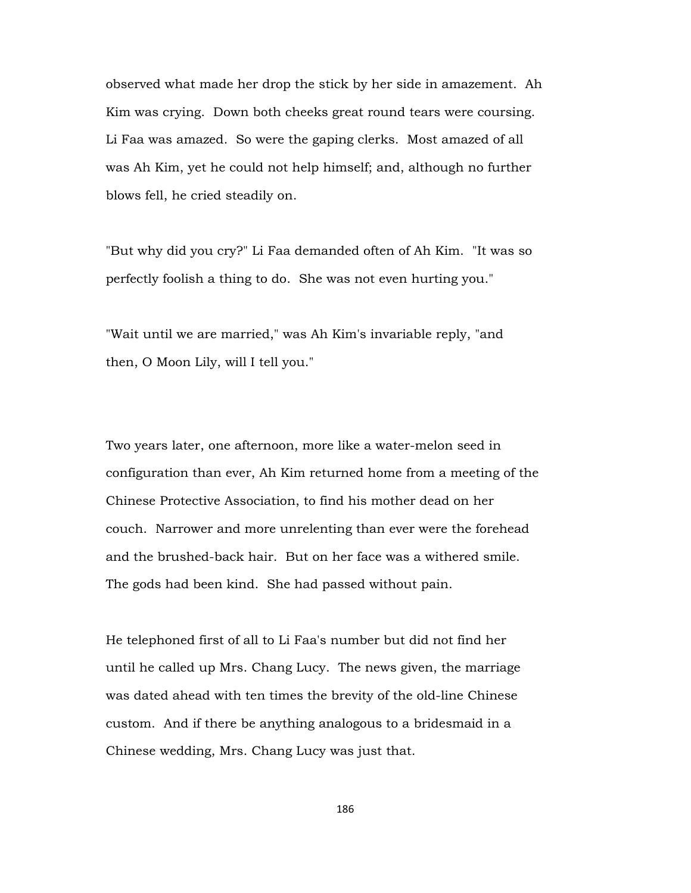observed what made her drop the stick by her side in amazement. Ah Kim was crying. Down both cheeks great round tears were coursing. Li Faa was amazed. So were the gaping clerks. Most amazed of all was Ah Kim, yet he could not help himself; and, although no further blows fell, he cried steadily on.

"But why did you cry?" Li Faa demanded often of Ah Kim. "It was so perfectly foolish a thing to do. She was not even hurting you."

"Wait until we are married," was Ah Kim's invariable reply, "and then, O Moon Lily, will I tell you."

Two years later, one afternoon, more like a water-melon seed in configuration than ever, Ah Kim returned home from a meeting of the Chinese Protective Association, to find his mother dead on her couch. Narrower and more unrelenting than ever were the forehead and the brushed-back hair. But on her face was a withered smile. The gods had been kind. She had passed without pain.

He telephoned first of all to Li Faa's number but did not find her until he called up Mrs. Chang Lucy. The news given, the marriage was dated ahead with ten times the brevity of the old-line Chinese custom. And if there be anything analogous to a bridesmaid in a Chinese wedding, Mrs. Chang Lucy was just that.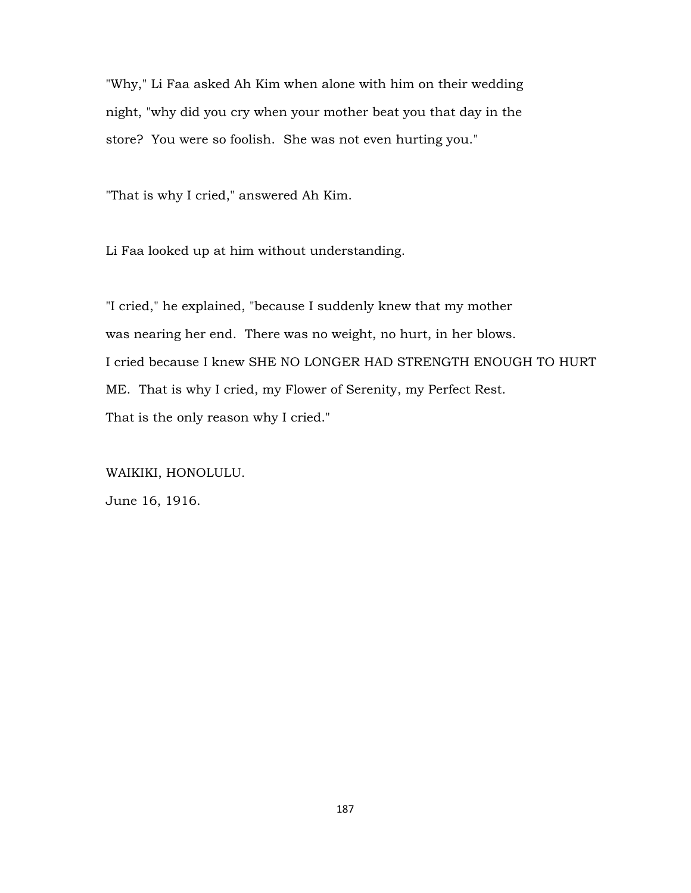"Why," Li Faa asked Ah Kim when alone with him on their wedding night, "why did you cry when your mother beat you that day in the store? You were so foolish. She was not even hurting you."

"That is why I cried," answered Ah Kim.

Li Faa looked up at him without understanding.

"I cried," he explained, "because I suddenly knew that my mother was nearing her end. There was no weight, no hurt, in her blows. I cried because I knew SHE NO LONGER HAD STRENGTH ENOUGH TO HURT ME. That is why I cried, my Flower of Serenity, my Perfect Rest. That is the only reason why I cried."

WAIKIKI, HONOLULU. June 16, 1916.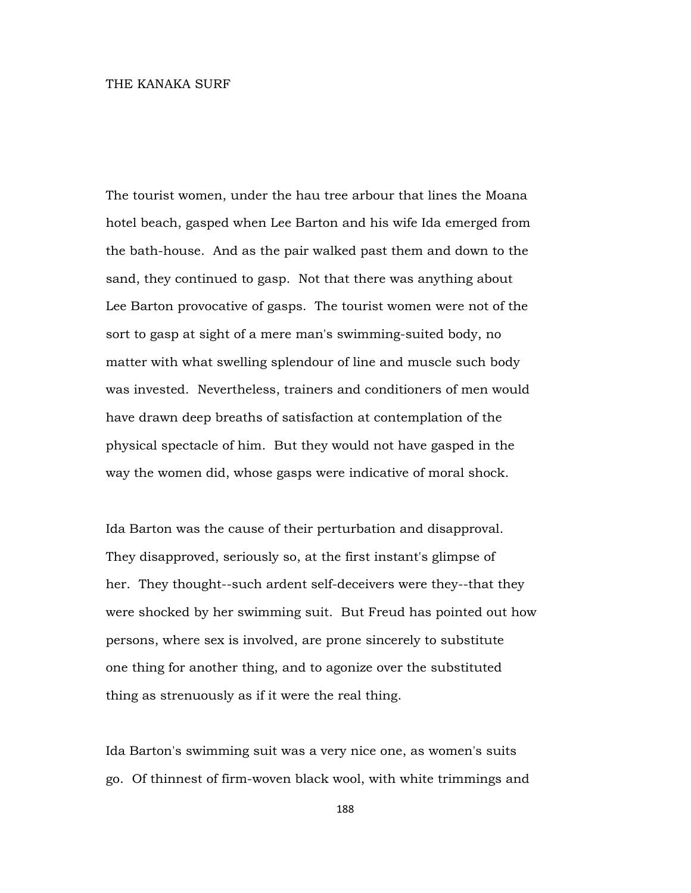## THE KANAKA SURF

The tourist women, under the hau tree arbour that lines the Moana hotel beach, gasped when Lee Barton and his wife Ida emerged from the bath-house. And as the pair walked past them and down to the sand, they continued to gasp. Not that there was anything about Lee Barton provocative of gasps. The tourist women were not of the sort to gasp at sight of a mere man's swimming-suited body, no matter with what swelling splendour of line and muscle such body was invested. Nevertheless, trainers and conditioners of men would have drawn deep breaths of satisfaction at contemplation of the physical spectacle of him. But they would not have gasped in the way the women did, whose gasps were indicative of moral shock.

Ida Barton was the cause of their perturbation and disapproval. They disapproved, seriously so, at the first instant's glimpse of her. They thought--such ardent self-deceivers were they--that they were shocked by her swimming suit. But Freud has pointed out how persons, where sex is involved, are prone sincerely to substitute one thing for another thing, and to agonize over the substituted thing as strenuously as if it were the real thing.

Ida Barton's swimming suit was a very nice one, as women's suits go. Of thinnest of firm-woven black wool, with white trimmings and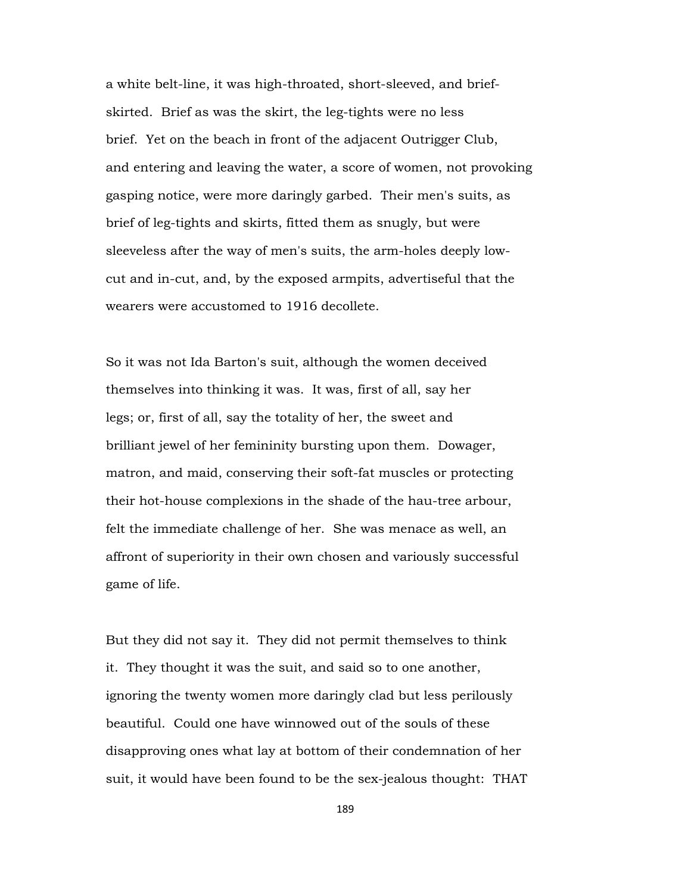a white belt-line, it was high-throated, short-sleeved, and briefskirted. Brief as was the skirt, the leg-tights were no less brief. Yet on the beach in front of the adjacent Outrigger Club, and entering and leaving the water, a score of women, not provoking gasping notice, were more daringly garbed. Their men's suits, as brief of leg-tights and skirts, fitted them as snugly, but were sleeveless after the way of men's suits, the arm-holes deeply lowcut and in-cut, and, by the exposed armpits, advertiseful that the wearers were accustomed to 1916 decollete.

So it was not Ida Barton's suit, although the women deceived themselves into thinking it was. It was, first of all, say her legs; or, first of all, say the totality of her, the sweet and brilliant jewel of her femininity bursting upon them. Dowager, matron, and maid, conserving their soft-fat muscles or protecting their hot-house complexions in the shade of the hau-tree arbour, felt the immediate challenge of her. She was menace as well, an affront of superiority in their own chosen and variously successful game of life.

But they did not say it. They did not permit themselves to think it. They thought it was the suit, and said so to one another, ignoring the twenty women more daringly clad but less perilously beautiful. Could one have winnowed out of the souls of these disapproving ones what lay at bottom of their condemnation of her suit, it would have been found to be the sex-jealous thought: THAT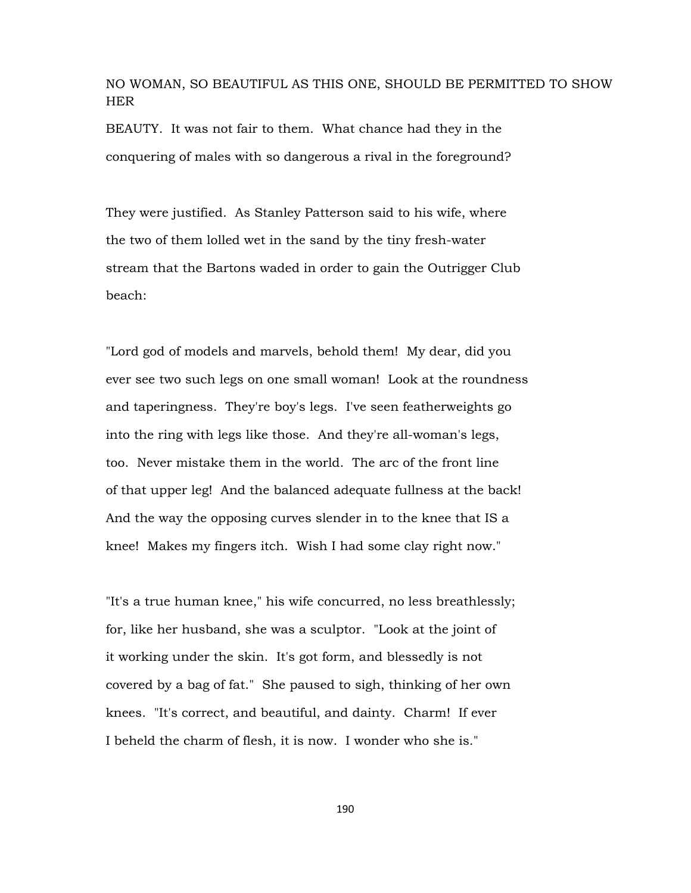NO WOMAN, SO BEAUTIFUL AS THIS ONE, SHOULD BE PERMITTED TO SHOW HER

BEAUTY. It was not fair to them. What chance had they in the conquering of males with so dangerous a rival in the foreground?

They were justified. As Stanley Patterson said to his wife, where the two of them lolled wet in the sand by the tiny fresh-water stream that the Bartons waded in order to gain the Outrigger Club beach:

"Lord god of models and marvels, behold them! My dear, did you ever see two such legs on one small woman! Look at the roundness and taperingness. They're boy's legs. I've seen featherweights go into the ring with legs like those. And they're all-woman's legs, too. Never mistake them in the world. The arc of the front line of that upper leg! And the balanced adequate fullness at the back! And the way the opposing curves slender in to the knee that IS a knee! Makes my fingers itch. Wish I had some clay right now."

"It's a true human knee," his wife concurred, no less breathlessly; for, like her husband, she was a sculptor. "Look at the joint of it working under the skin. It's got form, and blessedly is not covered by a bag of fat." She paused to sigh, thinking of her own knees. "It's correct, and beautiful, and dainty. Charm! If ever I beheld the charm of flesh, it is now. I wonder who she is."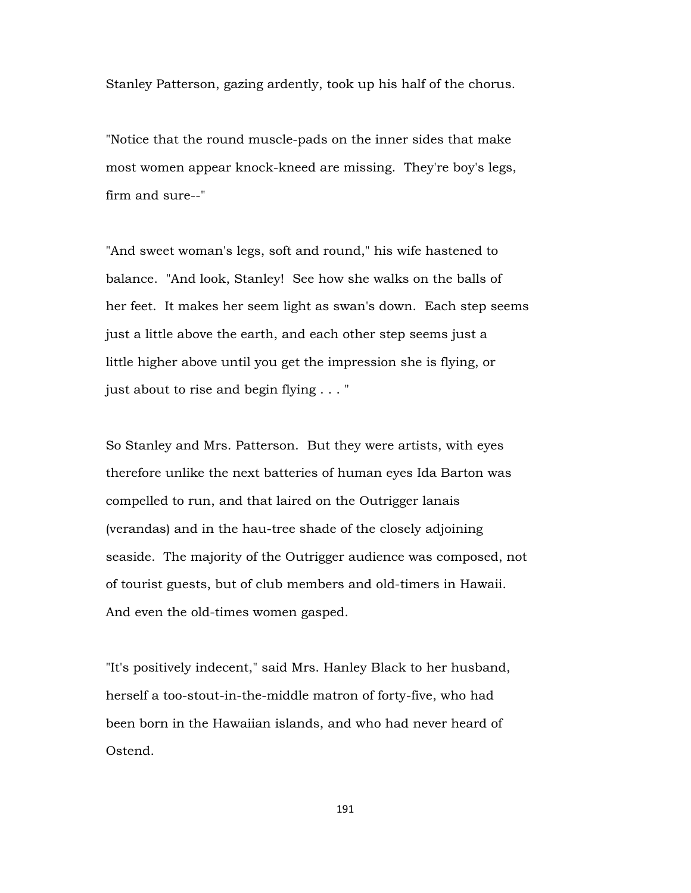Stanley Patterson, gazing ardently, took up his half of the chorus.

"Notice that the round muscle-pads on the inner sides that make most women appear knock-kneed are missing. They're boy's legs, firm and sure--"

"And sweet woman's legs, soft and round," his wife hastened to balance. "And look, Stanley! See how she walks on the balls of her feet. It makes her seem light as swan's down. Each step seems just a little above the earth, and each other step seems just a little higher above until you get the impression she is flying, or just about to rise and begin flying . . . "

So Stanley and Mrs. Patterson. But they were artists, with eyes therefore unlike the next batteries of human eyes Ida Barton was compelled to run, and that laired on the Outrigger lanais (verandas) and in the hau-tree shade of the closely adjoining seaside. The majority of the Outrigger audience was composed, not of tourist guests, but of club members and old-timers in Hawaii. And even the old-times women gasped.

"It's positively indecent," said Mrs. Hanley Black to her husband, herself a too-stout-in-the-middle matron of forty-five, who had been born in the Hawaiian islands, and who had never heard of Ostend.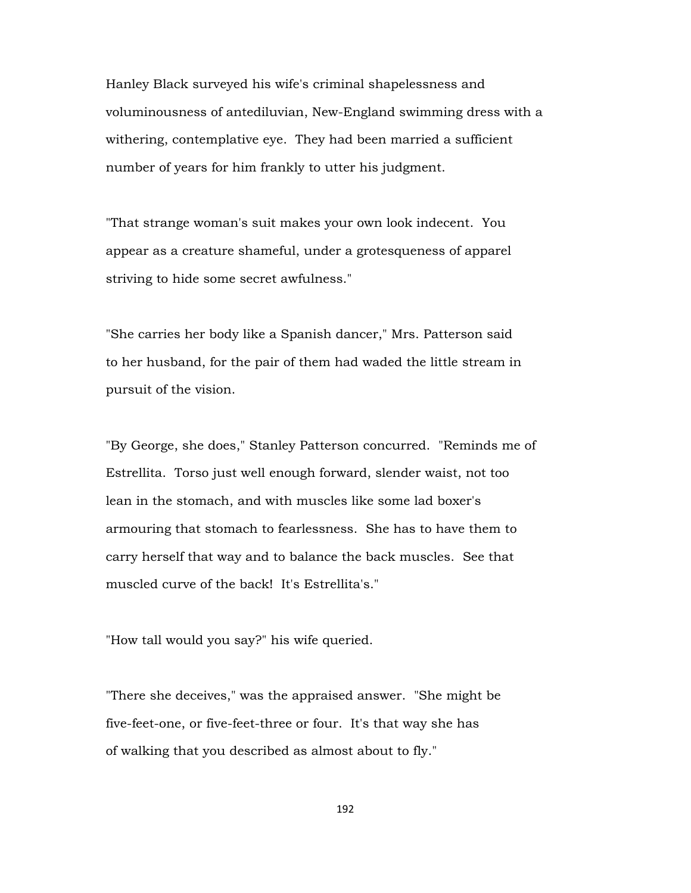Hanley Black surveyed his wife's criminal shapelessness and voluminousness of antediluvian, New-England swimming dress with a withering, contemplative eye. They had been married a sufficient number of years for him frankly to utter his judgment.

"That strange woman's suit makes your own look indecent. You appear as a creature shameful, under a grotesqueness of apparel striving to hide some secret awfulness."

"She carries her body like a Spanish dancer," Mrs. Patterson said to her husband, for the pair of them had waded the little stream in pursuit of the vision.

"By George, she does," Stanley Patterson concurred. "Reminds me of Estrellita. Torso just well enough forward, slender waist, not too lean in the stomach, and with muscles like some lad boxer's armouring that stomach to fearlessness. She has to have them to carry herself that way and to balance the back muscles. See that muscled curve of the back! It's Estrellita's."

"How tall would you say?" his wife queried.

"There she deceives," was the appraised answer. "She might be five-feet-one, or five-feet-three or four. It's that way she has of walking that you described as almost about to fly."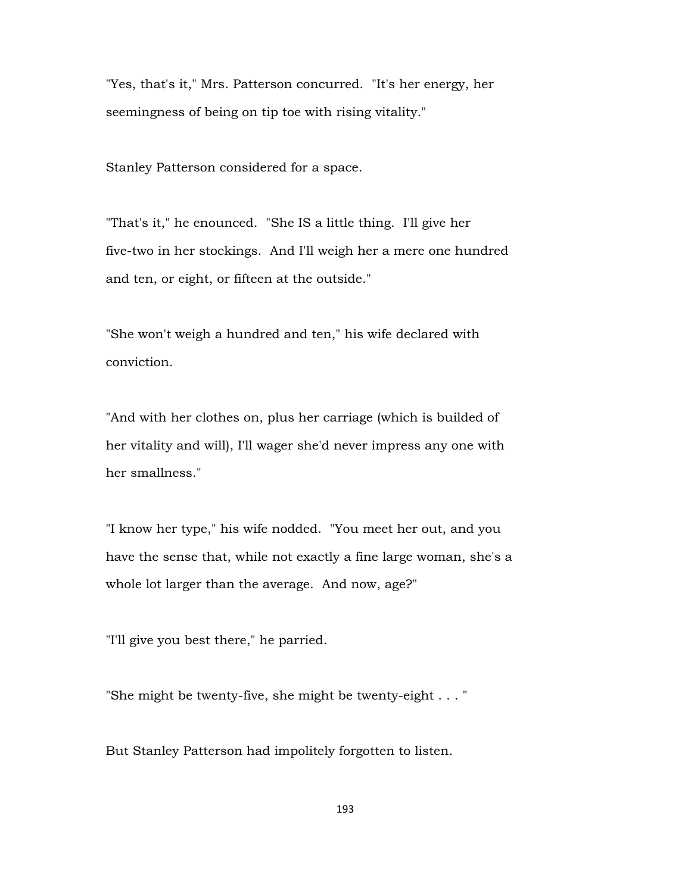"Yes, that's it," Mrs. Patterson concurred. "It's her energy, her seemingness of being on tip toe with rising vitality."

Stanley Patterson considered for a space.

"That's it," he enounced. "She IS a little thing. I'll give her five-two in her stockings. And I'll weigh her a mere one hundred and ten, or eight, or fifteen at the outside."

"She won't weigh a hundred and ten," his wife declared with conviction.

"And with her clothes on, plus her carriage (which is builded of her vitality and will), I'll wager she'd never impress any one with her smallness."

"I know her type," his wife nodded. "You meet her out, and you have the sense that, while not exactly a fine large woman, she's a whole lot larger than the average. And now, age?"

"I'll give you best there," he parried.

"She might be twenty-five, she might be twenty-eight . . . "

But Stanley Patterson had impolitely forgotten to listen.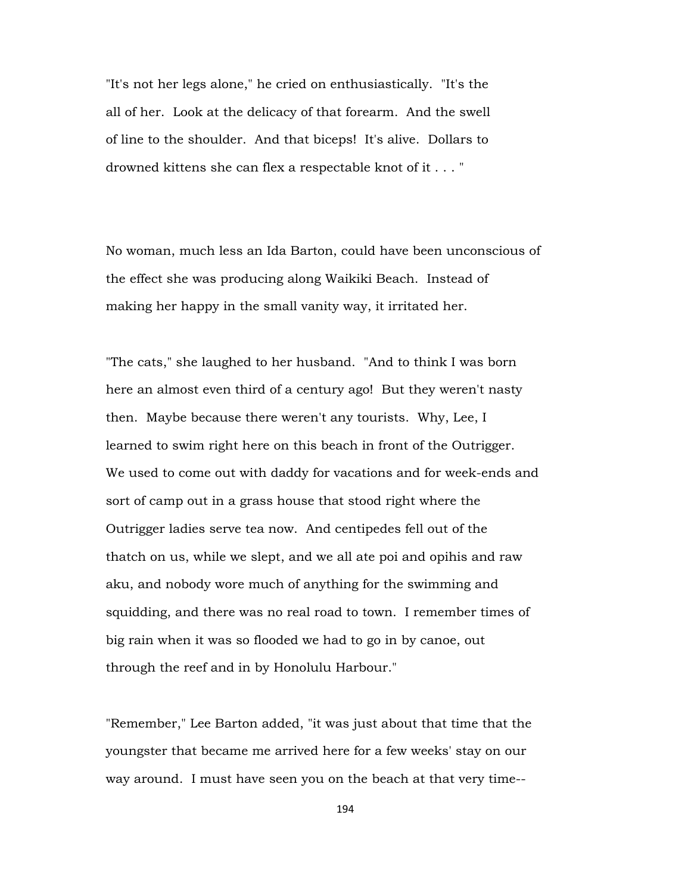"It's not her legs alone," he cried on enthusiastically. "It's the all of her. Look at the delicacy of that forearm. And the swell of line to the shoulder. And that biceps! It's alive. Dollars to drowned kittens she can flex a respectable knot of it . . . "

No woman, much less an Ida Barton, could have been unconscious of the effect she was producing along Waikiki Beach. Instead of making her happy in the small vanity way, it irritated her.

"The cats," she laughed to her husband. "And to think I was born here an almost even third of a century ago! But they weren't nasty then. Maybe because there weren't any tourists. Why, Lee, I learned to swim right here on this beach in front of the Outrigger. We used to come out with daddy for vacations and for week-ends and sort of camp out in a grass house that stood right where the Outrigger ladies serve tea now. And centipedes fell out of the thatch on us, while we slept, and we all ate poi and opihis and raw aku, and nobody wore much of anything for the swimming and squidding, and there was no real road to town. I remember times of big rain when it was so flooded we had to go in by canoe, out through the reef and in by Honolulu Harbour."

"Remember," Lee Barton added, "it was just about that time that the youngster that became me arrived here for a few weeks' stay on our way around. I must have seen you on the beach at that very time--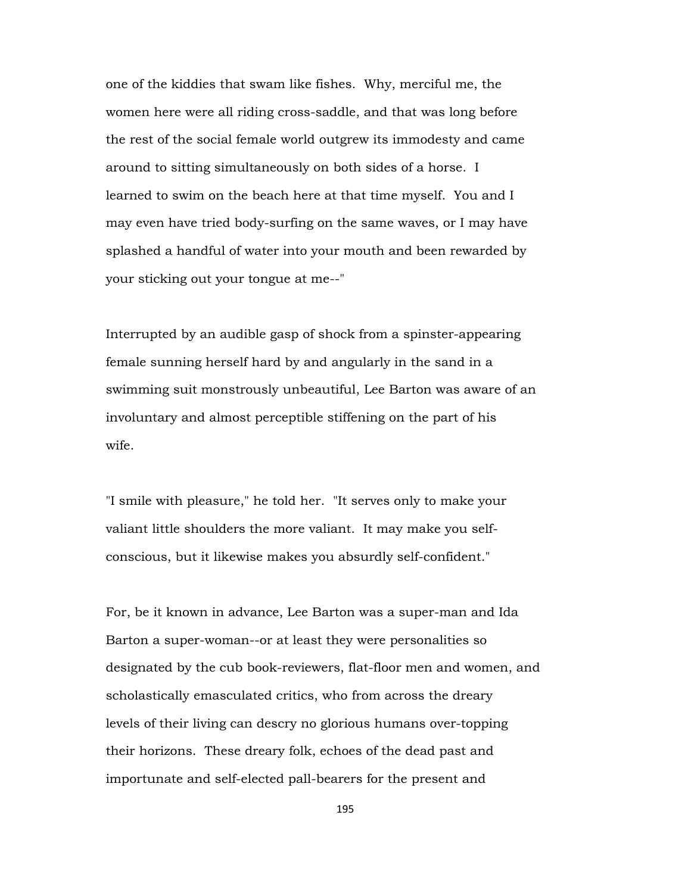one of the kiddies that swam like fishes. Why, merciful me, the women here were all riding cross-saddle, and that was long before the rest of the social female world outgrew its immodesty and came around to sitting simultaneously on both sides of a horse. I learned to swim on the beach here at that time myself. You and I may even have tried body-surfing on the same waves, or I may have splashed a handful of water into your mouth and been rewarded by your sticking out your tongue at me--"

Interrupted by an audible gasp of shock from a spinster-appearing female sunning herself hard by and angularly in the sand in a swimming suit monstrously unbeautiful, Lee Barton was aware of an involuntary and almost perceptible stiffening on the part of his wife.

"I smile with pleasure," he told her. "It serves only to make your valiant little shoulders the more valiant. It may make you selfconscious, but it likewise makes you absurdly self-confident."

For, be it known in advance, Lee Barton was a super-man and Ida Barton a super-woman--or at least they were personalities so designated by the cub book-reviewers, flat-floor men and women, and scholastically emasculated critics, who from across the dreary levels of their living can descry no glorious humans over-topping their horizons. These dreary folk, echoes of the dead past and importunate and self-elected pall-bearers for the present and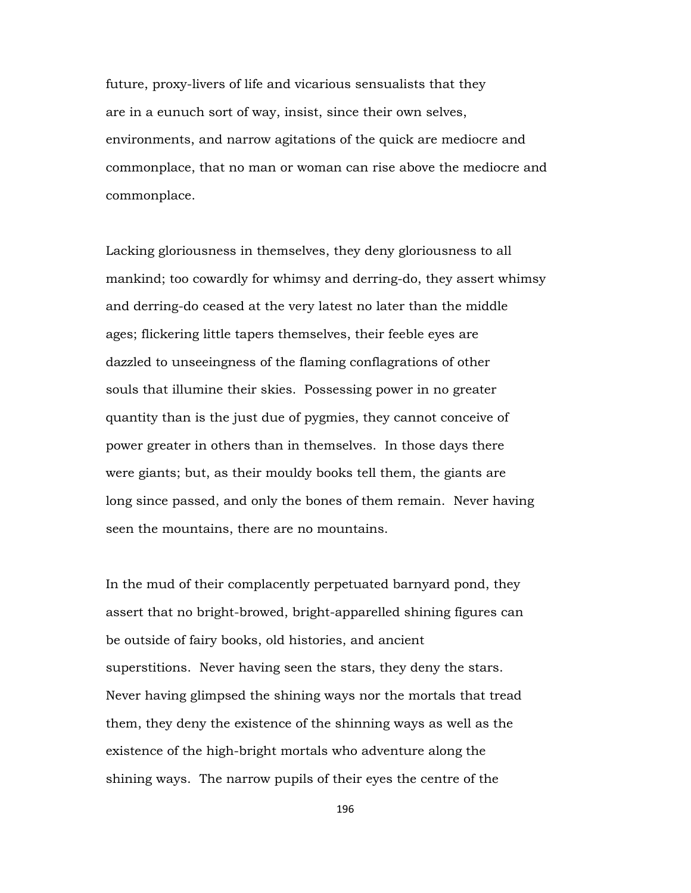future, proxy-livers of life and vicarious sensualists that they are in a eunuch sort of way, insist, since their own selves, environments, and narrow agitations of the quick are mediocre and commonplace, that no man or woman can rise above the mediocre and commonplace.

Lacking gloriousness in themselves, they deny gloriousness to all mankind; too cowardly for whimsy and derring-do, they assert whimsy and derring-do ceased at the very latest no later than the middle ages; flickering little tapers themselves, their feeble eyes are dazzled to unseeingness of the flaming conflagrations of other souls that illumine their skies. Possessing power in no greater quantity than is the just due of pygmies, they cannot conceive of power greater in others than in themselves. In those days there were giants; but, as their mouldy books tell them, the giants are long since passed, and only the bones of them remain. Never having seen the mountains, there are no mountains.

In the mud of their complacently perpetuated barnyard pond, they assert that no bright-browed, bright-apparelled shining figures can be outside of fairy books, old histories, and ancient superstitions. Never having seen the stars, they deny the stars. Never having glimpsed the shining ways nor the mortals that tread them, they deny the existence of the shinning ways as well as the existence of the high-bright mortals who adventure along the shining ways. The narrow pupils of their eyes the centre of the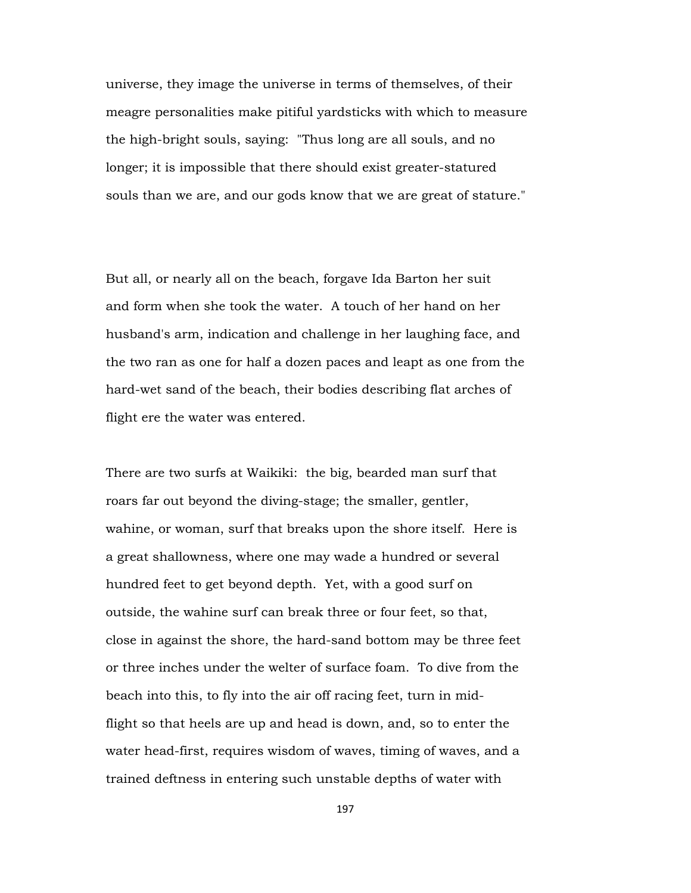universe, they image the universe in terms of themselves, of their meagre personalities make pitiful yardsticks with which to measure the high-bright souls, saying: "Thus long are all souls, and no longer; it is impossible that there should exist greater-statured souls than we are, and our gods know that we are great of stature."

But all, or nearly all on the beach, forgave Ida Barton her suit and form when she took the water. A touch of her hand on her husband's arm, indication and challenge in her laughing face, and the two ran as one for half a dozen paces and leapt as one from the hard-wet sand of the beach, their bodies describing flat arches of flight ere the water was entered.

There are two surfs at Waikiki: the big, bearded man surf that roars far out beyond the diving-stage; the smaller, gentler, wahine, or woman, surf that breaks upon the shore itself. Here is a great shallowness, where one may wade a hundred or several hundred feet to get beyond depth. Yet, with a good surf on outside, the wahine surf can break three or four feet, so that, close in against the shore, the hard-sand bottom may be three feet or three inches under the welter of surface foam. To dive from the beach into this, to fly into the air off racing feet, turn in midflight so that heels are up and head is down, and, so to enter the water head-first, requires wisdom of waves, timing of waves, and a trained deftness in entering such unstable depths of water with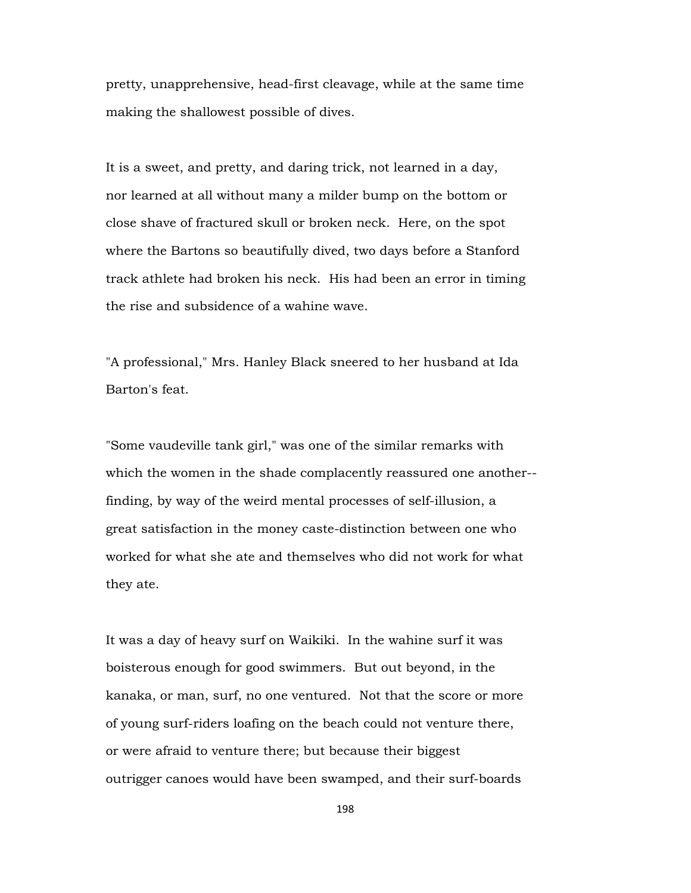pretty, unapprehensive, head-first cleavage, while at the same time making the shallowest possible of dives.

It is a sweet, and pretty, and daring trick, not learned in a day, nor learned at all without many a milder bump on the bottom or close shave of fractured skull or broken neck. Here, on the spot where the Bartons so beautifully dived, two days before a Stanford track athlete had broken his neck. His had been an error in timing the rise and subsidence of a wahine wave.

"A professional," Mrs. Hanley Black sneered to her husband at Ida Barton's feat.

"Some vaudeville tank girl," was one of the similar remarks with which the women in the shade complacently reassured one another- finding, by way of the weird mental processes of self-illusion, a great satisfaction in the money caste-distinction between one who worked for what she ate and themselves who did not work for what they ate.

It was a day of heavy surf on Waikiki. In the wahine surf it was boisterous enough for good swimmers. But out beyond, in the kanaka, or man, surf, no one ventured. Not that the score or more of young surf-riders loafing on the beach could not venture there, or were afraid to venture there; but because their biggest outrigger canoes would have been swamped, and their surf-boards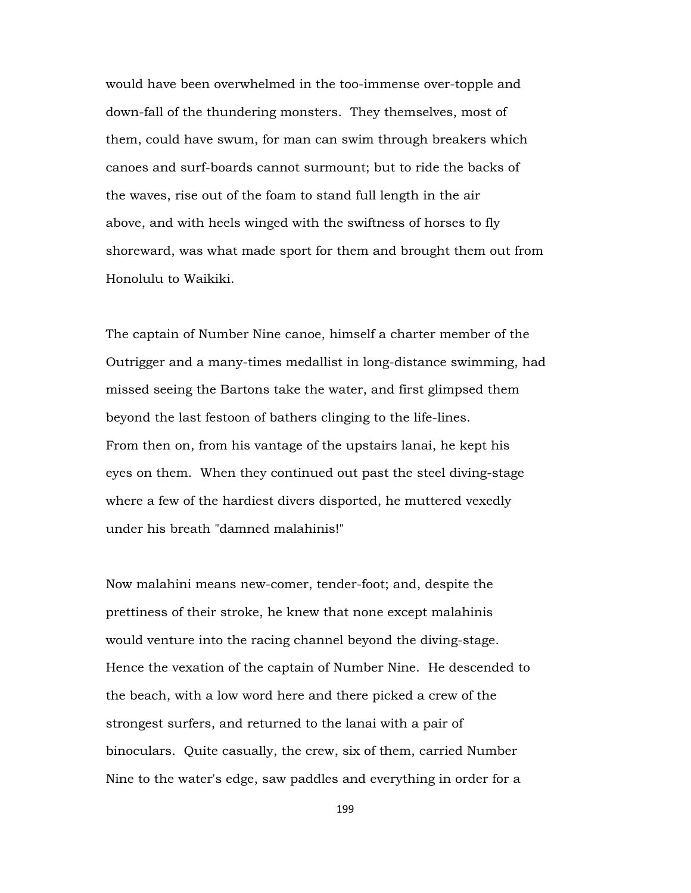would have been overwhelmed in the too-immense over-topple and down-fall of the thundering monsters. They themselves, most of them, could have swum, for man can swim through breakers which canoes and surf-boards cannot surmount; but to ride the backs of the waves, rise out of the foam to stand full length in the air above, and with heels winged with the swiftness of horses to fly shoreward, was what made sport for them and brought them out from Honolulu to Waikiki.

The captain of Number Nine canoe, himself a charter member of the Outrigger and a many-times medallist in long-distance swimming, had missed seeing the Bartons take the water, and first glimpsed them beyond the last festoon of bathers clinging to the life-lines. From then on, from his vantage of the upstairs lanai, he kept his eyes on them. When they continued out past the steel diving-stage where a few of the hardiest divers disported, he muttered vexedly under his breath "damned malahinis!"

Now malahini means new-comer, tender-foot; and, despite the prettiness of their stroke, he knew that none except malahinis would venture into the racing channel beyond the diving-stage. Hence the vexation of the captain of Number Nine. He descended to the beach, with a low word here and there picked a crew of the strongest surfers, and returned to the lanai with a pair of binoculars. Quite casually, the crew, six of them, carried Number Nine to the water's edge, saw paddles and everything in order for a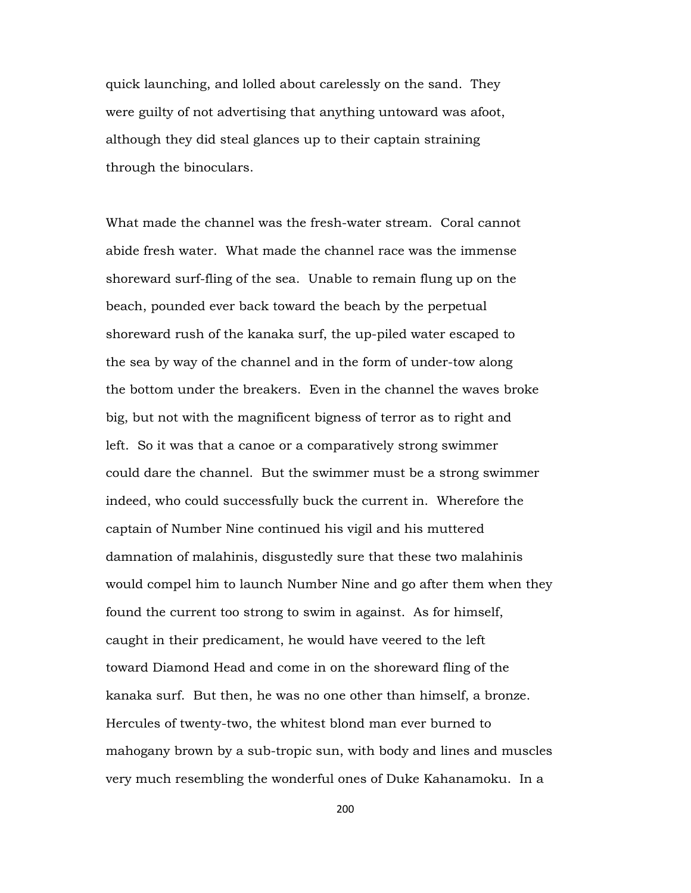quick launching, and lolled about carelessly on the sand. They were guilty of not advertising that anything untoward was afoot, although they did steal glances up to their captain straining through the binoculars.

What made the channel was the fresh-water stream. Coral cannot abide fresh water. What made the channel race was the immense shoreward surf-fling of the sea. Unable to remain flung up on the beach, pounded ever back toward the beach by the perpetual shoreward rush of the kanaka surf, the up-piled water escaped to the sea by way of the channel and in the form of under-tow along the bottom under the breakers. Even in the channel the waves broke big, but not with the magnificent bigness of terror as to right and left. So it was that a canoe or a comparatively strong swimmer could dare the channel. But the swimmer must be a strong swimmer indeed, who could successfully buck the current in. Wherefore the captain of Number Nine continued his vigil and his muttered damnation of malahinis, disgustedly sure that these two malahinis would compel him to launch Number Nine and go after them when they found the current too strong to swim in against. As for himself, caught in their predicament, he would have veered to the left toward Diamond Head and come in on the shoreward fling of the kanaka surf. But then, he was no one other than himself, a bronze. Hercules of twenty-two, the whitest blond man ever burned to mahogany brown by a sub-tropic sun, with body and lines and muscles very much resembling the wonderful ones of Duke Kahanamoku. In a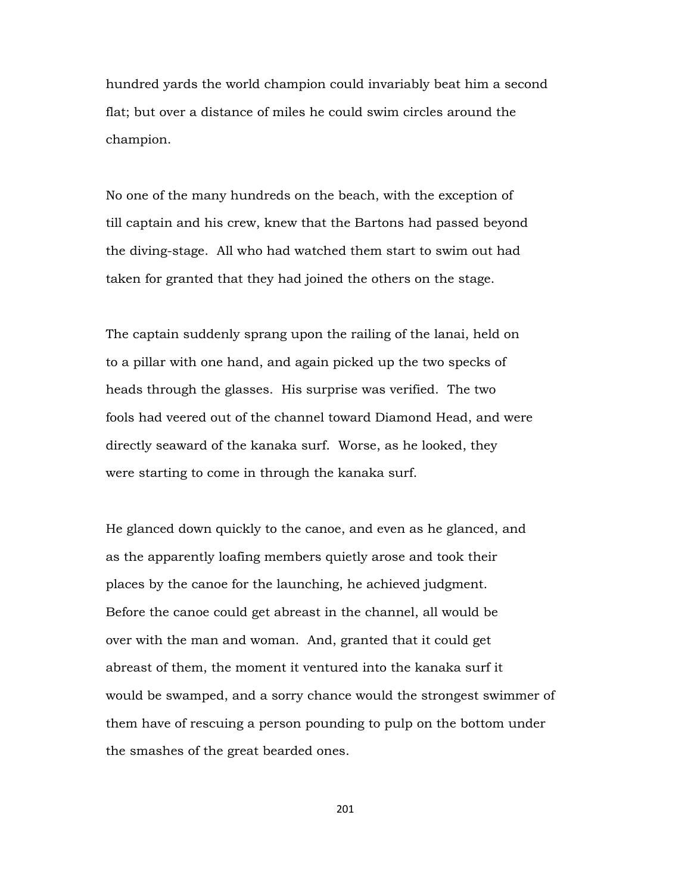hundred yards the world champion could invariably beat him a second flat; but over a distance of miles he could swim circles around the champion.

No one of the many hundreds on the beach, with the exception of till captain and his crew, knew that the Bartons had passed beyond the diving-stage. All who had watched them start to swim out had taken for granted that they had joined the others on the stage.

The captain suddenly sprang upon the railing of the lanai, held on to a pillar with one hand, and again picked up the two specks of heads through the glasses. His surprise was verified. The two fools had veered out of the channel toward Diamond Head, and were directly seaward of the kanaka surf. Worse, as he looked, they were starting to come in through the kanaka surf.

He glanced down quickly to the canoe, and even as he glanced, and as the apparently loafing members quietly arose and took their places by the canoe for the launching, he achieved judgment. Before the canoe could get abreast in the channel, all would be over with the man and woman. And, granted that it could get abreast of them, the moment it ventured into the kanaka surf it would be swamped, and a sorry chance would the strongest swimmer of them have of rescuing a person pounding to pulp on the bottom under the smashes of the great bearded ones.

201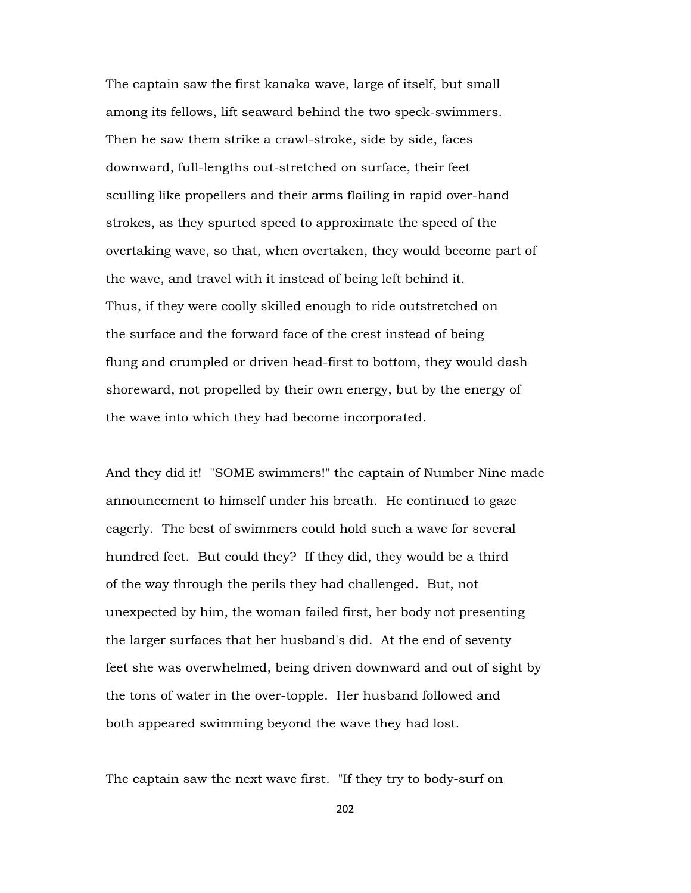The captain saw the first kanaka wave, large of itself, but small among its fellows, lift seaward behind the two speck-swimmers. Then he saw them strike a crawl-stroke, side by side, faces downward, full-lengths out-stretched on surface, their feet sculling like propellers and their arms flailing in rapid over-hand strokes, as they spurted speed to approximate the speed of the overtaking wave, so that, when overtaken, they would become part of the wave, and travel with it instead of being left behind it. Thus, if they were coolly skilled enough to ride outstretched on the surface and the forward face of the crest instead of being flung and crumpled or driven head-first to bottom, they would dash shoreward, not propelled by their own energy, but by the energy of the wave into which they had become incorporated.

And they did it! "SOME swimmers!" the captain of Number Nine made announcement to himself under his breath. He continued to gaze eagerly. The best of swimmers could hold such a wave for several hundred feet. But could they? If they did, they would be a third of the way through the perils they had challenged. But, not unexpected by him, the woman failed first, her body not presenting the larger surfaces that her husband's did. At the end of seventy feet she was overwhelmed, being driven downward and out of sight by the tons of water in the over-topple. Her husband followed and both appeared swimming beyond the wave they had lost.

The captain saw the next wave first. "If they try to body-surf on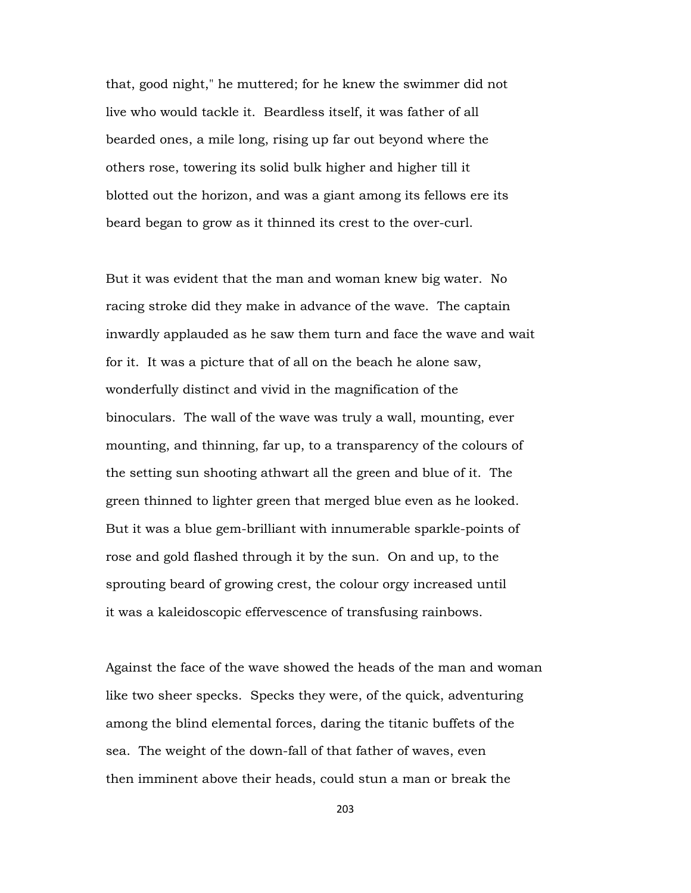that, good night," he muttered; for he knew the swimmer did not live who would tackle it. Beardless itself, it was father of all bearded ones, a mile long, rising up far out beyond where the others rose, towering its solid bulk higher and higher till it blotted out the horizon, and was a giant among its fellows ere its beard began to grow as it thinned its crest to the over-curl.

But it was evident that the man and woman knew big water. No racing stroke did they make in advance of the wave. The captain inwardly applauded as he saw them turn and face the wave and wait for it. It was a picture that of all on the beach he alone saw, wonderfully distinct and vivid in the magnification of the binoculars. The wall of the wave was truly a wall, mounting, ever mounting, and thinning, far up, to a transparency of the colours of the setting sun shooting athwart all the green and blue of it. The green thinned to lighter green that merged blue even as he looked. But it was a blue gem-brilliant with innumerable sparkle-points of rose and gold flashed through it by the sun. On and up, to the sprouting beard of growing crest, the colour orgy increased until it was a kaleidoscopic effervescence of transfusing rainbows.

Against the face of the wave showed the heads of the man and woman like two sheer specks. Specks they were, of the quick, adventuring among the blind elemental forces, daring the titanic buffets of the sea. The weight of the down-fall of that father of waves, even then imminent above their heads, could stun a man or break the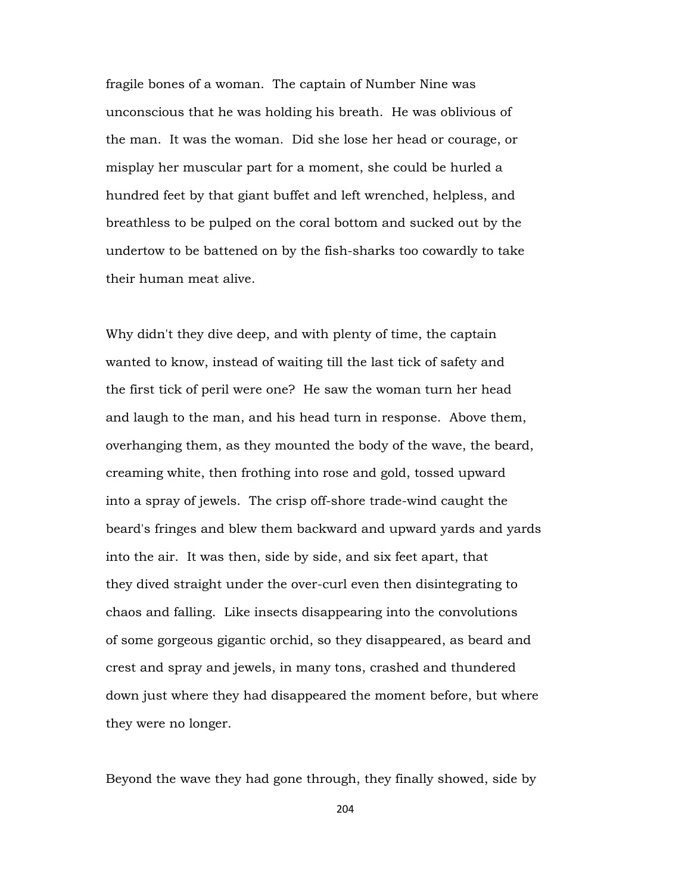fragile bones of a woman. The captain of Number Nine was unconscious that he was holding his breath. He was oblivious of the man. It was the woman. Did she lose her head or courage, or misplay her muscular part for a moment, she could be hurled a hundred feet by that giant buffet and left wrenched, helpless, and breathless to be pulped on the coral bottom and sucked out by the undertow to be battened on by the fish-sharks too cowardly to take their human meat alive.

Why didn't they dive deep, and with plenty of time, the captain wanted to know, instead of waiting till the last tick of safety and the first tick of peril were one? He saw the woman turn her head and laugh to the man, and his head turn in response. Above them, overhanging them, as they mounted the body of the wave, the beard, creaming white, then frothing into rose and gold, tossed upward into a spray of jewels. The crisp off-shore trade-wind caught the beard's fringes and blew them backward and upward yards and yards into the air. It was then, side by side, and six feet apart, that they dived straight under the over-curl even then disintegrating to chaos and falling. Like insects disappearing into the convolutions of some gorgeous gigantic orchid, so they disappeared, as beard and crest and spray and jewels, in many tons, crashed and thundered down just where they had disappeared the moment before, but where they were no longer.

Beyond the wave they had gone through, they finally showed, side by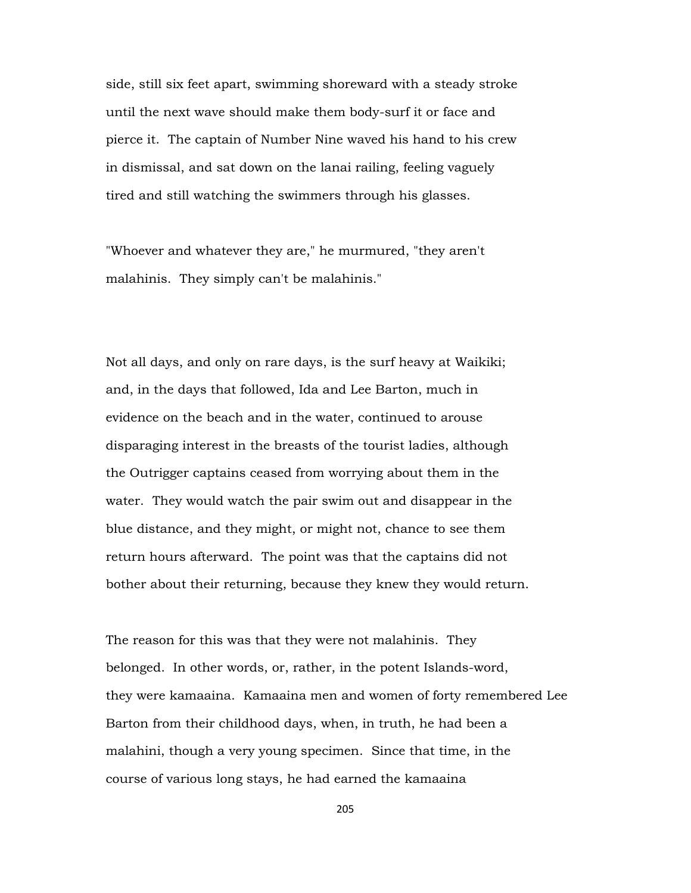side, still six feet apart, swimming shoreward with a steady stroke until the next wave should make them body-surf it or face and pierce it. The captain of Number Nine waved his hand to his crew in dismissal, and sat down on the lanai railing, feeling vaguely tired and still watching the swimmers through his glasses.

"Whoever and whatever they are," he murmured, "they aren't malahinis. They simply can't be malahinis."

Not all days, and only on rare days, is the surf heavy at Waikiki; and, in the days that followed, Ida and Lee Barton, much in evidence on the beach and in the water, continued to arouse disparaging interest in the breasts of the tourist ladies, although the Outrigger captains ceased from worrying about them in the water. They would watch the pair swim out and disappear in the blue distance, and they might, or might not, chance to see them return hours afterward. The point was that the captains did not bother about their returning, because they knew they would return.

The reason for this was that they were not malahinis. They belonged. In other words, or, rather, in the potent Islands-word, they were kamaaina. Kamaaina men and women of forty remembered Lee Barton from their childhood days, when, in truth, he had been a malahini, though a very young specimen. Since that time, in the course of various long stays, he had earned the kamaaina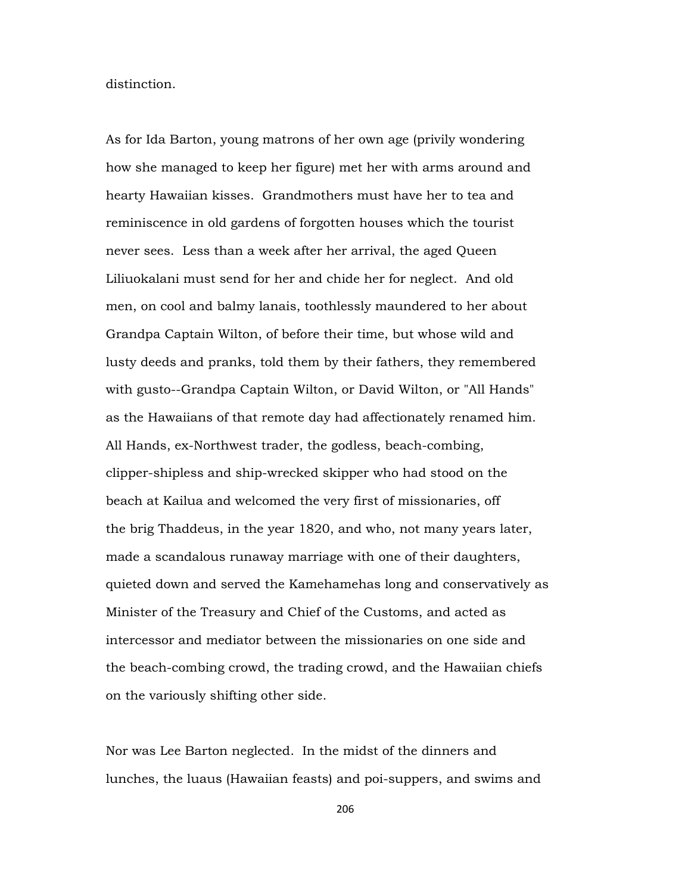distinction.

As for Ida Barton, young matrons of her own age (privily wondering how she managed to keep her figure) met her with arms around and hearty Hawaiian kisses. Grandmothers must have her to tea and reminiscence in old gardens of forgotten houses which the tourist never sees. Less than a week after her arrival, the aged Queen Liliuokalani must send for her and chide her for neglect. And old men, on cool and balmy lanais, toothlessly maundered to her about Grandpa Captain Wilton, of before their time, but whose wild and lusty deeds and pranks, told them by their fathers, they remembered with gusto--Grandpa Captain Wilton, or David Wilton, or "All Hands" as the Hawaiians of that remote day had affectionately renamed him. All Hands, ex-Northwest trader, the godless, beach-combing, clipper-shipless and ship-wrecked skipper who had stood on the beach at Kailua and welcomed the very first of missionaries, off the brig Thaddeus, in the year 1820, and who, not many years later, made a scandalous runaway marriage with one of their daughters, quieted down and served the Kamehamehas long and conservatively as Minister of the Treasury and Chief of the Customs, and acted as intercessor and mediator between the missionaries on one side and the beach-combing crowd, the trading crowd, and the Hawaiian chiefs on the variously shifting other side.

Nor was Lee Barton neglected. In the midst of the dinners and lunches, the luaus (Hawaiian feasts) and poi-suppers, and swims and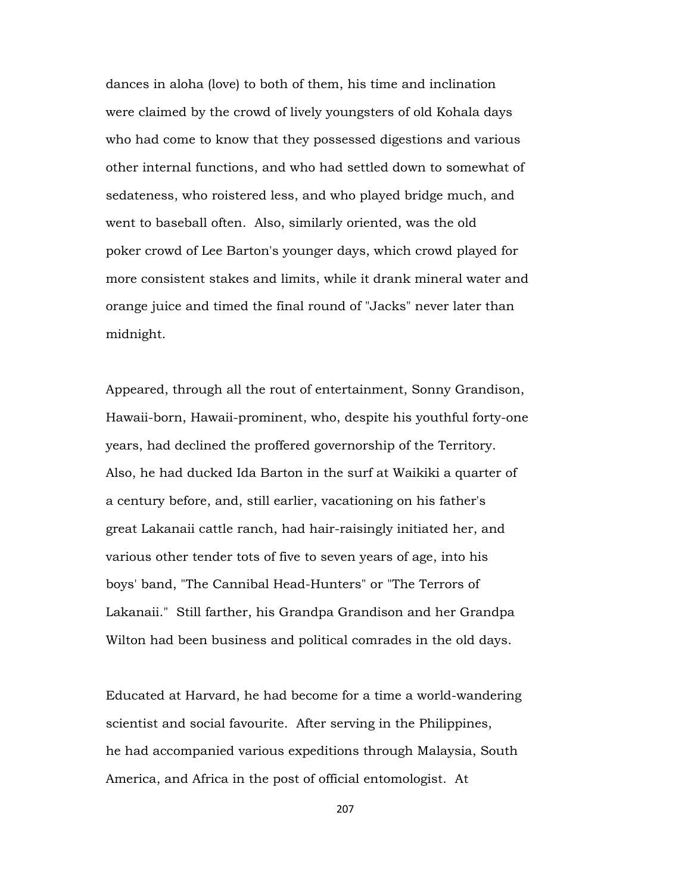dances in aloha (love) to both of them, his time and inclination were claimed by the crowd of lively youngsters of old Kohala days who had come to know that they possessed digestions and various other internal functions, and who had settled down to somewhat of sedateness, who roistered less, and who played bridge much, and went to baseball often. Also, similarly oriented, was the old poker crowd of Lee Barton's younger days, which crowd played for more consistent stakes and limits, while it drank mineral water and orange juice and timed the final round of "Jacks" never later than midnight.

Appeared, through all the rout of entertainment, Sonny Grandison, Hawaii-born, Hawaii-prominent, who, despite his youthful forty-one years, had declined the proffered governorship of the Territory. Also, he had ducked Ida Barton in the surf at Waikiki a quarter of a century before, and, still earlier, vacationing on his father's great Lakanaii cattle ranch, had hair-raisingly initiated her, and various other tender tots of five to seven years of age, into his boys' band, "The Cannibal Head-Hunters" or "The Terrors of Lakanaii." Still farther, his Grandpa Grandison and her Grandpa Wilton had been business and political comrades in the old days.

Educated at Harvard, he had become for a time a world-wandering scientist and social favourite. After serving in the Philippines, he had accompanied various expeditions through Malaysia, South America, and Africa in the post of official entomologist. At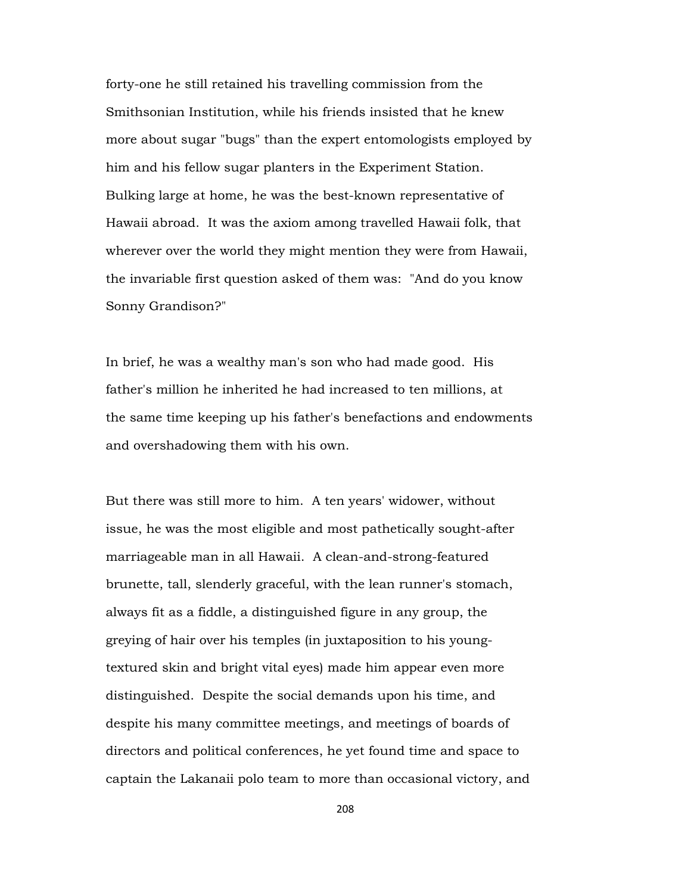forty-one he still retained his travelling commission from the Smithsonian Institution, while his friends insisted that he knew more about sugar "bugs" than the expert entomologists employed by him and his fellow sugar planters in the Experiment Station. Bulking large at home, he was the best-known representative of Hawaii abroad. It was the axiom among travelled Hawaii folk, that wherever over the world they might mention they were from Hawaii, the invariable first question asked of them was: "And do you know Sonny Grandison?"

In brief, he was a wealthy man's son who had made good. His father's million he inherited he had increased to ten millions, at the same time keeping up his father's benefactions and endowments and overshadowing them with his own.

But there was still more to him. A ten years' widower, without issue, he was the most eligible and most pathetically sought-after marriageable man in all Hawaii. A clean-and-strong-featured brunette, tall, slenderly graceful, with the lean runner's stomach, always fit as a fiddle, a distinguished figure in any group, the greying of hair over his temples (in juxtaposition to his youngtextured skin and bright vital eyes) made him appear even more distinguished. Despite the social demands upon his time, and despite his many committee meetings, and meetings of boards of directors and political conferences, he yet found time and space to captain the Lakanaii polo team to more than occasional victory, and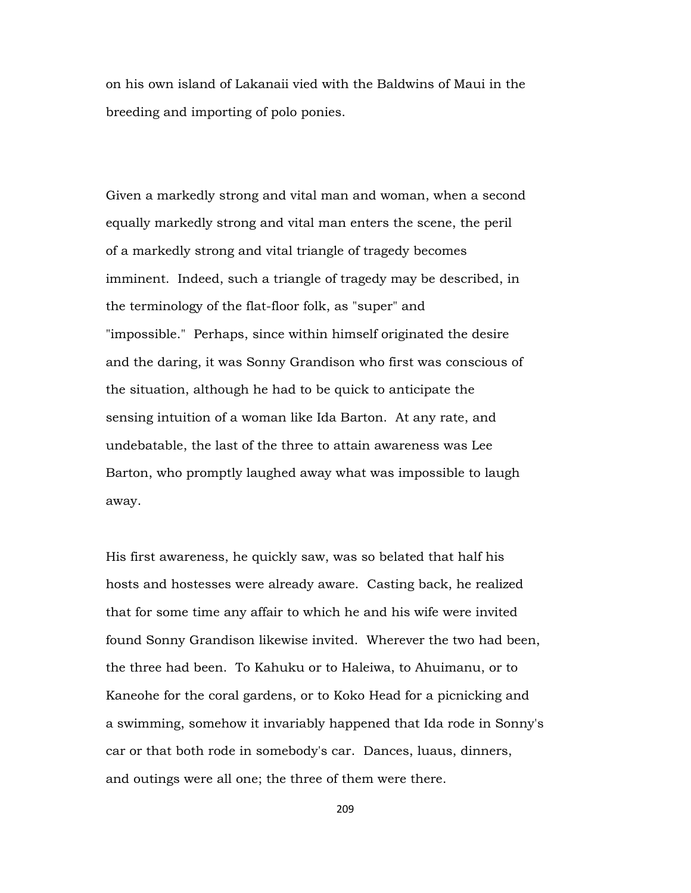on his own island of Lakanaii vied with the Baldwins of Maui in the breeding and importing of polo ponies.

Given a markedly strong and vital man and woman, when a second equally markedly strong and vital man enters the scene, the peril of a markedly strong and vital triangle of tragedy becomes imminent. Indeed, such a triangle of tragedy may be described, in the terminology of the flat-floor folk, as "super" and "impossible." Perhaps, since within himself originated the desire and the daring, it was Sonny Grandison who first was conscious of the situation, although he had to be quick to anticipate the sensing intuition of a woman like Ida Barton. At any rate, and undebatable, the last of the three to attain awareness was Lee Barton, who promptly laughed away what was impossible to laugh away.

His first awareness, he quickly saw, was so belated that half his hosts and hostesses were already aware. Casting back, he realized that for some time any affair to which he and his wife were invited found Sonny Grandison likewise invited. Wherever the two had been, the three had been. To Kahuku or to Haleiwa, to Ahuimanu, or to Kaneohe for the coral gardens, or to Koko Head for a picnicking and a swimming, somehow it invariably happened that Ida rode in Sonny's car or that both rode in somebody's car. Dances, luaus, dinners, and outings were all one; the three of them were there.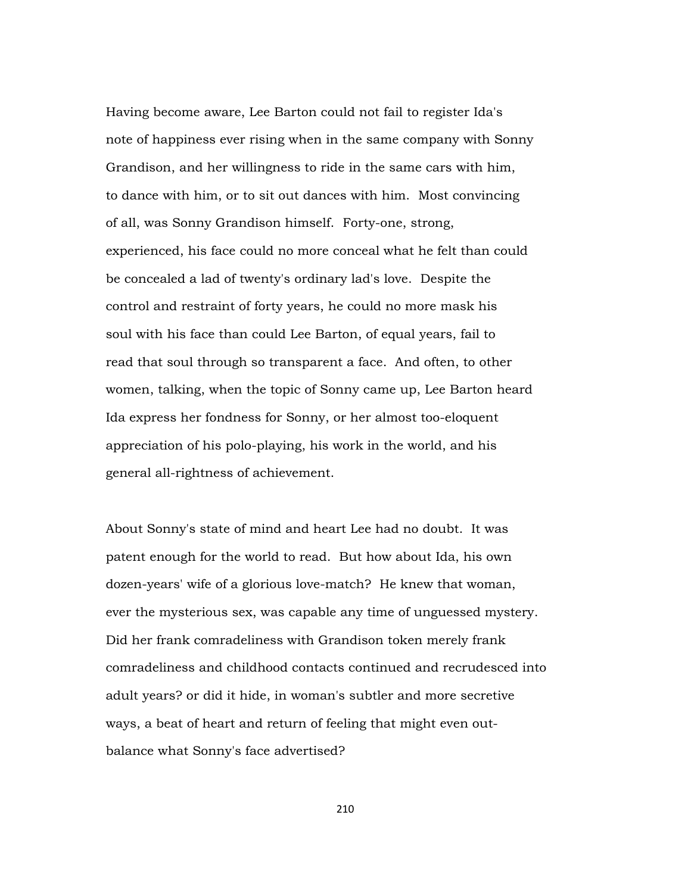Having become aware, Lee Barton could not fail to register Ida's note of happiness ever rising when in the same company with Sonny Grandison, and her willingness to ride in the same cars with him, to dance with him, or to sit out dances with him. Most convincing of all, was Sonny Grandison himself. Forty-one, strong, experienced, his face could no more conceal what he felt than could be concealed a lad of twenty's ordinary lad's love. Despite the control and restraint of forty years, he could no more mask his soul with his face than could Lee Barton, of equal years, fail to read that soul through so transparent a face. And often, to other women, talking, when the topic of Sonny came up, Lee Barton heard Ida express her fondness for Sonny, or her almost too-eloquent appreciation of his polo-playing, his work in the world, and his general all-rightness of achievement.

About Sonny's state of mind and heart Lee had no doubt. It was patent enough for the world to read. But how about Ida, his own dozen-years' wife of a glorious love-match? He knew that woman, ever the mysterious sex, was capable any time of unguessed mystery. Did her frank comradeliness with Grandison token merely frank comradeliness and childhood contacts continued and recrudesced into adult years? or did it hide, in woman's subtler and more secretive ways, a beat of heart and return of feeling that might even outbalance what Sonny's face advertised?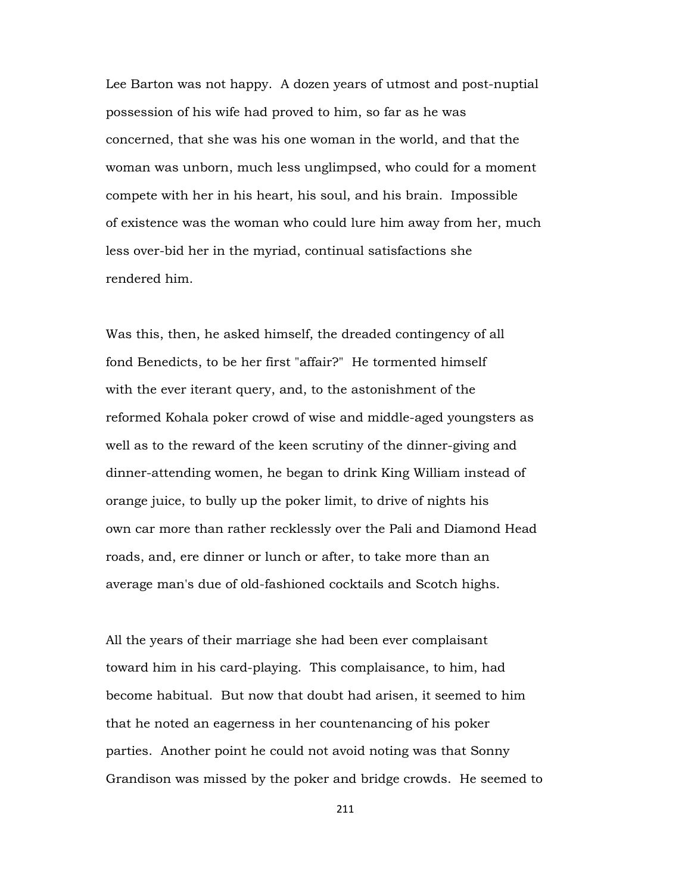Lee Barton was not happy. A dozen years of utmost and post-nuptial possession of his wife had proved to him, so far as he was concerned, that she was his one woman in the world, and that the woman was unborn, much less unglimpsed, who could for a moment compete with her in his heart, his soul, and his brain. Impossible of existence was the woman who could lure him away from her, much less over-bid her in the myriad, continual satisfactions she rendered him.

Was this, then, he asked himself, the dreaded contingency of all fond Benedicts, to be her first "affair?" He tormented himself with the ever iterant query, and, to the astonishment of the reformed Kohala poker crowd of wise and middle-aged youngsters as well as to the reward of the keen scrutiny of the dinner-giving and dinner-attending women, he began to drink King William instead of orange juice, to bully up the poker limit, to drive of nights his own car more than rather recklessly over the Pali and Diamond Head roads, and, ere dinner or lunch or after, to take more than an average man's due of old-fashioned cocktails and Scotch highs.

All the years of their marriage she had been ever complaisant toward him in his card-playing. This complaisance, to him, had become habitual. But now that doubt had arisen, it seemed to him that he noted an eagerness in her countenancing of his poker parties. Another point he could not avoid noting was that Sonny Grandison was missed by the poker and bridge crowds. He seemed to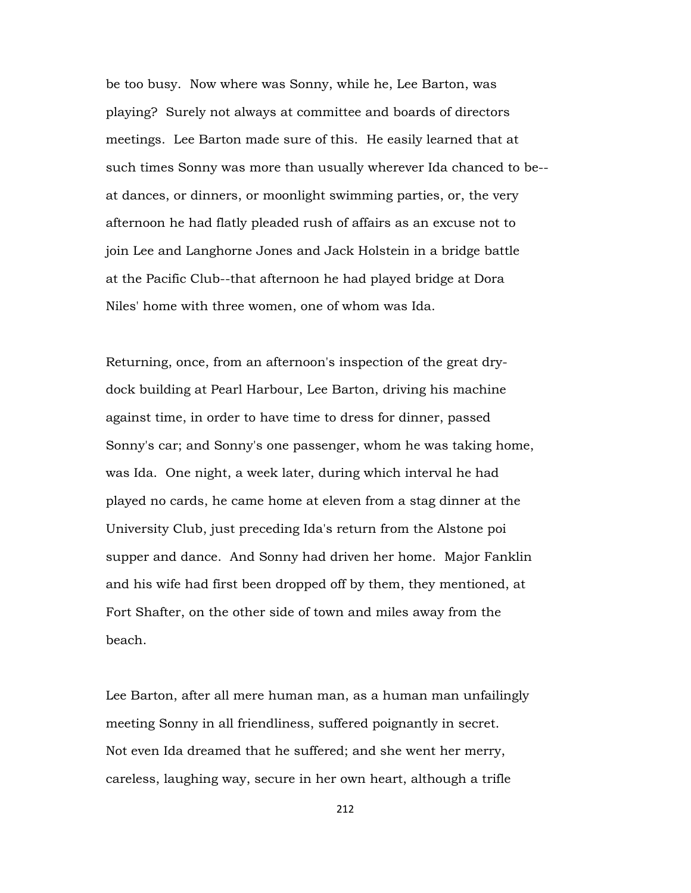be too busy. Now where was Sonny, while he, Lee Barton, was playing? Surely not always at committee and boards of directors meetings. Lee Barton made sure of this. He easily learned that at such times Sonny was more than usually wherever Ida chanced to be- at dances, or dinners, or moonlight swimming parties, or, the very afternoon he had flatly pleaded rush of affairs as an excuse not to join Lee and Langhorne Jones and Jack Holstein in a bridge battle at the Pacific Club--that afternoon he had played bridge at Dora Niles' home with three women, one of whom was Ida.

Returning, once, from an afternoon's inspection of the great drydock building at Pearl Harbour, Lee Barton, driving his machine against time, in order to have time to dress for dinner, passed Sonny's car; and Sonny's one passenger, whom he was taking home, was Ida. One night, a week later, during which interval he had played no cards, he came home at eleven from a stag dinner at the University Club, just preceding Ida's return from the Alstone poi supper and dance. And Sonny had driven her home. Major Fanklin and his wife had first been dropped off by them, they mentioned, at Fort Shafter, on the other side of town and miles away from the beach.

Lee Barton, after all mere human man, as a human man unfailingly meeting Sonny in all friendliness, suffered poignantly in secret. Not even Ida dreamed that he suffered; and she went her merry, careless, laughing way, secure in her own heart, although a trifle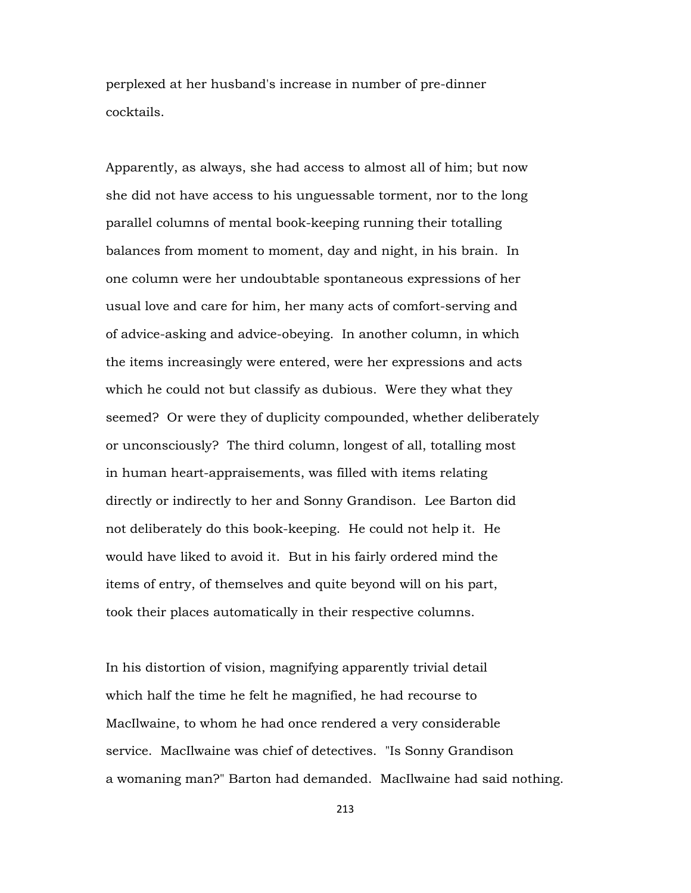perplexed at her husband's increase in number of pre-dinner cocktails.

Apparently, as always, she had access to almost all of him; but now she did not have access to his unguessable torment, nor to the long parallel columns of mental book-keeping running their totalling balances from moment to moment, day and night, in his brain. In one column were her undoubtable spontaneous expressions of her usual love and care for him, her many acts of comfort-serving and of advice-asking and advice-obeying. In another column, in which the items increasingly were entered, were her expressions and acts which he could not but classify as dubious. Were they what they seemed? Or were they of duplicity compounded, whether deliberately or unconsciously? The third column, longest of all, totalling most in human heart-appraisements, was filled with items relating directly or indirectly to her and Sonny Grandison. Lee Barton did not deliberately do this book-keeping. He could not help it. He would have liked to avoid it. But in his fairly ordered mind the items of entry, of themselves and quite beyond will on his part, took their places automatically in their respective columns.

In his distortion of vision, magnifying apparently trivial detail which half the time he felt he magnified, he had recourse to MacIlwaine, to whom he had once rendered a very considerable service. MacIlwaine was chief of detectives. "Is Sonny Grandison a womaning man?" Barton had demanded. MacIlwaine had said nothing.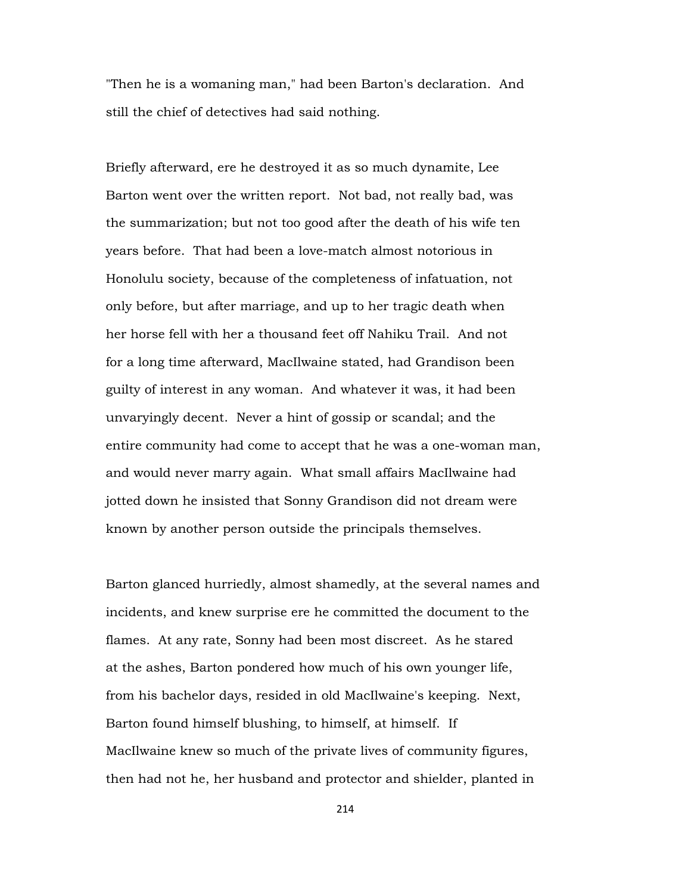"Then he is a womaning man," had been Barton's declaration. And still the chief of detectives had said nothing.

Briefly afterward, ere he destroyed it as so much dynamite, Lee Barton went over the written report. Not bad, not really bad, was the summarization; but not too good after the death of his wife ten years before. That had been a love-match almost notorious in Honolulu society, because of the completeness of infatuation, not only before, but after marriage, and up to her tragic death when her horse fell with her a thousand feet off Nahiku Trail. And not for a long time afterward, MacIlwaine stated, had Grandison been guilty of interest in any woman. And whatever it was, it had been unvaryingly decent. Never a hint of gossip or scandal; and the entire community had come to accept that he was a one-woman man, and would never marry again. What small affairs MacIlwaine had jotted down he insisted that Sonny Grandison did not dream were known by another person outside the principals themselves.

Barton glanced hurriedly, almost shamedly, at the several names and incidents, and knew surprise ere he committed the document to the flames. At any rate, Sonny had been most discreet. As he stared at the ashes, Barton pondered how much of his own younger life, from his bachelor days, resided in old MacIlwaine's keeping. Next, Barton found himself blushing, to himself, at himself. If MacIlwaine knew so much of the private lives of community figures, then had not he, her husband and protector and shielder, planted in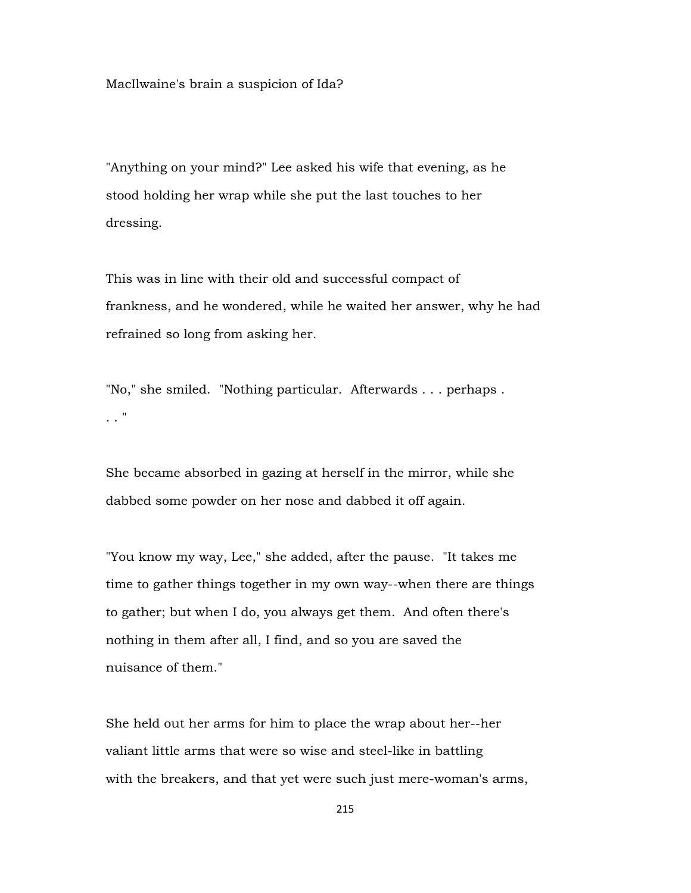MacIlwaine's brain a suspicion of Ida?

"Anything on your mind?" Lee asked his wife that evening, as he stood holding her wrap while she put the last touches to her dressing.

This was in line with their old and successful compact of frankness, and he wondered, while he waited her answer, why he had refrained so long from asking her.

"No," she smiled. "Nothing particular. Afterwards . . . perhaps . . . "

She became absorbed in gazing at herself in the mirror, while she dabbed some powder on her nose and dabbed it off again.

"You know my way, Lee," she added, after the pause. "It takes me time to gather things together in my own way--when there are things to gather; but when I do, you always get them. And often there's nothing in them after all, I find, and so you are saved the nuisance of them."

She held out her arms for him to place the wrap about her--her valiant little arms that were so wise and steel-like in battling with the breakers, and that yet were such just mere-woman's arms,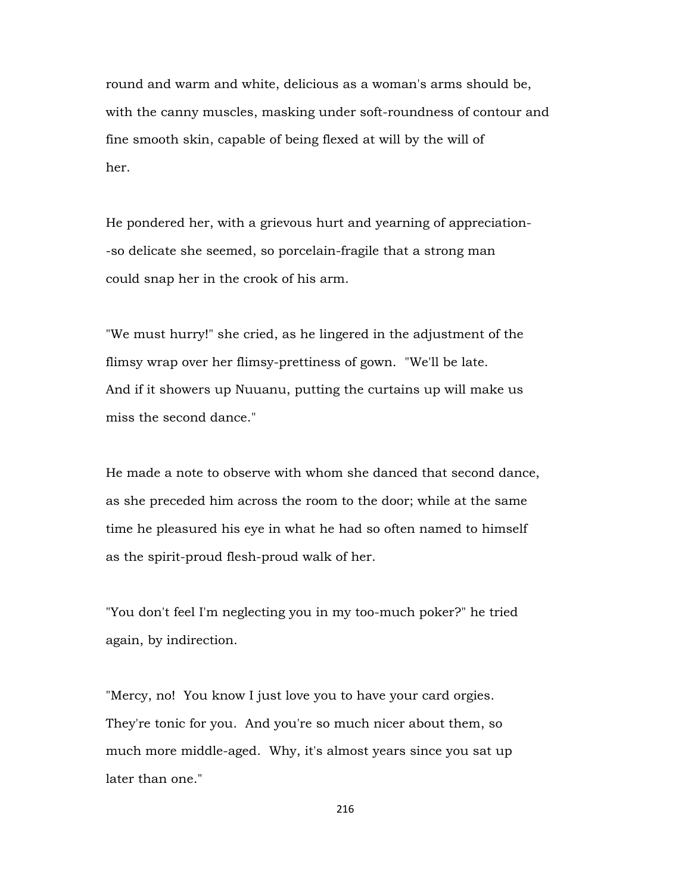round and warm and white, delicious as a woman's arms should be, with the canny muscles, masking under soft-roundness of contour and fine smooth skin, capable of being flexed at will by the will of her.

He pondered her, with a grievous hurt and yearning of appreciation- -so delicate she seemed, so porcelain-fragile that a strong man could snap her in the crook of his arm.

"We must hurry!" she cried, as he lingered in the adjustment of the flimsy wrap over her flimsy-prettiness of gown. "We'll be late. And if it showers up Nuuanu, putting the curtains up will make us miss the second dance."

He made a note to observe with whom she danced that second dance, as she preceded him across the room to the door; while at the same time he pleasured his eye in what he had so often named to himself as the spirit-proud flesh-proud walk of her.

"You don't feel I'm neglecting you in my too-much poker?" he tried again, by indirection.

"Mercy, no! You know I just love you to have your card orgies. They're tonic for you. And you're so much nicer about them, so much more middle-aged. Why, it's almost years since you sat up later than one."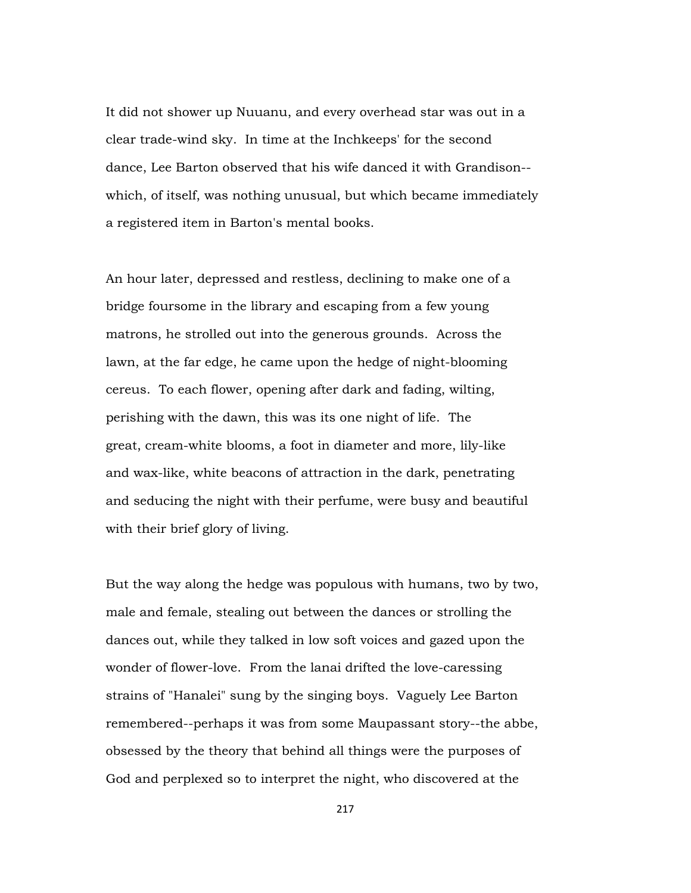It did not shower up Nuuanu, and every overhead star was out in a clear trade-wind sky. In time at the Inchkeeps' for the second dance, Lee Barton observed that his wife danced it with Grandison- which, of itself, was nothing unusual, but which became immediately a registered item in Barton's mental books.

An hour later, depressed and restless, declining to make one of a bridge foursome in the library and escaping from a few young matrons, he strolled out into the generous grounds. Across the lawn, at the far edge, he came upon the hedge of night-blooming cereus. To each flower, opening after dark and fading, wilting, perishing with the dawn, this was its one night of life. The great, cream-white blooms, a foot in diameter and more, lily-like and wax-like, white beacons of attraction in the dark, penetrating and seducing the night with their perfume, were busy and beautiful with their brief glory of living.

But the way along the hedge was populous with humans, two by two, male and female, stealing out between the dances or strolling the dances out, while they talked in low soft voices and gazed upon the wonder of flower-love. From the lanai drifted the love-caressing strains of "Hanalei" sung by the singing boys. Vaguely Lee Barton remembered--perhaps it was from some Maupassant story--the abbe, obsessed by the theory that behind all things were the purposes of God and perplexed so to interpret the night, who discovered at the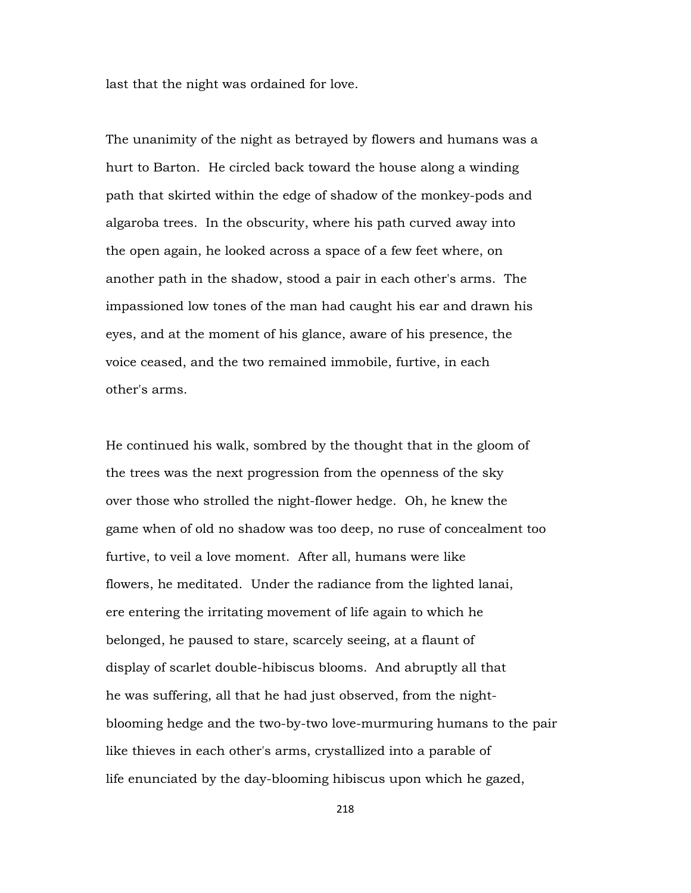last that the night was ordained for love.

The unanimity of the night as betrayed by flowers and humans was a hurt to Barton. He circled back toward the house along a winding path that skirted within the edge of shadow of the monkey-pods and algaroba trees. In the obscurity, where his path curved away into the open again, he looked across a space of a few feet where, on another path in the shadow, stood a pair in each other's arms. The impassioned low tones of the man had caught his ear and drawn his eyes, and at the moment of his glance, aware of his presence, the voice ceased, and the two remained immobile, furtive, in each other's arms.

He continued his walk, sombred by the thought that in the gloom of the trees was the next progression from the openness of the sky over those who strolled the night-flower hedge. Oh, he knew the game when of old no shadow was too deep, no ruse of concealment too furtive, to veil a love moment. After all, humans were like flowers, he meditated. Under the radiance from the lighted lanai, ere entering the irritating movement of life again to which he belonged, he paused to stare, scarcely seeing, at a flaunt of display of scarlet double-hibiscus blooms. And abruptly all that he was suffering, all that he had just observed, from the nightblooming hedge and the two-by-two love-murmuring humans to the pair like thieves in each other's arms, crystallized into a parable of life enunciated by the day-blooming hibiscus upon which he gazed,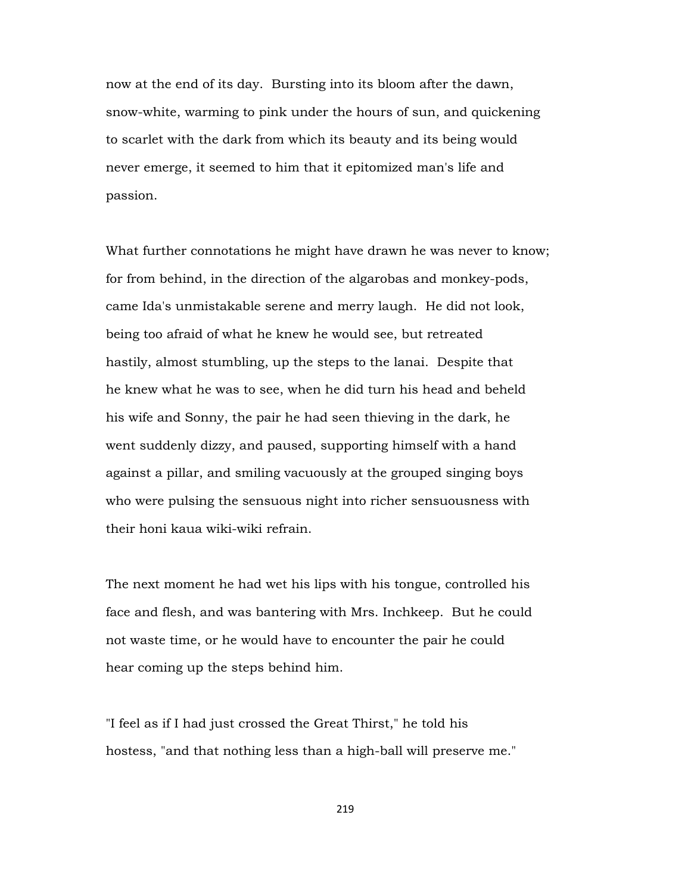now at the end of its day. Bursting into its bloom after the dawn, snow-white, warming to pink under the hours of sun, and quickening to scarlet with the dark from which its beauty and its being would never emerge, it seemed to him that it epitomized man's life and passion.

What further connotations he might have drawn he was never to know; for from behind, in the direction of the algarobas and monkey-pods, came Ida's unmistakable serene and merry laugh. He did not look, being too afraid of what he knew he would see, but retreated hastily, almost stumbling, up the steps to the lanai. Despite that he knew what he was to see, when he did turn his head and beheld his wife and Sonny, the pair he had seen thieving in the dark, he went suddenly dizzy, and paused, supporting himself with a hand against a pillar, and smiling vacuously at the grouped singing boys who were pulsing the sensuous night into richer sensuousness with their honi kaua wiki-wiki refrain.

The next moment he had wet his lips with his tongue, controlled his face and flesh, and was bantering with Mrs. Inchkeep. But he could not waste time, or he would have to encounter the pair he could hear coming up the steps behind him.

"I feel as if I had just crossed the Great Thirst," he told his hostess, "and that nothing less than a high-ball will preserve me."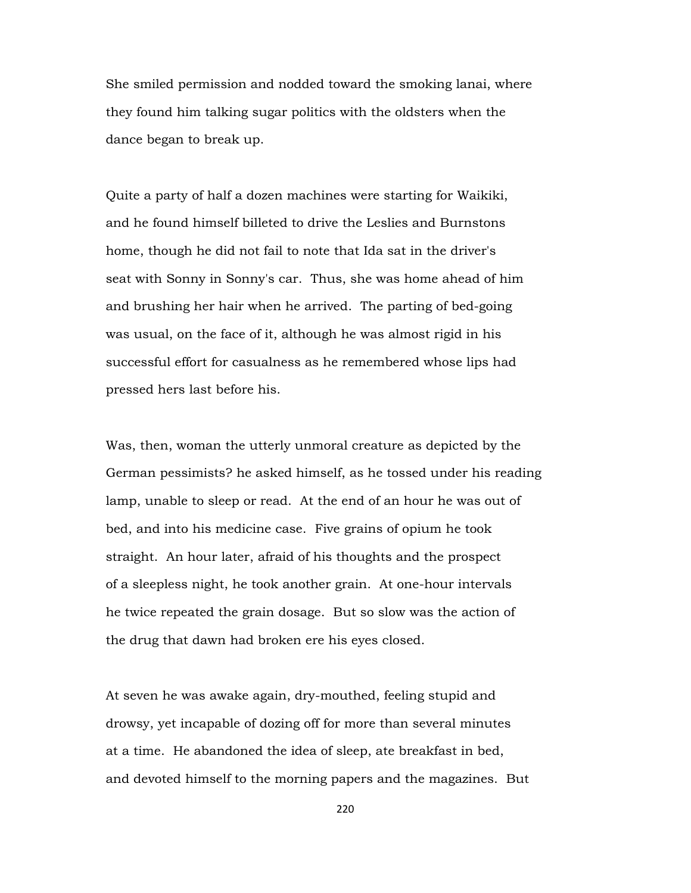She smiled permission and nodded toward the smoking lanai, where they found him talking sugar politics with the oldsters when the dance began to break up.

Quite a party of half a dozen machines were starting for Waikiki, and he found himself billeted to drive the Leslies and Burnstons home, though he did not fail to note that Ida sat in the driver's seat with Sonny in Sonny's car. Thus, she was home ahead of him and brushing her hair when he arrived. The parting of bed-going was usual, on the face of it, although he was almost rigid in his successful effort for casualness as he remembered whose lips had pressed hers last before his.

Was, then, woman the utterly unmoral creature as depicted by the German pessimists? he asked himself, as he tossed under his reading lamp, unable to sleep or read. At the end of an hour he was out of bed, and into his medicine case. Five grains of opium he took straight. An hour later, afraid of his thoughts and the prospect of a sleepless night, he took another grain. At one-hour intervals he twice repeated the grain dosage. But so slow was the action of the drug that dawn had broken ere his eyes closed.

At seven he was awake again, dry-mouthed, feeling stupid and drowsy, yet incapable of dozing off for more than several minutes at a time. He abandoned the idea of sleep, ate breakfast in bed, and devoted himself to the morning papers and the magazines. But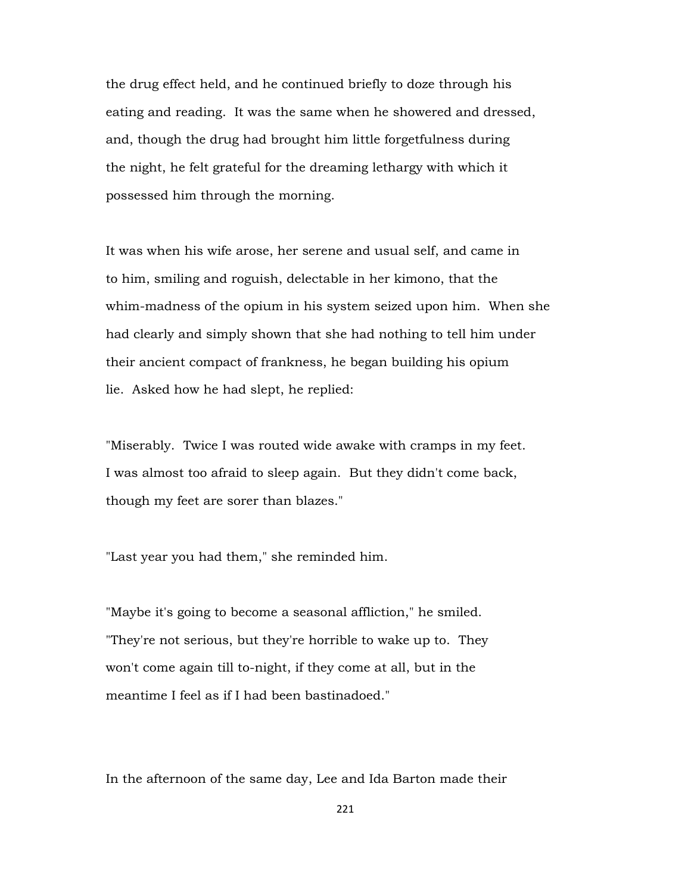the drug effect held, and he continued briefly to doze through his eating and reading. It was the same when he showered and dressed, and, though the drug had brought him little forgetfulness during the night, he felt grateful for the dreaming lethargy with which it possessed him through the morning.

It was when his wife arose, her serene and usual self, and came in to him, smiling and roguish, delectable in her kimono, that the whim-madness of the opium in his system seized upon him. When she had clearly and simply shown that she had nothing to tell him under their ancient compact of frankness, he began building his opium lie. Asked how he had slept, he replied:

"Miserably. Twice I was routed wide awake with cramps in my feet. I was almost too afraid to sleep again. But they didn't come back, though my feet are sorer than blazes."

"Last year you had them," she reminded him.

"Maybe it's going to become a seasonal affliction," he smiled. "They're not serious, but they're horrible to wake up to. They won't come again till to-night, if they come at all, but in the meantime I feel as if I had been bastinadoed."

In the afternoon of the same day, Lee and Ida Barton made their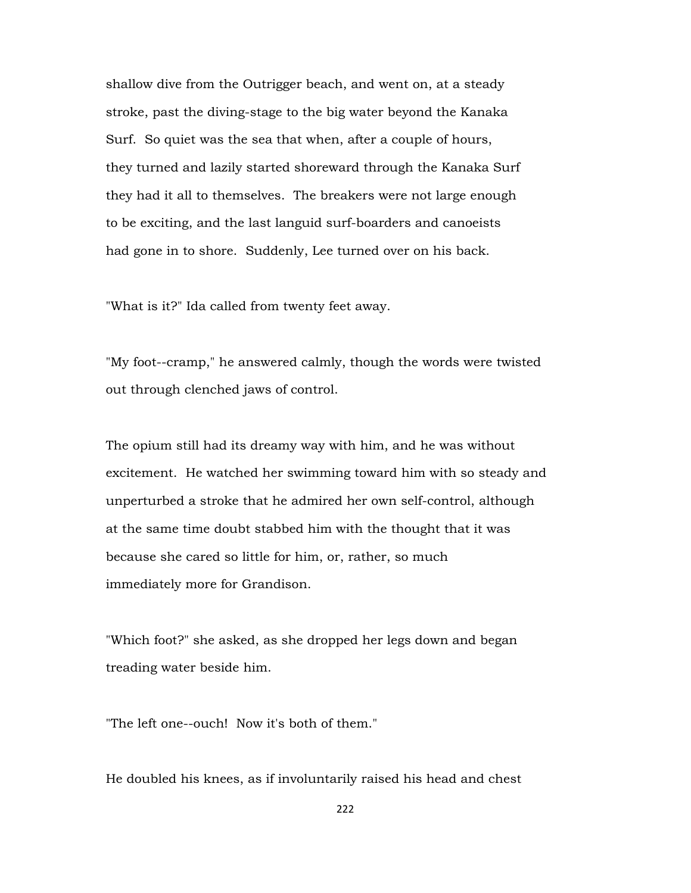shallow dive from the Outrigger beach, and went on, at a steady stroke, past the diving-stage to the big water beyond the Kanaka Surf. So quiet was the sea that when, after a couple of hours, they turned and lazily started shoreward through the Kanaka Surf they had it all to themselves. The breakers were not large enough to be exciting, and the last languid surf-boarders and canoeists had gone in to shore. Suddenly, Lee turned over on his back.

"What is it?" Ida called from twenty feet away.

"My foot--cramp," he answered calmly, though the words were twisted out through clenched jaws of control.

The opium still had its dreamy way with him, and he was without excitement. He watched her swimming toward him with so steady and unperturbed a stroke that he admired her own self-control, although at the same time doubt stabbed him with the thought that it was because she cared so little for him, or, rather, so much immediately more for Grandison.

"Which foot?" she asked, as she dropped her legs down and began treading water beside him.

"The left one--ouch! Now it's both of them."

He doubled his knees, as if involuntarily raised his head and chest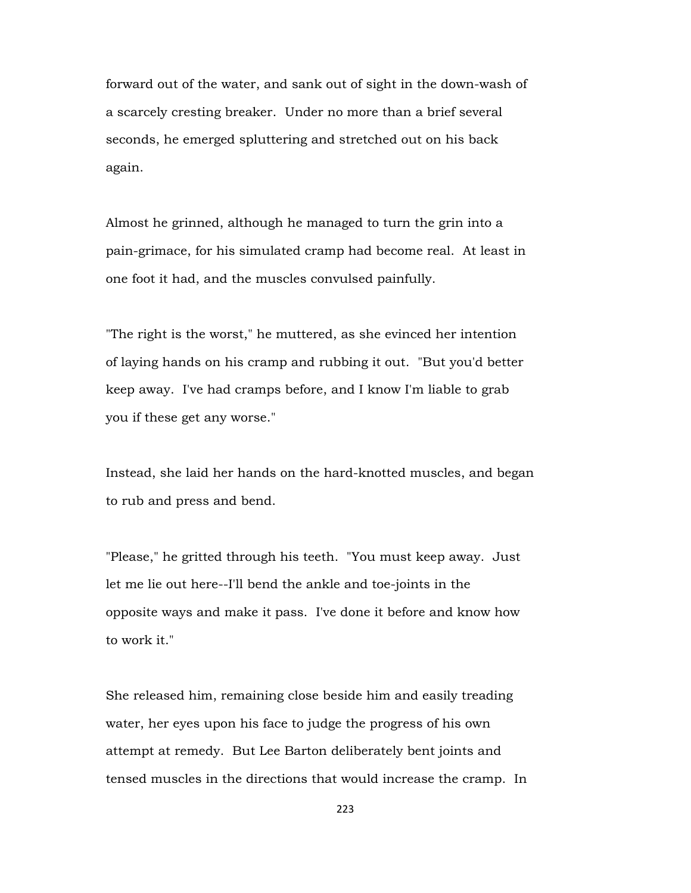forward out of the water, and sank out of sight in the down-wash of a scarcely cresting breaker. Under no more than a brief several seconds, he emerged spluttering and stretched out on his back again.

Almost he grinned, although he managed to turn the grin into a pain-grimace, for his simulated cramp had become real. At least in one foot it had, and the muscles convulsed painfully.

"The right is the worst," he muttered, as she evinced her intention of laying hands on his cramp and rubbing it out. "But you'd better keep away. I've had cramps before, and I know I'm liable to grab you if these get any worse."

Instead, she laid her hands on the hard-knotted muscles, and began to rub and press and bend.

"Please," he gritted through his teeth. "You must keep away. Just let me lie out here--I'll bend the ankle and toe-joints in the opposite ways and make it pass. I've done it before and know how to work it."

She released him, remaining close beside him and easily treading water, her eyes upon his face to judge the progress of his own attempt at remedy. But Lee Barton deliberately bent joints and tensed muscles in the directions that would increase the cramp. In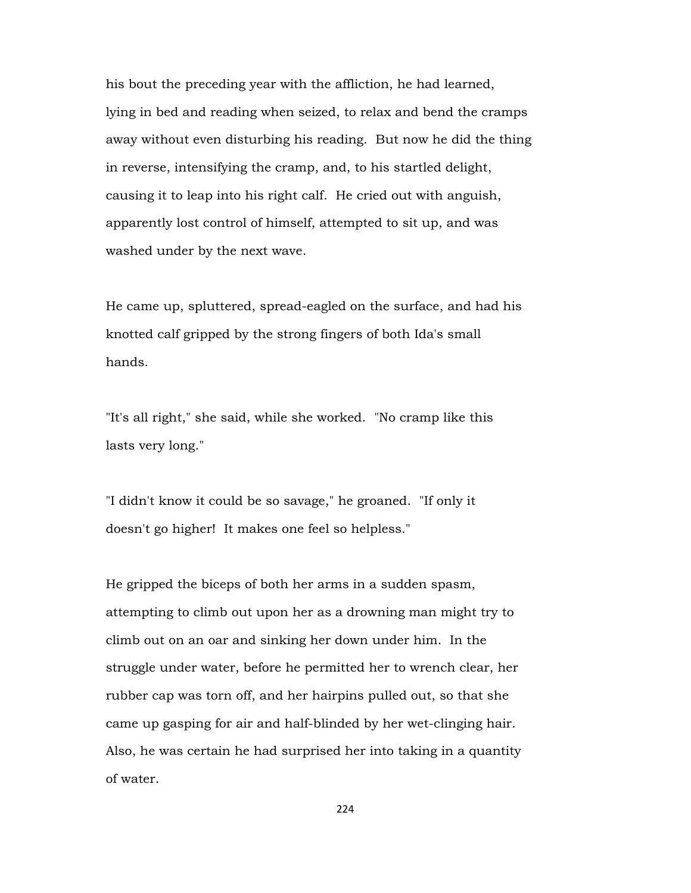his bout the preceding year with the affliction, he had learned, lying in bed and reading when seized, to relax and bend the cramps away without even disturbing his reading. But now he did the thing in reverse, intensifying the cramp, and, to his startled delight, causing it to leap into his right calf. He cried out with anguish, apparently lost control of himself, attempted to sit up, and was washed under by the next wave.

He came up, spluttered, spread-eagled on the surface, and had his knotted calf gripped by the strong fingers of both Ida's small hands.

"It's all right," she said, while she worked. "No cramp like this lasts very long."

"I didn't know it could be so savage," he groaned. "If only it doesn't go higher! It makes one feel so helpless."

He gripped the biceps of both her arms in a sudden spasm, attempting to climb out upon her as a drowning man might try to climb out on an oar and sinking her down under him. In the struggle under water, before he permitted her to wrench clear, her rubber cap was torn off, and her hairpins pulled out, so that she came up gasping for air and half-blinded by her wet-clinging hair. Also, he was certain he had surprised her into taking in a quantity of water.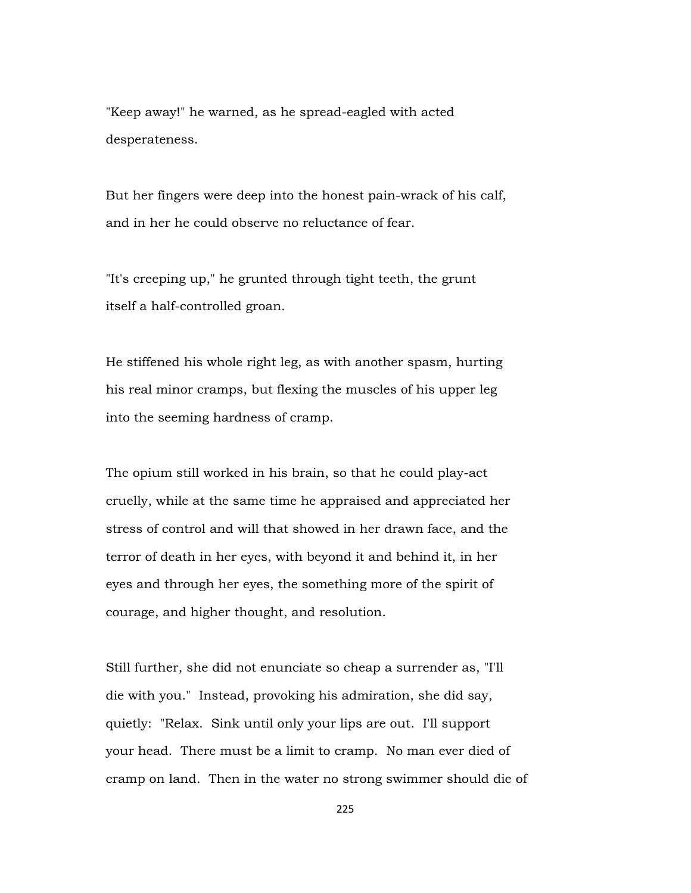"Keep away!" he warned, as he spread-eagled with acted desperateness.

But her fingers were deep into the honest pain-wrack of his calf, and in her he could observe no reluctance of fear.

"It's creeping up," he grunted through tight teeth, the grunt itself a half-controlled groan.

He stiffened his whole right leg, as with another spasm, hurting his real minor cramps, but flexing the muscles of his upper leg into the seeming hardness of cramp.

The opium still worked in his brain, so that he could play-act cruelly, while at the same time he appraised and appreciated her stress of control and will that showed in her drawn face, and the terror of death in her eyes, with beyond it and behind it, in her eyes and through her eyes, the something more of the spirit of courage, and higher thought, and resolution.

Still further, she did not enunciate so cheap a surrender as, "I'll die with you." Instead, provoking his admiration, she did say, quietly: "Relax. Sink until only your lips are out. I'll support your head. There must be a limit to cramp. No man ever died of cramp on land. Then in the water no strong swimmer should die of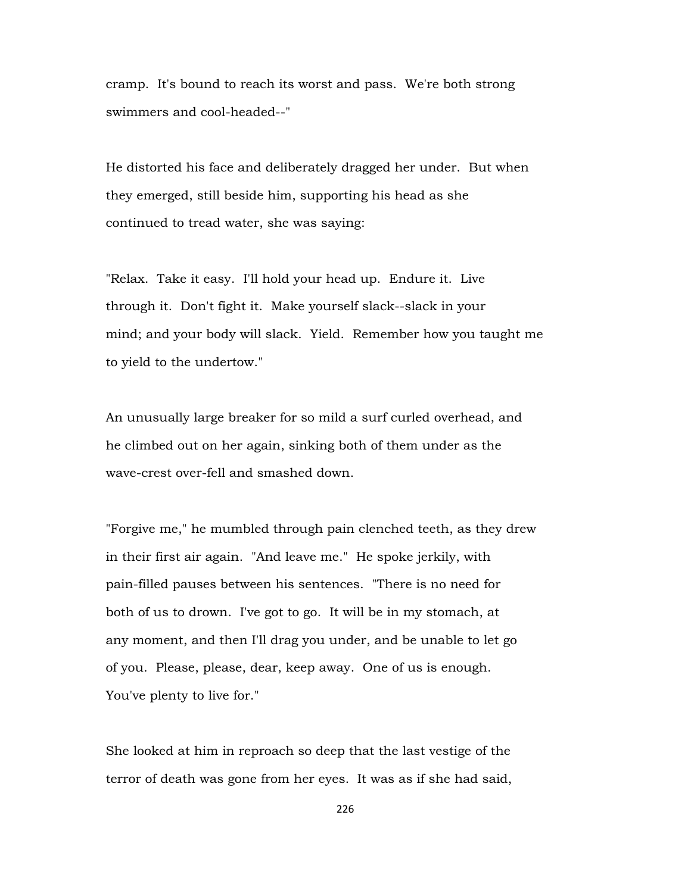cramp. It's bound to reach its worst and pass. We're both strong swimmers and cool-headed--"

He distorted his face and deliberately dragged her under. But when they emerged, still beside him, supporting his head as she continued to tread water, she was saying:

"Relax. Take it easy. I'll hold your head up. Endure it. Live through it. Don't fight it. Make yourself slack--slack in your mind; and your body will slack. Yield. Remember how you taught me to yield to the undertow."

An unusually large breaker for so mild a surf curled overhead, and he climbed out on her again, sinking both of them under as the wave-crest over-fell and smashed down.

"Forgive me," he mumbled through pain clenched teeth, as they drew in their first air again. "And leave me." He spoke jerkily, with pain-filled pauses between his sentences. "There is no need for both of us to drown. I've got to go. It will be in my stomach, at any moment, and then I'll drag you under, and be unable to let go of you. Please, please, dear, keep away. One of us is enough. You've plenty to live for."

She looked at him in reproach so deep that the last vestige of the terror of death was gone from her eyes. It was as if she had said,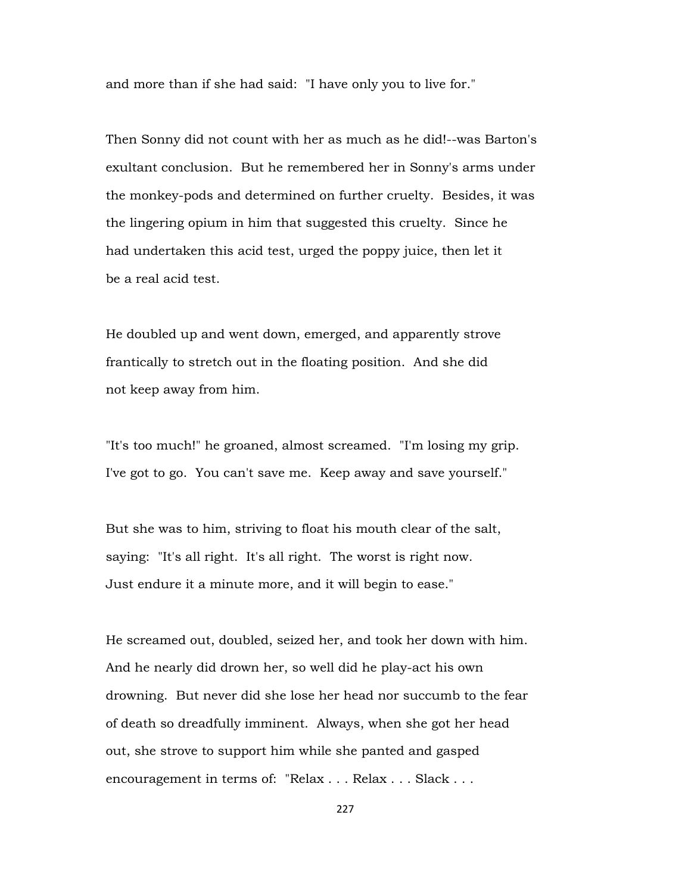and more than if she had said: "I have only you to live for."

Then Sonny did not count with her as much as he did!--was Barton's exultant conclusion. But he remembered her in Sonny's arms under the monkey-pods and determined on further cruelty. Besides, it was the lingering opium in him that suggested this cruelty. Since he had undertaken this acid test, urged the poppy juice, then let it be a real acid test.

He doubled up and went down, emerged, and apparently strove frantically to stretch out in the floating position. And she did not keep away from him.

"It's too much!" he groaned, almost screamed. "I'm losing my grip. I've got to go. You can't save me. Keep away and save yourself."

But she was to him, striving to float his mouth clear of the salt, saying: "It's all right. It's all right. The worst is right now. Just endure it a minute more, and it will begin to ease."

He screamed out, doubled, seized her, and took her down with him. And he nearly did drown her, so well did he play-act his own drowning. But never did she lose her head nor succumb to the fear of death so dreadfully imminent. Always, when she got her head out, she strove to support him while she panted and gasped encouragement in terms of: "Relax . . . Relax . . . Slack . . .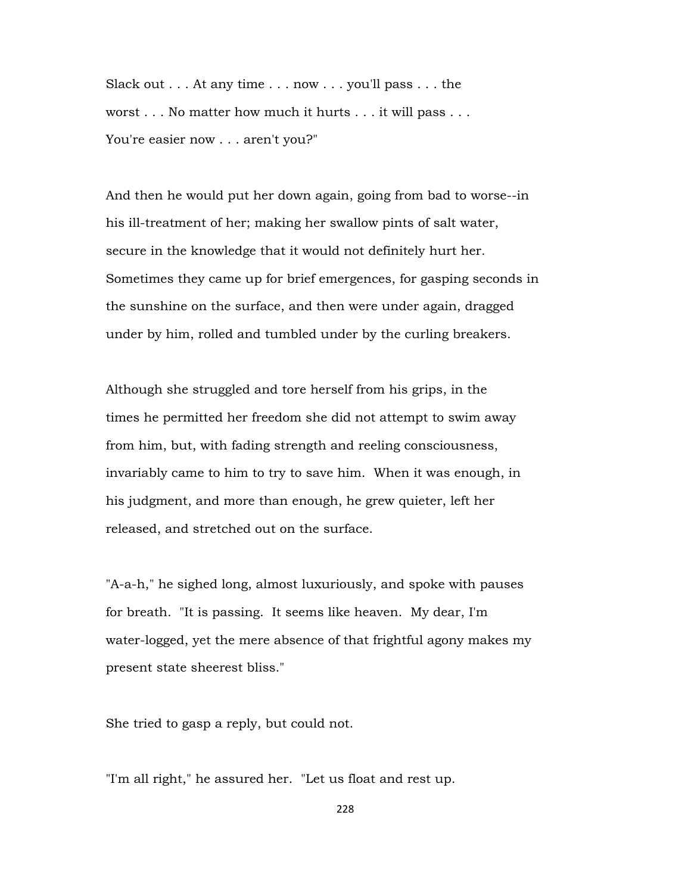Slack out . . . At any time . . . now . . . you'll pass . . . the worst . . . No matter how much it hurts . . . it will pass . . . You're easier now . . . aren't you?"

And then he would put her down again, going from bad to worse--in his ill-treatment of her; making her swallow pints of salt water, secure in the knowledge that it would not definitely hurt her. Sometimes they came up for brief emergences, for gasping seconds in the sunshine on the surface, and then were under again, dragged under by him, rolled and tumbled under by the curling breakers.

Although she struggled and tore herself from his grips, in the times he permitted her freedom she did not attempt to swim away from him, but, with fading strength and reeling consciousness, invariably came to him to try to save him. When it was enough, in his judgment, and more than enough, he grew quieter, left her released, and stretched out on the surface.

"A-a-h," he sighed long, almost luxuriously, and spoke with pauses for breath. "It is passing. It seems like heaven. My dear, I'm water-logged, yet the mere absence of that frightful agony makes my present state sheerest bliss."

She tried to gasp a reply, but could not.

"I'm all right," he assured her. "Let us float and rest up.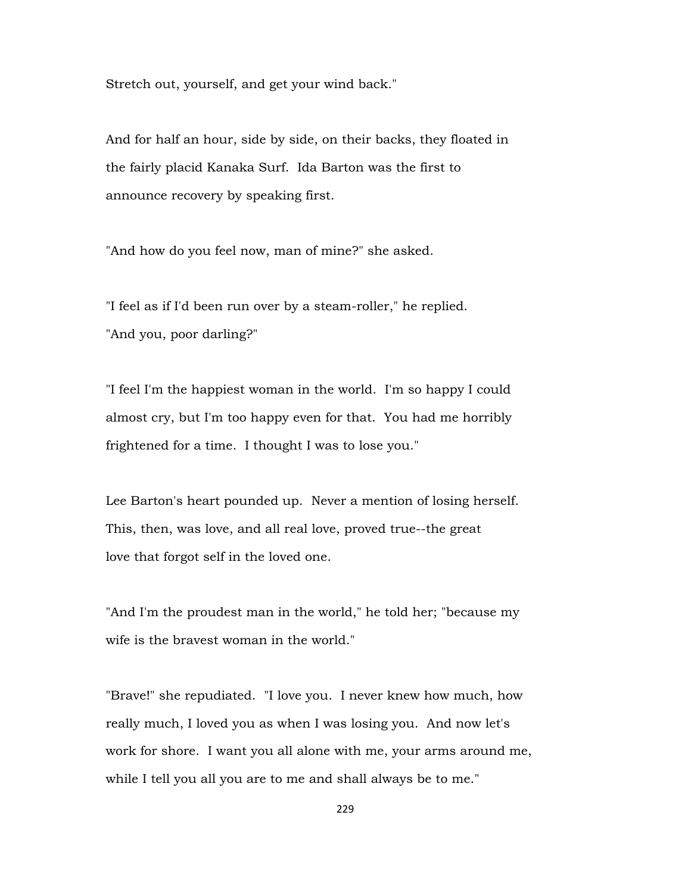Stretch out, yourself, and get your wind back."

And for half an hour, side by side, on their backs, they floated in the fairly placid Kanaka Surf. Ida Barton was the first to announce recovery by speaking first.

"And how do you feel now, man of mine?" she asked.

"I feel as if I'd been run over by a steam-roller," he replied. "And you, poor darling?"

"I feel I'm the happiest woman in the world. I'm so happy I could almost cry, but I'm too happy even for that. You had me horribly frightened for a time. I thought I was to lose you."

Lee Barton's heart pounded up. Never a mention of losing herself. This, then, was love, and all real love, proved true--the great love that forgot self in the loved one.

"And I'm the proudest man in the world," he told her; "because my wife is the bravest woman in the world."

"Brave!" she repudiated. "I love you. I never knew how much, how really much, I loved you as when I was losing you. And now let's work for shore. I want you all alone with me, your arms around me, while I tell you all you are to me and shall always be to me."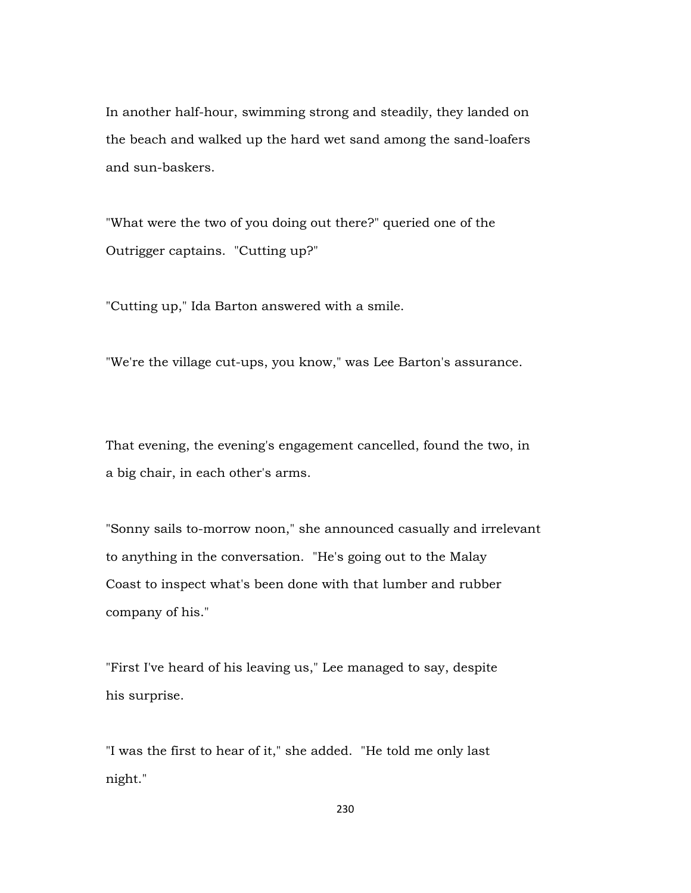In another half-hour, swimming strong and steadily, they landed on the beach and walked up the hard wet sand among the sand-loafers and sun-baskers.

"What were the two of you doing out there?" queried one of the Outrigger captains. "Cutting up?"

"Cutting up," Ida Barton answered with a smile.

"We're the village cut-ups, you know," was Lee Barton's assurance.

That evening, the evening's engagement cancelled, found the two, in a big chair, in each other's arms.

"Sonny sails to-morrow noon," she announced casually and irrelevant to anything in the conversation. "He's going out to the Malay Coast to inspect what's been done with that lumber and rubber company of his."

"First I've heard of his leaving us," Lee managed to say, despite his surprise.

"I was the first to hear of it," she added. "He told me only last night."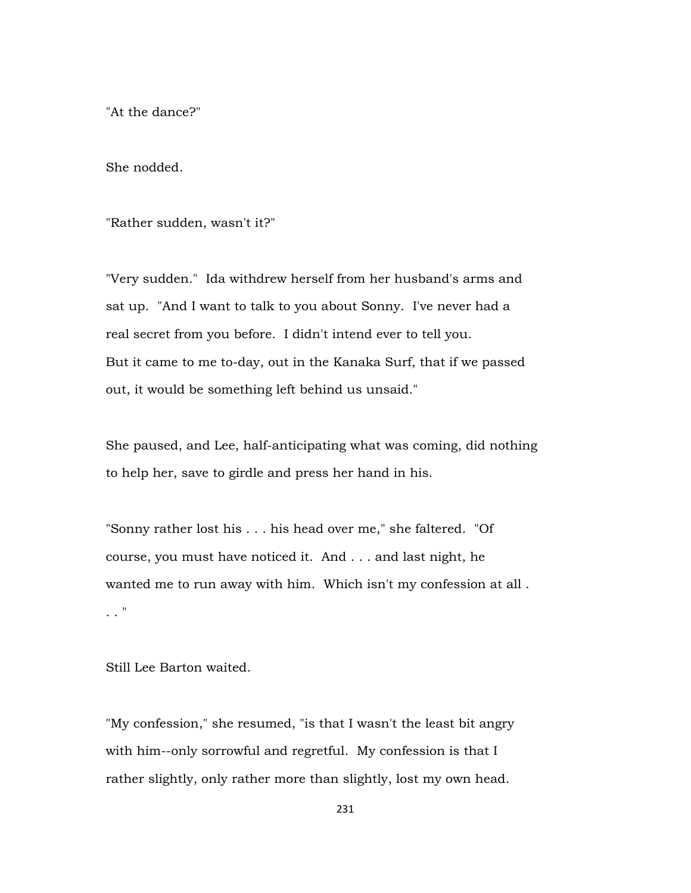"At the dance?"

She nodded.

"Rather sudden, wasn't it?"

"Very sudden." Ida withdrew herself from her husband's arms and sat up. "And I want to talk to you about Sonny. I've never had a real secret from you before. I didn't intend ever to tell you. But it came to me to-day, out in the Kanaka Surf, that if we passed out, it would be something left behind us unsaid."

She paused, and Lee, half-anticipating what was coming, did nothing to help her, save to girdle and press her hand in his.

"Sonny rather lost his . . . his head over me," she faltered. "Of course, you must have noticed it. And . . . and last night, he wanted me to run away with him. Which isn't my confession at all . . . "

Still Lee Barton waited.

"My confession," she resumed, "is that I wasn't the least bit angry with him--only sorrowful and regretful. My confession is that I rather slightly, only rather more than slightly, lost my own head.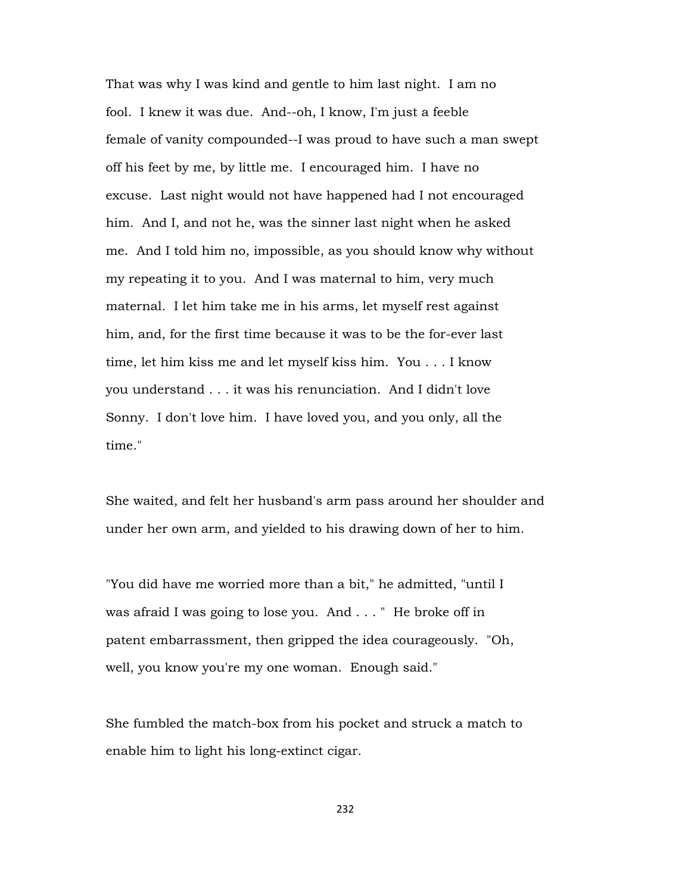That was why I was kind and gentle to him last night. I am no fool. I knew it was due. And--oh, I know, I'm just a feeble female of vanity compounded--I was proud to have such a man swept off his feet by me, by little me. I encouraged him. I have no excuse. Last night would not have happened had I not encouraged him. And I, and not he, was the sinner last night when he asked me. And I told him no, impossible, as you should know why without my repeating it to you. And I was maternal to him, very much maternal. I let him take me in his arms, let myself rest against him, and, for the first time because it was to be the for-ever last time, let him kiss me and let myself kiss him. You . . . I know you understand . . . it was his renunciation. And I didn't love Sonny. I don't love him. I have loved you, and you only, all the time."

She waited, and felt her husband's arm pass around her shoulder and under her own arm, and yielded to his drawing down of her to him.

"You did have me worried more than a bit," he admitted, "until I was afraid I was going to lose you. And . . . " He broke off in patent embarrassment, then gripped the idea courageously. "Oh, well, you know you're my one woman. Enough said."

She fumbled the match-box from his pocket and struck a match to enable him to light his long-extinct cigar.